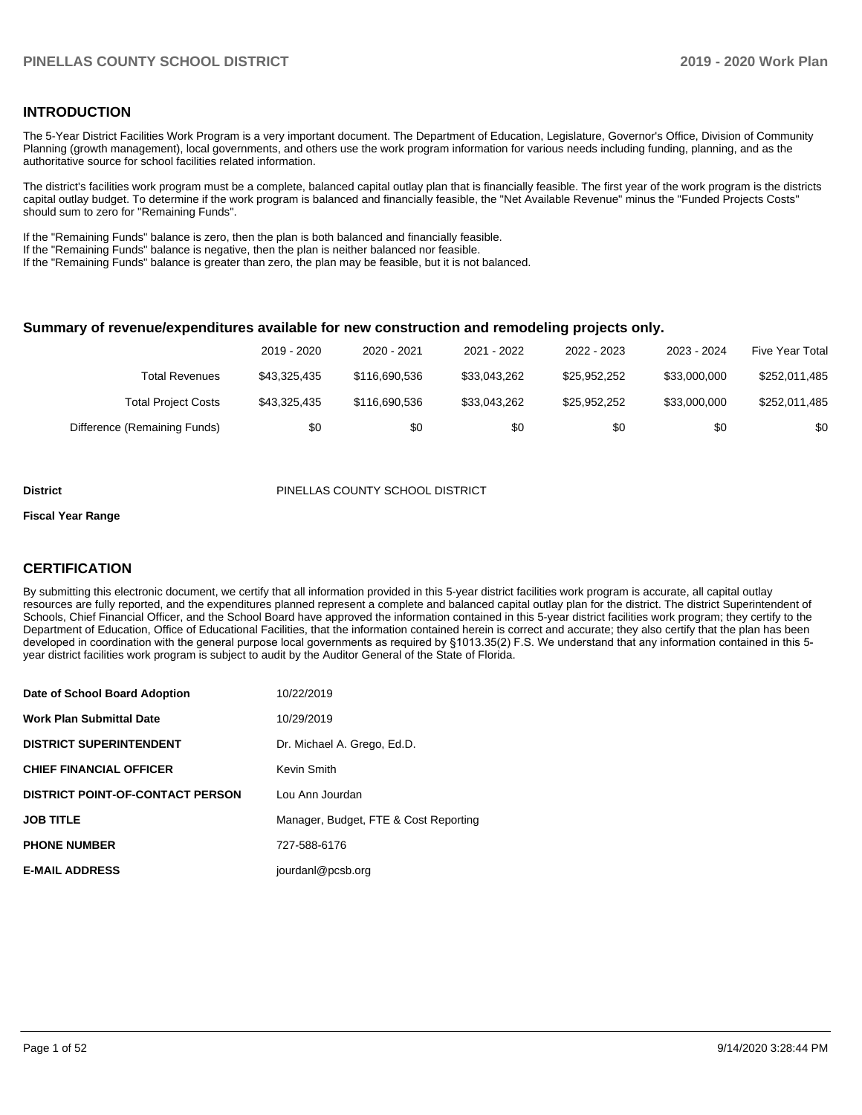#### **INTRODUCTION**

The 5-Year District Facilities Work Program is a very important document. The Department of Education, Legislature, Governor's Office, Division of Community Planning (growth management), local governments, and others use the work program information for various needs including funding, planning, and as the authoritative source for school facilities related information.

The district's facilities work program must be a complete, balanced capital outlay plan that is financially feasible. The first year of the work program is the districts capital outlay budget. To determine if the work program is balanced and financially feasible, the "Net Available Revenue" minus the "Funded Projects Costs" should sum to zero for "Remaining Funds".

If the "Remaining Funds" balance is zero, then the plan is both balanced and financially feasible.

If the "Remaining Funds" balance is negative, then the plan is neither balanced nor feasible.

If the "Remaining Funds" balance is greater than zero, the plan may be feasible, but it is not balanced.

#### **Summary of revenue/expenditures available for new construction and remodeling projects only.**

|                              | 2019 - 2020  | 2020 - 2021   | 2021 - 2022  | 2022 - 2023  | 2023 - 2024  | <b>Five Year Total</b> |
|------------------------------|--------------|---------------|--------------|--------------|--------------|------------------------|
| Total Revenues               | \$43.325.435 | \$116,690,536 | \$33.043.262 | \$25,952,252 | \$33,000,000 | \$252,011,485          |
| <b>Total Project Costs</b>   | \$43,325,435 | \$116,690,536 | \$33.043.262 | \$25,952,252 | \$33,000,000 | \$252,011,485          |
| Difference (Remaining Funds) | \$0          | \$0           | \$0          | \$0          | \$0          | \$0                    |

#### **District** PINELLAS COUNTY SCHOOL DISTRICT

#### **Fiscal Year Range**

#### **CERTIFICATION**

By submitting this electronic document, we certify that all information provided in this 5-year district facilities work program is accurate, all capital outlay resources are fully reported, and the expenditures planned represent a complete and balanced capital outlay plan for the district. The district Superintendent of Schools, Chief Financial Officer, and the School Board have approved the information contained in this 5-year district facilities work program; they certify to the Department of Education, Office of Educational Facilities, that the information contained herein is correct and accurate; they also certify that the plan has been developed in coordination with the general purpose local governments as required by §1013.35(2) F.S. We understand that any information contained in this 5 year district facilities work program is subject to audit by the Auditor General of the State of Florida.

| Date of School Board Adoption           | 10/22/2019                            |
|-----------------------------------------|---------------------------------------|
| Work Plan Submittal Date                | 10/29/2019                            |
| <b>DISTRICT SUPERINTENDENT</b>          | Dr. Michael A. Grego, Ed.D.           |
| <b>CHIEF FINANCIAL OFFICER</b>          | Kevin Smith                           |
| <b>DISTRICT POINT-OF-CONTACT PERSON</b> | Lou Ann Jourdan                       |
| JOB TITLE                               | Manager, Budget, FTE & Cost Reporting |
| <b>PHONE NUMBER</b>                     | 727-588-6176                          |
| <b>E-MAIL ADDRESS</b>                   | jourdanl@pcsb.org                     |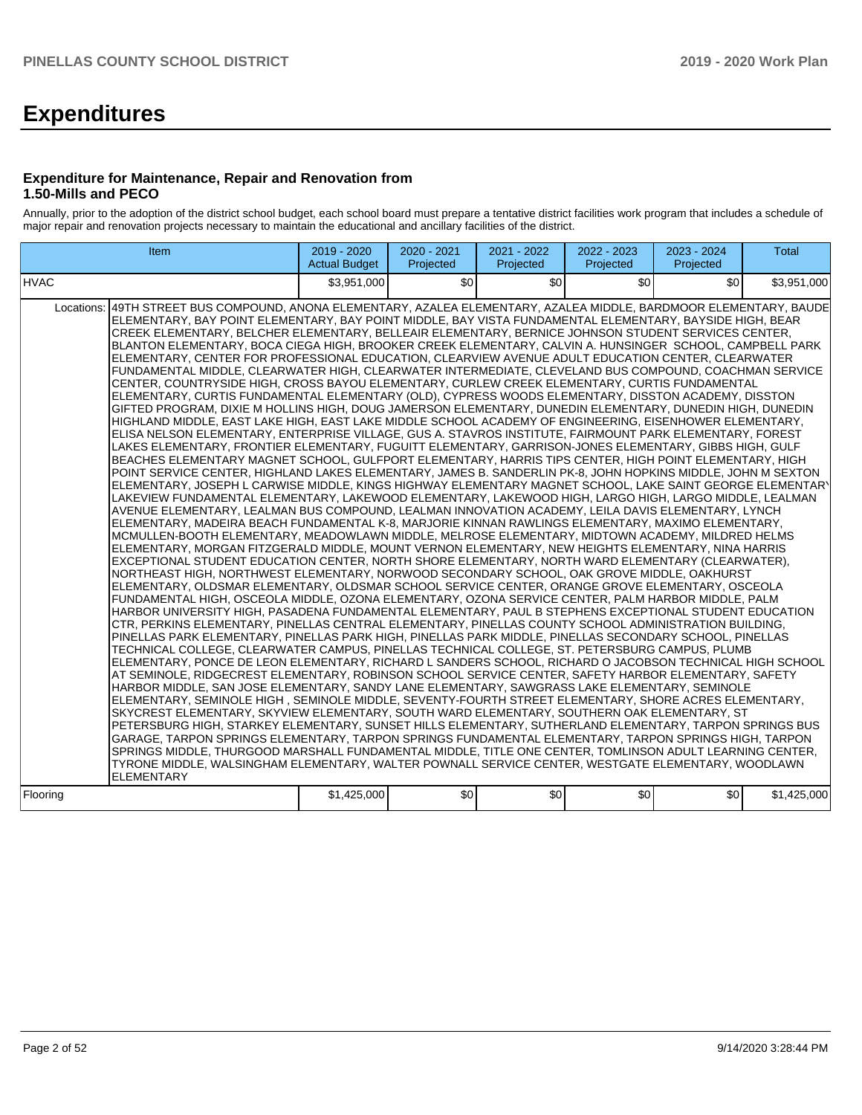# **Expenditures**

#### **Expenditure for Maintenance, Repair and Renovation from 1.50-Mills and PECO**

Annually, prior to the adoption of the district school budget, each school board must prepare a tentative district facilities work program that includes a schedule of major repair and renovation projects necessary to maintain the educational and ancillary facilities of the district.

| Item                                                                                                                                                                                                                                                                                                                                                                                                                                                                                                                                                                                                                                                                                                                                                                                                                                                                                                                                                                                                                                                                                                                                                                                                                                                                                                                                                                                                                                                                                                                                                                                                                                                                                                                                                                                                                                                                                                                                                                                                                                                                                                                                                                                                                                                                                                                                                                                                                                                                                                                                                                                                                                                                                                                                                                                                                                                                                                                                                                                                                                                                                                                                                                                                                                                                                                                                                                                                                                                                                                                                                                                                                                                                                                                                                                                                                                                                                                                                                                                                                                     | 2019 - 2020<br><b>Actual Budget</b> | 2020 - 2021<br>Projected | 2021 - 2022<br>Projected | 2022 - 2023<br>Projected | 2023 - 2024<br>Projected | <b>Total</b> |
|------------------------------------------------------------------------------------------------------------------------------------------------------------------------------------------------------------------------------------------------------------------------------------------------------------------------------------------------------------------------------------------------------------------------------------------------------------------------------------------------------------------------------------------------------------------------------------------------------------------------------------------------------------------------------------------------------------------------------------------------------------------------------------------------------------------------------------------------------------------------------------------------------------------------------------------------------------------------------------------------------------------------------------------------------------------------------------------------------------------------------------------------------------------------------------------------------------------------------------------------------------------------------------------------------------------------------------------------------------------------------------------------------------------------------------------------------------------------------------------------------------------------------------------------------------------------------------------------------------------------------------------------------------------------------------------------------------------------------------------------------------------------------------------------------------------------------------------------------------------------------------------------------------------------------------------------------------------------------------------------------------------------------------------------------------------------------------------------------------------------------------------------------------------------------------------------------------------------------------------------------------------------------------------------------------------------------------------------------------------------------------------------------------------------------------------------------------------------------------------------------------------------------------------------------------------------------------------------------------------------------------------------------------------------------------------------------------------------------------------------------------------------------------------------------------------------------------------------------------------------------------------------------------------------------------------------------------------------------------------------------------------------------------------------------------------------------------------------------------------------------------------------------------------------------------------------------------------------------------------------------------------------------------------------------------------------------------------------------------------------------------------------------------------------------------------------------------------------------------------------------------------------------------------------------------------------------------------------------------------------------------------------------------------------------------------------------------------------------------------------------------------------------------------------------------------------------------------------------------------------------------------------------------------------------------------------------------------------------------------------------------------------------------------|-------------------------------------|--------------------------|--------------------------|--------------------------|--------------------------|--------------|
| <b>HVAC</b>                                                                                                                                                                                                                                                                                                                                                                                                                                                                                                                                                                                                                                                                                                                                                                                                                                                                                                                                                                                                                                                                                                                                                                                                                                                                                                                                                                                                                                                                                                                                                                                                                                                                                                                                                                                                                                                                                                                                                                                                                                                                                                                                                                                                                                                                                                                                                                                                                                                                                                                                                                                                                                                                                                                                                                                                                                                                                                                                                                                                                                                                                                                                                                                                                                                                                                                                                                                                                                                                                                                                                                                                                                                                                                                                                                                                                                                                                                                                                                                                                              | \$3,951,000                         | \$0                      | \$0                      | \$0                      | \$0 <sub>1</sub>         | \$3,951,000  |
| 49TH STREET BUS COMPOUND, ANONA ELEMENTARY, AZALEA ELEMENTARY, AZALEA MIDDLE, BARDMOOR ELEMENTARY, BAUDE<br>Locations:<br>ELEMENTARY, BAY POINT ELEMENTARY, BAY POINT MIDDLE, BAY VISTA FUNDAMENTAL ELEMENTARY, BAYSIDE HIGH, BEAR<br>CREEK ELEMENTARY, BELCHER ELEMENTARY, BELLEAIR ELEMENTARY, BERNICE JOHNSON STUDENT SERVICES CENTER,<br>BLANTON ELEMENTARY, BOCA CIEGA HIGH, BROOKER CREEK ELEMENTARY, CALVIN A. HUNSINGER SCHOOL, CAMPBELL PARK<br>ELEMENTARY, CENTER FOR PROFESSIONAL EDUCATION, CLEARVIEW AVENUE ADULT EDUCATION CENTER, CLEARWATER<br>FUNDAMENTAL MIDDLE, CLEARWATER HIGH, CLEARWATER INTERMEDIATE, CLEVELAND BUS COMPOUND, COACHMAN SERVICE<br>CENTER, COUNTRYSIDE HIGH, CROSS BAYOU ELEMENTARY, CURLEW CREEK ELEMENTARY, CURTIS FUNDAMENTAL<br>ELEMENTARY, CURTIS FUNDAMENTAL ELEMENTARY (OLD), CYPRESS WOODS ELEMENTARY, DISSTON ACADEMY, DISSTON<br>GIFTED PROGRAM, DIXIE M HOLLINS HIGH, DOUG JAMERSON ELEMENTARY, DUNEDIN ELEMENTARY, DUNEDIN HIGH, DUNEDIN<br>HIGHLAND MIDDLE, EAST LAKE HIGH, EAST LAKE MIDDLE SCHOOL ACADEMY OF ENGINEERING, EISENHOWER ELEMENTARY,<br>ELISA NELSON ELEMENTARY, ENTERPRISE VILLAGE, GUS A. STAVROS INSTITUTE, FAIRMOUNT PARK ELEMENTARY, FOREST<br>LAKES ELEMENTARY, FRONTIER ELEMENTARY, FUGUITT ELEMENTARY, GARRISON-JONES ELEMENTARY, GIBBS HIGH, GULF<br>BEACHES ELEMENTARY MAGNET SCHOOL, GULFPORT ELEMENTARY, HARRIS TIPS CENTER, HIGH POINT ELEMENTARY, HIGH<br>POINT SERVICE CENTER, HIGHLAND LAKES ELEMENTARY, JAMES B. SANDERLIN PK-8, JOHN HOPKINS MIDDLE, JOHN M SEXTON<br>ELEMENTARY. JOSEPH L CARWISE MIDDLE. KINGS HIGHWAY ELEMENTARY MAGNET SCHOOL. LAKE SAINT GEORGE ELEMENTARY<br>LAKEVIEW FUNDAMENTAL ELEMENTARY, LAKEWOOD ELEMENTARY, LAKEWOOD HIGH, LARGO HIGH, LARGO MIDDLE, LEALMAN<br>AVENUE ELEMENTARY, LEALMAN BUS COMPOUND, LEALMAN INNOVATION ACADEMY, LEILA DAVIS ELEMENTARY, LYNCH<br>ELEMENTARY, MADEIRA BEACH FUNDAMENTAL K-8, MARJORIE KINNAN RAWLINGS ELEMENTARY, MAXIMO ELEMENTARY,<br>MCMULLEN-BOOTH ELEMENTARY, MEADOWLAWN MIDDLE, MELROSE ELEMENTARY, MIDTOWN ACADEMY, MILDRED HELMS<br>ELEMENTARY, MORGAN FITZGERALD MIDDLE, MOUNT VERNON ELEMENTARY, NEW HEIGHTS ELEMENTARY, NINA HARRIS<br>EXCEPTIONAL STUDENT EDUCATION CENTER. NORTH SHORE ELEMENTARY, NORTH WARD ELEMENTARY (CLEARWATER),<br>INORTHEAST HIGH. NORTHWEST ELEMENTARY. NORWOOD SECONDARY SCHOOL. OAK GROVE MIDDLE. OAKHURST<br>ELEMENTARY, OLDSMAR ELEMENTARY, OLDSMAR SCHOOL SERVICE CENTER, ORANGE GROVE ELEMENTARY, OSCEOLA<br>FUNDAMENTAL HIGH, OSCEOLA MIDDLE, OZONA ELEMENTARY, OZONA SERVICE CENTER, PALM HARBOR MIDDLE, PALM<br>HARBOR UNIVERSITY HIGH, PASADENA FUNDAMENTAL ELEMENTARY, PAUL B STEPHENS EXCEPTIONAL STUDENT EDUCATION<br>CTR, PERKINS ELEMENTARY, PINELLAS CENTRAL ELEMENTARY, PINELLAS COUNTY SCHOOL ADMINISTRATION BUILDING,<br>PINELLAS PARK ELEMENTARY, PINELLAS PARK HIGH, PINELLAS PARK MIDDLE, PINELLAS SECONDARY SCHOOL, PINELLAS<br>TECHNICAL COLLEGE, CLEARWATER CAMPUS, PINELLAS TECHNICAL COLLEGE, ST. PETERSBURG CAMPUS, PLUMB<br>ELEMENTARY, PONCE DE LEON ELEMENTARY, RICHARD L SANDERS SCHOOL, RICHARD O JACOBSON TECHNICAL HIGH SCHOOL<br>AT SEMINOLE, RIDGECREST ELEMENTARY, ROBINSON SCHOOL SERVICE CENTER, SAFETY HARBOR ELEMENTARY, SAFETY<br>HARBOR MIDDLE, SAN JOSE ELEMENTARY, SANDY LANE ELEMENTARY, SAWGRASS LAKE ELEMENTARY, SEMINOLE<br>ELEMENTARY, SEMINOLE HIGH , SEMINOLE MIDDLE, SEVENTY-FOURTH STREET ELEMENTARY, SHORE ACRES ELEMENTARY,<br>SKYCREST ELEMENTARY, SKYVIEW ELEMENTARY, SOUTH WARD ELEMENTARY, SOUTHERN OAK ELEMENTARY, ST<br>PETERSBURG HIGH, STARKEY ELEMENTARY, SUNSET HILLS ELEMENTARY, SUTHERLAND ELEMENTARY, TARPON SPRINGS BUS<br>GARAGE, TARPON SPRINGS ELEMENTARY, TARPON SPRINGS FUNDAMENTAL ELEMENTARY, TARPON SPRINGS HIGH, TARPON<br>SPRINGS MIDDLE. THURGOOD MARSHALL FUNDAMENTAL MIDDLE. TITLE ONE CENTER. TOMLINSON ADULT LEARNING CENTER.<br>TYRONE MIDDLE, WALSINGHAM ELEMENTARY, WALTER POWNALL SERVICE CENTER, WESTGATE ELEMENTARY, WOODLAWN<br><b>ELEMENTARY</b> |                                     |                          |                          |                          |                          |              |
| Flooring                                                                                                                                                                                                                                                                                                                                                                                                                                                                                                                                                                                                                                                                                                                                                                                                                                                                                                                                                                                                                                                                                                                                                                                                                                                                                                                                                                                                                                                                                                                                                                                                                                                                                                                                                                                                                                                                                                                                                                                                                                                                                                                                                                                                                                                                                                                                                                                                                                                                                                                                                                                                                                                                                                                                                                                                                                                                                                                                                                                                                                                                                                                                                                                                                                                                                                                                                                                                                                                                                                                                                                                                                                                                                                                                                                                                                                                                                                                                                                                                                                 | \$1,425,000                         | \$0                      | \$0                      | \$0                      | \$0 <sub>1</sub>         | \$1,425,000  |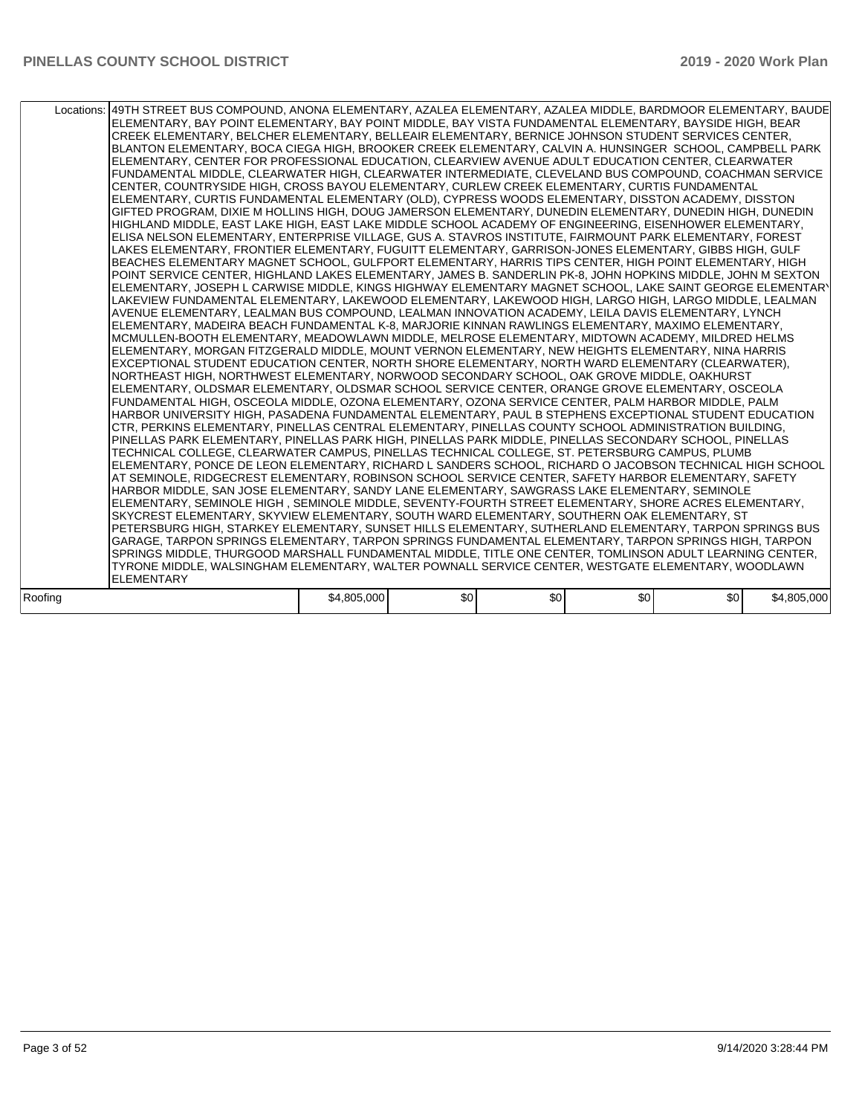|         | Locations:   49TH STREET BUS COMPOUND, ANONA ELEMENTARY, AZALEA ELEMENTARY, AZALEA MIDDLE, BARDMOOR ELEMENTARY, BAUDE<br>ELEMENTARY, BAY POINT ELEMENTARY, BAY POINT MIDDLE, BAY VISTA FUNDAMENTAL ELEMENTARY, BAYSIDE HIGH, BEAR<br>CREEK ELEMENTARY, BELCHER ELEMENTARY, BELLEAIR ELEMENTARY, BERNICE JOHNSON STUDENT SERVICES CENTER,<br>BLANTON ELEMENTARY, BOCA CIEGA HIGH, BROOKER CREEK ELEMENTARY, CALVIN A. HUNSINGER SCHOOL, CAMPBELL PARK<br>ELEMENTARY, CENTER FOR PROFESSIONAL EDUCATION, CLEARVIEW AVENUE ADULT EDUCATION CENTER, CLEARWATER<br>FUNDAMENTAL MIDDLE, CLEARWATER HIGH, CLEARWATER INTERMEDIATE, CLEVELAND BUS COMPOUND, COACHMAN SERVICE<br>CENTER, COUNTRYSIDE HIGH, CROSS BAYOU ELEMENTARY, CURLEW CREEK ELEMENTARY, CURTIS FUNDAMENTAL<br>ELEMENTARY, CURTIS FUNDAMENTAL ELEMENTARY (OLD), CYPRESS WOODS ELEMENTARY, DISSTON ACADEMY, DISSTON<br>GIFTED PROGRAM, DIXIE M HOLLINS HIGH, DOUG JAMERSON ELEMENTARY, DUNEDIN ELEMENTARY, DUNEDIN HIGH, DUNEDIN<br>HIGHLAND MIDDLE, EAST LAKE HIGH, EAST LAKE MIDDLE SCHOOL ACADEMY OF ENGINEERING, EISENHOWER ELEMENTARY,<br>ELISA NELSON ELEMENTARY, ENTERPRISE VILLAGE, GUS A. STAVROS INSTITUTE, FAIRMOUNT PARK ELEMENTARY, FOREST<br>LAKES ELEMENTARY, FRONTIER ELEMENTARY, FUGUITT ELEMENTARY, GARRISON-JONES ELEMENTARY, GIBBS HIGH, GULF<br>BEACHES ELEMENTARY MAGNET SCHOOL, GULFPORT ELEMENTARY, HARRIS TIPS CENTER, HIGH POINT ELEMENTARY, HIGH<br>POINT SERVICE CENTER, HIGHLAND LAKES ELEMENTARY, JAMES B. SANDERLIN PK-8, JOHN HOPKINS MIDDLE, JOHN M SEXTON<br>ELEMENTARY, JOSEPH L CARWISE MIDDLE, KINGS HIGHWAY ELEMENTARY MAGNET SCHOOL, LAKE SAINT GEORGE ELEMENTARY<br>LAKEVIEW FUNDAMENTAL ELEMENTARY, LAKEWOOD ELEMENTARY, LAKEWOOD HIGH, LARGO HIGH, LARGO MIDDLE, LEALMAN<br>AVENUE ELEMENTARY, LEALMAN BUS COMPOUND, LEALMAN INNOVATION ACADEMY, LEILA DAVIS ELEMENTARY, LYNCH<br>ELEMENTARY, MADEIRA BEACH FUNDAMENTAL K-8, MARJORIE KINNAN RAWLINGS ELEMENTARY, MAXIMO ELEMENTARY,<br>MCMULLEN-BOOTH ELEMENTARY, MEADOWLAWN MIDDLE, MELROSE ELEMENTARY, MIDTOWN ACADEMY, MILDRED HELMS<br>ELEMENTARY, MORGAN FITZGERALD MIDDLE, MOUNT VERNON ELEMENTARY, NEW HEIGHTS ELEMENTARY, NINA HARRIS<br>EXCEPTIONAL STUDENT EDUCATION CENTER, NORTH SHORE ELEMENTARY, NORTH WARD ELEMENTARY (CLEARWATER),<br>NORTHEAST HIGH, NORTHWEST ELEMENTARY, NORWOOD SECONDARY SCHOOL, OAK GROVE MIDDLE, OAKHURST<br>ELEMENTARY, OLDSMAR ELEMENTARY, OLDSMAR SCHOOL SERVICE CENTER, ORANGE GROVE ELEMENTARY, OSCEOLA<br>FUNDAMENTAL HIGH, OSCEOLA MIDDLE, OZONA ELEMENTARY, OZONA SERVICE CENTER, PALM HARBOR MIDDLE, PALM<br>HARBOR UNIVERSITY HIGH, PASADENA FUNDAMENTAL ELEMENTARY, PAUL B STEPHENS EXCEPTIONAL STUDENT EDUCATION<br>CTR, PERKINS ELEMENTARY, PINELLAS CENTRAL ELEMENTARY, PINELLAS COUNTY SCHOOL ADMINISTRATION BUILDING,<br>PINELLAS PARK ELEMENTARY, PINELLAS PARK HIGH, PINELLAS PARK MIDDLE, PINELLAS SECONDARY SCHOOL, PINELLAS<br>TECHNICAL COLLEGE, CLEARWATER CAMPUS, PINELLAS TECHNICAL COLLEGE, ST. PETERSBURG CAMPUS, PLUMB<br>ELEMENTARY, PONCE DE LEON ELEMENTARY, RICHARD L SANDERS SCHOOL, RICHARD O JACOBSON TECHNICAL HIGH SCHOOL<br>AT SEMINOLE, RIDGECREST ELEMENTARY, ROBINSON SCHOOL SERVICE CENTER, SAFETY HARBOR ELEMENTARY, SAFETY<br>HARBOR MIDDLE, SAN JOSE ELEMENTARY, SANDY LANE ELEMENTARY, SAWGRASS LAKE ELEMENTARY, SEMINOLE<br>ELEMENTARY, SEMINOLE HIGH, SEMINOLE MIDDLE, SEVENTY-FOURTH STREET ELEMENTARY, SHORE ACRES ELEMENTARY,<br>SKYCREST ELEMENTARY, SKYVIEW ELEMENTARY, SOUTH WARD ELEMENTARY, SOUTHERN OAK ELEMENTARY, ST<br>PETERSBURG HIGH, STARKEY ELEMENTARY, SUNSET HILLS ELEMENTARY, SUTHERLAND ELEMENTARY, TARPON SPRINGS BUS<br>GARAGE, TARPON SPRINGS ELEMENTARY, TARPON SPRINGS FUNDAMENTAL ELEMENTARY, TARPON SPRINGS HIGH, TARPON<br>SPRINGS MIDDLE, THURGOOD MARSHALL FUNDAMENTAL MIDDLE, TITLE ONE CENTER, TOMLINSON ADULT LEARNING CENTER,<br>TYRONE MIDDLE, WALSINGHAM ELEMENTARY, WALTER POWNALL SERVICE CENTER, WESTGATE ELEMENTARY, WOODLAWN |             |     |     |     |     |             |
|---------|------------------------------------------------------------------------------------------------------------------------------------------------------------------------------------------------------------------------------------------------------------------------------------------------------------------------------------------------------------------------------------------------------------------------------------------------------------------------------------------------------------------------------------------------------------------------------------------------------------------------------------------------------------------------------------------------------------------------------------------------------------------------------------------------------------------------------------------------------------------------------------------------------------------------------------------------------------------------------------------------------------------------------------------------------------------------------------------------------------------------------------------------------------------------------------------------------------------------------------------------------------------------------------------------------------------------------------------------------------------------------------------------------------------------------------------------------------------------------------------------------------------------------------------------------------------------------------------------------------------------------------------------------------------------------------------------------------------------------------------------------------------------------------------------------------------------------------------------------------------------------------------------------------------------------------------------------------------------------------------------------------------------------------------------------------------------------------------------------------------------------------------------------------------------------------------------------------------------------------------------------------------------------------------------------------------------------------------------------------------------------------------------------------------------------------------------------------------------------------------------------------------------------------------------------------------------------------------------------------------------------------------------------------------------------------------------------------------------------------------------------------------------------------------------------------------------------------------------------------------------------------------------------------------------------------------------------------------------------------------------------------------------------------------------------------------------------------------------------------------------------------------------------------------------------------------------------------------------------------------------------------------------------------------------------------------------------------------------------------------------------------------------------------------------------------------------------------------------------------------------------------------------------------------------------------------------------------------------------------------------------------------------------------------------------------------------------------------------------------------------------------------------------------------------------------------------------------------------------------------------------------------------------------------------------------------------------------------------------------------------------------------|-------------|-----|-----|-----|-----|-------------|
|         | <b>ELEMENTARY</b>                                                                                                                                                                                                                                                                                                                                                                                                                                                                                                                                                                                                                                                                                                                                                                                                                                                                                                                                                                                                                                                                                                                                                                                                                                                                                                                                                                                                                                                                                                                                                                                                                                                                                                                                                                                                                                                                                                                                                                                                                                                                                                                                                                                                                                                                                                                                                                                                                                                                                                                                                                                                                                                                                                                                                                                                                                                                                                                                                                                                                                                                                                                                                                                                                                                                                                                                                                                                                                                                                                                                                                                                                                                                                                                                                                                                                                                                                                                                                                                                |             |     |     |     |     |             |
| Roofina |                                                                                                                                                                                                                                                                                                                                                                                                                                                                                                                                                                                                                                                                                                                                                                                                                                                                                                                                                                                                                                                                                                                                                                                                                                                                                                                                                                                                                                                                                                                                                                                                                                                                                                                                                                                                                                                                                                                                                                                                                                                                                                                                                                                                                                                                                                                                                                                                                                                                                                                                                                                                                                                                                                                                                                                                                                                                                                                                                                                                                                                                                                                                                                                                                                                                                                                                                                                                                                                                                                                                                                                                                                                                                                                                                                                                                                                                                                                                                                                                                  | \$4,805,000 | \$0 | \$0 | \$0 | \$0 | \$4,805,000 |
|         |                                                                                                                                                                                                                                                                                                                                                                                                                                                                                                                                                                                                                                                                                                                                                                                                                                                                                                                                                                                                                                                                                                                                                                                                                                                                                                                                                                                                                                                                                                                                                                                                                                                                                                                                                                                                                                                                                                                                                                                                                                                                                                                                                                                                                                                                                                                                                                                                                                                                                                                                                                                                                                                                                                                                                                                                                                                                                                                                                                                                                                                                                                                                                                                                                                                                                                                                                                                                                                                                                                                                                                                                                                                                                                                                                                                                                                                                                                                                                                                                                  |             |     |     |     |     |             |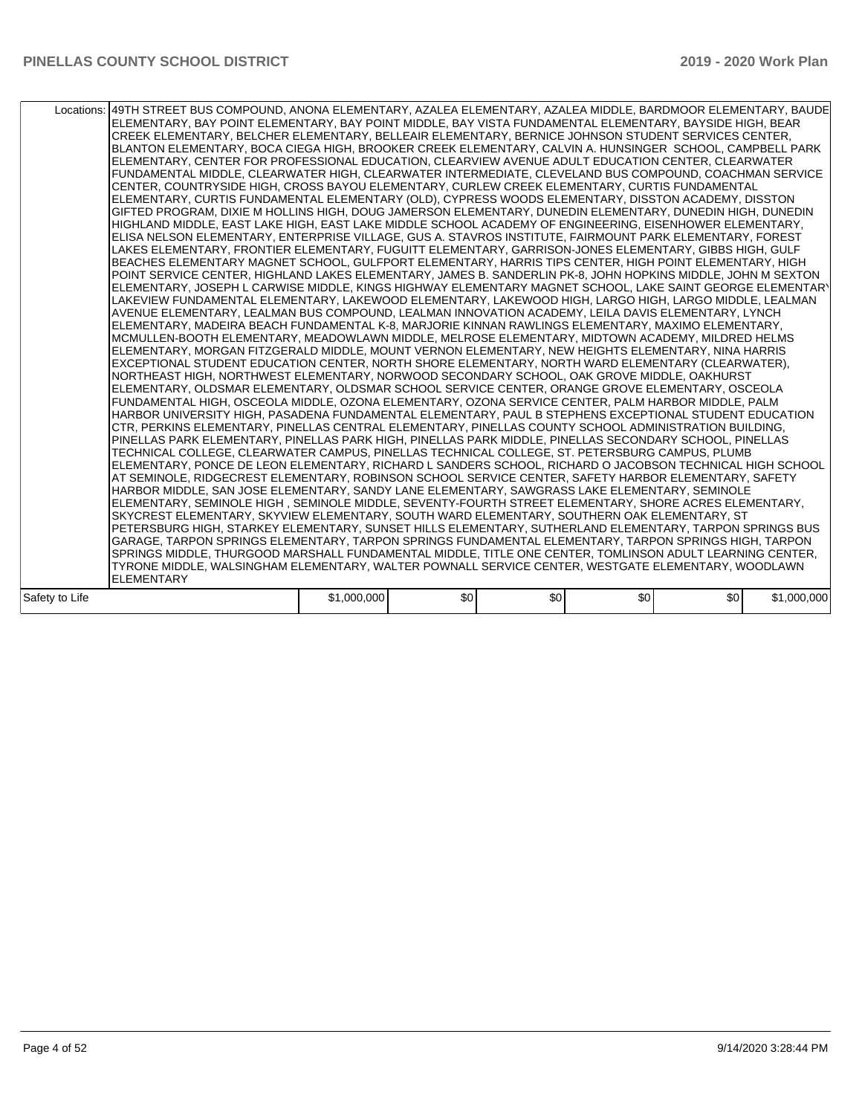|                | Locations:   49TH STREET BUS COMPOUND, ANONA ELEMENTARY, AZALEA ELEMENTARY, AZALEA MIDDLE, BARDMOOR ELEMENTARY, BAUDE<br>ELEMENTARY, BAY POINT ELEMENTARY, BAY POINT MIDDLE, BAY VISTA FUNDAMENTAL ELEMENTARY, BAYSIDE HIGH, BEAR<br>CREEK ELEMENTARY, BELCHER ELEMENTARY, BELLEAIR ELEMENTARY, BERNICE JOHNSON STUDENT SERVICES CENTER,<br>BLANTON ELEMENTARY, BOCA CIEGA HIGH, BROOKER CREEK ELEMENTARY, CALVIN A. HUNSINGER SCHOOL, CAMPBELL PARK<br>ELEMENTARY, CENTER FOR PROFESSIONAL EDUCATION, CLEARVIEW AVENUE ADULT EDUCATION CENTER, CLEARWATER<br>FUNDAMENTAL MIDDLE, CLEARWATER HIGH, CLEARWATER INTERMEDIATE, CLEVELAND BUS COMPOUND, COACHMAN SERVICE<br>CENTER, COUNTRYSIDE HIGH, CROSS BAYOU ELEMENTARY, CURLEW CREEK ELEMENTARY, CURTIS FUNDAMENTAL<br>ELEMENTARY, CURTIS FUNDAMENTAL ELEMENTARY (OLD), CYPRESS WOODS ELEMENTARY, DISSTON ACADEMY, DISSTON<br>GIFTED PROGRAM, DIXIE M HOLLINS HIGH, DOUG JAMERSON ELEMENTARY, DUNEDIN ELEMENTARY, DUNEDIN HIGH, DUNEDIN<br>HIGHLAND MIDDLE, EAST LAKE HIGH, EAST LAKE MIDDLE SCHOOL ACADEMY OF ENGINEERING, EISENHOWER ELEMENTARY,<br>ELISA NELSON ELEMENTARY, ENTERPRISE VILLAGE, GUS A. STAVROS INSTITUTE, FAIRMOUNT PARK ELEMENTARY, FOREST<br>LAKES ELEMENTARY, FRONTIER ELEMENTARY, FUGUITT ELEMENTARY, GARRISON-JONES ELEMENTARY, GIBBS HIGH, GULF<br>BEACHES ELEMENTARY MAGNET SCHOOL, GULFPORT ELEMENTARY, HARRIS TIPS CENTER, HIGH POINT ELEMENTARY, HIGH<br>POINT SERVICE CENTER, HIGHLAND LAKES ELEMENTARY, JAMES B. SANDERLIN PK-8, JOHN HOPKINS MIDDLE, JOHN M SEXTON<br>ELEMENTARY, JOSEPH L CARWISE MIDDLE, KINGS HIGHWAY ELEMENTARY MAGNET SCHOOL, LAKE SAINT GEORGE ELEMENTARY<br>LAKEVIEW FUNDAMENTAL ELEMENTARY, LAKEWOOD ELEMENTARY, LAKEWOOD HIGH, LARGO HIGH, LARGO MIDDLE, LEALMAN<br>AVENUE ELEMENTARY, LEALMAN BUS COMPOUND, LEALMAN INNOVATION ACADEMY, LEILA DAVIS ELEMENTARY, LYNCH<br>ELEMENTARY, MADEIRA BEACH FUNDAMENTAL K-8, MARJORIE KINNAN RAWLINGS ELEMENTARY, MAXIMO ELEMENTARY,<br>MCMULLEN-BOOTH ELEMENTARY. MEADOWLAWN MIDDLE. MELROSE ELEMENTARY. MIDTOWN ACADEMY. MILDRED HELMS<br>ELEMENTARY, MORGAN FITZGERALD MIDDLE, MOUNT VERNON ELEMENTARY, NEW HEIGHTS ELEMENTARY, NINA HARRIS<br>EXCEPTIONAL STUDENT EDUCATION CENTER, NORTH SHORE ELEMENTARY, NORTH WARD ELEMENTARY (CLEARWATER),<br>NORTHEAST HIGH, NORTHWEST ELEMENTARY, NORWOOD SECONDARY SCHOOL, OAK GROVE MIDDLE, OAKHURST<br>ELEMENTARY, OLDSMAR ELEMENTARY, OLDSMAR SCHOOL SERVICE CENTER, ORANGE GROVE ELEMENTARY, OSCEOLA<br>FUNDAMENTAL HIGH, OSCEOLA MIDDLE, OZONA ELEMENTARY, OZONA SERVICE CENTER, PALM HARBOR MIDDLE, PALM<br>HARBOR UNIVERSITY HIGH, PASADENA FUNDAMENTAL ELEMENTARY, PAUL B STEPHENS EXCEPTIONAL STUDENT EDUCATION<br>CTR, PERKINS ELEMENTARY, PINELLAS CENTRAL ELEMENTARY, PINELLAS COUNTY SCHOOL ADMINISTRATION BUILDING,<br>PINELLAS PARK ELEMENTARY, PINELLAS PARK HIGH, PINELLAS PARK MIDDLE, PINELLAS SECONDARY SCHOOL, PINELLAS<br>TECHNICAL COLLEGE, CLEARWATER CAMPUS, PINELLAS TECHNICAL COLLEGE, ST. PETERSBURG CAMPUS, PLUMB<br>ELEMENTARY, PONCE DE LEON ELEMENTARY, RICHARD L SANDERS SCHOOL, RICHARD O JACOBSON TECHNICAL HIGH SCHOOL<br>AT SEMINOLE, RIDGECREST ELEMENTARY, ROBINSON SCHOOL SERVICE CENTER, SAFETY HARBOR ELEMENTARY, SAFETY<br>HARBOR MIDDLE, SAN JOSE ELEMENTARY, SANDY LANE ELEMENTARY, SAWGRASS LAKE ELEMENTARY, SEMINOLE<br>ELEMENTARY, SEMINOLE HIGH, SEMINOLE MIDDLE, SEVENTY-FOURTH STREET ELEMENTARY, SHORE ACRES ELEMENTARY,<br>SKYCREST ELEMENTARY, SKYVIEW ELEMENTARY, SOUTH WARD ELEMENTARY, SOUTHERN OAK ELEMENTARY, ST<br>PETERSBURG HIGH, STARKEY ELEMENTARY, SUNSET HILLS ELEMENTARY, SUTHERLAND ELEMENTARY, TARPON SPRINGS BUS<br>GARAGE, TARPON SPRINGS ELEMENTARY, TARPON SPRINGS FUNDAMENTAL ELEMENTARY, TARPON SPRINGS HIGH, TARPON<br>SPRINGS MIDDLE, THURGOOD MARSHALL FUNDAMENTAL MIDDLE, TITLE ONE CENTER, TOMLINSON ADULT LEARNING CENTER,<br>TYRONE MIDDLE, WALSINGHAM ELEMENTARY, WALTER POWNALL SERVICE CENTER, WESTGATE ELEMENTARY, WOODLAWN |             |     |     |     |     |             |
|----------------|------------------------------------------------------------------------------------------------------------------------------------------------------------------------------------------------------------------------------------------------------------------------------------------------------------------------------------------------------------------------------------------------------------------------------------------------------------------------------------------------------------------------------------------------------------------------------------------------------------------------------------------------------------------------------------------------------------------------------------------------------------------------------------------------------------------------------------------------------------------------------------------------------------------------------------------------------------------------------------------------------------------------------------------------------------------------------------------------------------------------------------------------------------------------------------------------------------------------------------------------------------------------------------------------------------------------------------------------------------------------------------------------------------------------------------------------------------------------------------------------------------------------------------------------------------------------------------------------------------------------------------------------------------------------------------------------------------------------------------------------------------------------------------------------------------------------------------------------------------------------------------------------------------------------------------------------------------------------------------------------------------------------------------------------------------------------------------------------------------------------------------------------------------------------------------------------------------------------------------------------------------------------------------------------------------------------------------------------------------------------------------------------------------------------------------------------------------------------------------------------------------------------------------------------------------------------------------------------------------------------------------------------------------------------------------------------------------------------------------------------------------------------------------------------------------------------------------------------------------------------------------------------------------------------------------------------------------------------------------------------------------------------------------------------------------------------------------------------------------------------------------------------------------------------------------------------------------------------------------------------------------------------------------------------------------------------------------------------------------------------------------------------------------------------------------------------------------------------------------------------------------------------------------------------------------------------------------------------------------------------------------------------------------------------------------------------------------------------------------------------------------------------------------------------------------------------------------------------------------------------------------------------------------------------------------------------------------------------------------------------------------------|-------------|-----|-----|-----|-----|-------------|
|                | <b>ELEMENTARY</b>                                                                                                                                                                                                                                                                                                                                                                                                                                                                                                                                                                                                                                                                                                                                                                                                                                                                                                                                                                                                                                                                                                                                                                                                                                                                                                                                                                                                                                                                                                                                                                                                                                                                                                                                                                                                                                                                                                                                                                                                                                                                                                                                                                                                                                                                                                                                                                                                                                                                                                                                                                                                                                                                                                                                                                                                                                                                                                                                                                                                                                                                                                                                                                                                                                                                                                                                                                                                                                                                                                                                                                                                                                                                                                                                                                                                                                                                                                                                                                                                |             |     |     |     |     |             |
| Safety to Life |                                                                                                                                                                                                                                                                                                                                                                                                                                                                                                                                                                                                                                                                                                                                                                                                                                                                                                                                                                                                                                                                                                                                                                                                                                                                                                                                                                                                                                                                                                                                                                                                                                                                                                                                                                                                                                                                                                                                                                                                                                                                                                                                                                                                                                                                                                                                                                                                                                                                                                                                                                                                                                                                                                                                                                                                                                                                                                                                                                                                                                                                                                                                                                                                                                                                                                                                                                                                                                                                                                                                                                                                                                                                                                                                                                                                                                                                                                                                                                                                                  | \$1,000,000 | \$0 | \$0 | \$0 | \$0 | \$1,000,000 |
|                |                                                                                                                                                                                                                                                                                                                                                                                                                                                                                                                                                                                                                                                                                                                                                                                                                                                                                                                                                                                                                                                                                                                                                                                                                                                                                                                                                                                                                                                                                                                                                                                                                                                                                                                                                                                                                                                                                                                                                                                                                                                                                                                                                                                                                                                                                                                                                                                                                                                                                                                                                                                                                                                                                                                                                                                                                                                                                                                                                                                                                                                                                                                                                                                                                                                                                                                                                                                                                                                                                                                                                                                                                                                                                                                                                                                                                                                                                                                                                                                                                  |             |     |     |     |     |             |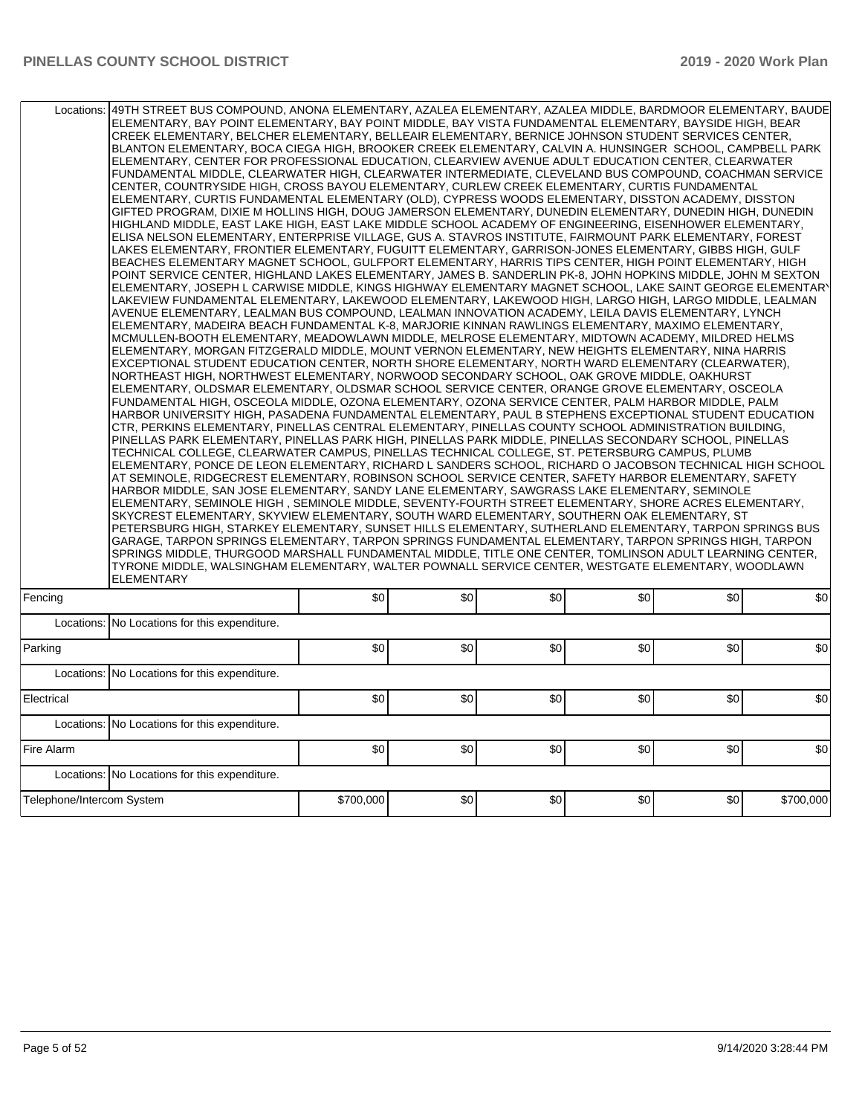| 49TH STREET BUS COMPOUND, ANONA ELEMENTARY, AZALEA ELEMENTARY, AZALEA MIDDLE, BARDMOOR ELEMENTARY, BAUDE<br>Locations:<br>ELEMENTARY, BAY POINT ELEMENTARY, BAY POINT MIDDLE, BAY VISTA FUNDAMENTAL ELEMENTARY, BAYSIDE HIGH, BEAR | CREEK ELEMENTARY, BELCHER ELEMENTARY, BELLEAIR ELEMENTARY, BERNICE JOHNSON STUDENT SERVICES CENTER,<br>BLANTON ELEMENTARY, BOCA CIEGA HIGH, BROOKER CREEK ELEMENTARY, CALVIN A. HUNSINGER SCHOOL, CAMPBELL PARK<br>ELEMENTARY, CENTER FOR PROFESSIONAL EDUCATION, CLEARVIEW AVENUE ADULT EDUCATION CENTER, CLEARWATER<br>FUNDAMENTAL MIDDLE, CLEARWATER HIGH, CLEARWATER INTERMEDIATE, CLEVELAND BUS COMPOUND, COACHMAN SERVICE<br>CENTER, COUNTRYSIDE HIGH, CROSS BAYOU ELEMENTARY, CURLEW CREEK ELEMENTARY, CURTIS FUNDAMENTAL<br>ELEMENTARY, CURTIS FUNDAMENTAL ELEMENTARY (OLD), CYPRESS WOODS ELEMENTARY, DISSTON ACADEMY, DISSTON<br>GIFTED PROGRAM, DIXIE M HOLLINS HIGH, DOUG JAMERSON ELEMENTARY, DUNEDIN ELEMENTARY, DUNEDIN HIGH, DUNEDIN<br>HIGHLAND MIDDLE, EAST LAKE HIGH, EAST LAKE MIDDLE SCHOOL ACADEMY OF ENGINEERING, EISENHOWER ELEMENTARY,<br>IELISA NELSON ELEMENTARY, ENTERPRISE VILLAGE, GUS A. STAVROS INSTITUTE, FAIRMOUNT PARK ELEMENTARY, FOREST<br>LAKES ELEMENTARY, FRONTIER ELEMENTARY, FUGUITT ELEMENTARY, GARRISON-JONES ELEMENTARY, GIBBS HIGH, GULF<br>BEACHES ELEMENTARY MAGNET SCHOOL, GULFPORT ELEMENTARY, HARRIS TIPS CENTER, HIGH POINT ELEMENTARY, HIGH<br>POINT SERVICE CENTER, HIGHLAND LAKES ELEMENTARY, JAMES B. SANDERLIN PK-8, JOHN HOPKINS MIDDLE, JOHN M SEXTON<br>ELEMENTARY, JOSEPH L CARWISE MIDDLE, KINGS HIGHWAY ELEMENTARY MAGNET SCHOOL, LAKE SAINT GEORGE ELEMENTARY<br>LAKEVIEW FUNDAMENTAL ELEMENTARY, LAKEWOOD ELEMENTARY, LAKEWOOD HIGH, LARGO HIGH, LARGO MIDDLE, LEALMAN<br>AVENUE ELEMENTARY, LEALMAN BUS COMPOUND, LEALMAN INNOVATION ACADEMY, LEILA DAVIS ELEMENTARY, LYNCH<br>ELEMENTARY, MADEIRA BEACH FUNDAMENTAL K-8, MARJORIE KINNAN RAWLINGS ELEMENTARY, MAXIMO ELEMENTARY,<br>MCMULLEN-BOOTH ELEMENTARY, MEADOWLAWN MIDDLE, MELROSE ELEMENTARY, MIDTOWN ACADEMY, MILDRED HELMS<br>ELEMENTARY, MORGAN FITZGERALD MIDDLE, MOUNT VERNON ELEMENTARY, NEW HEIGHTS ELEMENTARY, NINA HARRIS<br>EXCEPTIONAL STUDENT EDUCATION CENTER, NORTH SHORE ELEMENTARY, NORTH WARD ELEMENTARY (CLEARWATER),<br>NORTHEAST HIGH, NORTHWEST ELEMENTARY, NORWOOD SECONDARY SCHOOL, OAK GROVE MIDDLE, OAKHURST<br>ELEMENTARY, OLDSMAR ELEMENTARY, OLDSMAR SCHOOL SERVICE CENTER, ORANGE GROVE ELEMENTARY, OSCEOLA<br>FUNDAMENTAL HIGH, OSCEOLA MIDDLE, OZONA ELEMENTARY, OZONA SERVICE CENTER, PALM HARBOR MIDDLE, PALM<br>HARBOR UNIVERSITY HIGH, PASADENA FUNDAMENTAL ELEMENTARY, PAUL B STEPHENS EXCEPTIONAL STUDENT EDUCATION<br>CTR, PERKINS ELEMENTARY, PINELLAS CENTRAL ELEMENTARY, PINELLAS COUNTY SCHOOL ADMINISTRATION BUILDING,<br>PINELLAS PARK ELEMENTARY, PINELLAS PARK HIGH, PINELLAS PARK MIDDLE, PINELLAS SECONDARY SCHOOL, PINELLAS<br>TECHNICAL COLLEGE, CLEARWATER CAMPUS, PINELLAS TECHNICAL COLLEGE, ST. PETERSBURG CAMPUS, PLUMB<br>IELEMENTARY, PONCE DE LEON ELEMENTARY, RICHARD L SANDERS SCHOOL, RICHARD O JACOBSON TECHNICAL HIGH SCHOOL<br>AT SEMINOLE, RIDGECREST ELEMENTARY, ROBINSON SCHOOL SERVICE CENTER, SAFETY HARBOR ELEMENTARY, SAFETY<br>HARBOR MIDDLE, SAN JOSE ELEMENTARY, SANDY LANE ELEMENTARY, SAWGRASS LAKE ELEMENTARY, SEMINOLE<br>ELEMENTARY, SEMINOLE HIGH, SEMINOLE MIDDLE, SEVENTY-FOURTH STREET ELEMENTARY, SHORE ACRES ELEMENTARY,<br>SKYCREST ELEMENTARY, SKYVIEW ELEMENTARY, SOUTH WARD ELEMENTARY, SOUTHERN OAK ELEMENTARY, ST<br>PETERSBURG HIGH, STARKEY ELEMENTARY, SUNSET HILLS ELEMENTARY, SUTHERLAND ELEMENTARY, TARPON SPRINGS BUS<br>GARAGE, TARPON SPRINGS ELEMENTARY, TARPON SPRINGS FUNDAMENTAL ELEMENTARY, TARPON SPRINGS HIGH, TARPON<br>SPRINGS MIDDLE. THURGOOD MARSHALL FUNDAMENTAL MIDDLE. TITLE ONE CENTER. TOMLINSON ADULT LEARNING CENTER.<br>TYRONE MIDDLE, WALSINGHAM ELEMENTARY, WALTER POWNALL SERVICE CENTER, WESTGATE ELEMENTARY, WOODLAWN<br>ELEMENTARY |           |     |     |     |     |           |  |  |
|------------------------------------------------------------------------------------------------------------------------------------------------------------------------------------------------------------------------------------|---------------------------------------------------------------------------------------------------------------------------------------------------------------------------------------------------------------------------------------------------------------------------------------------------------------------------------------------------------------------------------------------------------------------------------------------------------------------------------------------------------------------------------------------------------------------------------------------------------------------------------------------------------------------------------------------------------------------------------------------------------------------------------------------------------------------------------------------------------------------------------------------------------------------------------------------------------------------------------------------------------------------------------------------------------------------------------------------------------------------------------------------------------------------------------------------------------------------------------------------------------------------------------------------------------------------------------------------------------------------------------------------------------------------------------------------------------------------------------------------------------------------------------------------------------------------------------------------------------------------------------------------------------------------------------------------------------------------------------------------------------------------------------------------------------------------------------------------------------------------------------------------------------------------------------------------------------------------------------------------------------------------------------------------------------------------------------------------------------------------------------------------------------------------------------------------------------------------------------------------------------------------------------------------------------------------------------------------------------------------------------------------------------------------------------------------------------------------------------------------------------------------------------------------------------------------------------------------------------------------------------------------------------------------------------------------------------------------------------------------------------------------------------------------------------------------------------------------------------------------------------------------------------------------------------------------------------------------------------------------------------------------------------------------------------------------------------------------------------------------------------------------------------------------------------------------------------------------------------------------------------------------------------------------------------------------------------------------------------------------------------------------------------------------------------------------------------------------------------------------------------------------------------------------------------------------------------------------------------------------------------------------------------------------------------------------------------------------------------------------------------------------------------------------|-----------|-----|-----|-----|-----|-----------|--|--|
| Fencing                                                                                                                                                                                                                            |                                                                                                                                                                                                                                                                                                                                                                                                                                                                                                                                                                                                                                                                                                                                                                                                                                                                                                                                                                                                                                                                                                                                                                                                                                                                                                                                                                                                                                                                                                                                                                                                                                                                                                                                                                                                                                                                                                                                                                                                                                                                                                                                                                                                                                                                                                                                                                                                                                                                                                                                                                                                                                                                                                                                                                                                                                                                                                                                                                                                                                                                                                                                                                                                                                                                                                                                                                                                                                                                                                                                                                                                                                                                                                                                                                                             | \$0       | \$0 | \$0 | \$0 | \$0 | \$0       |  |  |
|                                                                                                                                                                                                                                    | Locations: No Locations for this expenditure.                                                                                                                                                                                                                                                                                                                                                                                                                                                                                                                                                                                                                                                                                                                                                                                                                                                                                                                                                                                                                                                                                                                                                                                                                                                                                                                                                                                                                                                                                                                                                                                                                                                                                                                                                                                                                                                                                                                                                                                                                                                                                                                                                                                                                                                                                                                                                                                                                                                                                                                                                                                                                                                                                                                                                                                                                                                                                                                                                                                                                                                                                                                                                                                                                                                                                                                                                                                                                                                                                                                                                                                                                                                                                                                                               |           |     |     |     |     |           |  |  |
| Parking                                                                                                                                                                                                                            |                                                                                                                                                                                                                                                                                                                                                                                                                                                                                                                                                                                                                                                                                                                                                                                                                                                                                                                                                                                                                                                                                                                                                                                                                                                                                                                                                                                                                                                                                                                                                                                                                                                                                                                                                                                                                                                                                                                                                                                                                                                                                                                                                                                                                                                                                                                                                                                                                                                                                                                                                                                                                                                                                                                                                                                                                                                                                                                                                                                                                                                                                                                                                                                                                                                                                                                                                                                                                                                                                                                                                                                                                                                                                                                                                                                             | \$0       | \$0 | \$0 | \$0 | \$0 | \$0       |  |  |
|                                                                                                                                                                                                                                    | Locations: No Locations for this expenditure.                                                                                                                                                                                                                                                                                                                                                                                                                                                                                                                                                                                                                                                                                                                                                                                                                                                                                                                                                                                                                                                                                                                                                                                                                                                                                                                                                                                                                                                                                                                                                                                                                                                                                                                                                                                                                                                                                                                                                                                                                                                                                                                                                                                                                                                                                                                                                                                                                                                                                                                                                                                                                                                                                                                                                                                                                                                                                                                                                                                                                                                                                                                                                                                                                                                                                                                                                                                                                                                                                                                                                                                                                                                                                                                                               |           |     |     |     |     |           |  |  |
| Electrical                                                                                                                                                                                                                         |                                                                                                                                                                                                                                                                                                                                                                                                                                                                                                                                                                                                                                                                                                                                                                                                                                                                                                                                                                                                                                                                                                                                                                                                                                                                                                                                                                                                                                                                                                                                                                                                                                                                                                                                                                                                                                                                                                                                                                                                                                                                                                                                                                                                                                                                                                                                                                                                                                                                                                                                                                                                                                                                                                                                                                                                                                                                                                                                                                                                                                                                                                                                                                                                                                                                                                                                                                                                                                                                                                                                                                                                                                                                                                                                                                                             | \$0       | \$0 | \$0 | \$0 | \$0 | \$0       |  |  |
|                                                                                                                                                                                                                                    | Locations: No Locations for this expenditure.                                                                                                                                                                                                                                                                                                                                                                                                                                                                                                                                                                                                                                                                                                                                                                                                                                                                                                                                                                                                                                                                                                                                                                                                                                                                                                                                                                                                                                                                                                                                                                                                                                                                                                                                                                                                                                                                                                                                                                                                                                                                                                                                                                                                                                                                                                                                                                                                                                                                                                                                                                                                                                                                                                                                                                                                                                                                                                                                                                                                                                                                                                                                                                                                                                                                                                                                                                                                                                                                                                                                                                                                                                                                                                                                               |           |     |     |     |     |           |  |  |
| Fire Alarm                                                                                                                                                                                                                         |                                                                                                                                                                                                                                                                                                                                                                                                                                                                                                                                                                                                                                                                                                                                                                                                                                                                                                                                                                                                                                                                                                                                                                                                                                                                                                                                                                                                                                                                                                                                                                                                                                                                                                                                                                                                                                                                                                                                                                                                                                                                                                                                                                                                                                                                                                                                                                                                                                                                                                                                                                                                                                                                                                                                                                                                                                                                                                                                                                                                                                                                                                                                                                                                                                                                                                                                                                                                                                                                                                                                                                                                                                                                                                                                                                                             | \$0       | \$0 | \$0 | \$0 | \$0 | \$0       |  |  |
|                                                                                                                                                                                                                                    | Locations: No Locations for this expenditure.                                                                                                                                                                                                                                                                                                                                                                                                                                                                                                                                                                                                                                                                                                                                                                                                                                                                                                                                                                                                                                                                                                                                                                                                                                                                                                                                                                                                                                                                                                                                                                                                                                                                                                                                                                                                                                                                                                                                                                                                                                                                                                                                                                                                                                                                                                                                                                                                                                                                                                                                                                                                                                                                                                                                                                                                                                                                                                                                                                                                                                                                                                                                                                                                                                                                                                                                                                                                                                                                                                                                                                                                                                                                                                                                               |           |     |     |     |     |           |  |  |
| Telephone/Intercom System                                                                                                                                                                                                          |                                                                                                                                                                                                                                                                                                                                                                                                                                                                                                                                                                                                                                                                                                                                                                                                                                                                                                                                                                                                                                                                                                                                                                                                                                                                                                                                                                                                                                                                                                                                                                                                                                                                                                                                                                                                                                                                                                                                                                                                                                                                                                                                                                                                                                                                                                                                                                                                                                                                                                                                                                                                                                                                                                                                                                                                                                                                                                                                                                                                                                                                                                                                                                                                                                                                                                                                                                                                                                                                                                                                                                                                                                                                                                                                                                                             | \$700,000 | \$0 | \$0 | \$0 | \$0 | \$700,000 |  |  |
|                                                                                                                                                                                                                                    |                                                                                                                                                                                                                                                                                                                                                                                                                                                                                                                                                                                                                                                                                                                                                                                                                                                                                                                                                                                                                                                                                                                                                                                                                                                                                                                                                                                                                                                                                                                                                                                                                                                                                                                                                                                                                                                                                                                                                                                                                                                                                                                                                                                                                                                                                                                                                                                                                                                                                                                                                                                                                                                                                                                                                                                                                                                                                                                                                                                                                                                                                                                                                                                                                                                                                                                                                                                                                                                                                                                                                                                                                                                                                                                                                                                             |           |     |     |     |     |           |  |  |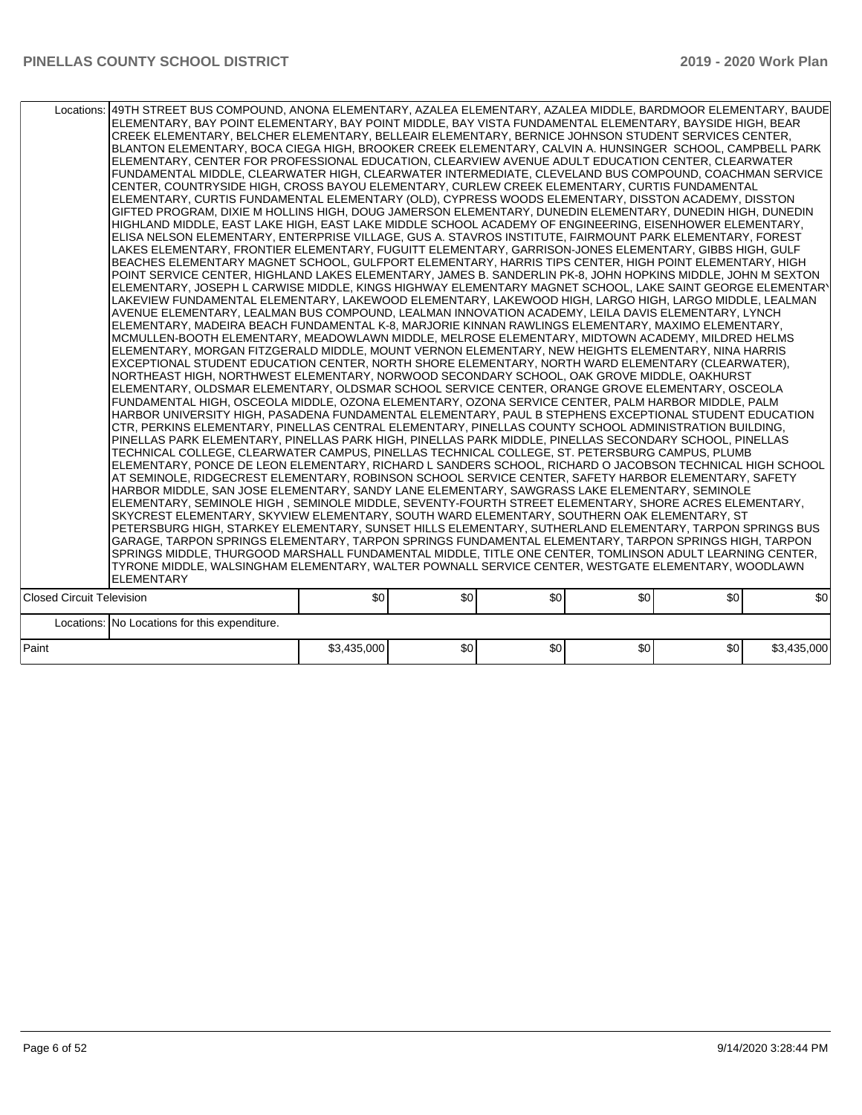|                                  | Locations:   49TH STREET BUS COMPOUND, ANONA ELEMENTARY, AZALEA ELEMENTARY, AZALEA MIDDLE, BARDMOOR ELEMENTARY, BAUDE<br>ELEMENTARY, BAY POINT ELEMENTARY, BAY POINT MIDDLE, BAY VISTA FUNDAMENTAL ELEMENTARY, BAYSIDE HIGH, BEAR<br>CREEK ELEMENTARY, BELCHER ELEMENTARY, BELLEAIR ELEMENTARY, BERNICE JOHNSON STUDENT SERVICES CENTER,<br>BLANTON ELEMENTARY, BOCA CIEGA HIGH, BROOKER CREEK ELEMENTARY, CALVIN A. HUNSINGER SCHOOL, CAMPBELL PARK<br>ELEMENTARY, CENTER FOR PROFESSIONAL EDUCATION, CLEARVIEW AVENUE ADULT EDUCATION CENTER, CLEARWATER<br>FUNDAMENTAL MIDDLE, CLEARWATER HIGH, CLEARWATER INTERMEDIATE, CLEVELAND BUS COMPOUND, COACHMAN SERVICE<br>CENTER, COUNTRYSIDE HIGH, CROSS BAYOU ELEMENTARY, CURLEW CREEK ELEMENTARY, CURTIS FUNDAMENTAL<br>ELEMENTARY, CURTIS FUNDAMENTAL ELEMENTARY (OLD), CYPRESS WOODS ELEMENTARY, DISSTON ACADEMY, DISSTON<br>GIFTED PROGRAM, DIXIE M HOLLINS HIGH, DOUG JAMERSON ELEMENTARY, DUNEDIN ELEMENTARY, DUNEDIN HIGH, DUNEDIN<br>HIGHLAND MIDDLE, EAST LAKE HIGH, EAST LAKE MIDDLE SCHOOL ACADEMY OF ENGINEERING, EISENHOWER ELEMENTARY,<br>ELISA NELSON ELEMENTARY, ENTERPRISE VILLAGE, GUS A. STAVROS INSTITUTE, FAIRMOUNT PARK ELEMENTARY, FOREST<br>LAKES ELEMENTARY, FRONTIER ELEMENTARY, FUGUITT ELEMENTARY, GARRISON-JONES ELEMENTARY, GIBBS HIGH, GULF<br>BEACHES ELEMENTARY MAGNET SCHOOL, GULFPORT ELEMENTARY, HARRIS TIPS CENTER, HIGH POINT ELEMENTARY, HIGH<br>POINT SERVICE CENTER, HIGHLAND LAKES ELEMENTARY, JAMES B. SANDERLIN PK-8, JOHN HOPKINS MIDDLE, JOHN M SEXTON<br>ELEMENTARY, JOSEPH L CARWISE MIDDLE, KINGS HIGHWAY ELEMENTARY MAGNET SCHOOL, LAKE SAINT GEORGE ELEMENTARY<br>LAKEVIEW FUNDAMENTAL ELEMENTARY, LAKEWOOD ELEMENTARY, LAKEWOOD HIGH, LARGO HIGH, LARGO MIDDLE, LEALMAN<br>AVENUE ELEMENTARY, LEALMAN BUS COMPOUND, LEALMAN INNOVATION ACADEMY, LEILA DAVIS ELEMENTARY, LYNCH<br>ELEMENTARY, MADEIRA BEACH FUNDAMENTAL K-8, MARJORIE KINNAN RAWLINGS ELEMENTARY, MAXIMO ELEMENTARY,<br>MCMULLEN-BOOTH ELEMENTARY, MEADOWLAWN MIDDLE, MELROSE ELEMENTARY, MIDTOWN ACADEMY, MILDRED HELMS<br>ELEMENTARY, MORGAN FITZGERALD MIDDLE, MOUNT VERNON ELEMENTARY, NEW HEIGHTS ELEMENTARY, NINA HARRIS<br>EXCEPTIONAL STUDENT EDUCATION CENTER, NORTH SHORE ELEMENTARY, NORTH WARD ELEMENTARY (CLEARWATER),<br>NORTHEAST HIGH, NORTHWEST ELEMENTARY, NORWOOD SECONDARY SCHOOL, OAK GROVE MIDDLE, OAKHURST<br>ELEMENTARY, OLDSMAR ELEMENTARY, OLDSMAR SCHOOL SERVICE CENTER, ORANGE GROVE ELEMENTARY, OSCEOLA<br>FUNDAMENTAL HIGH, OSCEOLA MIDDLE, OZONA ELEMENTARY, OZONA SERVICE CENTER, PALM HARBOR MIDDLE, PALM<br>HARBOR UNIVERSITY HIGH, PASADENA FUNDAMENTAL ELEMENTARY, PAUL B STEPHENS EXCEPTIONAL STUDENT EDUCATION<br>CTR, PERKINS ELEMENTARY, PINELLAS CENTRAL ELEMENTARY, PINELLAS COUNTY SCHOOL ADMINISTRATION BUILDING,<br>PINELLAS PARK ELEMENTARY. PINELLAS PARK HIGH. PINELLAS PARK MIDDLE. PINELLAS SECONDARY SCHOOL. PINELLAS<br>TECHNICAL COLLEGE, CLEARWATER CAMPUS, PINELLAS TECHNICAL COLLEGE, ST. PETERSBURG CAMPUS, PLUMB<br>ELEMENTARY, PONCE DE LEON ELEMENTARY, RICHARD L SANDERS SCHOOL, RICHARD O JACOBSON TECHNICAL HIGH SCHOOL<br>AT SEMINOLE, RIDGECREST ELEMENTARY, ROBINSON SCHOOL SERVICE CENTER, SAFETY HARBOR ELEMENTARY, SAFETY<br>HARBOR MIDDLE, SAN JOSE ELEMENTARY, SANDY LANE ELEMENTARY, SAWGRASS LAKE ELEMENTARY, SEMINOLE<br>ELEMENTARY, SEMINOLE HIGH, SEMINOLE MIDDLE, SEVENTY-FOURTH STREET ELEMENTARY, SHORE ACRES ELEMENTARY,<br>SKYCREST ELEMENTARY, SKYVIEW ELEMENTARY, SOUTH WARD ELEMENTARY, SOUTHERN OAK ELEMENTARY, ST<br>PETERSBURG HIGH, STARKEY ELEMENTARY, SUNSET HILLS ELEMENTARY, SUTHERLAND ELEMENTARY, TARPON SPRINGS BUS<br>GARAGE, TARPON SPRINGS ELEMENTARY, TARPON SPRINGS FUNDAMENTAL ELEMENTARY, TARPON SPRINGS HIGH, TARPON<br>SPRINGS MIDDLE, THURGOOD MARSHALL FUNDAMENTAL MIDDLE, TITLE ONE CENTER, TOMLINSON ADULT LEARNING CENTER,<br>TYRONE MIDDLE, WALSINGHAM ELEMENTARY, WALTER POWNALL SERVICE CENTER, WESTGATE ELEMENTARY, WOODLAWN<br><b>ELEMENTARY</b> |             |     |     |                  |     |             |
|----------------------------------|---------------------------------------------------------------------------------------------------------------------------------------------------------------------------------------------------------------------------------------------------------------------------------------------------------------------------------------------------------------------------------------------------------------------------------------------------------------------------------------------------------------------------------------------------------------------------------------------------------------------------------------------------------------------------------------------------------------------------------------------------------------------------------------------------------------------------------------------------------------------------------------------------------------------------------------------------------------------------------------------------------------------------------------------------------------------------------------------------------------------------------------------------------------------------------------------------------------------------------------------------------------------------------------------------------------------------------------------------------------------------------------------------------------------------------------------------------------------------------------------------------------------------------------------------------------------------------------------------------------------------------------------------------------------------------------------------------------------------------------------------------------------------------------------------------------------------------------------------------------------------------------------------------------------------------------------------------------------------------------------------------------------------------------------------------------------------------------------------------------------------------------------------------------------------------------------------------------------------------------------------------------------------------------------------------------------------------------------------------------------------------------------------------------------------------------------------------------------------------------------------------------------------------------------------------------------------------------------------------------------------------------------------------------------------------------------------------------------------------------------------------------------------------------------------------------------------------------------------------------------------------------------------------------------------------------------------------------------------------------------------------------------------------------------------------------------------------------------------------------------------------------------------------------------------------------------------------------------------------------------------------------------------------------------------------------------------------------------------------------------------------------------------------------------------------------------------------------------------------------------------------------------------------------------------------------------------------------------------------------------------------------------------------------------------------------------------------------------------------------------------------------------------------------------------------------------------------------------------------------------------------------------------------------------------------------------------------------------------------------------------------------------------------------|-------------|-----|-----|------------------|-----|-------------|
| <b>Closed Circuit Television</b> |                                                                                                                                                                                                                                                                                                                                                                                                                                                                                                                                                                                                                                                                                                                                                                                                                                                                                                                                                                                                                                                                                                                                                                                                                                                                                                                                                                                                                                                                                                                                                                                                                                                                                                                                                                                                                                                                                                                                                                                                                                                                                                                                                                                                                                                                                                                                                                                                                                                                                                                                                                                                                                                                                                                                                                                                                                                                                                                                                                                                                                                                                                                                                                                                                                                                                                                                                                                                                                                                                                                                                                                                                                                                                                                                                                                                                                                                                                                                                                                                                                       | \$0         | \$0 | \$0 | \$0 <sub>1</sub> | \$0 | \$0         |
|                                  | Locations: No Locations for this expenditure.                                                                                                                                                                                                                                                                                                                                                                                                                                                                                                                                                                                                                                                                                                                                                                                                                                                                                                                                                                                                                                                                                                                                                                                                                                                                                                                                                                                                                                                                                                                                                                                                                                                                                                                                                                                                                                                                                                                                                                                                                                                                                                                                                                                                                                                                                                                                                                                                                                                                                                                                                                                                                                                                                                                                                                                                                                                                                                                                                                                                                                                                                                                                                                                                                                                                                                                                                                                                                                                                                                                                                                                                                                                                                                                                                                                                                                                                                                                                                                                         |             |     |     |                  |     |             |
|                                  |                                                                                                                                                                                                                                                                                                                                                                                                                                                                                                                                                                                                                                                                                                                                                                                                                                                                                                                                                                                                                                                                                                                                                                                                                                                                                                                                                                                                                                                                                                                                                                                                                                                                                                                                                                                                                                                                                                                                                                                                                                                                                                                                                                                                                                                                                                                                                                                                                                                                                                                                                                                                                                                                                                                                                                                                                                                                                                                                                                                                                                                                                                                                                                                                                                                                                                                                                                                                                                                                                                                                                                                                                                                                                                                                                                                                                                                                                                                                                                                                                                       |             |     |     |                  |     |             |
| Paint                            |                                                                                                                                                                                                                                                                                                                                                                                                                                                                                                                                                                                                                                                                                                                                                                                                                                                                                                                                                                                                                                                                                                                                                                                                                                                                                                                                                                                                                                                                                                                                                                                                                                                                                                                                                                                                                                                                                                                                                                                                                                                                                                                                                                                                                                                                                                                                                                                                                                                                                                                                                                                                                                                                                                                                                                                                                                                                                                                                                                                                                                                                                                                                                                                                                                                                                                                                                                                                                                                                                                                                                                                                                                                                                                                                                                                                                                                                                                                                                                                                                                       | \$3,435,000 | \$0 | \$0 | \$0              | \$0 | \$3,435,000 |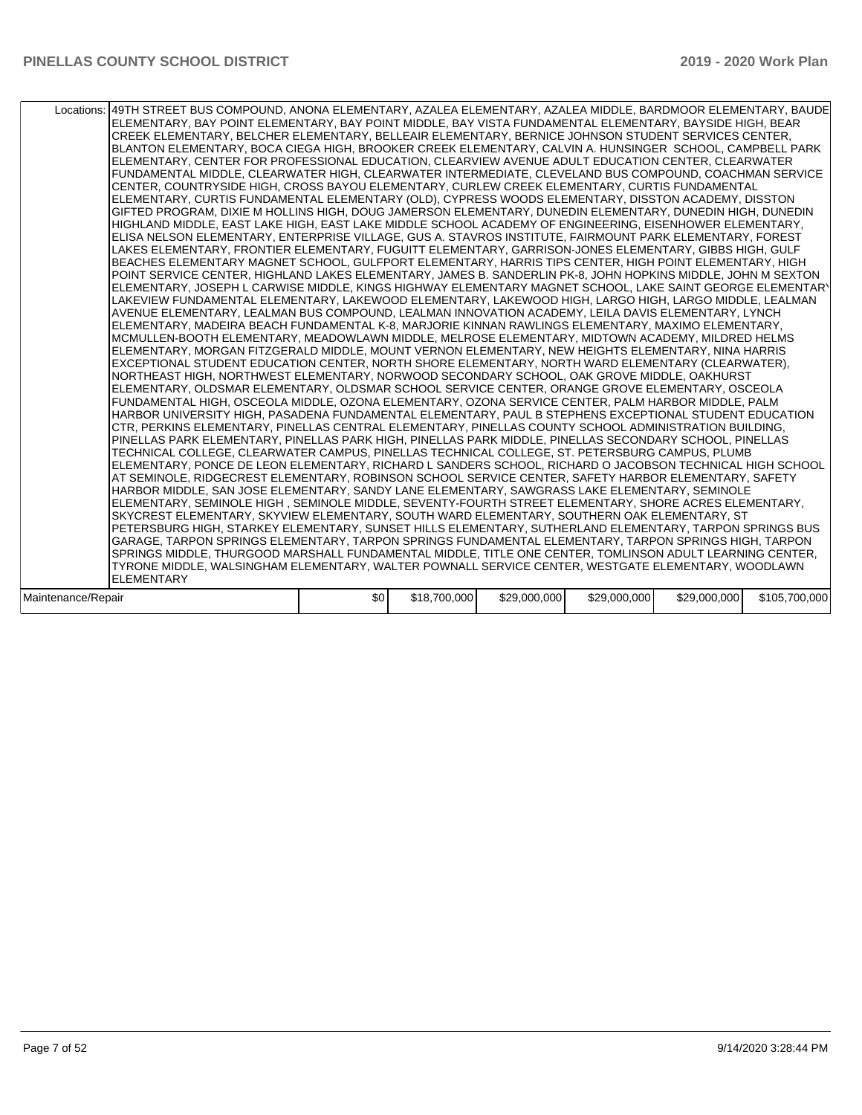| Locations:   49TH STREET BUS COMPOUND, ANONA ELEMENTARY, AZALEA ELEMENTARY, AZALEA MIDDLE, BARDMOOR ELEMENTARY, BAUDE<br>ELEMENTARY, BAY POINT ELEMENTARY, BAY POINT MIDDLE, BAY VISTA FUNDAMENTAL ELEMENTARY, BAYSIDE HIGH, BEAR<br>CREEK ELEMENTARY, BELCHER ELEMENTARY, BELLEAIR ELEMENTARY, BERNICE JOHNSON STUDENT SERVICES CENTER,<br>BLANTON ELEMENTARY, BOCA CIEGA HIGH, BROOKER CREEK ELEMENTARY, CALVIN A. HUNSINGER SCHOOL, CAMPBELL PARK<br>ELEMENTARY, CENTER FOR PROFESSIONAL EDUCATION, CLEARVIEW AVENUE ADULT EDUCATION CENTER, CLEARWATER<br>FUNDAMENTAL MIDDLE, CLEARWATER HIGH, CLEARWATER INTERMEDIATE, CLEVELAND BUS COMPOUND, COACHMAN SERVICE<br>CENTER, COUNTRYSIDE HIGH, CROSS BAYOU ELEMENTARY, CURLEW CREEK ELEMENTARY, CURTIS FUNDAMENTAL<br>ELEMENTARY, CURTIS FUNDAMENTAL ELEMENTARY (OLD), CYPRESS WOODS ELEMENTARY, DISSTON ACADEMY, DISSTON<br>GIFTED PROGRAM, DIXIE M HOLLINS HIGH, DOUG JAMERSON ELEMENTARY, DUNEDIN ELEMENTARY, DUNEDIN HIGH, DUNEDIN<br>HIGHLAND MIDDLE, EAST LAKE HIGH, EAST LAKE MIDDLE SCHOOL ACADEMY OF ENGINEERING, EISENHOWER ELEMENTARY,<br>ELISA NELSON ELEMENTARY, ENTERPRISE VILLAGE, GUS A. STAVROS INSTITUTE, FAIRMOUNT PARK ELEMENTARY, FOREST<br>LAKES ELEMENTARY, FRONTIER ELEMENTARY, FUGUITT ELEMENTARY, GARRISON-JONES ELEMENTARY, GIBBS HIGH, GULF<br>BEACHES ELEMENTARY MAGNET SCHOOL, GULFPORT ELEMENTARY, HARRIS TIPS CENTER, HIGH POINT ELEMENTARY, HIGH<br>POINT SERVICE CENTER, HIGHLAND LAKES ELEMENTARY, JAMES B. SANDERLIN PK-8, JOHN HOPKINS MIDDLE, JOHN M SEXTON<br>ELEMENTARY, JOSEPH L CARWISE MIDDLE, KINGS HIGHWAY ELEMENTARY MAGNET SCHOOL, LAKE SAINT GEORGE ELEMENTARY<br>LAKEVIEW FUNDAMENTAL ELEMENTARY, LAKEWOOD ELEMENTARY, LAKEWOOD HIGH, LARGO HIGH, LARGO MIDDLE, LEALMAN<br>AVENUE ELEMENTARY, LEALMAN BUS COMPOUND, LEALMAN INNOVATION ACADEMY, LEILA DAVIS ELEMENTARY, LYNCH<br>ELEMENTARY, MADEIRA BEACH FUNDAMENTAL K-8, MARJORIE KINNAN RAWLINGS ELEMENTARY, MAXIMO ELEMENTARY,<br>MCMULLEN-BOOTH ELEMENTARY, MEADOWLAWN MIDDLE, MELROSE ELEMENTARY, MIDTOWN ACADEMY, MILDRED HELMS<br>ELEMENTARY, MORGAN FITZGERALD MIDDLE, MOUNT VERNON ELEMENTARY, NEW HEIGHTS ELEMENTARY, NINA HARRIS<br>EXCEPTIONAL STUDENT EDUCATION CENTER, NORTH SHORE ELEMENTARY, NORTH WARD ELEMENTARY (CLEARWATER),<br>NORTHEAST HIGH, NORTHWEST ELEMENTARY, NORWOOD SECONDARY SCHOOL, OAK GROVE MIDDLE, OAKHURST<br>ELEMENTARY, OLDSMAR ELEMENTARY, OLDSMAR SCHOOL SERVICE CENTER, ORANGE GROVE ELEMENTARY, OSCEOLA<br>FUNDAMENTAL HIGH, OSCEOLA MIDDLE, OZONA ELEMENTARY, OZONA SERVICE CENTER, PALM HARBOR MIDDLE, PALM<br>HARBOR UNIVERSITY HIGH, PASADENA FUNDAMENTAL ELEMENTARY, PAUL B STEPHENS EXCEPTIONAL STUDENT EDUCATION<br>CTR, PERKINS ELEMENTARY, PINELLAS CENTRAL ELEMENTARY, PINELLAS COUNTY SCHOOL ADMINISTRATION BUILDING,<br>PINELLAS PARK ELEMENTARY, PINELLAS PARK HIGH, PINELLAS PARK MIDDLE, PINELLAS SECONDARY SCHOOL, PINELLAS<br>TECHNICAL COLLEGE, CLEARWATER CAMPUS, PINELLAS TECHNICAL COLLEGE, ST. PETERSBURG CAMPUS, PLUMB<br>ELEMENTARY, PONCE DE LEON ELEMENTARY, RICHARD L SANDERS SCHOOL, RICHARD O JACOBSON TECHNICAL HIGH SCHOOL<br>AT SEMINOLE, RIDGECREST ELEMENTARY, ROBINSON SCHOOL SERVICE CENTER, SAFETY HARBOR ELEMENTARY, SAFETY<br>HARBOR MIDDLE, SAN JOSE ELEMENTARY, SANDY LANE ELEMENTARY, SAWGRASS LAKE ELEMENTARY, SEMINOLE<br>ELEMENTARY, SEMINOLE HIGH, SEMINOLE MIDDLE, SEVENTY-FOURTH STREET ELEMENTARY, SHORE ACRES ELEMENTARY,<br>SKYCREST ELEMENTARY, SKYVIEW ELEMENTARY, SOUTH WARD ELEMENTARY, SOUTHERN OAK ELEMENTARY, ST<br>PETERSBURG HIGH, STARKEY ELEMENTARY, SUNSET HILLS ELEMENTARY, SUTHERLAND ELEMENTARY, TARPON SPRINGS BUS<br>GARAGE, TARPON SPRINGS ELEMENTARY, TARPON SPRINGS FUNDAMENTAL ELEMENTARY, TARPON SPRINGS HIGH, TARPON<br>SPRINGS MIDDLE, THURGOOD MARSHALL FUNDAMENTAL MIDDLE, TITLE ONE CENTER, TOMLINSON ADULT LEARNING CENTER,<br>TYRONE MIDDLE, WALSINGHAM ELEMENTARY, WALTER POWNALL SERVICE CENTER, WESTGATE ELEMENTARY, WOODLAWN |     |              |              |              |              |               |
|------------------------------------------------------------------------------------------------------------------------------------------------------------------------------------------------------------------------------------------------------------------------------------------------------------------------------------------------------------------------------------------------------------------------------------------------------------------------------------------------------------------------------------------------------------------------------------------------------------------------------------------------------------------------------------------------------------------------------------------------------------------------------------------------------------------------------------------------------------------------------------------------------------------------------------------------------------------------------------------------------------------------------------------------------------------------------------------------------------------------------------------------------------------------------------------------------------------------------------------------------------------------------------------------------------------------------------------------------------------------------------------------------------------------------------------------------------------------------------------------------------------------------------------------------------------------------------------------------------------------------------------------------------------------------------------------------------------------------------------------------------------------------------------------------------------------------------------------------------------------------------------------------------------------------------------------------------------------------------------------------------------------------------------------------------------------------------------------------------------------------------------------------------------------------------------------------------------------------------------------------------------------------------------------------------------------------------------------------------------------------------------------------------------------------------------------------------------------------------------------------------------------------------------------------------------------------------------------------------------------------------------------------------------------------------------------------------------------------------------------------------------------------------------------------------------------------------------------------------------------------------------------------------------------------------------------------------------------------------------------------------------------------------------------------------------------------------------------------------------------------------------------------------------------------------------------------------------------------------------------------------------------------------------------------------------------------------------------------------------------------------------------------------------------------------------------------------------------------------------------------------------------------------------------------------------------------------------------------------------------------------------------------------------------------------------------------------------------------------------------------------------------------------------------------------------------------------------------------------------------------------------------------------------------------------------------------------------------------------------------------------------|-----|--------------|--------------|--------------|--------------|---------------|
|                                                                                                                                                                                                                                                                                                                                                                                                                                                                                                                                                                                                                                                                                                                                                                                                                                                                                                                                                                                                                                                                                                                                                                                                                                                                                                                                                                                                                                                                                                                                                                                                                                                                                                                                                                                                                                                                                                                                                                                                                                                                                                                                                                                                                                                                                                                                                                                                                                                                                                                                                                                                                                                                                                                                                                                                                                                                                                                                                                                                                                                                                                                                                                                                                                                                                                                                                                                                                                                                                                                                                                                                                                                                                                                                                                                                                                                                                                                                                                                                                  |     |              |              |              |              |               |
| <b>ELEMENTARY</b>                                                                                                                                                                                                                                                                                                                                                                                                                                                                                                                                                                                                                                                                                                                                                                                                                                                                                                                                                                                                                                                                                                                                                                                                                                                                                                                                                                                                                                                                                                                                                                                                                                                                                                                                                                                                                                                                                                                                                                                                                                                                                                                                                                                                                                                                                                                                                                                                                                                                                                                                                                                                                                                                                                                                                                                                                                                                                                                                                                                                                                                                                                                                                                                                                                                                                                                                                                                                                                                                                                                                                                                                                                                                                                                                                                                                                                                                                                                                                                                                |     |              |              |              |              |               |
|                                                                                                                                                                                                                                                                                                                                                                                                                                                                                                                                                                                                                                                                                                                                                                                                                                                                                                                                                                                                                                                                                                                                                                                                                                                                                                                                                                                                                                                                                                                                                                                                                                                                                                                                                                                                                                                                                                                                                                                                                                                                                                                                                                                                                                                                                                                                                                                                                                                                                                                                                                                                                                                                                                                                                                                                                                                                                                                                                                                                                                                                                                                                                                                                                                                                                                                                                                                                                                                                                                                                                                                                                                                                                                                                                                                                                                                                                                                                                                                                                  |     |              |              |              |              |               |
| Maintenance/Repair                                                                                                                                                                                                                                                                                                                                                                                                                                                                                                                                                                                                                                                                                                                                                                                                                                                                                                                                                                                                                                                                                                                                                                                                                                                                                                                                                                                                                                                                                                                                                                                                                                                                                                                                                                                                                                                                                                                                                                                                                                                                                                                                                                                                                                                                                                                                                                                                                                                                                                                                                                                                                                                                                                                                                                                                                                                                                                                                                                                                                                                                                                                                                                                                                                                                                                                                                                                                                                                                                                                                                                                                                                                                                                                                                                                                                                                                                                                                                                                               | \$0 | \$18,700,000 | \$29,000,000 | \$29,000,000 | \$29,000,000 | \$105,700,000 |
|                                                                                                                                                                                                                                                                                                                                                                                                                                                                                                                                                                                                                                                                                                                                                                                                                                                                                                                                                                                                                                                                                                                                                                                                                                                                                                                                                                                                                                                                                                                                                                                                                                                                                                                                                                                                                                                                                                                                                                                                                                                                                                                                                                                                                                                                                                                                                                                                                                                                                                                                                                                                                                                                                                                                                                                                                                                                                                                                                                                                                                                                                                                                                                                                                                                                                                                                                                                                                                                                                                                                                                                                                                                                                                                                                                                                                                                                                                                                                                                                                  |     |              |              |              |              |               |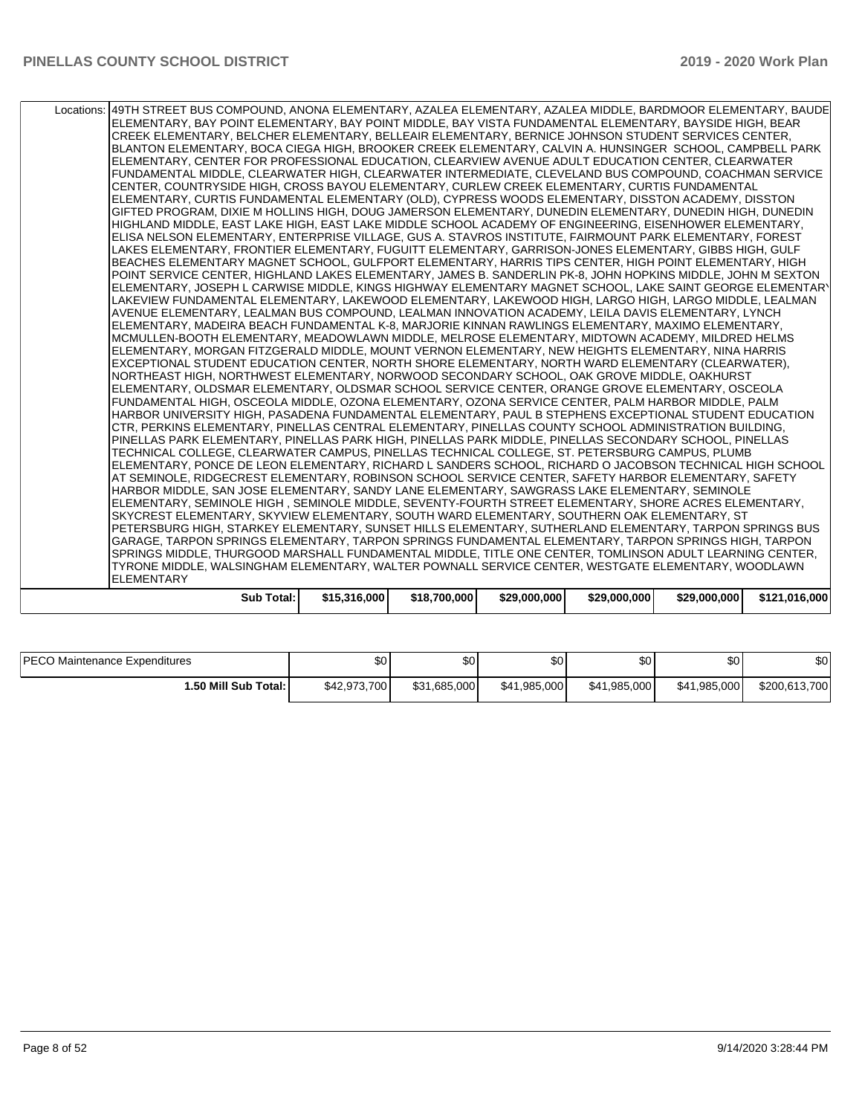| Locations:   49TH STREET BUS COMPOUND, ANONA ELEMENTARY, AZALEA ELEMENTARY, AZALEA MIDDLE, BARDMOOR ELEMENTARY, BAUDE<br>ELEMENTARY, BAY POINT ELEMENTARY, BAY POINT MIDDLE, BAY VISTA FUNDAMENTAL ELEMENTARY, BAYSIDE HIGH, BEAR<br>CREEK ELEMENTARY, BELCHER ELEMENTARY, BELLEAIR ELEMENTARY, BERNICE JOHNSON STUDENT SERVICES CENTER,<br>BLANTON ELEMENTARY, BOCA CIEGA HIGH, BROOKER CREEK ELEMENTARY, CALVIN A. HUNSINGER SCHOOL, CAMPBELL PARK<br>ELEMENTARY, CENTER FOR PROFESSIONAL EDUCATION, CLEARVIEW AVENUE ADULT EDUCATION CENTER, CLEARWATER<br>FUNDAMENTAL MIDDLE, CLEARWATER HIGH, CLEARWATER INTERMEDIATE, CLEVELAND BUS COMPOUND, COACHMAN SERVICE<br>CENTER, COUNTRYSIDE HIGH, CROSS BAYOU ELEMENTARY, CURLEW CREEK ELEMENTARY, CURTIS FUNDAMENTAL<br>ELEMENTARY, CURTIS FUNDAMENTAL ELEMENTARY (OLD), CYPRESS WOODS ELEMENTARY, DISSTON ACADEMY, DISSTON<br>GIFTED PROGRAM, DIXIE M HOLLINS HIGH, DOUG JAMERSON ELEMENTARY, DUNEDIN ELEMENTARY, DUNEDIN HIGH, DUNEDIN<br>HIGHLAND MIDDLE, EAST LAKE HIGH, EAST LAKE MIDDLE SCHOOL ACADEMY OF ENGINEERING, EISENHOWER ELEMENTARY,<br>ELISA NELSON ELEMENTARY, ENTERPRISE VILLAGE, GUS A. STAVROS INSTITUTE, FAIRMOUNT PARK ELEMENTARY, FOREST<br>LAKES ELEMENTARY, FRONTIER ELEMENTARY, FUGUITT ELEMENTARY, GARRISON-JONES ELEMENTARY, GIBBS HIGH, GULF<br>BEACHES ELEMENTARY MAGNET SCHOOL, GULFPORT ELEMENTARY, HARRIS TIPS CENTER, HIGH POINT ELEMENTARY, HIGH<br>POINT SERVICE CENTER, HIGHLAND LAKES ELEMENTARY, JAMES B. SANDERLIN PK-8, JOHN HOPKINS MIDDLE, JOHN M SEXTON<br>ELEMENTARY, JOSEPH L CARWISE MIDDLE, KINGS HIGHWAY ELEMENTARY MAGNET SCHOOL, LAKE SAINT GEORGE ELEMENTARY<br>LAKEVIEW FUNDAMENTAL ELEMENTARY, LAKEWOOD ELEMENTARY, LAKEWOOD HIGH, LARGO HIGH, LARGO MIDDLE, LEALMAN<br>AVENUE ELEMENTARY, LEALMAN BUS COMPOUND, LEALMAN INNOVATION ACADEMY, LEILA DAVIS ELEMENTARY, LYNCH<br>ELEMENTARY, MADEIRA BEACH FUNDAMENTAL K-8, MARJORIE KINNAN RAWLINGS ELEMENTARY, MAXIMO ELEMENTARY,<br>MCMULLEN-BOOTH ELEMENTARY, MEADOWLAWN MIDDLE, MELROSE ELEMENTARY, MIDTOWN ACADEMY, MILDRED HELMS<br>ELEMENTARY, MORGAN FITZGERALD MIDDLE, MOUNT VERNON ELEMENTARY, NEW HEIGHTS ELEMENTARY, NINA HARRIS<br>EXCEPTIONAL STUDENT EDUCATION CENTER, NORTH SHORE ELEMENTARY, NORTH WARD ELEMENTARY (CLEARWATER).<br>NORTHEAST HIGH, NORTHWEST ELEMENTARY, NORWOOD SECONDARY SCHOOL, OAK GROVE MIDDLE, OAKHURST<br>ELEMENTARY, OLDSMAR ELEMENTARY, OLDSMAR SCHOOL SERVICE CENTER, ORANGE GROVE ELEMENTARY, OSCEOLA<br>FUNDAMENTAL HIGH, OSCEOLA MIDDLE, OZONA ELEMENTARY, OZONA SERVICE CENTER, PALM HARBOR MIDDLE, PALM<br>HARBOR UNIVERSITY HIGH, PASADENA FUNDAMENTAL ELEMENTARY, PAUL B STEPHENS EXCEPTIONAL STUDENT EDUCATION<br>CTR, PERKINS ELEMENTARY, PINELLAS CENTRAL ELEMENTARY, PINELLAS COUNTY SCHOOL ADMINISTRATION BUILDING,<br>PINELLAS PARK ELEMENTARY, PINELLAS PARK HIGH, PINELLAS PARK MIDDLE, PINELLAS SECONDARY SCHOOL, PINELLAS<br>TECHNICAL COLLEGE, CLEARWATER CAMPUS, PINELLAS TECHNICAL COLLEGE, ST. PETERSBURG CAMPUS, PLUMB<br>ELEMENTARY, PONCE DE LEON ELEMENTARY, RICHARD L SANDERS SCHOOL, RICHARD O JACOBSON TECHNICAL HIGH SCHOOL<br>AT SEMINOLE, RIDGECREST ELEMENTARY, ROBINSON SCHOOL SERVICE CENTER, SAFETY HARBOR ELEMENTARY, SAFETY<br>HARBOR MIDDLE, SAN JOSE ELEMENTARY, SANDY LANE ELEMENTARY, SAWGRASS LAKE ELEMENTARY, SEMINOLE<br>ELEMENTARY, SEMINOLE HIGH, SEMINOLE MIDDLE, SEVENTY-FOURTH STREET ELEMENTARY, SHORE ACRES ELEMENTARY,<br>SKYCREST ELEMENTARY, SKYVIEW ELEMENTARY, SOUTH WARD ELEMENTARY, SOUTHERN OAK ELEMENTARY, ST<br>PETERSBURG HIGH, STARKEY ELEMENTARY, SUNSET HILLS ELEMENTARY, SUTHERLAND ELEMENTARY, TARPON SPRINGS BUS<br>GARAGE, TARPON SPRINGS ELEMENTARY, TARPON SPRINGS FUNDAMENTAL ELEMENTARY, TARPON SPRINGS HIGH, TARPON<br>SPRINGS MIDDLE, THURGOOD MARSHALL FUNDAMENTAL MIDDLE, TITLE ONE CENTER, TOMLINSON ADULT LEARNING CENTER,<br>TYRONE MIDDLE, WALSINGHAM ELEMENTARY, WALTER POWNALL SERVICE CENTER, WESTGATE ELEMENTARY, WOODLAWN<br><b>ELEMENTARY</b> | <b>Sub Total:</b> | \$15,316,000 | \$18,700,000 | \$29,000,000 | \$29,000,000 | \$29,000,000 | \$121,016,000 |
|---------------------------------------------------------------------------------------------------------------------------------------------------------------------------------------------------------------------------------------------------------------------------------------------------------------------------------------------------------------------------------------------------------------------------------------------------------------------------------------------------------------------------------------------------------------------------------------------------------------------------------------------------------------------------------------------------------------------------------------------------------------------------------------------------------------------------------------------------------------------------------------------------------------------------------------------------------------------------------------------------------------------------------------------------------------------------------------------------------------------------------------------------------------------------------------------------------------------------------------------------------------------------------------------------------------------------------------------------------------------------------------------------------------------------------------------------------------------------------------------------------------------------------------------------------------------------------------------------------------------------------------------------------------------------------------------------------------------------------------------------------------------------------------------------------------------------------------------------------------------------------------------------------------------------------------------------------------------------------------------------------------------------------------------------------------------------------------------------------------------------------------------------------------------------------------------------------------------------------------------------------------------------------------------------------------------------------------------------------------------------------------------------------------------------------------------------------------------------------------------------------------------------------------------------------------------------------------------------------------------------------------------------------------------------------------------------------------------------------------------------------------------------------------------------------------------------------------------------------------------------------------------------------------------------------------------------------------------------------------------------------------------------------------------------------------------------------------------------------------------------------------------------------------------------------------------------------------------------------------------------------------------------------------------------------------------------------------------------------------------------------------------------------------------------------------------------------------------------------------------------------------------------------------------------------------------------------------------------------------------------------------------------------------------------------------------------------------------------------------------------------------------------------------------------------------------------------------------------------------------------------------------------------------------------------------------------------------------------------------------------------------------------------------|-------------------|--------------|--------------|--------------|--------------|--------------|---------------|
|                                                                                                                                                                                                                                                                                                                                                                                                                                                                                                                                                                                                                                                                                                                                                                                                                                                                                                                                                                                                                                                                                                                                                                                                                                                                                                                                                                                                                                                                                                                                                                                                                                                                                                                                                                                                                                                                                                                                                                                                                                                                                                                                                                                                                                                                                                                                                                                                                                                                                                                                                                                                                                                                                                                                                                                                                                                                                                                                                                                                                                                                                                                                                                                                                                                                                                                                                                                                                                                                                                                                                                                                                                                                                                                                                                                                                                                                                                                                                                                                                                       |                   |              |              |              |              |              |               |
|                                                                                                                                                                                                                                                                                                                                                                                                                                                                                                                                                                                                                                                                                                                                                                                                                                                                                                                                                                                                                                                                                                                                                                                                                                                                                                                                                                                                                                                                                                                                                                                                                                                                                                                                                                                                                                                                                                                                                                                                                                                                                                                                                                                                                                                                                                                                                                                                                                                                                                                                                                                                                                                                                                                                                                                                                                                                                                                                                                                                                                                                                                                                                                                                                                                                                                                                                                                                                                                                                                                                                                                                                                                                                                                                                                                                                                                                                                                                                                                                                                       |                   |              |              |              |              |              |               |
|                                                                                                                                                                                                                                                                                                                                                                                                                                                                                                                                                                                                                                                                                                                                                                                                                                                                                                                                                                                                                                                                                                                                                                                                                                                                                                                                                                                                                                                                                                                                                                                                                                                                                                                                                                                                                                                                                                                                                                                                                                                                                                                                                                                                                                                                                                                                                                                                                                                                                                                                                                                                                                                                                                                                                                                                                                                                                                                                                                                                                                                                                                                                                                                                                                                                                                                                                                                                                                                                                                                                                                                                                                                                                                                                                                                                                                                                                                                                                                                                                                       |                   |              |              |              |              |              |               |
|                                                                                                                                                                                                                                                                                                                                                                                                                                                                                                                                                                                                                                                                                                                                                                                                                                                                                                                                                                                                                                                                                                                                                                                                                                                                                                                                                                                                                                                                                                                                                                                                                                                                                                                                                                                                                                                                                                                                                                                                                                                                                                                                                                                                                                                                                                                                                                                                                                                                                                                                                                                                                                                                                                                                                                                                                                                                                                                                                                                                                                                                                                                                                                                                                                                                                                                                                                                                                                                                                                                                                                                                                                                                                                                                                                                                                                                                                                                                                                                                                                       |                   |              |              |              |              |              |               |
|                                                                                                                                                                                                                                                                                                                                                                                                                                                                                                                                                                                                                                                                                                                                                                                                                                                                                                                                                                                                                                                                                                                                                                                                                                                                                                                                                                                                                                                                                                                                                                                                                                                                                                                                                                                                                                                                                                                                                                                                                                                                                                                                                                                                                                                                                                                                                                                                                                                                                                                                                                                                                                                                                                                                                                                                                                                                                                                                                                                                                                                                                                                                                                                                                                                                                                                                                                                                                                                                                                                                                                                                                                                                                                                                                                                                                                                                                                                                                                                                                                       |                   |              |              |              |              |              |               |
|                                                                                                                                                                                                                                                                                                                                                                                                                                                                                                                                                                                                                                                                                                                                                                                                                                                                                                                                                                                                                                                                                                                                                                                                                                                                                                                                                                                                                                                                                                                                                                                                                                                                                                                                                                                                                                                                                                                                                                                                                                                                                                                                                                                                                                                                                                                                                                                                                                                                                                                                                                                                                                                                                                                                                                                                                                                                                                                                                                                                                                                                                                                                                                                                                                                                                                                                                                                                                                                                                                                                                                                                                                                                                                                                                                                                                                                                                                                                                                                                                                       |                   |              |              |              |              |              |               |
|                                                                                                                                                                                                                                                                                                                                                                                                                                                                                                                                                                                                                                                                                                                                                                                                                                                                                                                                                                                                                                                                                                                                                                                                                                                                                                                                                                                                                                                                                                                                                                                                                                                                                                                                                                                                                                                                                                                                                                                                                                                                                                                                                                                                                                                                                                                                                                                                                                                                                                                                                                                                                                                                                                                                                                                                                                                                                                                                                                                                                                                                                                                                                                                                                                                                                                                                                                                                                                                                                                                                                                                                                                                                                                                                                                                                                                                                                                                                                                                                                                       |                   |              |              |              |              |              |               |
|                                                                                                                                                                                                                                                                                                                                                                                                                                                                                                                                                                                                                                                                                                                                                                                                                                                                                                                                                                                                                                                                                                                                                                                                                                                                                                                                                                                                                                                                                                                                                                                                                                                                                                                                                                                                                                                                                                                                                                                                                                                                                                                                                                                                                                                                                                                                                                                                                                                                                                                                                                                                                                                                                                                                                                                                                                                                                                                                                                                                                                                                                                                                                                                                                                                                                                                                                                                                                                                                                                                                                                                                                                                                                                                                                                                                                                                                                                                                                                                                                                       |                   |              |              |              |              |              |               |
|                                                                                                                                                                                                                                                                                                                                                                                                                                                                                                                                                                                                                                                                                                                                                                                                                                                                                                                                                                                                                                                                                                                                                                                                                                                                                                                                                                                                                                                                                                                                                                                                                                                                                                                                                                                                                                                                                                                                                                                                                                                                                                                                                                                                                                                                                                                                                                                                                                                                                                                                                                                                                                                                                                                                                                                                                                                                                                                                                                                                                                                                                                                                                                                                                                                                                                                                                                                                                                                                                                                                                                                                                                                                                                                                                                                                                                                                                                                                                                                                                                       |                   |              |              |              |              |              |               |
|                                                                                                                                                                                                                                                                                                                                                                                                                                                                                                                                                                                                                                                                                                                                                                                                                                                                                                                                                                                                                                                                                                                                                                                                                                                                                                                                                                                                                                                                                                                                                                                                                                                                                                                                                                                                                                                                                                                                                                                                                                                                                                                                                                                                                                                                                                                                                                                                                                                                                                                                                                                                                                                                                                                                                                                                                                                                                                                                                                                                                                                                                                                                                                                                                                                                                                                                                                                                                                                                                                                                                                                                                                                                                                                                                                                                                                                                                                                                                                                                                                       |                   |              |              |              |              |              |               |
|                                                                                                                                                                                                                                                                                                                                                                                                                                                                                                                                                                                                                                                                                                                                                                                                                                                                                                                                                                                                                                                                                                                                                                                                                                                                                                                                                                                                                                                                                                                                                                                                                                                                                                                                                                                                                                                                                                                                                                                                                                                                                                                                                                                                                                                                                                                                                                                                                                                                                                                                                                                                                                                                                                                                                                                                                                                                                                                                                                                                                                                                                                                                                                                                                                                                                                                                                                                                                                                                                                                                                                                                                                                                                                                                                                                                                                                                                                                                                                                                                                       |                   |              |              |              |              |              |               |
|                                                                                                                                                                                                                                                                                                                                                                                                                                                                                                                                                                                                                                                                                                                                                                                                                                                                                                                                                                                                                                                                                                                                                                                                                                                                                                                                                                                                                                                                                                                                                                                                                                                                                                                                                                                                                                                                                                                                                                                                                                                                                                                                                                                                                                                                                                                                                                                                                                                                                                                                                                                                                                                                                                                                                                                                                                                                                                                                                                                                                                                                                                                                                                                                                                                                                                                                                                                                                                                                                                                                                                                                                                                                                                                                                                                                                                                                                                                                                                                                                                       |                   |              |              |              |              |              |               |
|                                                                                                                                                                                                                                                                                                                                                                                                                                                                                                                                                                                                                                                                                                                                                                                                                                                                                                                                                                                                                                                                                                                                                                                                                                                                                                                                                                                                                                                                                                                                                                                                                                                                                                                                                                                                                                                                                                                                                                                                                                                                                                                                                                                                                                                                                                                                                                                                                                                                                                                                                                                                                                                                                                                                                                                                                                                                                                                                                                                                                                                                                                                                                                                                                                                                                                                                                                                                                                                                                                                                                                                                                                                                                                                                                                                                                                                                                                                                                                                                                                       |                   |              |              |              |              |              |               |
|                                                                                                                                                                                                                                                                                                                                                                                                                                                                                                                                                                                                                                                                                                                                                                                                                                                                                                                                                                                                                                                                                                                                                                                                                                                                                                                                                                                                                                                                                                                                                                                                                                                                                                                                                                                                                                                                                                                                                                                                                                                                                                                                                                                                                                                                                                                                                                                                                                                                                                                                                                                                                                                                                                                                                                                                                                                                                                                                                                                                                                                                                                                                                                                                                                                                                                                                                                                                                                                                                                                                                                                                                                                                                                                                                                                                                                                                                                                                                                                                                                       |                   |              |              |              |              |              |               |
|                                                                                                                                                                                                                                                                                                                                                                                                                                                                                                                                                                                                                                                                                                                                                                                                                                                                                                                                                                                                                                                                                                                                                                                                                                                                                                                                                                                                                                                                                                                                                                                                                                                                                                                                                                                                                                                                                                                                                                                                                                                                                                                                                                                                                                                                                                                                                                                                                                                                                                                                                                                                                                                                                                                                                                                                                                                                                                                                                                                                                                                                                                                                                                                                                                                                                                                                                                                                                                                                                                                                                                                                                                                                                                                                                                                                                                                                                                                                                                                                                                       |                   |              |              |              |              |              |               |
|                                                                                                                                                                                                                                                                                                                                                                                                                                                                                                                                                                                                                                                                                                                                                                                                                                                                                                                                                                                                                                                                                                                                                                                                                                                                                                                                                                                                                                                                                                                                                                                                                                                                                                                                                                                                                                                                                                                                                                                                                                                                                                                                                                                                                                                                                                                                                                                                                                                                                                                                                                                                                                                                                                                                                                                                                                                                                                                                                                                                                                                                                                                                                                                                                                                                                                                                                                                                                                                                                                                                                                                                                                                                                                                                                                                                                                                                                                                                                                                                                                       |                   |              |              |              |              |              |               |
|                                                                                                                                                                                                                                                                                                                                                                                                                                                                                                                                                                                                                                                                                                                                                                                                                                                                                                                                                                                                                                                                                                                                                                                                                                                                                                                                                                                                                                                                                                                                                                                                                                                                                                                                                                                                                                                                                                                                                                                                                                                                                                                                                                                                                                                                                                                                                                                                                                                                                                                                                                                                                                                                                                                                                                                                                                                                                                                                                                                                                                                                                                                                                                                                                                                                                                                                                                                                                                                                                                                                                                                                                                                                                                                                                                                                                                                                                                                                                                                                                                       |                   |              |              |              |              |              |               |
|                                                                                                                                                                                                                                                                                                                                                                                                                                                                                                                                                                                                                                                                                                                                                                                                                                                                                                                                                                                                                                                                                                                                                                                                                                                                                                                                                                                                                                                                                                                                                                                                                                                                                                                                                                                                                                                                                                                                                                                                                                                                                                                                                                                                                                                                                                                                                                                                                                                                                                                                                                                                                                                                                                                                                                                                                                                                                                                                                                                                                                                                                                                                                                                                                                                                                                                                                                                                                                                                                                                                                                                                                                                                                                                                                                                                                                                                                                                                                                                                                                       |                   |              |              |              |              |              |               |
|                                                                                                                                                                                                                                                                                                                                                                                                                                                                                                                                                                                                                                                                                                                                                                                                                                                                                                                                                                                                                                                                                                                                                                                                                                                                                                                                                                                                                                                                                                                                                                                                                                                                                                                                                                                                                                                                                                                                                                                                                                                                                                                                                                                                                                                                                                                                                                                                                                                                                                                                                                                                                                                                                                                                                                                                                                                                                                                                                                                                                                                                                                                                                                                                                                                                                                                                                                                                                                                                                                                                                                                                                                                                                                                                                                                                                                                                                                                                                                                                                                       |                   |              |              |              |              |              |               |
|                                                                                                                                                                                                                                                                                                                                                                                                                                                                                                                                                                                                                                                                                                                                                                                                                                                                                                                                                                                                                                                                                                                                                                                                                                                                                                                                                                                                                                                                                                                                                                                                                                                                                                                                                                                                                                                                                                                                                                                                                                                                                                                                                                                                                                                                                                                                                                                                                                                                                                                                                                                                                                                                                                                                                                                                                                                                                                                                                                                                                                                                                                                                                                                                                                                                                                                                                                                                                                                                                                                                                                                                                                                                                                                                                                                                                                                                                                                                                                                                                                       |                   |              |              |              |              |              |               |
|                                                                                                                                                                                                                                                                                                                                                                                                                                                                                                                                                                                                                                                                                                                                                                                                                                                                                                                                                                                                                                                                                                                                                                                                                                                                                                                                                                                                                                                                                                                                                                                                                                                                                                                                                                                                                                                                                                                                                                                                                                                                                                                                                                                                                                                                                                                                                                                                                                                                                                                                                                                                                                                                                                                                                                                                                                                                                                                                                                                                                                                                                                                                                                                                                                                                                                                                                                                                                                                                                                                                                                                                                                                                                                                                                                                                                                                                                                                                                                                                                                       |                   |              |              |              |              |              |               |
|                                                                                                                                                                                                                                                                                                                                                                                                                                                                                                                                                                                                                                                                                                                                                                                                                                                                                                                                                                                                                                                                                                                                                                                                                                                                                                                                                                                                                                                                                                                                                                                                                                                                                                                                                                                                                                                                                                                                                                                                                                                                                                                                                                                                                                                                                                                                                                                                                                                                                                                                                                                                                                                                                                                                                                                                                                                                                                                                                                                                                                                                                                                                                                                                                                                                                                                                                                                                                                                                                                                                                                                                                                                                                                                                                                                                                                                                                                                                                                                                                                       |                   |              |              |              |              |              |               |
|                                                                                                                                                                                                                                                                                                                                                                                                                                                                                                                                                                                                                                                                                                                                                                                                                                                                                                                                                                                                                                                                                                                                                                                                                                                                                                                                                                                                                                                                                                                                                                                                                                                                                                                                                                                                                                                                                                                                                                                                                                                                                                                                                                                                                                                                                                                                                                                                                                                                                                                                                                                                                                                                                                                                                                                                                                                                                                                                                                                                                                                                                                                                                                                                                                                                                                                                                                                                                                                                                                                                                                                                                                                                                                                                                                                                                                                                                                                                                                                                                                       |                   |              |              |              |              |              |               |
|                                                                                                                                                                                                                                                                                                                                                                                                                                                                                                                                                                                                                                                                                                                                                                                                                                                                                                                                                                                                                                                                                                                                                                                                                                                                                                                                                                                                                                                                                                                                                                                                                                                                                                                                                                                                                                                                                                                                                                                                                                                                                                                                                                                                                                                                                                                                                                                                                                                                                                                                                                                                                                                                                                                                                                                                                                                                                                                                                                                                                                                                                                                                                                                                                                                                                                                                                                                                                                                                                                                                                                                                                                                                                                                                                                                                                                                                                                                                                                                                                                       |                   |              |              |              |              |              |               |
|                                                                                                                                                                                                                                                                                                                                                                                                                                                                                                                                                                                                                                                                                                                                                                                                                                                                                                                                                                                                                                                                                                                                                                                                                                                                                                                                                                                                                                                                                                                                                                                                                                                                                                                                                                                                                                                                                                                                                                                                                                                                                                                                                                                                                                                                                                                                                                                                                                                                                                                                                                                                                                                                                                                                                                                                                                                                                                                                                                                                                                                                                                                                                                                                                                                                                                                                                                                                                                                                                                                                                                                                                                                                                                                                                                                                                                                                                                                                                                                                                                       |                   |              |              |              |              |              |               |
|                                                                                                                                                                                                                                                                                                                                                                                                                                                                                                                                                                                                                                                                                                                                                                                                                                                                                                                                                                                                                                                                                                                                                                                                                                                                                                                                                                                                                                                                                                                                                                                                                                                                                                                                                                                                                                                                                                                                                                                                                                                                                                                                                                                                                                                                                                                                                                                                                                                                                                                                                                                                                                                                                                                                                                                                                                                                                                                                                                                                                                                                                                                                                                                                                                                                                                                                                                                                                                                                                                                                                                                                                                                                                                                                                                                                                                                                                                                                                                                                                                       |                   |              |              |              |              |              |               |
|                                                                                                                                                                                                                                                                                                                                                                                                                                                                                                                                                                                                                                                                                                                                                                                                                                                                                                                                                                                                                                                                                                                                                                                                                                                                                                                                                                                                                                                                                                                                                                                                                                                                                                                                                                                                                                                                                                                                                                                                                                                                                                                                                                                                                                                                                                                                                                                                                                                                                                                                                                                                                                                                                                                                                                                                                                                                                                                                                                                                                                                                                                                                                                                                                                                                                                                                                                                                                                                                                                                                                                                                                                                                                                                                                                                                                                                                                                                                                                                                                                       |                   |              |              |              |              |              |               |
|                                                                                                                                                                                                                                                                                                                                                                                                                                                                                                                                                                                                                                                                                                                                                                                                                                                                                                                                                                                                                                                                                                                                                                                                                                                                                                                                                                                                                                                                                                                                                                                                                                                                                                                                                                                                                                                                                                                                                                                                                                                                                                                                                                                                                                                                                                                                                                                                                                                                                                                                                                                                                                                                                                                                                                                                                                                                                                                                                                                                                                                                                                                                                                                                                                                                                                                                                                                                                                                                                                                                                                                                                                                                                                                                                                                                                                                                                                                                                                                                                                       |                   |              |              |              |              |              |               |
|                                                                                                                                                                                                                                                                                                                                                                                                                                                                                                                                                                                                                                                                                                                                                                                                                                                                                                                                                                                                                                                                                                                                                                                                                                                                                                                                                                                                                                                                                                                                                                                                                                                                                                                                                                                                                                                                                                                                                                                                                                                                                                                                                                                                                                                                                                                                                                                                                                                                                                                                                                                                                                                                                                                                                                                                                                                                                                                                                                                                                                                                                                                                                                                                                                                                                                                                                                                                                                                                                                                                                                                                                                                                                                                                                                                                                                                                                                                                                                                                                                       |                   |              |              |              |              |              |               |
|                                                                                                                                                                                                                                                                                                                                                                                                                                                                                                                                                                                                                                                                                                                                                                                                                                                                                                                                                                                                                                                                                                                                                                                                                                                                                                                                                                                                                                                                                                                                                                                                                                                                                                                                                                                                                                                                                                                                                                                                                                                                                                                                                                                                                                                                                                                                                                                                                                                                                                                                                                                                                                                                                                                                                                                                                                                                                                                                                                                                                                                                                                                                                                                                                                                                                                                                                                                                                                                                                                                                                                                                                                                                                                                                                                                                                                                                                                                                                                                                                                       |                   |              |              |              |              |              |               |
|                                                                                                                                                                                                                                                                                                                                                                                                                                                                                                                                                                                                                                                                                                                                                                                                                                                                                                                                                                                                                                                                                                                                                                                                                                                                                                                                                                                                                                                                                                                                                                                                                                                                                                                                                                                                                                                                                                                                                                                                                                                                                                                                                                                                                                                                                                                                                                                                                                                                                                                                                                                                                                                                                                                                                                                                                                                                                                                                                                                                                                                                                                                                                                                                                                                                                                                                                                                                                                                                                                                                                                                                                                                                                                                                                                                                                                                                                                                                                                                                                                       |                   |              |              |              |              |              |               |
|                                                                                                                                                                                                                                                                                                                                                                                                                                                                                                                                                                                                                                                                                                                                                                                                                                                                                                                                                                                                                                                                                                                                                                                                                                                                                                                                                                                                                                                                                                                                                                                                                                                                                                                                                                                                                                                                                                                                                                                                                                                                                                                                                                                                                                                                                                                                                                                                                                                                                                                                                                                                                                                                                                                                                                                                                                                                                                                                                                                                                                                                                                                                                                                                                                                                                                                                                                                                                                                                                                                                                                                                                                                                                                                                                                                                                                                                                                                                                                                                                                       |                   |              |              |              |              |              |               |
|                                                                                                                                                                                                                                                                                                                                                                                                                                                                                                                                                                                                                                                                                                                                                                                                                                                                                                                                                                                                                                                                                                                                                                                                                                                                                                                                                                                                                                                                                                                                                                                                                                                                                                                                                                                                                                                                                                                                                                                                                                                                                                                                                                                                                                                                                                                                                                                                                                                                                                                                                                                                                                                                                                                                                                                                                                                                                                                                                                                                                                                                                                                                                                                                                                                                                                                                                                                                                                                                                                                                                                                                                                                                                                                                                                                                                                                                                                                                                                                                                                       |                   |              |              |              |              |              |               |
|                                                                                                                                                                                                                                                                                                                                                                                                                                                                                                                                                                                                                                                                                                                                                                                                                                                                                                                                                                                                                                                                                                                                                                                                                                                                                                                                                                                                                                                                                                                                                                                                                                                                                                                                                                                                                                                                                                                                                                                                                                                                                                                                                                                                                                                                                                                                                                                                                                                                                                                                                                                                                                                                                                                                                                                                                                                                                                                                                                                                                                                                                                                                                                                                                                                                                                                                                                                                                                                                                                                                                                                                                                                                                                                                                                                                                                                                                                                                                                                                                                       |                   |              |              |              |              |              |               |
|                                                                                                                                                                                                                                                                                                                                                                                                                                                                                                                                                                                                                                                                                                                                                                                                                                                                                                                                                                                                                                                                                                                                                                                                                                                                                                                                                                                                                                                                                                                                                                                                                                                                                                                                                                                                                                                                                                                                                                                                                                                                                                                                                                                                                                                                                                                                                                                                                                                                                                                                                                                                                                                                                                                                                                                                                                                                                                                                                                                                                                                                                                                                                                                                                                                                                                                                                                                                                                                                                                                                                                                                                                                                                                                                                                                                                                                                                                                                                                                                                                       |                   |              |              |              |              |              |               |
|                                                                                                                                                                                                                                                                                                                                                                                                                                                                                                                                                                                                                                                                                                                                                                                                                                                                                                                                                                                                                                                                                                                                                                                                                                                                                                                                                                                                                                                                                                                                                                                                                                                                                                                                                                                                                                                                                                                                                                                                                                                                                                                                                                                                                                                                                                                                                                                                                                                                                                                                                                                                                                                                                                                                                                                                                                                                                                                                                                                                                                                                                                                                                                                                                                                                                                                                                                                                                                                                                                                                                                                                                                                                                                                                                                                                                                                                                                                                                                                                                                       |                   |              |              |              |              |              |               |
|                                                                                                                                                                                                                                                                                                                                                                                                                                                                                                                                                                                                                                                                                                                                                                                                                                                                                                                                                                                                                                                                                                                                                                                                                                                                                                                                                                                                                                                                                                                                                                                                                                                                                                                                                                                                                                                                                                                                                                                                                                                                                                                                                                                                                                                                                                                                                                                                                                                                                                                                                                                                                                                                                                                                                                                                                                                                                                                                                                                                                                                                                                                                                                                                                                                                                                                                                                                                                                                                                                                                                                                                                                                                                                                                                                                                                                                                                                                                                                                                                                       |                   |              |              |              |              |              |               |

| <b>IPECO</b><br>0 Maintenance Expenditures | \$0          | $\sim$<br>υU | ¢∩<br>υU     | \$0          | ሶስ<br>JU.    | ሶሳ<br>ა∪      |
|--------------------------------------------|--------------|--------------|--------------|--------------|--------------|---------------|
| 1.50 Mill Sub Total: I                     | \$42,973,700 | \$31.685.000 | \$41.985.000 | \$41.985.000 | \$41.985.000 | \$200.613.700 |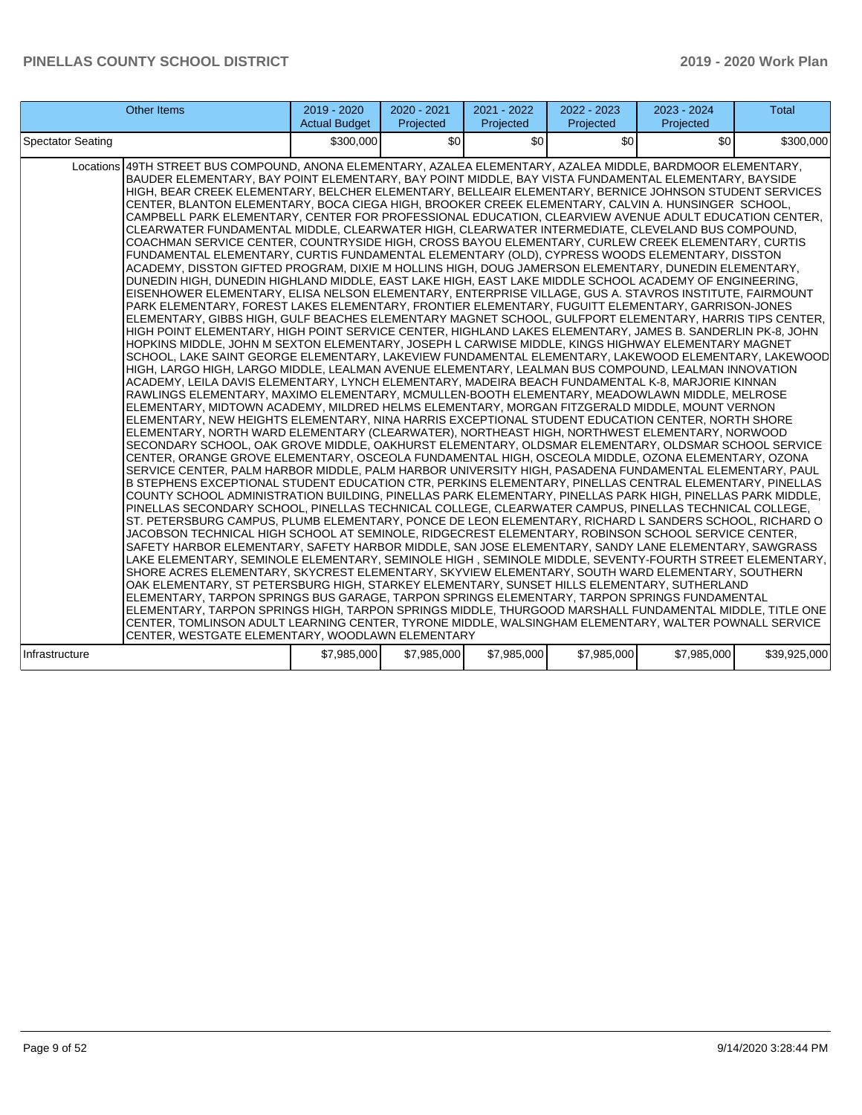| <b>Other Items</b>                                                                                                                                                                                                                                                                                                                                                                                                                                                                                                                                                                                                                                                                                                                                                                                                                                                                                                                                                                                                                                                                                                                                                                                                                                                                                                                                                                                                                                                                                                                                                                                                                                                                                                                                                                                                                                                                                                                                                                                                                                                                                                                                                                                                                                                                                                                                                                                                                                                                                                                                                                                                                                                                                                                                                                                                                                                                                                                                                                                                                                                                                                                                                                                                                                                                                                                                                                                                                                                                                                                                                                                                                                                                                                                                                                                                                                                                                                                                                                                                            | $2019 - 2020$<br><b>Actual Budget</b> | 2020 - 2021<br>Projected | 2021 - 2022<br>Projected | 2022 - 2023<br>Projected | 2023 - 2024<br>Projected | <b>Total</b> |
|-------------------------------------------------------------------------------------------------------------------------------------------------------------------------------------------------------------------------------------------------------------------------------------------------------------------------------------------------------------------------------------------------------------------------------------------------------------------------------------------------------------------------------------------------------------------------------------------------------------------------------------------------------------------------------------------------------------------------------------------------------------------------------------------------------------------------------------------------------------------------------------------------------------------------------------------------------------------------------------------------------------------------------------------------------------------------------------------------------------------------------------------------------------------------------------------------------------------------------------------------------------------------------------------------------------------------------------------------------------------------------------------------------------------------------------------------------------------------------------------------------------------------------------------------------------------------------------------------------------------------------------------------------------------------------------------------------------------------------------------------------------------------------------------------------------------------------------------------------------------------------------------------------------------------------------------------------------------------------------------------------------------------------------------------------------------------------------------------------------------------------------------------------------------------------------------------------------------------------------------------------------------------------------------------------------------------------------------------------------------------------------------------------------------------------------------------------------------------------------------------------------------------------------------------------------------------------------------------------------------------------------------------------------------------------------------------------------------------------------------------------------------------------------------------------------------------------------------------------------------------------------------------------------------------------------------------------------------------------------------------------------------------------------------------------------------------------------------------------------------------------------------------------------------------------------------------------------------------------------------------------------------------------------------------------------------------------------------------------------------------------------------------------------------------------------------------------------------------------------------------------------------------------------------------------------------------------------------------------------------------------------------------------------------------------------------------------------------------------------------------------------------------------------------------------------------------------------------------------------------------------------------------------------------------------------------------------------------------------------------------------------------------------|---------------------------------------|--------------------------|--------------------------|--------------------------|--------------------------|--------------|
| <b>Spectator Seating</b>                                                                                                                                                                                                                                                                                                                                                                                                                                                                                                                                                                                                                                                                                                                                                                                                                                                                                                                                                                                                                                                                                                                                                                                                                                                                                                                                                                                                                                                                                                                                                                                                                                                                                                                                                                                                                                                                                                                                                                                                                                                                                                                                                                                                                                                                                                                                                                                                                                                                                                                                                                                                                                                                                                                                                                                                                                                                                                                                                                                                                                                                                                                                                                                                                                                                                                                                                                                                                                                                                                                                                                                                                                                                                                                                                                                                                                                                                                                                                                                                      | \$300,000                             | \$0                      | \$0                      | \$0                      | \$0                      | \$300,000    |
| Locations 49TH STREET BUS COMPOUND, ANONA ELEMENTARY, AZALEA ELEMENTARY, AZALEA MIDDLE, BARDMOOR ELEMENTARY,<br>BAUDER ELEMENTARY, BAY POINT ELEMENTARY, BAY POINT MIDDLE, BAY VISTA FUNDAMENTAL ELEMENTARY, BAYSIDE<br>HIGH, BEAR CREEK ELEMENTARY, BELCHER ELEMENTARY, BELLEAIR ELEMENTARY, BERNICE JOHNSON STUDENT SERVICES<br>CENTER, BLANTON ELEMENTARY, BOCA CIEGA HIGH, BROOKER CREEK ELEMENTARY, CALVIN A. HUNSINGER SCHOOL,<br>CAMPBELL PARK ELEMENTARY, CENTER FOR PROFESSIONAL EDUCATION, CLEARVIEW AVENUE ADULT EDUCATION CENTER,<br>CLEARWATER FUNDAMENTAL MIDDLE, CLEARWATER HIGH, CLEARWATER INTERMEDIATE, CLEVELAND BUS COMPOUND,<br>COACHMAN SERVICE CENTER, COUNTRYSIDE HIGH, CROSS BAYOU ELEMENTARY, CURLEW CREEK ELEMENTARY, CURTIS<br>FUNDAMENTAL ELEMENTARY, CURTIS FUNDAMENTAL ELEMENTARY (OLD), CYPRESS WOODS ELEMENTARY, DISSTON<br>ACADEMY, DISSTON GIFTED PROGRAM, DIXIE M HOLLINS HIGH, DOUG JAMERSON ELEMENTARY, DUNEDIN ELEMENTARY,<br>DUNEDIN HIGH, DUNEDIN HIGHLAND MIDDLE, EAST LAKE HIGH, EAST LAKE MIDDLE SCHOOL ACADEMY OF ENGINEERING,<br>EISENHOWER ELEMENTARY, ELISA NELSON ELEMENTARY, ENTERPRISE VILLAGE, GUS A. STAVROS INSTITUTE, FAIRMOUNT<br>PARK ELEMENTARY, FOREST LAKES ELEMENTARY, FRONTIER ELEMENTARY, FUGUITT ELEMENTARY, GARRISON-JONES<br>ELEMENTARY, GIBBS HIGH, GULF BEACHES ELEMENTARY MAGNET SCHOOL, GULFPORT ELEMENTARY, HARRIS TIPS CENTER,<br>HIGH POINT ELEMENTARY, HIGH POINT SERVICE CENTER, HIGHLAND LAKES ELEMENTARY, JAMES B. SANDERLIN PK-8, JOHN<br>HOPKINS MIDDLE, JOHN M SEXTON ELEMENTARY, JOSEPH L CARWISE MIDDLE, KINGS HIGHWAY ELEMENTARY MAGNET<br>SCHOOL, LAKE SAINT GEORGE ELEMENTARY, LAKEVIEW FUNDAMENTAL ELEMENTARY, LAKEWOOD ELEMENTARY, LAKEWOOD<br>HIGH, LARGO HIGH, LARGO MIDDLE, LEALMAN AVENUE ELEMENTARY, LEALMAN BUS COMPOUND, LEALMAN INNOVATION<br>ACADEMY, LEILA DAVIS ELEMENTARY, LYNCH ELEMENTARY, MADEIRA BEACH FUNDAMENTAL K-8, MARJORIE KINNAN<br>RAWLINGS ELEMENTARY, MAXIMO ELEMENTARY, MCMULLEN-BOOTH ELEMENTARY, MEADOWLAWN MIDDLE, MELROSE<br>ELEMENTARY, MIDTOWN ACADEMY, MILDRED HELMS ELEMENTARY, MORGAN FITZGERALD MIDDLE, MOUNT VERNON<br>ELEMENTARY, NEW HEIGHTS ELEMENTARY, NINA HARRIS EXCEPTIONAL STUDENT EDUCATION CENTER, NORTH SHORE<br>ELEMENTARY, NORTH WARD ELEMENTARY (CLEARWATER), NORTHEAST HIGH, NORTHWEST ELEMENTARY, NORWOOD<br>SECONDARY SCHOOL, OAK GROVE MIDDLE, OAKHURST ELEMENTARY, OLDSMAR ELEMENTARY, OLDSMAR SCHOOL SERVICE<br>CENTER, ORANGE GROVE ELEMENTARY, OSCEOLA FUNDAMENTAL HIGH, OSCEOLA MIDDLE, OZONA ELEMENTARY, OZONA<br>SERVICE CENTER, PALM HARBOR MIDDLE, PALM HARBOR UNIVERSITY HIGH, PASADENA FUNDAMENTAL ELEMENTARY, PAUL<br>B STEPHENS EXCEPTIONAL STUDENT EDUCATION CTR, PERKINS ELEMENTARY, PINELLAS CENTRAL ELEMENTARY, PINELLAS<br>COUNTY SCHOOL ADMINISTRATION BUILDING, PINELLAS PARK ELEMENTARY, PINELLAS PARK HIGH, PINELLAS PARK MIDDLE,<br>PINELLAS SECONDARY SCHOOL, PINELLAS TECHNICAL COLLEGE, CLEARWATER CAMPUS, PINELLAS TECHNICAL COLLEGE,<br>ST. PETERSBURG CAMPUS, PLUMB ELEMENTARY, PONCE DE LEON ELEMENTARY, RICHARD L SANDERS SCHOOL, RICHARD O<br>JACOBSON TECHNICAL HIGH SCHOOL AT SEMINOLE, RIDGECREST ELEMENTARY, ROBINSON SCHOOL SERVICE CENTER,<br>SAFETY HARBOR ELEMENTARY, SAFETY HARBOR MIDDLE, SAN JOSE ELEMENTARY, SANDY LANE ELEMENTARY, SAWGRASS<br>LAKE ELEMENTARY, SEMINOLE ELEMENTARY, SEMINOLE HIGH, SEMINOLE MIDDLE, SEVENTY-FOURTH STREET ELEMENTARY,<br>SHORE ACRES ELEMENTARY, SKYCREST ELEMENTARY, SKYVIEW ELEMENTARY, SOUTH WARD ELEMENTARY, SOUTHERN<br>OAK ELEMENTARY, ST PETERSBURG HIGH, STARKEY ELEMENTARY, SUNSET HILLS ELEMENTARY, SUTHERLAND<br>ELEMENTARY, TARPON SPRINGS BUS GARAGE, TARPON SPRINGS ELEMENTARY, TARPON SPRINGS FUNDAMENTAL<br>ELEMENTARY, TARPON SPRINGS HIGH, TARPON SPRINGS MIDDLE, THURGOOD MARSHALL FUNDAMENTAL MIDDLE, TITLE ONE<br>CENTER, TOMLINSON ADULT LEARNING CENTER, TYRONE MIDDLE, WALSINGHAM ELEMENTARY, WALTER POWNALL SERVICE<br>CENTER, WESTGATE ELEMENTARY, WOODLAWN ELEMENTARY |                                       |                          |                          |                          |                          |              |
| Infrastructure                                                                                                                                                                                                                                                                                                                                                                                                                                                                                                                                                                                                                                                                                                                                                                                                                                                                                                                                                                                                                                                                                                                                                                                                                                                                                                                                                                                                                                                                                                                                                                                                                                                                                                                                                                                                                                                                                                                                                                                                                                                                                                                                                                                                                                                                                                                                                                                                                                                                                                                                                                                                                                                                                                                                                                                                                                                                                                                                                                                                                                                                                                                                                                                                                                                                                                                                                                                                                                                                                                                                                                                                                                                                                                                                                                                                                                                                                                                                                                                                                | \$7,985,000                           | \$7,985,000              | \$7,985,000              | \$7,985,000              | \$7,985,000              | \$39,925,000 |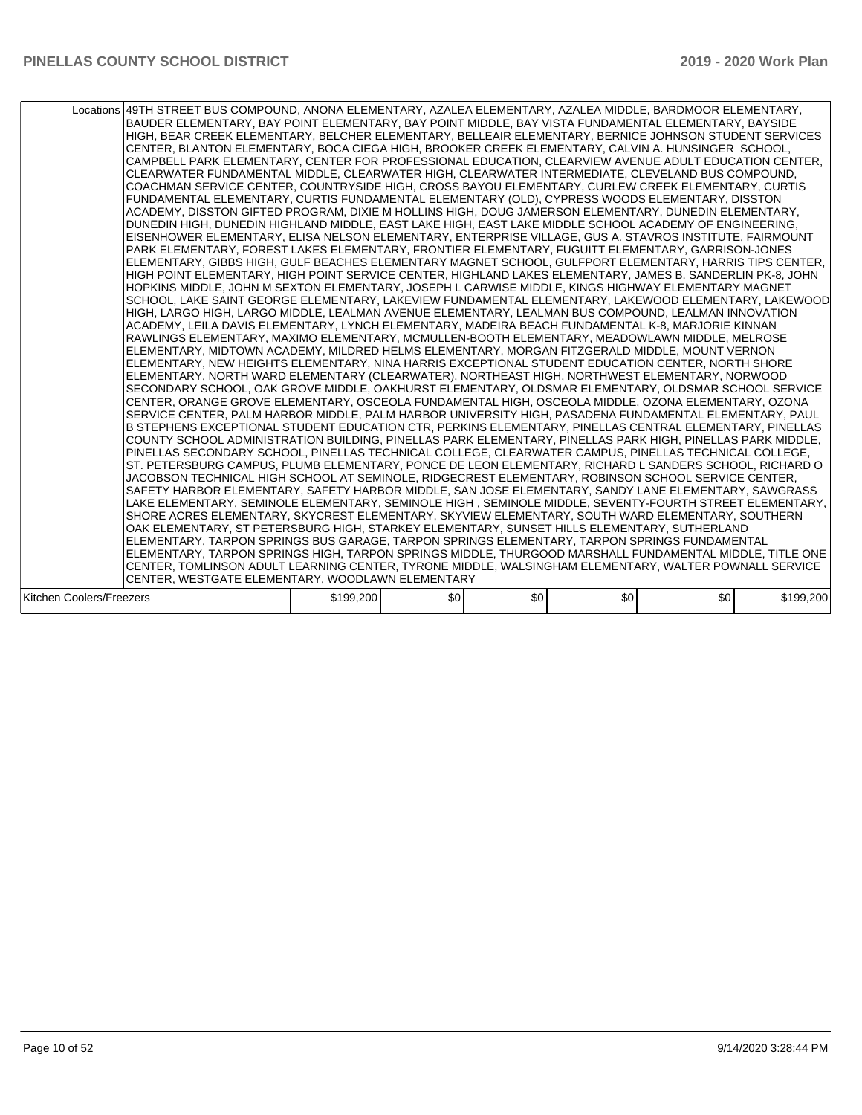|                          | Locations 49TH STREET BUS COMPOUND, ANONA ELEMENTARY, AZALEA ELEMENTARY, AZALEA MIDDLE, BARDMOOR ELEMENTARY,<br>BAUDER ELEMENTARY, BAY POINT ELEMENTARY, BAY POINT MIDDLE, BAY VISTA FUNDAMENTAL ELEMENTARY, BAYSIDE<br>HIGH, BEAR CREEK ELEMENTARY, BELCHER ELEMENTARY, BELLEAIR ELEMENTARY, BERNICE JOHNSON STUDENT SERVICES<br>CENTER, BLANTON ELEMENTARY, BOCA CIEGA HIGH, BROOKER CREEK ELEMENTARY, CALVIN A. HUNSINGER SCHOOL,<br>CAMPBELL PARK ELEMENTARY, CENTER FOR PROFESSIONAL EDUCATION, CLEARVIEW AVENUE ADULT EDUCATION CENTER,<br>CLEARWATER FUNDAMENTAL MIDDLE, CLEARWATER HIGH, CLEARWATER INTERMEDIATE, CLEVELAND BUS COMPOUND,<br>COACHMAN SERVICE CENTER, COUNTRYSIDE HIGH, CROSS BAYOU ELEMENTARY, CURLEW CREEK ELEMENTARY, CURTIS<br>FUNDAMENTAL ELEMENTARY, CURTIS FUNDAMENTAL ELEMENTARY (OLD), CYPRESS WOODS ELEMENTARY, DISSTON<br>ACADEMY, DISSTON GIFTED PROGRAM, DIXIE M HOLLINS HIGH, DOUG JAMERSON ELEMENTARY, DUNEDIN ELEMENTARY,<br>DUNEDIN HIGH, DUNEDIN HIGHLAND MIDDLE, EAST LAKE HIGH, EAST LAKE MIDDLE SCHOOL ACADEMY OF ENGINEERING,<br>EISENHOWER ELEMENTARY, ELISA NELSON ELEMENTARY, ENTERPRISE VILLAGE, GUS A. STAVROS INSTITUTE, FAIRMOUNT<br>PARK ELEMENTARY, FOREST LAKES ELEMENTARY, FRONTIER ELEMENTARY, FUGUITT ELEMENTARY, GARRISON-JONES<br>ELEMENTARY, GIBBS HIGH, GULF BEACHES ELEMENTARY MAGNET SCHOOL, GULFPORT ELEMENTARY, HARRIS TIPS CENTER,<br>HIGH POINT ELEMENTARY, HIGH POINT SERVICE CENTER, HIGHLAND LAKES ELEMENTARY, JAMES B. SANDERLIN PK-8, JOHN<br>HOPKINS MIDDLE, JOHN M SEXTON ELEMENTARY, JOSEPH L CARWISE MIDDLE, KINGS HIGHWAY ELEMENTARY MAGNET<br>SCHOOL, LAKE SAINT GEORGE ELEMENTARY, LAKEVIEW FUNDAMENTAL ELEMENTARY, LAKEWOOD ELEMENTARY, LAKEWOOD<br>HIGH, LARGO HIGH, LARGO MIDDLE, LEALMAN AVENUE ELEMENTARY, LEALMAN BUS COMPOUND, LEALMAN INNOVATION<br>ACADEMY, LEILA DAVIS ELEMENTARY, LYNCH ELEMENTARY, MADEIRA BEACH FUNDAMENTAL K-8, MARJORIE KINNAN<br>RAWLINGS ELEMENTARY, MAXIMO ELEMENTARY, MCMULLEN-BOOTH ELEMENTARY, MEADOWLAWN MIDDLE, MELROSE<br>ELEMENTARY, MIDTOWN ACADEMY, MILDRED HELMS ELEMENTARY, MORGAN FITZGERALD MIDDLE, MOUNT VERNON<br>ELEMENTARY. NEW HEIGHTS ELEMENTARY. NINA HARRIS EXCEPTIONAL STUDENT EDUCATION CENTER. NORTH SHORE<br>ELEMENTARY, NORTH WARD ELEMENTARY (CLEARWATER), NORTHEAST HIGH, NORTHWEST ELEMENTARY, NORWOOD<br>SECONDARY SCHOOL, OAK GROVE MIDDLE, OAKHURST ELEMENTARY, OLDSMAR ELEMENTARY, OLDSMAR SCHOOL SERVICE<br>CENTER, ORANGE GROVE ELEMENTARY, OSCEOLA FUNDAMENTAL HIGH, OSCEOLA MIDDLE, OZONA ELEMENTARY, OZONA<br>SERVICE CENTER, PALM HARBOR MIDDLE, PALM HARBOR UNIVERSITY HIGH, PASADENA FUNDAMENTAL ELEMENTARY, PAUL<br>B STEPHENS EXCEPTIONAL STUDENT EDUCATION CTR, PERKINS ELEMENTARY, PINELLAS CENTRAL ELEMENTARY, PINELLAS<br>COUNTY SCHOOL ADMINISTRATION BUILDING, PINELLAS PARK ELEMENTARY, PINELLAS PARK HIGH, PINELLAS PARK MIDDLE,<br>PINELLAS SECONDARY SCHOOL, PINELLAS TECHNICAL COLLEGE, CLEARWATER CAMPUS, PINELLAS TECHNICAL COLLEGE,<br>ST. PETERSBURG CAMPUS, PLUMB ELEMENTARY, PONCE DE LEON ELEMENTARY, RICHARD L SANDERS SCHOOL, RICHARD O<br>JACOBSON TECHNICAL HIGH SCHOOL AT SEMINOLE, RIDGECREST ELEMENTARY, ROBINSON SCHOOL SERVICE CENTER,<br>SAFETY HARBOR ELEMENTARY, SAFETY HARBOR MIDDLE, SAN JOSE ELEMENTARY, SANDY LANE ELEMENTARY, SAWGRASS<br>LAKE ELEMENTARY, SEMINOLE ELEMENTARY, SEMINOLE HIGH , SEMINOLE MIDDLE, SEVENTY-FOURTH STREET ELEMENTARY,<br>SHORE ACRES ELEMENTARY, SKYCREST ELEMENTARY, SKYVIEW ELEMENTARY, SOUTH WARD ELEMENTARY, SOUTHERN<br>OAK ELEMENTARY, ST PETERSBURG HIGH, STARKEY ELEMENTARY, SUNSET HILLS ELEMENTARY, SUTHERLAND<br>ELEMENTARY, TARPON SPRINGS BUS GARAGE, TARPON SPRINGS ELEMENTARY, TARPON SPRINGS FUNDAMENTAL<br>ELEMENTARY, TARPON SPRINGS HIGH, TARPON SPRINGS MIDDLE, THURGOOD MARSHALL FUNDAMENTAL MIDDLE, TITLE ONE<br>CENTER, TOMLINSON ADULT LEARNING CENTER, TYRONE MIDDLE, WALSINGHAM ELEMENTARY, WALTER POWNALL SERVICE |           |     |     |     |     |           |
|--------------------------|----------------------------------------------------------------------------------------------------------------------------------------------------------------------------------------------------------------------------------------------------------------------------------------------------------------------------------------------------------------------------------------------------------------------------------------------------------------------------------------------------------------------------------------------------------------------------------------------------------------------------------------------------------------------------------------------------------------------------------------------------------------------------------------------------------------------------------------------------------------------------------------------------------------------------------------------------------------------------------------------------------------------------------------------------------------------------------------------------------------------------------------------------------------------------------------------------------------------------------------------------------------------------------------------------------------------------------------------------------------------------------------------------------------------------------------------------------------------------------------------------------------------------------------------------------------------------------------------------------------------------------------------------------------------------------------------------------------------------------------------------------------------------------------------------------------------------------------------------------------------------------------------------------------------------------------------------------------------------------------------------------------------------------------------------------------------------------------------------------------------------------------------------------------------------------------------------------------------------------------------------------------------------------------------------------------------------------------------------------------------------------------------------------------------------------------------------------------------------------------------------------------------------------------------------------------------------------------------------------------------------------------------------------------------------------------------------------------------------------------------------------------------------------------------------------------------------------------------------------------------------------------------------------------------------------------------------------------------------------------------------------------------------------------------------------------------------------------------------------------------------------------------------------------------------------------------------------------------------------------------------------------------------------------------------------------------------------------------------------------------------------------------------------------------------------------------------------------------------------------------------------------------------------------------------------------------------------------------------------------------------------------------------------------------------------------------------------------------------------------------------------------------------------------------------------------------------------------------------------------------------------------------------------------------------------------------------------------------------|-----------|-----|-----|-----|-----|-----------|
|                          | CENTER, WESTGATE ELEMENTARY, WOODLAWN ELEMENTARY                                                                                                                                                                                                                                                                                                                                                                                                                                                                                                                                                                                                                                                                                                                                                                                                                                                                                                                                                                                                                                                                                                                                                                                                                                                                                                                                                                                                                                                                                                                                                                                                                                                                                                                                                                                                                                                                                                                                                                                                                                                                                                                                                                                                                                                                                                                                                                                                                                                                                                                                                                                                                                                                                                                                                                                                                                                                                                                                                                                                                                                                                                                                                                                                                                                                                                                                                                                                                                                                                                                                                                                                                                                                                                                                                                                                                                                                                                                           |           |     |     |     |     |           |
|                          |                                                                                                                                                                                                                                                                                                                                                                                                                                                                                                                                                                                                                                                                                                                                                                                                                                                                                                                                                                                                                                                                                                                                                                                                                                                                                                                                                                                                                                                                                                                                                                                                                                                                                                                                                                                                                                                                                                                                                                                                                                                                                                                                                                                                                                                                                                                                                                                                                                                                                                                                                                                                                                                                                                                                                                                                                                                                                                                                                                                                                                                                                                                                                                                                                                                                                                                                                                                                                                                                                                                                                                                                                                                                                                                                                                                                                                                                                                                                                                            |           |     |     |     |     |           |
| Kitchen Coolers/Freezers |                                                                                                                                                                                                                                                                                                                                                                                                                                                                                                                                                                                                                                                                                                                                                                                                                                                                                                                                                                                                                                                                                                                                                                                                                                                                                                                                                                                                                                                                                                                                                                                                                                                                                                                                                                                                                                                                                                                                                                                                                                                                                                                                                                                                                                                                                                                                                                                                                                                                                                                                                                                                                                                                                                                                                                                                                                                                                                                                                                                                                                                                                                                                                                                                                                                                                                                                                                                                                                                                                                                                                                                                                                                                                                                                                                                                                                                                                                                                                                            | \$199,200 | \$0 | \$0 | \$0 | \$0 | \$199,200 |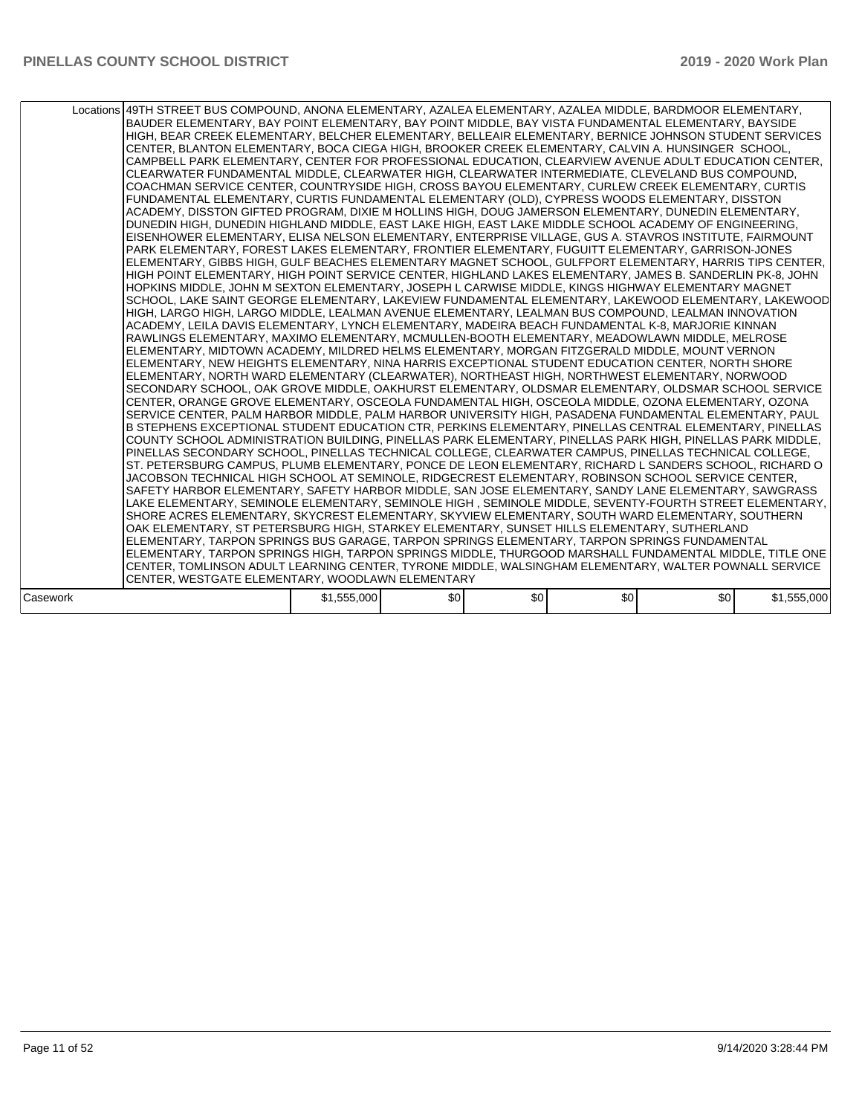|          | Locations 49TH STREET BUS COMPOUND, ANONA ELEMENTARY, AZALEA ELEMENTARY, AZALEA MIDDLE, BARDMOOR ELEMENTARY,<br>BAUDER ELEMENTARY, BAY POINT ELEMENTARY, BAY POINT MIDDLE, BAY VISTA FUNDAMENTAL ELEMENTARY, BAYSIDE<br>HIGH, BEAR CREEK ELEMENTARY, BELCHER ELEMENTARY, BELLEAIR ELEMENTARY, BERNICE JOHNSON STUDENT SERVICES<br>CENTER, BLANTON ELEMENTARY, BOCA CIEGA HIGH, BROOKER CREEK ELEMENTARY, CALVIN A. HUNSINGER SCHOOL,<br>CAMPBELL PARK ELEMENTARY, CENTER FOR PROFESSIONAL EDUCATION, CLEARVIEW AVENUE ADULT EDUCATION CENTER,<br>CLEARWATER FUNDAMENTAL MIDDLE, CLEARWATER HIGH, CLEARWATER INTERMEDIATE, CLEVELAND BUS COMPOUND,<br>COACHMAN SERVICE CENTER, COUNTRYSIDE HIGH, CROSS BAYOU ELEMENTARY, CURLEW CREEK ELEMENTARY, CURTIS<br>FUNDAMENTAL ELEMENTARY, CURTIS FUNDAMENTAL ELEMENTARY (OLD), CYPRESS WOODS ELEMENTARY, DISSTON<br>ACADEMY, DISSTON GIFTED PROGRAM, DIXIE M HOLLINS HIGH, DOUG JAMERSON ELEMENTARY, DUNEDIN ELEMENTARY,<br>DUNEDIN HIGH, DUNEDIN HIGHLAND MIDDLE, EAST LAKE HIGH, EAST LAKE MIDDLE SCHOOL ACADEMY OF ENGINEERING,<br>EISENHOWER ELEMENTARY, ELISA NELSON ELEMENTARY, ENTERPRISE VILLAGE, GUS A. STAVROS INSTITUTE, FAIRMOUNT<br>PARK ELEMENTARY, FOREST LAKES ELEMENTARY, FRONTIER ELEMENTARY, FUGUITT ELEMENTARY, GARRISON-JONES<br>ELEMENTARY, GIBBS HIGH, GULF BEACHES ELEMENTARY MAGNET SCHOOL, GULFPORT ELEMENTARY, HARRIS TIPS CENTER,<br>HIGH POINT ELEMENTARY, HIGH POINT SERVICE CENTER, HIGHLAND LAKES ELEMENTARY, JAMES B. SANDERLIN PK-8, JOHN<br>HOPKINS MIDDLE. JOHN M SEXTON ELEMENTARY. JOSEPH L CARWISE MIDDLE. KINGS HIGHWAY ELEMENTARY MAGNET<br>SCHOOL, LAKE SAINT GEORGE ELEMENTARY, LAKEVIEW FUNDAMENTAL ELEMENTARY, LAKEWOOD ELEMENTARY, LAKEWOOD<br>HIGH, LARGO HIGH, LARGO MIDDLE, LEALMAN AVENUE ELEMENTARY, LEALMAN BUS COMPOUND, LEALMAN INNOVATION<br>ACADEMY, LEILA DAVIS ELEMENTARY, LYNCH ELEMENTARY, MADEIRA BEACH FUNDAMENTAL K-8, MARJORIE KINNAN<br>RAWLINGS ELEMENTARY, MAXIMO ELEMENTARY, MCMULLEN-BOOTH ELEMENTARY, MEADOWLAWN MIDDLE, MELROSE<br>ELEMENTARY, MIDTOWN ACADEMY, MILDRED HELMS ELEMENTARY, MORGAN FITZGERALD MIDDLE, MOUNT VERNON<br>ELEMENTARY, NEW HEIGHTS ELEMENTARY, NINA HARRIS EXCEPTIONAL STUDENT EDUCATION CENTER, NORTH SHORE<br>ELEMENTARY, NORTH WARD ELEMENTARY (CLEARWATER), NORTHEAST HIGH, NORTHWEST ELEMENTARY, NORWOOD<br>SECONDARY SCHOOL, OAK GROVE MIDDLE, OAKHURST ELEMENTARY, OLDSMAR ELEMENTARY, OLDSMAR SCHOOL SERVICE<br>CENTER, ORANGE GROVE ELEMENTARY, OSCEOLA FUNDAMENTAL HIGH, OSCEOLA MIDDLE, OZONA ELEMENTARY, OZONA<br>SERVICE CENTER, PALM HARBOR MIDDLE, PALM HARBOR UNIVERSITY HIGH, PASADENA FUNDAMENTAL ELEMENTARY, PAUL<br>B STEPHENS EXCEPTIONAL STUDENT EDUCATION CTR, PERKINS ELEMENTARY, PINELLAS CENTRAL ELEMENTARY, PINELLAS<br>COUNTY SCHOOL ADMINISTRATION BUILDING, PINELLAS PARK ELEMENTARY, PINELLAS PARK HIGH, PINELLAS PARK MIDDLE,<br>PINELLAS SECONDARY SCHOOL. PINELLAS TECHNICAL COLLEGE. CLEARWATER CAMPUS. PINELLAS TECHNICAL COLLEGE.<br>ST. PETERSBURG CAMPUS, PLUMB ELEMENTARY, PONCE DE LEON ELEMENTARY, RICHARD L SANDERS SCHOOL, RICHARD O<br>JACOBSON TECHNICAL HIGH SCHOOL AT SEMINOLE, RIDGECREST ELEMENTARY, ROBINSON SCHOOL SERVICE CENTER,<br>SAFETY HARBOR ELEMENTARY, SAFETY HARBOR MIDDLE, SAN JOSE ELEMENTARY, SANDY LANE ELEMENTARY, SAWGRASS<br>LAKE ELEMENTARY, SEMINOLE ELEMENTARY, SEMINOLE HIGH, SEMINOLE MIDDLE, SEVENTY-FOURTH STREET ELEMENTARY,<br>SHORE ACRES ELEMENTARY, SKYCREST ELEMENTARY, SKYVIEW ELEMENTARY, SOUTH WARD ELEMENTARY, SOUTHERN<br>OAK ELEMENTARY, ST PETERSBURG HIGH, STARKEY ELEMENTARY, SUNSET HILLS ELEMENTARY, SUTHERLAND<br>ELEMENTARY, TARPON SPRINGS BUS GARAGE, TARPON SPRINGS ELEMENTARY, TARPON SPRINGS FUNDAMENTAL<br>ELEMENTARY, TARPON SPRINGS HIGH, TARPON SPRINGS MIDDLE, THURGOOD MARSHALL FUNDAMENTAL MIDDLE, TITLE ONE |             |     |     |     |     |             |
|----------|------------------------------------------------------------------------------------------------------------------------------------------------------------------------------------------------------------------------------------------------------------------------------------------------------------------------------------------------------------------------------------------------------------------------------------------------------------------------------------------------------------------------------------------------------------------------------------------------------------------------------------------------------------------------------------------------------------------------------------------------------------------------------------------------------------------------------------------------------------------------------------------------------------------------------------------------------------------------------------------------------------------------------------------------------------------------------------------------------------------------------------------------------------------------------------------------------------------------------------------------------------------------------------------------------------------------------------------------------------------------------------------------------------------------------------------------------------------------------------------------------------------------------------------------------------------------------------------------------------------------------------------------------------------------------------------------------------------------------------------------------------------------------------------------------------------------------------------------------------------------------------------------------------------------------------------------------------------------------------------------------------------------------------------------------------------------------------------------------------------------------------------------------------------------------------------------------------------------------------------------------------------------------------------------------------------------------------------------------------------------------------------------------------------------------------------------------------------------------------------------------------------------------------------------------------------------------------------------------------------------------------------------------------------------------------------------------------------------------------------------------------------------------------------------------------------------------------------------------------------------------------------------------------------------------------------------------------------------------------------------------------------------------------------------------------------------------------------------------------------------------------------------------------------------------------------------------------------------------------------------------------------------------------------------------------------------------------------------------------------------------------------------------------------------------------------------------------------------------------------------------------------------------------------------------------------------------------------------------------------------------------------------------------------------------------------------------------------------------------------------------------------------------------------------------------------------------------------------------------------|-------------|-----|-----|-----|-----|-------------|
|          |                                                                                                                                                                                                                                                                                                                                                                                                                                                                                                                                                                                                                                                                                                                                                                                                                                                                                                                                                                                                                                                                                                                                                                                                                                                                                                                                                                                                                                                                                                                                                                                                                                                                                                                                                                                                                                                                                                                                                                                                                                                                                                                                                                                                                                                                                                                                                                                                                                                                                                                                                                                                                                                                                                                                                                                                                                                                                                                                                                                                                                                                                                                                                                                                                                                                                                                                                                                                                                                                                                                                                                                                                                                                                                                                                                                                                                                                  |             |     |     |     |     |             |
|          |                                                                                                                                                                                                                                                                                                                                                                                                                                                                                                                                                                                                                                                                                                                                                                                                                                                                                                                                                                                                                                                                                                                                                                                                                                                                                                                                                                                                                                                                                                                                                                                                                                                                                                                                                                                                                                                                                                                                                                                                                                                                                                                                                                                                                                                                                                                                                                                                                                                                                                                                                                                                                                                                                                                                                                                                                                                                                                                                                                                                                                                                                                                                                                                                                                                                                                                                                                                                                                                                                                                                                                                                                                                                                                                                                                                                                                                                  |             |     |     |     |     |             |
|          |                                                                                                                                                                                                                                                                                                                                                                                                                                                                                                                                                                                                                                                                                                                                                                                                                                                                                                                                                                                                                                                                                                                                                                                                                                                                                                                                                                                                                                                                                                                                                                                                                                                                                                                                                                                                                                                                                                                                                                                                                                                                                                                                                                                                                                                                                                                                                                                                                                                                                                                                                                                                                                                                                                                                                                                                                                                                                                                                                                                                                                                                                                                                                                                                                                                                                                                                                                                                                                                                                                                                                                                                                                                                                                                                                                                                                                                                  |             |     |     |     |     |             |
|          | CENTER, TOMLINSON ADULT LEARNING CENTER, TYRONE MIDDLE, WALSINGHAM ELEMENTARY, WALTER POWNALL SERVICE                                                                                                                                                                                                                                                                                                                                                                                                                                                                                                                                                                                                                                                                                                                                                                                                                                                                                                                                                                                                                                                                                                                                                                                                                                                                                                                                                                                                                                                                                                                                                                                                                                                                                                                                                                                                                                                                                                                                                                                                                                                                                                                                                                                                                                                                                                                                                                                                                                                                                                                                                                                                                                                                                                                                                                                                                                                                                                                                                                                                                                                                                                                                                                                                                                                                                                                                                                                                                                                                                                                                                                                                                                                                                                                                                            |             |     |     |     |     |             |
|          | CENTER, WESTGATE ELEMENTARY, WOODLAWN ELEMENTARY                                                                                                                                                                                                                                                                                                                                                                                                                                                                                                                                                                                                                                                                                                                                                                                                                                                                                                                                                                                                                                                                                                                                                                                                                                                                                                                                                                                                                                                                                                                                                                                                                                                                                                                                                                                                                                                                                                                                                                                                                                                                                                                                                                                                                                                                                                                                                                                                                                                                                                                                                                                                                                                                                                                                                                                                                                                                                                                                                                                                                                                                                                                                                                                                                                                                                                                                                                                                                                                                                                                                                                                                                                                                                                                                                                                                                 |             |     |     |     |     |             |
| Casework |                                                                                                                                                                                                                                                                                                                                                                                                                                                                                                                                                                                                                                                                                                                                                                                                                                                                                                                                                                                                                                                                                                                                                                                                                                                                                                                                                                                                                                                                                                                                                                                                                                                                                                                                                                                                                                                                                                                                                                                                                                                                                                                                                                                                                                                                                                                                                                                                                                                                                                                                                                                                                                                                                                                                                                                                                                                                                                                                                                                                                                                                                                                                                                                                                                                                                                                                                                                                                                                                                                                                                                                                                                                                                                                                                                                                                                                                  | \$1,555,000 | \$0 | \$0 | \$0 | \$0 | \$1,555,000 |
|          |                                                                                                                                                                                                                                                                                                                                                                                                                                                                                                                                                                                                                                                                                                                                                                                                                                                                                                                                                                                                                                                                                                                                                                                                                                                                                                                                                                                                                                                                                                                                                                                                                                                                                                                                                                                                                                                                                                                                                                                                                                                                                                                                                                                                                                                                                                                                                                                                                                                                                                                                                                                                                                                                                                                                                                                                                                                                                                                                                                                                                                                                                                                                                                                                                                                                                                                                                                                                                                                                                                                                                                                                                                                                                                                                                                                                                                                                  |             |     |     |     |     |             |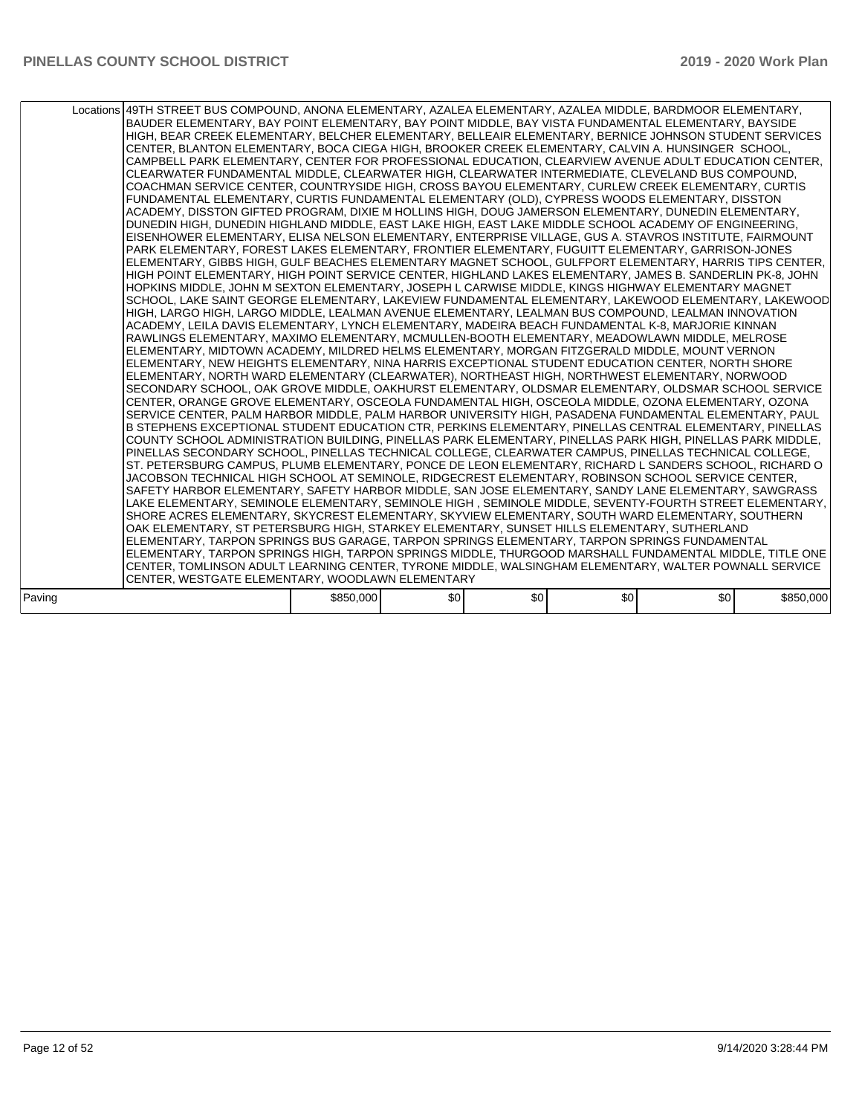|        | Locations 49TH STREET BUS COMPOUND, ANONA ELEMENTARY, AZALEA ELEMENTARY, AZALEA MIDDLE, BARDMOOR ELEMENTARY,<br>BAUDER ELEMENTARY. BAY POINT ELEMENTARY. BAY POINT MIDDLE. BAY VISTA FUNDAMENTAL ELEMENTARY. BAYSIDE<br>HIGH, BEAR CREEK ELEMENTARY, BELCHER ELEMENTARY, BELLEAIR ELEMENTARY, BERNICE JOHNSON STUDENT SERVICES<br>CENTER, BLANTON ELEMENTARY, BOCA CIEGA HIGH, BROOKER CREEK ELEMENTARY, CALVIN A. HUNSINGER SCHOOL,<br>CAMPBELL PARK ELEMENTARY, CENTER FOR PROFESSIONAL EDUCATION, CLEARVIEW AVENUE ADULT EDUCATION CENTER,<br>CLEARWATER FUNDAMENTAL MIDDLE, CLEARWATER HIGH, CLEARWATER INTERMEDIATE, CLEVELAND BUS COMPOUND,<br>COACHMAN SERVICE CENTER, COUNTRYSIDE HIGH, CROSS BAYOU ELEMENTARY, CURLEW CREEK ELEMENTARY, CURTIS<br>FUNDAMENTAL ELEMENTARY, CURTIS FUNDAMENTAL ELEMENTARY (OLD), CYPRESS WOODS ELEMENTARY, DISSTON<br>ACADEMY, DISSTON GIFTED PROGRAM, DIXIE M HOLLINS HIGH, DOUG JAMERSON ELEMENTARY, DUNEDIN ELEMENTARY,<br>DUNEDIN HIGH, DUNEDIN HIGHLAND MIDDLE, EAST LAKE HIGH, EAST LAKE MIDDLE SCHOOL ACADEMY OF ENGINEERING,<br>EISENHOWER ELEMENTARY, ELISA NELSON ELEMENTARY, ENTERPRISE VILLAGE, GUS A. STAVROS INSTITUTE, FAIRMOUNT<br>PARK ELEMENTARY, FOREST LAKES ELEMENTARY, FRONTIER ELEMENTARY, FUGUITT ELEMENTARY, GARRISON-JONES<br>ELEMENTARY, GIBBS HIGH, GULF BEACHES ELEMENTARY MAGNET SCHOOL, GULFPORT ELEMENTARY, HARRIS TIPS CENTER,<br>HIGH POINT ELEMENTARY, HIGH POINT SERVICE CENTER, HIGHLAND LAKES ELEMENTARY, JAMES B. SANDERLIN PK-8, JOHN<br>HOPKINS MIDDLE, JOHN M SEXTON ELEMENTARY, JOSEPH L CARWISE MIDDLE, KINGS HIGHWAY ELEMENTARY MAGNET<br>SCHOOL, LAKE SAINT GEORGE ELEMENTARY, LAKEVIEW FUNDAMENTAL ELEMENTARY, LAKEWOOD ELEMENTARY, LAKEWOOD<br>HIGH, LARGO HIGH, LARGO MIDDLE, LEALMAN AVENUE ELEMENTARY, LEALMAN BUS COMPOUND, LEALMAN INNOVATION<br>ACADEMY, LEILA DAVIS ELEMENTARY, LYNCH ELEMENTARY, MADEIRA BEACH FUNDAMENTAL K-8, MARJORIE KINNAN<br>RAWLINGS ELEMENTARY, MAXIMO ELEMENTARY, MCMULLEN-BOOTH ELEMENTARY, MEADOWLAWN MIDDLE, MELROSE<br>ELEMENTARY, MIDTOWN ACADEMY, MILDRED HELMS ELEMENTARY, MORGAN FITZGERALD MIDDLE, MOUNT VERNON<br>ELEMENTARY, NEW HEIGHTS ELEMENTARY, NINA HARRIS EXCEPTIONAL STUDENT EDUCATION CENTER, NORTH SHORE<br>ELEMENTARY, NORTH WARD ELEMENTARY (CLEARWATER), NORTHEAST HIGH, NORTHWEST ELEMENTARY, NORWOOD<br>SECONDARY SCHOOL, OAK GROVE MIDDLE, OAKHURST ELEMENTARY, OLDSMAR ELEMENTARY, OLDSMAR SCHOOL SERVICE<br>CENTER, ORANGE GROVE ELEMENTARY, OSCEOLA FUNDAMENTAL HIGH, OSCEOLA MIDDLE, OZONA ELEMENTARY, OZONA<br>SERVICE CENTER, PALM HARBOR MIDDLE, PALM HARBOR UNIVERSITY HIGH, PASADENA FUNDAMENTAL ELEMENTARY, PAUL<br>B STEPHENS EXCEPTIONAL STUDENT EDUCATION CTR, PERKINS ELEMENTARY, PINELLAS CENTRAL ELEMENTARY, PINELLAS<br>COUNTY SCHOOL ADMINISTRATION BUILDING, PINELLAS PARK ELEMENTARY, PINELLAS PARK HIGH, PINELLAS PARK MIDDLE,<br>PINELLAS SECONDARY SCHOOL, PINELLAS TECHNICAL COLLEGE, CLEARWATER CAMPUS, PINELLAS TECHNICAL COLLEGE,<br>ST. PETERSBURG CAMPUS, PLUMB ELEMENTARY, PONCE DE LEON ELEMENTARY, RICHARD L SANDERS SCHOOL, RICHARD O<br>JACOBSON TECHNICAL HIGH SCHOOL AT SEMINOLE, RIDGECREST ELEMENTARY, ROBINSON SCHOOL SERVICE CENTER,<br>SAFETY HARBOR ELEMENTARY, SAFETY HARBOR MIDDLE, SAN JOSE ELEMENTARY, SANDY LANE ELEMENTARY, SAWGRASS<br>LAKE ELEMENTARY, SEMINOLE ELEMENTARY, SEMINOLE HIGH, SEMINOLE MIDDLE, SEVENTY-FOURTH STREET ELEMENTARY,<br>SHORE ACRES ELEMENTARY, SKYCREST ELEMENTARY, SKYVIEW ELEMENTARY, SOUTH WARD ELEMENTARY, SOUTHERN<br>OAK ELEMENTARY, ST PETERSBURG HIGH, STARKEY ELEMENTARY, SUNSET HILLS ELEMENTARY, SUTHERLAND<br>ELEMENTARY, TARPON SPRINGS BUS GARAGE, TARPON SPRINGS ELEMENTARY, TARPON SPRINGS FUNDAMENTAL<br>ELEMENTARY, TARPON SPRINGS HIGH, TARPON SPRINGS MIDDLE, THURGOOD MARSHALL FUNDAMENTAL MIDDLE, TITLE ONE<br>CENTER, TOMLINSON ADULT LEARNING CENTER, TYRONE MIDDLE, WALSINGHAM ELEMENTARY, WALTER POWNALL SERVICE |           |     |     |     |     |           |
|--------|---------------------------------------------------------------------------------------------------------------------------------------------------------------------------------------------------------------------------------------------------------------------------------------------------------------------------------------------------------------------------------------------------------------------------------------------------------------------------------------------------------------------------------------------------------------------------------------------------------------------------------------------------------------------------------------------------------------------------------------------------------------------------------------------------------------------------------------------------------------------------------------------------------------------------------------------------------------------------------------------------------------------------------------------------------------------------------------------------------------------------------------------------------------------------------------------------------------------------------------------------------------------------------------------------------------------------------------------------------------------------------------------------------------------------------------------------------------------------------------------------------------------------------------------------------------------------------------------------------------------------------------------------------------------------------------------------------------------------------------------------------------------------------------------------------------------------------------------------------------------------------------------------------------------------------------------------------------------------------------------------------------------------------------------------------------------------------------------------------------------------------------------------------------------------------------------------------------------------------------------------------------------------------------------------------------------------------------------------------------------------------------------------------------------------------------------------------------------------------------------------------------------------------------------------------------------------------------------------------------------------------------------------------------------------------------------------------------------------------------------------------------------------------------------------------------------------------------------------------------------------------------------------------------------------------------------------------------------------------------------------------------------------------------------------------------------------------------------------------------------------------------------------------------------------------------------------------------------------------------------------------------------------------------------------------------------------------------------------------------------------------------------------------------------------------------------------------------------------------------------------------------------------------------------------------------------------------------------------------------------------------------------------------------------------------------------------------------------------------------------------------------------------------------------------------------------------------------------------------------------------------------------------------------------------------------------------------------------------|-----------|-----|-----|-----|-----|-----------|
|        |                                                                                                                                                                                                                                                                                                                                                                                                                                                                                                                                                                                                                                                                                                                                                                                                                                                                                                                                                                                                                                                                                                                                                                                                                                                                                                                                                                                                                                                                                                                                                                                                                                                                                                                                                                                                                                                                                                                                                                                                                                                                                                                                                                                                                                                                                                                                                                                                                                                                                                                                                                                                                                                                                                                                                                                                                                                                                                                                                                                                                                                                                                                                                                                                                                                                                                                                                                                                                                                                                                                                                                                                                                                                                                                                                                                                                                                                                                                                                                           |           |     |     |     |     |           |
|        | CENTER, WESTGATE ELEMENTARY, WOODLAWN ELEMENTARY                                                                                                                                                                                                                                                                                                                                                                                                                                                                                                                                                                                                                                                                                                                                                                                                                                                                                                                                                                                                                                                                                                                                                                                                                                                                                                                                                                                                                                                                                                                                                                                                                                                                                                                                                                                                                                                                                                                                                                                                                                                                                                                                                                                                                                                                                                                                                                                                                                                                                                                                                                                                                                                                                                                                                                                                                                                                                                                                                                                                                                                                                                                                                                                                                                                                                                                                                                                                                                                                                                                                                                                                                                                                                                                                                                                                                                                                                                                          |           |     |     |     |     |           |
|        |                                                                                                                                                                                                                                                                                                                                                                                                                                                                                                                                                                                                                                                                                                                                                                                                                                                                                                                                                                                                                                                                                                                                                                                                                                                                                                                                                                                                                                                                                                                                                                                                                                                                                                                                                                                                                                                                                                                                                                                                                                                                                                                                                                                                                                                                                                                                                                                                                                                                                                                                                                                                                                                                                                                                                                                                                                                                                                                                                                                                                                                                                                                                                                                                                                                                                                                                                                                                                                                                                                                                                                                                                                                                                                                                                                                                                                                                                                                                                                           |           |     |     |     |     |           |
| Paving |                                                                                                                                                                                                                                                                                                                                                                                                                                                                                                                                                                                                                                                                                                                                                                                                                                                                                                                                                                                                                                                                                                                                                                                                                                                                                                                                                                                                                                                                                                                                                                                                                                                                                                                                                                                                                                                                                                                                                                                                                                                                                                                                                                                                                                                                                                                                                                                                                                                                                                                                                                                                                                                                                                                                                                                                                                                                                                                                                                                                                                                                                                                                                                                                                                                                                                                                                                                                                                                                                                                                                                                                                                                                                                                                                                                                                                                                                                                                                                           | \$850,000 | \$0 | \$0 | \$0 | \$0 | \$850,000 |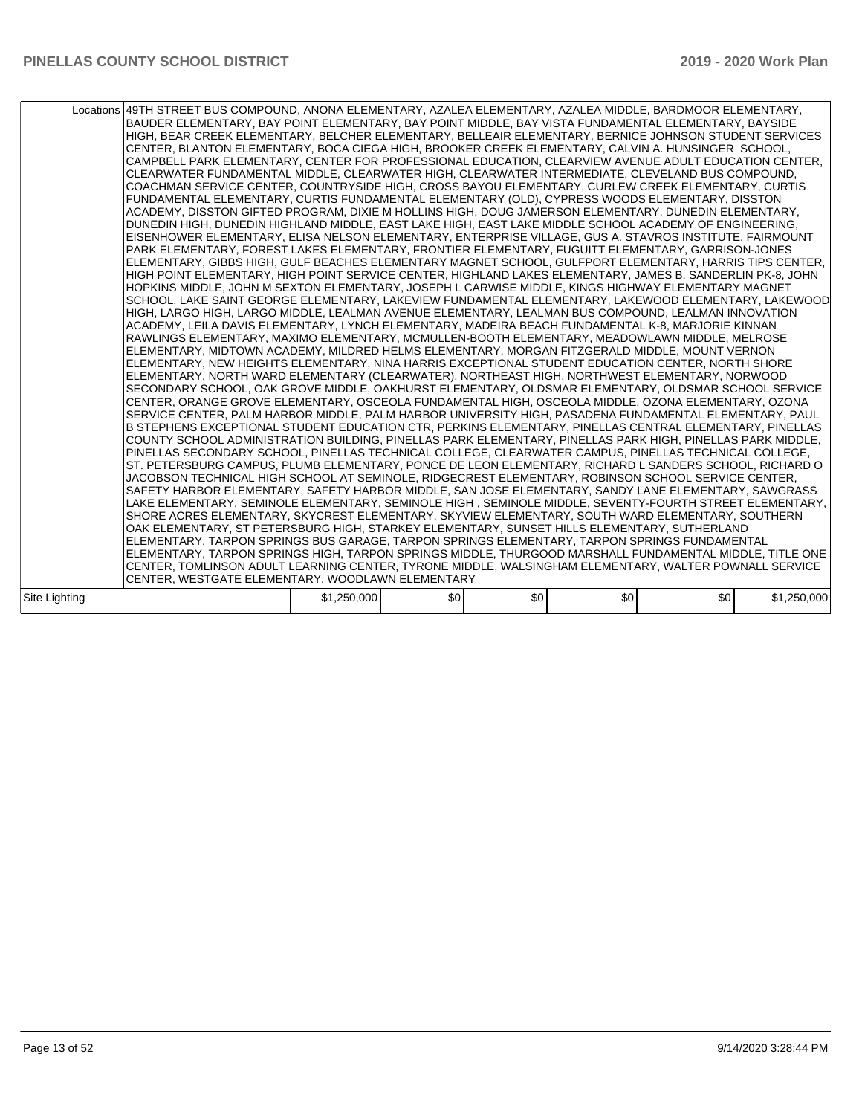|               | Locations 49TH STREET BUS COMPOUND, ANONA ELEMENTARY, AZALEA ELEMENTARY, AZALEA MIDDLE, BARDMOOR ELEMENTARY,<br>BAUDER ELEMENTARY, BAY POINT ELEMENTARY, BAY POINT MIDDLE, BAY VISTA FUNDAMENTAL ELEMENTARY, BAYSIDE<br>HIGH, BEAR CREEK ELEMENTARY, BELCHER ELEMENTARY, BELLEAIR ELEMENTARY, BERNICE JOHNSON STUDENT SERVICES<br>CENTER, BLANTON ELEMENTARY, BOCA CIEGA HIGH, BROOKER CREEK ELEMENTARY, CALVIN A. HUNSINGER SCHOOL,<br>CAMPBELL PARK ELEMENTARY, CENTER FOR PROFESSIONAL EDUCATION, CLEARVIEW AVENUE ADULT EDUCATION CENTER,<br>CLEARWATER FUNDAMENTAL MIDDLE, CLEARWATER HIGH, CLEARWATER INTERMEDIATE, CLEVELAND BUS COMPOUND.<br>COACHMAN SERVICE CENTER, COUNTRYSIDE HIGH, CROSS BAYOU ELEMENTARY, CURLEW CREEK ELEMENTARY, CURTIS<br>FUNDAMENTAL ELEMENTARY, CURTIS FUNDAMENTAL ELEMENTARY (OLD), CYPRESS WOODS ELEMENTARY, DISSTON<br>ACADEMY, DISSTON GIFTED PROGRAM, DIXIE M HOLLINS HIGH, DOUG JAMERSON ELEMENTARY, DUNEDIN ELEMENTARY,<br>DUNEDIN HIGH, DUNEDIN HIGHLAND MIDDLE, EAST LAKE HIGH, EAST LAKE MIDDLE SCHOOL ACADEMY OF ENGINEERING,<br>EISENHOWER ELEMENTARY, ELISA NELSON ELEMENTARY, ENTERPRISE VILLAGE, GUS A. STAVROS INSTITUTE, FAIRMOUNT<br>PARK ELEMENTARY, FOREST LAKES ELEMENTARY, FRONTIER ELEMENTARY, FUGUITT ELEMENTARY, GARRISON-JONES<br>ELEMENTARY, GIBBS HIGH, GULF BEACHES ELEMENTARY MAGNET SCHOOL, GULFPORT ELEMENTARY, HARRIS TIPS CENTER,<br>HIGH POINT ELEMENTARY, HIGH POINT SERVICE CENTER, HIGHLAND LAKES ELEMENTARY, JAMES B. SANDERLIN PK-8, JOHN<br>HOPKINS MIDDLE, JOHN M SEXTON ELEMENTARY, JOSEPH L CARWISE MIDDLE, KINGS HIGHWAY ELEMENTARY MAGNET<br>SCHOOL, LAKE SAINT GEORGE ELEMENTARY, LAKEVIEW FUNDAMENTAL ELEMENTARY, LAKEWOOD ELEMENTARY, LAKEWOOD<br>HIGH, LARGO HIGH, LARGO MIDDLE, LEALMAN AVENUE ELEMENTARY, LEALMAN BUS COMPOUND, LEALMAN INNOVATION<br>ACADEMY, LEILA DAVIS ELEMENTARY, LYNCH ELEMENTARY, MADEIRA BEACH FUNDAMENTAL K-8, MARJORIE KINNAN<br>RAWLINGS ELEMENTARY, MAXIMO ELEMENTARY, MCMULLEN-BOOTH ELEMENTARY, MEADOWLAWN MIDDLE, MELROSE<br>ELEMENTARY, MIDTOWN ACADEMY, MILDRED HELMS ELEMENTARY, MORGAN FITZGERALD MIDDLE, MOUNT VERNON<br>ELEMENTARY, NEW HEIGHTS ELEMENTARY, NINA HARRIS EXCEPTIONAL STUDENT EDUCATION CENTER, NORTH SHORE<br>ELEMENTARY, NORTH WARD ELEMENTARY (CLEARWATER), NORTHEAST HIGH, NORTHWEST ELEMENTARY, NORWOOD<br>SECONDARY SCHOOL, OAK GROVE MIDDLE, OAKHURST ELEMENTARY, OLDSMAR ELEMENTARY, OLDSMAR SCHOOL SERVICE<br>CENTER, ORANGE GROVE ELEMENTARY, OSCEOLA FUNDAMENTAL HIGH, OSCEOLA MIDDLE, OZONA ELEMENTARY, OZONA<br>SERVICE CENTER, PALM HARBOR MIDDLE, PALM HARBOR UNIVERSITY HIGH, PASADENA FUNDAMENTAL ELEMENTARY, PAUL<br>B STEPHENS EXCEPTIONAL STUDENT EDUCATION CTR, PERKINS ELEMENTARY, PINELLAS CENTRAL ELEMENTARY, PINELLAS<br>COUNTY SCHOOL ADMINISTRATION BUILDING, PINELLAS PARK ELEMENTARY, PINELLAS PARK HIGH, PINELLAS PARK MIDDLE,<br>PINELLAS SECONDARY SCHOOL, PINELLAS TECHNICAL COLLEGE, CLEARWATER CAMPUS, PINELLAS TECHNICAL COLLEGE,<br>ST. PETERSBURG CAMPUS, PLUMB ELEMENTARY, PONCE DE LEON ELEMENTARY, RICHARD L SANDERS SCHOOL, RICHARD O<br>JACOBSON TECHNICAL HIGH SCHOOL AT SEMINOLE, RIDGECREST ELEMENTARY, ROBINSON SCHOOL SERVICE CENTER,<br>SAFETY HARBOR ELEMENTARY, SAFETY HARBOR MIDDLE, SAN JOSE ELEMENTARY, SANDY LANE ELEMENTARY, SAWGRASS<br>LAKE ELEMENTARY, SEMINOLE ELEMENTARY, SEMINOLE HIGH, SEMINOLE MIDDLE, SEVENTY-FOURTH STREET ELEMENTARY,<br>SHORE ACRES ELEMENTARY, SKYCREST ELEMENTARY, SKYVIEW ELEMENTARY, SOUTH WARD ELEMENTARY, SOUTHERN<br>OAK ELEMENTARY, ST PETERSBURG HIGH, STARKEY ELEMENTARY, SUNSET HILLS ELEMENTARY, SUTHERLAND<br>ELEMENTARY, TARPON SPRINGS BUS GARAGE, TARPON SPRINGS ELEMENTARY, TARPON SPRINGS FUNDAMENTAL<br>ELEMENTARY, TARPON SPRINGS HIGH, TARPON SPRINGS MIDDLE, THURGOOD MARSHALL FUNDAMENTAL MIDDLE, TITLE ONE<br>CENTER, TOMLINSON ADULT LEARNING CENTER, TYRONE MIDDLE, WALSINGHAM ELEMENTARY, WALTER POWNALL SERVICE<br>CENTER, WESTGATE ELEMENTARY, WOODLAWN ELEMENTARY |             |     |     |     |     |             |
|---------------|-------------------------------------------------------------------------------------------------------------------------------------------------------------------------------------------------------------------------------------------------------------------------------------------------------------------------------------------------------------------------------------------------------------------------------------------------------------------------------------------------------------------------------------------------------------------------------------------------------------------------------------------------------------------------------------------------------------------------------------------------------------------------------------------------------------------------------------------------------------------------------------------------------------------------------------------------------------------------------------------------------------------------------------------------------------------------------------------------------------------------------------------------------------------------------------------------------------------------------------------------------------------------------------------------------------------------------------------------------------------------------------------------------------------------------------------------------------------------------------------------------------------------------------------------------------------------------------------------------------------------------------------------------------------------------------------------------------------------------------------------------------------------------------------------------------------------------------------------------------------------------------------------------------------------------------------------------------------------------------------------------------------------------------------------------------------------------------------------------------------------------------------------------------------------------------------------------------------------------------------------------------------------------------------------------------------------------------------------------------------------------------------------------------------------------------------------------------------------------------------------------------------------------------------------------------------------------------------------------------------------------------------------------------------------------------------------------------------------------------------------------------------------------------------------------------------------------------------------------------------------------------------------------------------------------------------------------------------------------------------------------------------------------------------------------------------------------------------------------------------------------------------------------------------------------------------------------------------------------------------------------------------------------------------------------------------------------------------------------------------------------------------------------------------------------------------------------------------------------------------------------------------------------------------------------------------------------------------------------------------------------------------------------------------------------------------------------------------------------------------------------------------------------------------------------------------------------------------------------------------------------------------------------------------------------------------------------------------------------------------------------------------------------|-------------|-----|-----|-----|-----|-------------|
| Site Lighting |                                                                                                                                                                                                                                                                                                                                                                                                                                                                                                                                                                                                                                                                                                                                                                                                                                                                                                                                                                                                                                                                                                                                                                                                                                                                                                                                                                                                                                                                                                                                                                                                                                                                                                                                                                                                                                                                                                                                                                                                                                                                                                                                                                                                                                                                                                                                                                                                                                                                                                                                                                                                                                                                                                                                                                                                                                                                                                                                                                                                                                                                                                                                                                                                                                                                                                                                                                                                                                                                                                                                                                                                                                                                                                                                                                                                                                                                                                                                                                                                                               | \$1,250,000 | \$0 | \$0 | \$0 | \$0 | \$1,250,000 |
|               |                                                                                                                                                                                                                                                                                                                                                                                                                                                                                                                                                                                                                                                                                                                                                                                                                                                                                                                                                                                                                                                                                                                                                                                                                                                                                                                                                                                                                                                                                                                                                                                                                                                                                                                                                                                                                                                                                                                                                                                                                                                                                                                                                                                                                                                                                                                                                                                                                                                                                                                                                                                                                                                                                                                                                                                                                                                                                                                                                                                                                                                                                                                                                                                                                                                                                                                                                                                                                                                                                                                                                                                                                                                                                                                                                                                                                                                                                                                                                                                                                               |             |     |     |     |     |             |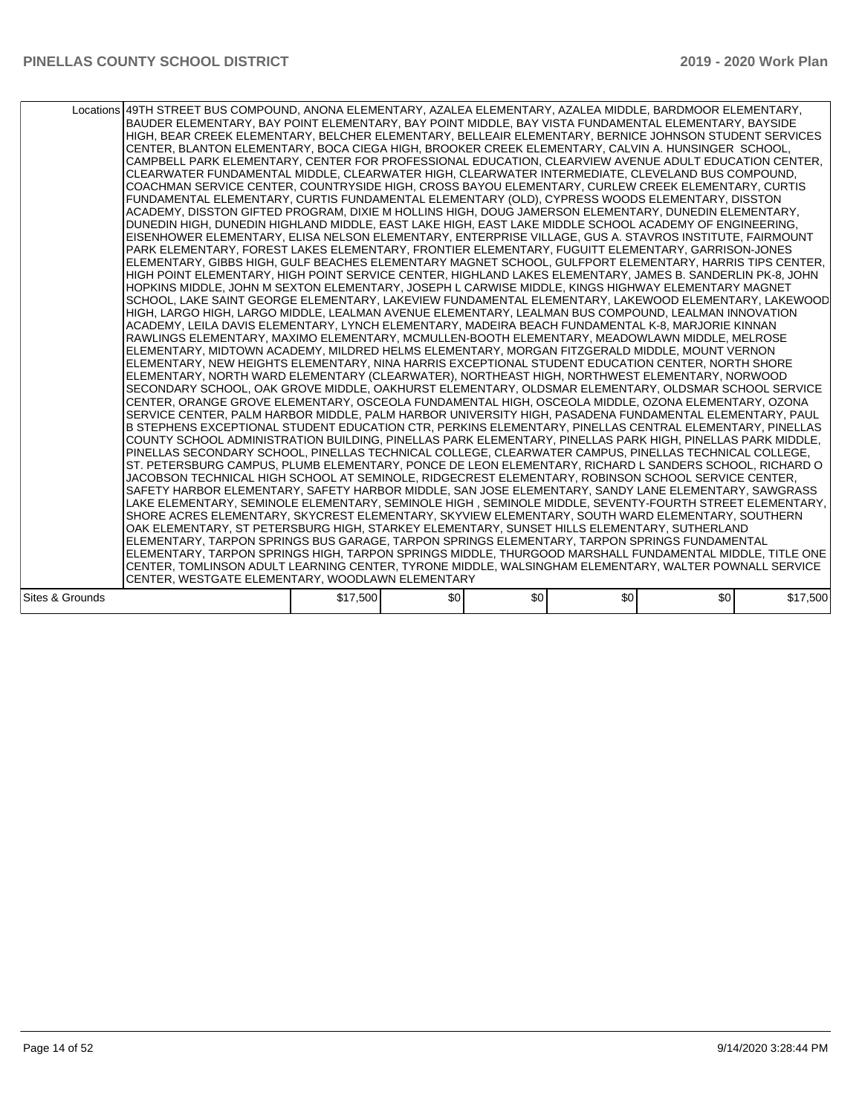|                 | Locations 49TH STREET BUS COMPOUND, ANONA ELEMENTARY, AZALEA ELEMENTARY, AZALEA MIDDLE, BARDMOOR ELEMENTARY,<br>BAUDER ELEMENTARY, BAY POINT ELEMENTARY, BAY POINT MIDDLE, BAY VISTA FUNDAMENTAL ELEMENTARY, BAYSIDE<br>HIGH, BEAR CREEK ELEMENTARY, BELCHER ELEMENTARY, BELLEAIR ELEMENTARY, BERNICE JOHNSON STUDENT SERVICES<br>CENTER, BLANTON ELEMENTARY, BOCA CIEGA HIGH, BROOKER CREEK ELEMENTARY, CALVIN A. HUNSINGER SCHOOL,<br>CAMPBELL PARK ELEMENTARY, CENTER FOR PROFESSIONAL EDUCATION, CLEARVIEW AVENUE ADULT EDUCATION CENTER,<br>CLEARWATER FUNDAMENTAL MIDDLE, CLEARWATER HIGH, CLEARWATER INTERMEDIATE, CLEVELAND BUS COMPOUND,<br>COACHMAN SERVICE CENTER, COUNTRYSIDE HIGH, CROSS BAYOU ELEMENTARY, CURLEW CREEK ELEMENTARY, CURTIS<br>FUNDAMENTAL ELEMENTARY, CURTIS FUNDAMENTAL ELEMENTARY (OLD), CYPRESS WOODS ELEMENTARY, DISSTON<br>ACADEMY, DISSTON GIFTED PROGRAM, DIXIE M HOLLINS HIGH, DOUG JAMERSON ELEMENTARY, DUNEDIN ELEMENTARY,<br>DUNEDIN HIGH, DUNEDIN HIGHLAND MIDDLE, EAST LAKE HIGH, EAST LAKE MIDDLE SCHOOL ACADEMY OF ENGINEERING,<br>EISENHOWER ELEMENTARY, ELISA NELSON ELEMENTARY, ENTERPRISE VILLAGE, GUS A. STAVROS INSTITUTE, FAIRMOUNT<br>PARK ELEMENTARY, FOREST LAKES ELEMENTARY, FRONTIER ELEMENTARY, FUGUITT ELEMENTARY, GARRISON-JONES<br>ELEMENTARY, GIBBS HIGH, GULF BEACHES ELEMENTARY MAGNET SCHOOL, GULFPORT ELEMENTARY, HARRIS TIPS CENTER,<br>HIGH POINT ELEMENTARY, HIGH POINT SERVICE CENTER, HIGHLAND LAKES ELEMENTARY, JAMES B. SANDERLIN PK-8, JOHN<br>HOPKINS MIDDLE, JOHN M SEXTON ELEMENTARY, JOSEPH L CARWISE MIDDLE, KINGS HIGHWAY ELEMENTARY MAGNET<br>SCHOOL, LAKE SAINT GEORGE ELEMENTARY, LAKEVIEW FUNDAMENTAL ELEMENTARY, LAKEWOOD ELEMENTARY, LAKEWOOD<br>HIGH, LARGO HIGH, LARGO MIDDLE, LEALMAN AVENUE ELEMENTARY, LEALMAN BUS COMPOUND, LEALMAN INNOVATION<br>ACADEMY. LEILA DAVIS ELEMENTARY. LYNCH ELEMENTARY. MADEIRA BEACH FUNDAMENTAL K-8. MARJORIE KINNAN<br>RAWLINGS ELEMENTARY, MAXIMO ELEMENTARY, MCMULLEN-BOOTH ELEMENTARY, MEADOWLAWN MIDDLE, MELROSE<br>ELEMENTARY, MIDTOWN ACADEMY, MILDRED HELMS ELEMENTARY, MORGAN FITZGERALD MIDDLE, MOUNT VERNON<br>ELEMENTARY, NEW HEIGHTS ELEMENTARY, NINA HARRIS EXCEPTIONAL STUDENT EDUCATION CENTER, NORTH SHORE<br>ELEMENTARY, NORTH WARD ELEMENTARY (CLEARWATER), NORTHEAST HIGH, NORTHWEST ELEMENTARY, NORWOOD<br>SECONDARY SCHOOL, OAK GROVE MIDDLE, OAKHURST ELEMENTARY, OLDSMAR ELEMENTARY, OLDSMAR SCHOOL SERVICE<br>CENTER, ORANGE GROVE ELEMENTARY, OSCEOLA FUNDAMENTAL HIGH, OSCEOLA MIDDLE, OZONA ELEMENTARY, OZONA<br>SERVICE CENTER. PALM HARBOR MIDDLE. PALM HARBOR UNIVERSITY HIGH. PASADENA FUNDAMENTAL ELEMENTARY. PAUL<br>B STEPHENS EXCEPTIONAL STUDENT EDUCATION CTR, PERKINS ELEMENTARY, PINELLAS CENTRAL ELEMENTARY, PINELLAS<br>COUNTY SCHOOL ADMINISTRATION BUILDING, PINELLAS PARK ELEMENTARY, PINELLAS PARK HIGH, PINELLAS PARK MIDDLE,<br>PINELLAS SECONDARY SCHOOL, PINELLAS TECHNICAL COLLEGE, CLEARWATER CAMPUS, PINELLAS TECHNICAL COLLEGE,<br>ST. PETERSBURG CAMPUS, PLUMB ELEMENTARY, PONCE DE LEON ELEMENTARY, RICHARD L SANDERS SCHOOL, RICHARD O<br>JACOBSON TECHNICAL HIGH SCHOOL AT SEMINOLE, RIDGECREST ELEMENTARY, ROBINSON SCHOOL SERVICE CENTER,<br>SAFETY HARBOR ELEMENTARY, SAFETY HARBOR MIDDLE, SAN JOSE ELEMENTARY, SANDY LANE ELEMENTARY, SAWGRASS<br>LAKE ELEMENTARY, SEMINOLE ELEMENTARY, SEMINOLE HIGH, SEMINOLE MIDDLE, SEVENTY-FOURTH STREET ELEMENTARY,<br>SHORE ACRES ELEMENTARY, SKYCREST ELEMENTARY, SKYVIEW ELEMENTARY, SOUTH WARD ELEMENTARY, SOUTHERN<br>OAK ELEMENTARY, ST PETERSBURG HIGH, STARKEY ELEMENTARY, SUNSET HILLS ELEMENTARY, SUTHERLAND<br>ELEMENTARY, TARPON SPRINGS BUS GARAGE, TARPON SPRINGS ELEMENTARY, TARPON SPRINGS FUNDAMENTAL<br>ELEMENTARY, TARPON SPRINGS HIGH, TARPON SPRINGS MIDDLE, THURGOOD MARSHALL FUNDAMENTAL MIDDLE, TITLE ONE<br>CENTER, TOMLINSON ADULT LEARNING CENTER, TYRONE MIDDLE, WALSINGHAM ELEMENTARY, WALTER POWNALL SERVICE<br>CENTER, WESTGATE ELEMENTARY, WOODLAWN ELEMENTARY |          |     |     |     |     |          |
|-----------------|-------------------------------------------------------------------------------------------------------------------------------------------------------------------------------------------------------------------------------------------------------------------------------------------------------------------------------------------------------------------------------------------------------------------------------------------------------------------------------------------------------------------------------------------------------------------------------------------------------------------------------------------------------------------------------------------------------------------------------------------------------------------------------------------------------------------------------------------------------------------------------------------------------------------------------------------------------------------------------------------------------------------------------------------------------------------------------------------------------------------------------------------------------------------------------------------------------------------------------------------------------------------------------------------------------------------------------------------------------------------------------------------------------------------------------------------------------------------------------------------------------------------------------------------------------------------------------------------------------------------------------------------------------------------------------------------------------------------------------------------------------------------------------------------------------------------------------------------------------------------------------------------------------------------------------------------------------------------------------------------------------------------------------------------------------------------------------------------------------------------------------------------------------------------------------------------------------------------------------------------------------------------------------------------------------------------------------------------------------------------------------------------------------------------------------------------------------------------------------------------------------------------------------------------------------------------------------------------------------------------------------------------------------------------------------------------------------------------------------------------------------------------------------------------------------------------------------------------------------------------------------------------------------------------------------------------------------------------------------------------------------------------------------------------------------------------------------------------------------------------------------------------------------------------------------------------------------------------------------------------------------------------------------------------------------------------------------------------------------------------------------------------------------------------------------------------------------------------------------------------------------------------------------------------------------------------------------------------------------------------------------------------------------------------------------------------------------------------------------------------------------------------------------------------------------------------------------------------------------------------------------------------------------------------------------------------------------------------------------------------------------------------------------|----------|-----|-----|-----|-----|----------|
| Sites & Grounds |                                                                                                                                                                                                                                                                                                                                                                                                                                                                                                                                                                                                                                                                                                                                                                                                                                                                                                                                                                                                                                                                                                                                                                                                                                                                                                                                                                                                                                                                                                                                                                                                                                                                                                                                                                                                                                                                                                                                                                                                                                                                                                                                                                                                                                                                                                                                                                                                                                                                                                                                                                                                                                                                                                                                                                                                                                                                                                                                                                                                                                                                                                                                                                                                                                                                                                                                                                                                                                                                                                                                                                                                                                                                                                                                                                                                                                                                                                                                                                                                                               |          |     |     |     | \$0 |          |
|                 |                                                                                                                                                                                                                                                                                                                                                                                                                                                                                                                                                                                                                                                                                                                                                                                                                                                                                                                                                                                                                                                                                                                                                                                                                                                                                                                                                                                                                                                                                                                                                                                                                                                                                                                                                                                                                                                                                                                                                                                                                                                                                                                                                                                                                                                                                                                                                                                                                                                                                                                                                                                                                                                                                                                                                                                                                                                                                                                                                                                                                                                                                                                                                                                                                                                                                                                                                                                                                                                                                                                                                                                                                                                                                                                                                                                                                                                                                                                                                                                                                               | \$17,500 | \$0 | \$0 | \$0 |     | \$17,500 |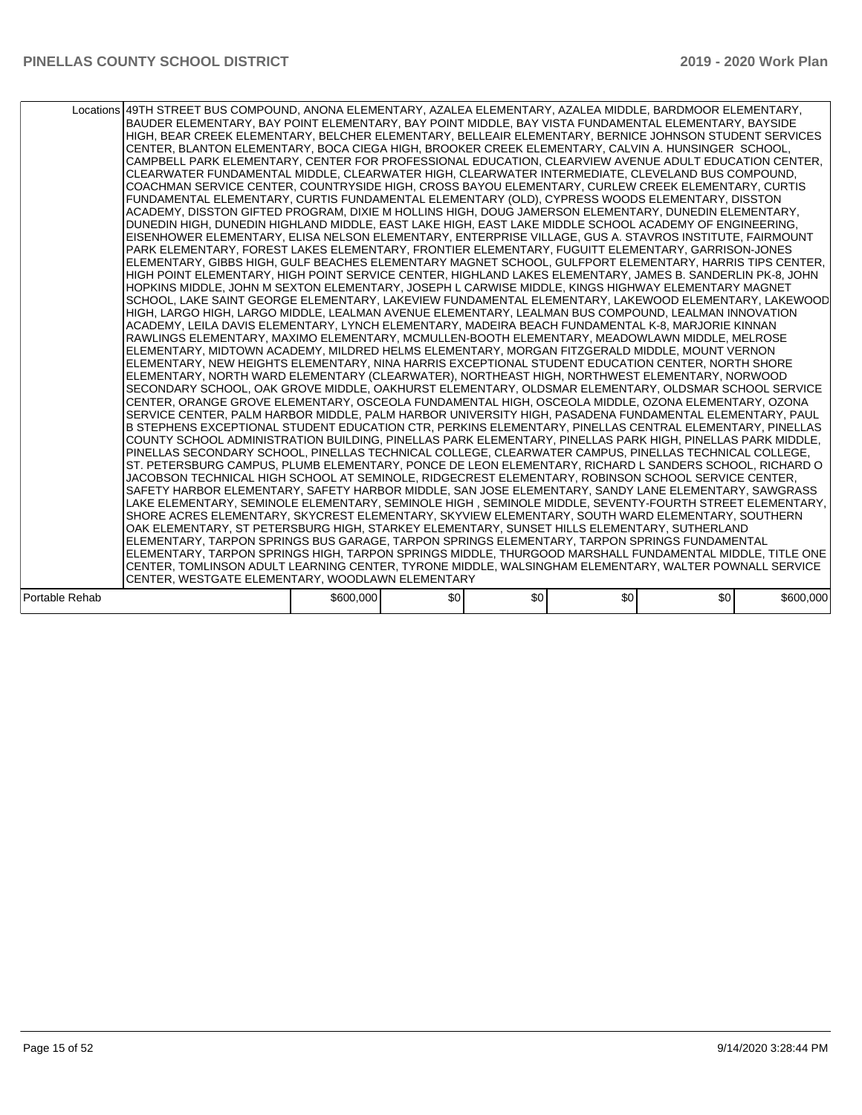|                | Locations 49TH STREET BUS COMPOUND, ANONA ELEMENTARY, AZALEA ELEMENTARY, AZALEA MIDDLE, BARDMOOR ELEMENTARY,<br>BAUDER ELEMENTARY. BAY POINT ELEMENTARY. BAY POINT MIDDLE. BAY VISTA FUNDAMENTAL ELEMENTARY. BAYSIDE<br>HIGH, BEAR CREEK ELEMENTARY, BELCHER ELEMENTARY, BELLEAIR ELEMENTARY, BERNICE JOHNSON STUDENT SERVICES<br>CENTER, BLANTON ELEMENTARY, BOCA CIEGA HIGH, BROOKER CREEK ELEMENTARY, CALVIN A. HUNSINGER SCHOOL,<br>CAMPBELL PARK ELEMENTARY, CENTER FOR PROFESSIONAL EDUCATION, CLEARVIEW AVENUE ADULT EDUCATION CENTER,<br>CLEARWATER FUNDAMENTAL MIDDLE, CLEARWATER HIGH, CLEARWATER INTERMEDIATE, CLEVELAND BUS COMPOUND.<br>COACHMAN SERVICE CENTER, COUNTRYSIDE HIGH, CROSS BAYOU ELEMENTARY, CURLEW CREEK ELEMENTARY, CURTIS<br>FUNDAMENTAL ELEMENTARY, CURTIS FUNDAMENTAL ELEMENTARY (OLD), CYPRESS WOODS ELEMENTARY, DISSTON<br>ACADEMY, DISSTON GIFTED PROGRAM, DIXIE M HOLLINS HIGH, DOUG JAMERSON ELEMENTARY, DUNEDIN ELEMENTARY,<br>DUNEDIN HIGH, DUNEDIN HIGHLAND MIDDLE, EAST LAKE HIGH, EAST LAKE MIDDLE SCHOOL ACADEMY OF ENGINEERING,<br>EISENHOWER ELEMENTARY, ELISA NELSON ELEMENTARY, ENTERPRISE VILLAGE, GUS A. STAVROS INSTITUTE, FAIRMOUNT<br>PARK ELEMENTARY, FOREST LAKES ELEMENTARY, FRONTIER ELEMENTARY, FUGUITT ELEMENTARY, GARRISON-JONES<br>ELEMENTARY, GIBBS HIGH, GULF BEACHES ELEMENTARY MAGNET SCHOOL, GULFPORT ELEMENTARY, HARRIS TIPS CENTER,<br>HIGH POINT ELEMENTARY, HIGH POINT SERVICE CENTER, HIGHLAND LAKES ELEMENTARY, JAMES B. SANDERLIN PK-8, JOHN<br>HOPKINS MIDDLE, JOHN M SEXTON ELEMENTARY, JOSEPH L CARWISE MIDDLE, KINGS HIGHWAY ELEMENTARY MAGNET<br>SCHOOL, LAKE SAINT GEORGE ELEMENTARY, LAKEVIEW FUNDAMENTAL ELEMENTARY, LAKEWOOD ELEMENTARY, LAKEWOOD<br>HIGH, LARGO HIGH, LARGO MIDDLE, LEALMAN AVENUE ELEMENTARY, LEALMAN BUS COMPOUND, LEALMAN INNOVATION<br>ACADEMY, LEILA DAVIS ELEMENTARY, LYNCH ELEMENTARY, MADEIRA BEACH FUNDAMENTAL K-8, MARJORIE KINNAN<br>RAWLINGS ELEMENTARY, MAXIMO ELEMENTARY, MCMULLEN-BOOTH ELEMENTARY, MEADOWLAWN MIDDLE, MELROSE<br>ELEMENTARY, MIDTOWN ACADEMY, MILDRED HELMS ELEMENTARY, MORGAN FITZGERALD MIDDLE, MOUNT VERNON<br>ELEMENTARY, NEW HEIGHTS ELEMENTARY, NINA HARRIS EXCEPTIONAL STUDENT EDUCATION CENTER, NORTH SHORE<br>ELEMENTARY, NORTH WARD ELEMENTARY (CLEARWATER), NORTHEAST HIGH, NORTHWEST ELEMENTARY, NORWOOD<br>SECONDARY SCHOOL, OAK GROVE MIDDLE, OAKHURST ELEMENTARY, OLDSMAR ELEMENTARY, OLDSMAR SCHOOL SERVICE<br>CENTER, ORANGE GROVE ELEMENTARY, OSCEOLA FUNDAMENTAL HIGH, OSCEOLA MIDDLE, OZONA ELEMENTARY, OZONA<br>SERVICE CENTER, PALM HARBOR MIDDLE, PALM HARBOR UNIVERSITY HIGH, PASADENA FUNDAMENTAL ELEMENTARY, PAUL<br>B STEPHENS EXCEPTIONAL STUDENT EDUCATION CTR, PERKINS ELEMENTARY, PINELLAS CENTRAL ELEMENTARY, PINELLAS<br>COUNTY SCHOOL ADMINISTRATION BUILDING, PINELLAS PARK ELEMENTARY, PINELLAS PARK HIGH, PINELLAS PARK MIDDLE,<br>PINELLAS SECONDARY SCHOOL. PINELLAS TECHNICAL COLLEGE. CLEARWATER CAMPUS. PINELLAS TECHNICAL COLLEGE.<br>ST. PETERSBURG CAMPUS, PLUMB ELEMENTARY, PONCE DE LEON ELEMENTARY, RICHARD L SANDERS SCHOOL, RICHARD O<br>JACOBSON TECHNICAL HIGH SCHOOL AT SEMINOLE, RIDGECREST ELEMENTARY, ROBINSON SCHOOL SERVICE CENTER,<br>SAFETY HARBOR ELEMENTARY, SAFETY HARBOR MIDDLE, SAN JOSE ELEMENTARY, SANDY LANE ELEMENTARY, SAWGRASS<br>LAKE ELEMENTARY, SEMINOLE ELEMENTARY, SEMINOLE HIGH, SEMINOLE MIDDLE, SEVENTY-FOURTH STREET ELEMENTARY,<br>SHORE ACRES ELEMENTARY, SKYCREST ELEMENTARY, SKYVIEW ELEMENTARY, SOUTH WARD ELEMENTARY, SOUTHERN<br>OAK ELEMENTARY, ST PETERSBURG HIGH, STARKEY ELEMENTARY, SUNSET HILLS ELEMENTARY, SUTHERLAND<br>ELEMENTARY, TARPON SPRINGS BUS GARAGE, TARPON SPRINGS ELEMENTARY, TARPON SPRINGS FUNDAMENTAL<br>ELEMENTARY, TARPON SPRINGS HIGH, TARPON SPRINGS MIDDLE, THURGOOD MARSHALL FUNDAMENTAL MIDDLE, TITLE ONE<br>CENTER, TOMLINSON ADULT LEARNING CENTER, TYRONE MIDDLE, WALSINGHAM ELEMENTARY, WALTER POWNALL SERVICE |           |     |     |     |     |           |
|----------------|---------------------------------------------------------------------------------------------------------------------------------------------------------------------------------------------------------------------------------------------------------------------------------------------------------------------------------------------------------------------------------------------------------------------------------------------------------------------------------------------------------------------------------------------------------------------------------------------------------------------------------------------------------------------------------------------------------------------------------------------------------------------------------------------------------------------------------------------------------------------------------------------------------------------------------------------------------------------------------------------------------------------------------------------------------------------------------------------------------------------------------------------------------------------------------------------------------------------------------------------------------------------------------------------------------------------------------------------------------------------------------------------------------------------------------------------------------------------------------------------------------------------------------------------------------------------------------------------------------------------------------------------------------------------------------------------------------------------------------------------------------------------------------------------------------------------------------------------------------------------------------------------------------------------------------------------------------------------------------------------------------------------------------------------------------------------------------------------------------------------------------------------------------------------------------------------------------------------------------------------------------------------------------------------------------------------------------------------------------------------------------------------------------------------------------------------------------------------------------------------------------------------------------------------------------------------------------------------------------------------------------------------------------------------------------------------------------------------------------------------------------------------------------------------------------------------------------------------------------------------------------------------------------------------------------------------------------------------------------------------------------------------------------------------------------------------------------------------------------------------------------------------------------------------------------------------------------------------------------------------------------------------------------------------------------------------------------------------------------------------------------------------------------------------------------------------------------------------------------------------------------------------------------------------------------------------------------------------------------------------------------------------------------------------------------------------------------------------------------------------------------------------------------------------------------------------------------------------------------------------------------------------------------------------------------------------------------------------------|-----------|-----|-----|-----|-----|-----------|
|                |                                                                                                                                                                                                                                                                                                                                                                                                                                                                                                                                                                                                                                                                                                                                                                                                                                                                                                                                                                                                                                                                                                                                                                                                                                                                                                                                                                                                                                                                                                                                                                                                                                                                                                                                                                                                                                                                                                                                                                                                                                                                                                                                                                                                                                                                                                                                                                                                                                                                                                                                                                                                                                                                                                                                                                                                                                                                                                                                                                                                                                                                                                                                                                                                                                                                                                                                                                                                                                                                                                                                                                                                                                                                                                                                                                                                                                                                                                                                                                           |           |     |     |     |     |           |
|                |                                                                                                                                                                                                                                                                                                                                                                                                                                                                                                                                                                                                                                                                                                                                                                                                                                                                                                                                                                                                                                                                                                                                                                                                                                                                                                                                                                                                                                                                                                                                                                                                                                                                                                                                                                                                                                                                                                                                                                                                                                                                                                                                                                                                                                                                                                                                                                                                                                                                                                                                                                                                                                                                                                                                                                                                                                                                                                                                                                                                                                                                                                                                                                                                                                                                                                                                                                                                                                                                                                                                                                                                                                                                                                                                                                                                                                                                                                                                                                           |           |     |     |     |     |           |
|                |                                                                                                                                                                                                                                                                                                                                                                                                                                                                                                                                                                                                                                                                                                                                                                                                                                                                                                                                                                                                                                                                                                                                                                                                                                                                                                                                                                                                                                                                                                                                                                                                                                                                                                                                                                                                                                                                                                                                                                                                                                                                                                                                                                                                                                                                                                                                                                                                                                                                                                                                                                                                                                                                                                                                                                                                                                                                                                                                                                                                                                                                                                                                                                                                                                                                                                                                                                                                                                                                                                                                                                                                                                                                                                                                                                                                                                                                                                                                                                           |           |     |     |     |     |           |
|                | CENTER, WESTGATE ELEMENTARY, WOODLAWN ELEMENTARY                                                                                                                                                                                                                                                                                                                                                                                                                                                                                                                                                                                                                                                                                                                                                                                                                                                                                                                                                                                                                                                                                                                                                                                                                                                                                                                                                                                                                                                                                                                                                                                                                                                                                                                                                                                                                                                                                                                                                                                                                                                                                                                                                                                                                                                                                                                                                                                                                                                                                                                                                                                                                                                                                                                                                                                                                                                                                                                                                                                                                                                                                                                                                                                                                                                                                                                                                                                                                                                                                                                                                                                                                                                                                                                                                                                                                                                                                                                          |           |     |     |     |     |           |
|                |                                                                                                                                                                                                                                                                                                                                                                                                                                                                                                                                                                                                                                                                                                                                                                                                                                                                                                                                                                                                                                                                                                                                                                                                                                                                                                                                                                                                                                                                                                                                                                                                                                                                                                                                                                                                                                                                                                                                                                                                                                                                                                                                                                                                                                                                                                                                                                                                                                                                                                                                                                                                                                                                                                                                                                                                                                                                                                                                                                                                                                                                                                                                                                                                                                                                                                                                                                                                                                                                                                                                                                                                                                                                                                                                                                                                                                                                                                                                                                           |           |     |     |     |     |           |
| Portable Rehab |                                                                                                                                                                                                                                                                                                                                                                                                                                                                                                                                                                                                                                                                                                                                                                                                                                                                                                                                                                                                                                                                                                                                                                                                                                                                                                                                                                                                                                                                                                                                                                                                                                                                                                                                                                                                                                                                                                                                                                                                                                                                                                                                                                                                                                                                                                                                                                                                                                                                                                                                                                                                                                                                                                                                                                                                                                                                                                                                                                                                                                                                                                                                                                                                                                                                                                                                                                                                                                                                                                                                                                                                                                                                                                                                                                                                                                                                                                                                                                           | \$600,000 | \$0 | \$0 | \$0 | \$0 | \$600,000 |
|                |                                                                                                                                                                                                                                                                                                                                                                                                                                                                                                                                                                                                                                                                                                                                                                                                                                                                                                                                                                                                                                                                                                                                                                                                                                                                                                                                                                                                                                                                                                                                                                                                                                                                                                                                                                                                                                                                                                                                                                                                                                                                                                                                                                                                                                                                                                                                                                                                                                                                                                                                                                                                                                                                                                                                                                                                                                                                                                                                                                                                                                                                                                                                                                                                                                                                                                                                                                                                                                                                                                                                                                                                                                                                                                                                                                                                                                                                                                                                                                           |           |     |     |     |     |           |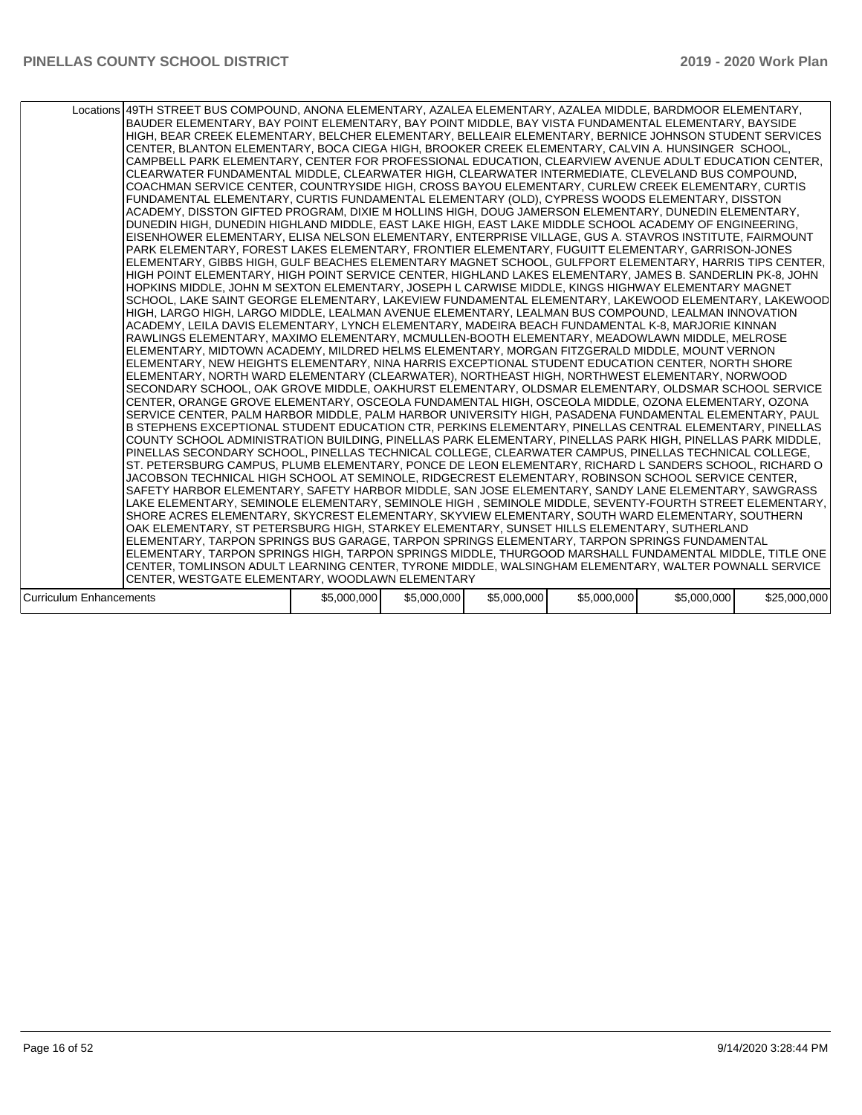|                         | Locations 49TH STREET BUS COMPOUND, ANONA ELEMENTARY, AZALEA ELEMENTARY, AZALEA MIDDLE, BARDMOOR ELEMENTARY,<br>BAUDER ELEMENTARY, BAY POINT ELEMENTARY, BAY POINT MIDDLE, BAY VISTA FUNDAMENTAL ELEMENTARY, BAYSIDE<br>HIGH, BEAR CREEK ELEMENTARY, BELCHER ELEMENTARY, BELLEAIR ELEMENTARY, BERNICE JOHNSON STUDENT SERVICES<br>CENTER, BLANTON ELEMENTARY, BOCA CIEGA HIGH, BROOKER CREEK ELEMENTARY, CALVIN A. HUNSINGER SCHOOL,<br>CAMPBELL PARK ELEMENTARY, CENTER FOR PROFESSIONAL EDUCATION, CLEARVIEW AVENUE ADULT EDUCATION CENTER,<br>CLEARWATER FUNDAMENTAL MIDDLE, CLEARWATER HIGH, CLEARWATER INTERMEDIATE, CLEVELAND BUS COMPOUND,<br>COACHMAN SERVICE CENTER, COUNTRYSIDE HIGH, CROSS BAYOU ELEMENTARY, CURLEW CREEK ELEMENTARY, CURTIS<br>FUNDAMENTAL ELEMENTARY, CURTIS FUNDAMENTAL ELEMENTARY (OLD), CYPRESS WOODS ELEMENTARY, DISSTON<br>ACADEMY, DISSTON GIFTED PROGRAM, DIXIE M HOLLINS HIGH, DOUG JAMERSON ELEMENTARY, DUNEDIN ELEMENTARY,<br>DUNEDIN HIGH, DUNEDIN HIGHLAND MIDDLE, EAST LAKE HIGH, EAST LAKE MIDDLE SCHOOL ACADEMY OF ENGINEERING,<br>EISENHOWER ELEMENTARY, ELISA NELSON ELEMENTARY, ENTERPRISE VILLAGE, GUS A. STAVROS INSTITUTE, FAIRMOUNT<br>PARK ELEMENTARY, FOREST LAKES ELEMENTARY, FRONTIER ELEMENTARY, FUGUITT ELEMENTARY, GARRISON-JONES<br>ELEMENTARY, GIBBS HIGH, GULF BEACHES ELEMENTARY MAGNET SCHOOL, GULFPORT ELEMENTARY, HARRIS TIPS CENTER,<br>HIGH POINT ELEMENTARY, HIGH POINT SERVICE CENTER, HIGHLAND LAKES ELEMENTARY, JAMES B. SANDERLIN PK-8, JOHN<br>HOPKINS MIDDLE, JOHN M SEXTON ELEMENTARY, JOSEPH L CARWISE MIDDLE, KINGS HIGHWAY ELEMENTARY MAGNET<br>SCHOOL, LAKE SAINT GEORGE ELEMENTARY, LAKEVIEW FUNDAMENTAL ELEMENTARY, LAKEWOOD ELEMENTARY, LAKEWOOD<br>HIGH, LARGO HIGH, LARGO MIDDLE, LEALMAN AVENUE ELEMENTARY, LEALMAN BUS COMPOUND, LEALMAN INNOVATION<br>ACADEMY, LEILA DAVIS ELEMENTARY, LYNCH ELEMENTARY, MADEIRA BEACH FUNDAMENTAL K-8, MARJORIE KINNAN<br>RAWLINGS ELEMENTARY, MAXIMO ELEMENTARY, MCMULLEN-BOOTH ELEMENTARY, MEADOWLAWN MIDDLE, MELROSE<br>ELEMENTARY, MIDTOWN ACADEMY, MILDRED HELMS ELEMENTARY, MORGAN FITZGERALD MIDDLE, MOUNT VERNON<br>ELEMENTARY. NEW HEIGHTS ELEMENTARY. NINA HARRIS EXCEPTIONAL STUDENT EDUCATION CENTER. NORTH SHORE<br>ELEMENTARY, NORTH WARD ELEMENTARY (CLEARWATER), NORTHEAST HIGH, NORTHWEST ELEMENTARY, NORWOOD<br>SECONDARY SCHOOL, OAK GROVE MIDDLE, OAKHURST ELEMENTARY, OLDSMAR ELEMENTARY, OLDSMAR SCHOOL SERVICE<br>CENTER, ORANGE GROVE ELEMENTARY, OSCEOLA FUNDAMENTAL HIGH, OSCEOLA MIDDLE, OZONA ELEMENTARY, OZONA<br>SERVICE CENTER, PALM HARBOR MIDDLE, PALM HARBOR UNIVERSITY HIGH, PASADENA FUNDAMENTAL ELEMENTARY, PAUL<br>B STEPHENS EXCEPTIONAL STUDENT EDUCATION CTR, PERKINS ELEMENTARY, PINELLAS CENTRAL ELEMENTARY, PINELLAS<br>COUNTY SCHOOL ADMINISTRATION BUILDING, PINELLAS PARK ELEMENTARY, PINELLAS PARK HIGH, PINELLAS PARK MIDDLE,<br>PINELLAS SECONDARY SCHOOL, PINELLAS TECHNICAL COLLEGE, CLEARWATER CAMPUS, PINELLAS TECHNICAL COLLEGE,<br>ST. PETERSBURG CAMPUS, PLUMB ELEMENTARY, PONCE DE LEON ELEMENTARY, RICHARD L SANDERS SCHOOL, RICHARD O<br>JACOBSON TECHNICAL HIGH SCHOOL AT SEMINOLE, RIDGECREST ELEMENTARY, ROBINSON SCHOOL SERVICE CENTER,<br>SAFETY HARBOR ELEMENTARY, SAFETY HARBOR MIDDLE, SAN JOSE ELEMENTARY, SANDY LANE ELEMENTARY, SAWGRASS<br>LAKE ELEMENTARY, SEMINOLE ELEMENTARY, SEMINOLE HIGH , SEMINOLE MIDDLE, SEVENTY-FOURTH STREET ELEMENTARY,<br>SHORE ACRES ELEMENTARY, SKYCREST ELEMENTARY, SKYVIEW ELEMENTARY, SOUTH WARD ELEMENTARY, SOUTHERN<br>OAK ELEMENTARY, ST PETERSBURG HIGH, STARKEY ELEMENTARY, SUNSET HILLS ELEMENTARY, SUTHERLAND<br>ELEMENTARY, TARPON SPRINGS BUS GARAGE, TARPON SPRINGS ELEMENTARY, TARPON SPRINGS FUNDAMENTAL<br>ELEMENTARY, TARPON SPRINGS HIGH, TARPON SPRINGS MIDDLE, THURGOOD MARSHALL FUNDAMENTAL MIDDLE, TITLE ONE<br>CENTER, TOMLINSON ADULT LEARNING CENTER, TYRONE MIDDLE, WALSINGHAM ELEMENTARY, WALTER POWNALL SERVICE |             |             |             |             |             |              |
|-------------------------|----------------------------------------------------------------------------------------------------------------------------------------------------------------------------------------------------------------------------------------------------------------------------------------------------------------------------------------------------------------------------------------------------------------------------------------------------------------------------------------------------------------------------------------------------------------------------------------------------------------------------------------------------------------------------------------------------------------------------------------------------------------------------------------------------------------------------------------------------------------------------------------------------------------------------------------------------------------------------------------------------------------------------------------------------------------------------------------------------------------------------------------------------------------------------------------------------------------------------------------------------------------------------------------------------------------------------------------------------------------------------------------------------------------------------------------------------------------------------------------------------------------------------------------------------------------------------------------------------------------------------------------------------------------------------------------------------------------------------------------------------------------------------------------------------------------------------------------------------------------------------------------------------------------------------------------------------------------------------------------------------------------------------------------------------------------------------------------------------------------------------------------------------------------------------------------------------------------------------------------------------------------------------------------------------------------------------------------------------------------------------------------------------------------------------------------------------------------------------------------------------------------------------------------------------------------------------------------------------------------------------------------------------------------------------------------------------------------------------------------------------------------------------------------------------------------------------------------------------------------------------------------------------------------------------------------------------------------------------------------------------------------------------------------------------------------------------------------------------------------------------------------------------------------------------------------------------------------------------------------------------------------------------------------------------------------------------------------------------------------------------------------------------------------------------------------------------------------------------------------------------------------------------------------------------------------------------------------------------------------------------------------------------------------------------------------------------------------------------------------------------------------------------------------------------------------------------------------------------------------------------------------------------------------------------------------------------------------------------|-------------|-------------|-------------|-------------|-------------|--------------|
|                         | CENTER, WESTGATE ELEMENTARY, WOODLAWN ELEMENTARY                                                                                                                                                                                                                                                                                                                                                                                                                                                                                                                                                                                                                                                                                                                                                                                                                                                                                                                                                                                                                                                                                                                                                                                                                                                                                                                                                                                                                                                                                                                                                                                                                                                                                                                                                                                                                                                                                                                                                                                                                                                                                                                                                                                                                                                                                                                                                                                                                                                                                                                                                                                                                                                                                                                                                                                                                                                                                                                                                                                                                                                                                                                                                                                                                                                                                                                                                                                                                                                                                                                                                                                                                                                                                                                                                                                                                                                                                                                           |             |             |             |             |             |              |
|                         |                                                                                                                                                                                                                                                                                                                                                                                                                                                                                                                                                                                                                                                                                                                                                                                                                                                                                                                                                                                                                                                                                                                                                                                                                                                                                                                                                                                                                                                                                                                                                                                                                                                                                                                                                                                                                                                                                                                                                                                                                                                                                                                                                                                                                                                                                                                                                                                                                                                                                                                                                                                                                                                                                                                                                                                                                                                                                                                                                                                                                                                                                                                                                                                                                                                                                                                                                                                                                                                                                                                                                                                                                                                                                                                                                                                                                                                                                                                                                                            | \$5,000,000 | \$5,000,000 | \$5,000,000 | \$5,000,000 | \$5,000,000 | \$25,000,000 |
| Curriculum Enhancements |                                                                                                                                                                                                                                                                                                                                                                                                                                                                                                                                                                                                                                                                                                                                                                                                                                                                                                                                                                                                                                                                                                                                                                                                                                                                                                                                                                                                                                                                                                                                                                                                                                                                                                                                                                                                                                                                                                                                                                                                                                                                                                                                                                                                                                                                                                                                                                                                                                                                                                                                                                                                                                                                                                                                                                                                                                                                                                                                                                                                                                                                                                                                                                                                                                                                                                                                                                                                                                                                                                                                                                                                                                                                                                                                                                                                                                                                                                                                                                            |             |             |             |             |             |              |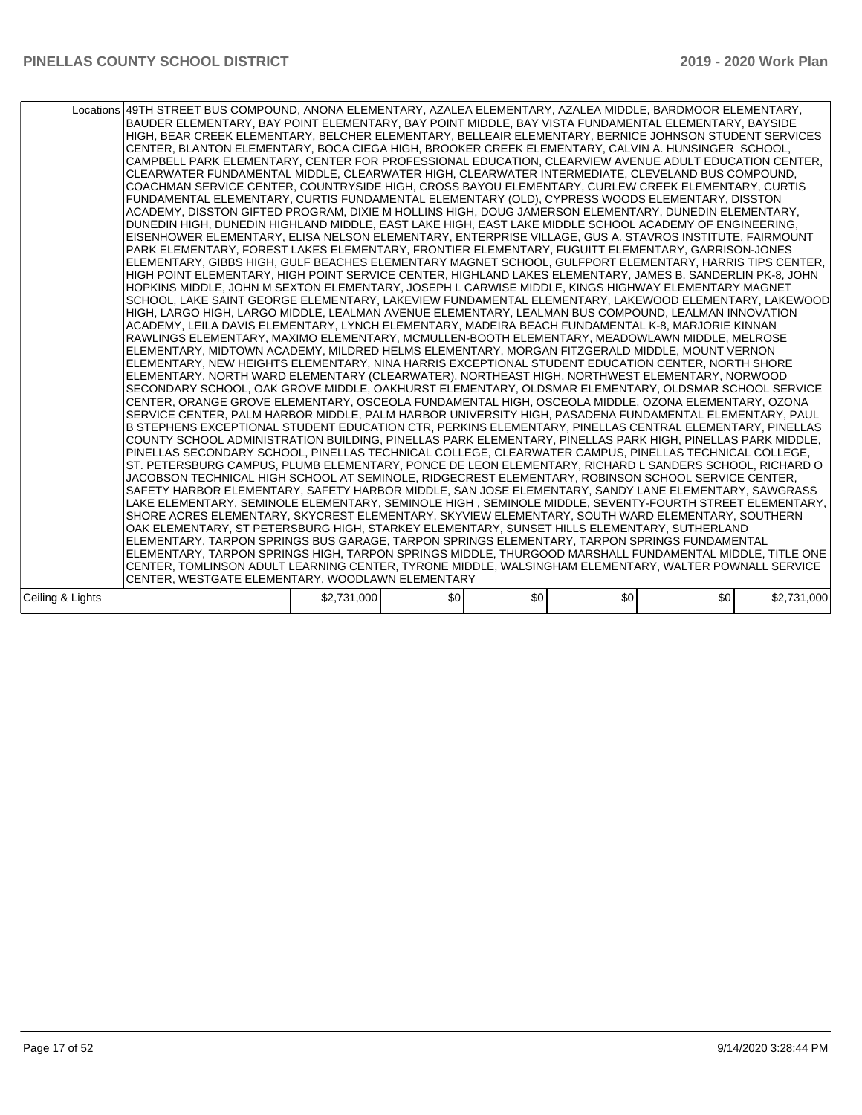|                  | Locations 49TH STREET BUS COMPOUND, ANONA ELEMENTARY, AZALEA ELEMENTARY, AZALEA MIDDLE, BARDMOOR ELEMENTARY,<br>BAUDER ELEMENTARY, BAY POINT ELEMENTARY, BAY POINT MIDDLE, BAY VISTA FUNDAMENTAL ELEMENTARY, BAYSIDE<br>HIGH, BEAR CREEK ELEMENTARY, BELCHER ELEMENTARY, BELLEAIR ELEMENTARY, BERNICE JOHNSON STUDENT SERVICES<br>CENTER, BLANTON ELEMENTARY, BOCA CIEGA HIGH, BROOKER CREEK ELEMENTARY, CALVIN A. HUNSINGER SCHOOL,<br>CAMPBELL PARK ELEMENTARY, CENTER FOR PROFESSIONAL EDUCATION, CLEARVIEW AVENUE ADULT EDUCATION CENTER,<br>CLEARWATER FUNDAMENTAL MIDDLE, CLEARWATER HIGH, CLEARWATER INTERMEDIATE, CLEVELAND BUS COMPOUND.<br>COACHMAN SERVICE CENTER, COUNTRYSIDE HIGH, CROSS BAYOU ELEMENTARY, CURLEW CREEK ELEMENTARY, CURTIS<br>FUNDAMENTAL ELEMENTARY, CURTIS FUNDAMENTAL ELEMENTARY (OLD), CYPRESS WOODS ELEMENTARY, DISSTON<br>ACADEMY, DISSTON GIFTED PROGRAM, DIXIE M HOLLINS HIGH, DOUG JAMERSON ELEMENTARY, DUNEDIN ELEMENTARY,<br>DUNEDIN HIGH, DUNEDIN HIGHLAND MIDDLE, EAST LAKE HIGH, EAST LAKE MIDDLE SCHOOL ACADEMY OF ENGINEERING,<br>EISENHOWER ELEMENTARY, ELISA NELSON ELEMENTARY, ENTERPRISE VILLAGE, GUS A. STAVROS INSTITUTE, FAIRMOUNT<br>PARK ELEMENTARY, FOREST LAKES ELEMENTARY, FRONTIER ELEMENTARY, FUGUITT ELEMENTARY, GARRISON-JONES<br>ELEMENTARY, GIBBS HIGH, GULF BEACHES ELEMENTARY MAGNET SCHOOL, GULFPORT ELEMENTARY, HARRIS TIPS CENTER,<br>HIGH POINT ELEMENTARY, HIGH POINT SERVICE CENTER, HIGHLAND LAKES ELEMENTARY, JAMES B. SANDERLIN PK-8, JOHN<br>HOPKINS MIDDLE, JOHN M SEXTON ELEMENTARY, JOSEPH L CARWISE MIDDLE, KINGS HIGHWAY ELEMENTARY MAGNET<br>SCHOOL, LAKE SAINT GEORGE ELEMENTARY, LAKEVIEW FUNDAMENTAL ELEMENTARY, LAKEWOOD ELEMENTARY, LAKEWOOD<br>HIGH, LARGO HIGH, LARGO MIDDLE, LEALMAN AVENUE ELEMENTARY, LEALMAN BUS COMPOUND, LEALMAN INNOVATION<br>ACADEMY. LEILA DAVIS ELEMENTARY. LYNCH ELEMENTARY. MADEIRA BEACH FUNDAMENTAL K-8. MARJORIE KINNAN<br>RAWLINGS ELEMENTARY, MAXIMO ELEMENTARY, MCMULLEN-BOOTH ELEMENTARY, MEADOWLAWN MIDDLE, MELROSE<br>ELEMENTARY, MIDTOWN ACADEMY, MILDRED HELMS ELEMENTARY, MORGAN FITZGERALD MIDDLE, MOUNT VERNON<br>ELEMENTARY, NEW HEIGHTS ELEMENTARY, NINA HARRIS EXCEPTIONAL STUDENT EDUCATION CENTER, NORTH SHORE<br>ELEMENTARY, NORTH WARD ELEMENTARY (CLEARWATER), NORTHEAST HIGH, NORTHWEST ELEMENTARY, NORWOOD<br>SECONDARY SCHOOL, OAK GROVE MIDDLE, OAKHURST ELEMENTARY, OLDSMAR ELEMENTARY, OLDSMAR SCHOOL SERVICE<br>CENTER, ORANGE GROVE ELEMENTARY, OSCEOLA FUNDAMENTAL HIGH, OSCEOLA MIDDLE, OZONA ELEMENTARY, OZONA<br>SERVICE CENTER, PALM HARBOR MIDDLE, PALM HARBOR UNIVERSITY HIGH, PASADENA FUNDAMENTAL ELEMENTARY, PAUL<br>B STEPHENS EXCEPTIONAL STUDENT EDUCATION CTR, PERKINS ELEMENTARY, PINELLAS CENTRAL ELEMENTARY, PINELLAS<br>COUNTY SCHOOL ADMINISTRATION BUILDING, PINELLAS PARK ELEMENTARY, PINELLAS PARK HIGH, PINELLAS PARK MIDDLE,<br>PINELLAS SECONDARY SCHOOL, PINELLAS TECHNICAL COLLEGE, CLEARWATER CAMPUS, PINELLAS TECHNICAL COLLEGE,<br>ST. PETERSBURG CAMPUS, PLUMB ELEMENTARY, PONCE DE LEON ELEMENTARY, RICHARD L SANDERS SCHOOL, RICHARD O<br>JACOBSON TECHNICAL HIGH SCHOOL AT SEMINOLE, RIDGECREST ELEMENTARY, ROBINSON SCHOOL SERVICE CENTER,<br>SAFETY HARBOR ELEMENTARY, SAFETY HARBOR MIDDLE, SAN JOSE ELEMENTARY, SANDY LANE ELEMENTARY, SAWGRASS<br>LAKE ELEMENTARY, SEMINOLE ELEMENTARY, SEMINOLE HIGH, SEMINOLE MIDDLE, SEVENTY-FOURTH STREET ELEMENTARY,<br>SHORE ACRES ELEMENTARY, SKYCREST ELEMENTARY, SKYVIEW ELEMENTARY, SOUTH WARD ELEMENTARY, SOUTHERN<br>OAK ELEMENTARY, ST PETERSBURG HIGH, STARKEY ELEMENTARY, SUNSET HILLS ELEMENTARY, SUTHERLAND<br>ELEMENTARY, TARPON SPRINGS BUS GARAGE, TARPON SPRINGS ELEMENTARY, TARPON SPRINGS FUNDAMENTAL<br>ELEMENTARY, TARPON SPRINGS HIGH, TARPON SPRINGS MIDDLE, THURGOOD MARSHALL FUNDAMENTAL MIDDLE, TITLE ONE |             |     |     |     |     |             |
|------------------|------------------------------------------------------------------------------------------------------------------------------------------------------------------------------------------------------------------------------------------------------------------------------------------------------------------------------------------------------------------------------------------------------------------------------------------------------------------------------------------------------------------------------------------------------------------------------------------------------------------------------------------------------------------------------------------------------------------------------------------------------------------------------------------------------------------------------------------------------------------------------------------------------------------------------------------------------------------------------------------------------------------------------------------------------------------------------------------------------------------------------------------------------------------------------------------------------------------------------------------------------------------------------------------------------------------------------------------------------------------------------------------------------------------------------------------------------------------------------------------------------------------------------------------------------------------------------------------------------------------------------------------------------------------------------------------------------------------------------------------------------------------------------------------------------------------------------------------------------------------------------------------------------------------------------------------------------------------------------------------------------------------------------------------------------------------------------------------------------------------------------------------------------------------------------------------------------------------------------------------------------------------------------------------------------------------------------------------------------------------------------------------------------------------------------------------------------------------------------------------------------------------------------------------------------------------------------------------------------------------------------------------------------------------------------------------------------------------------------------------------------------------------------------------------------------------------------------------------------------------------------------------------------------------------------------------------------------------------------------------------------------------------------------------------------------------------------------------------------------------------------------------------------------------------------------------------------------------------------------------------------------------------------------------------------------------------------------------------------------------------------------------------------------------------------------------------------------------------------------------------------------------------------------------------------------------------------------------------------------------------------------------------------------------------------------------------------------------------------------------------------------------------------------------------------------------------------------------------------------------|-------------|-----|-----|-----|-----|-------------|
|                  |                                                                                                                                                                                                                                                                                                                                                                                                                                                                                                                                                                                                                                                                                                                                                                                                                                                                                                                                                                                                                                                                                                                                                                                                                                                                                                                                                                                                                                                                                                                                                                                                                                                                                                                                                                                                                                                                                                                                                                                                                                                                                                                                                                                                                                                                                                                                                                                                                                                                                                                                                                                                                                                                                                                                                                                                                                                                                                                                                                                                                                                                                                                                                                                                                                                                                                                                                                                                                                                                                                                                                                                                                                                                                                                                                                                                                                                                  |             |     |     |     |     |             |
|                  |                                                                                                                                                                                                                                                                                                                                                                                                                                                                                                                                                                                                                                                                                                                                                                                                                                                                                                                                                                                                                                                                                                                                                                                                                                                                                                                                                                                                                                                                                                                                                                                                                                                                                                                                                                                                                                                                                                                                                                                                                                                                                                                                                                                                                                                                                                                                                                                                                                                                                                                                                                                                                                                                                                                                                                                                                                                                                                                                                                                                                                                                                                                                                                                                                                                                                                                                                                                                                                                                                                                                                                                                                                                                                                                                                                                                                                                                  |             |     |     |     |     |             |
|                  |                                                                                                                                                                                                                                                                                                                                                                                                                                                                                                                                                                                                                                                                                                                                                                                                                                                                                                                                                                                                                                                                                                                                                                                                                                                                                                                                                                                                                                                                                                                                                                                                                                                                                                                                                                                                                                                                                                                                                                                                                                                                                                                                                                                                                                                                                                                                                                                                                                                                                                                                                                                                                                                                                                                                                                                                                                                                                                                                                                                                                                                                                                                                                                                                                                                                                                                                                                                                                                                                                                                                                                                                                                                                                                                                                                                                                                                                  |             |     |     |     |     |             |
|                  | CENTER, TOMLINSON ADULT LEARNING CENTER, TYRONE MIDDLE, WALSINGHAM ELEMENTARY, WALTER POWNALL SERVICE<br>CENTER, WESTGATE ELEMENTARY, WOODLAWN ELEMENTARY                                                                                                                                                                                                                                                                                                                                                                                                                                                                                                                                                                                                                                                                                                                                                                                                                                                                                                                                                                                                                                                                                                                                                                                                                                                                                                                                                                                                                                                                                                                                                                                                                                                                                                                                                                                                                                                                                                                                                                                                                                                                                                                                                                                                                                                                                                                                                                                                                                                                                                                                                                                                                                                                                                                                                                                                                                                                                                                                                                                                                                                                                                                                                                                                                                                                                                                                                                                                                                                                                                                                                                                                                                                                                                        |             |     |     |     |     |             |
| Ceiling & Lights |                                                                                                                                                                                                                                                                                                                                                                                                                                                                                                                                                                                                                                                                                                                                                                                                                                                                                                                                                                                                                                                                                                                                                                                                                                                                                                                                                                                                                                                                                                                                                                                                                                                                                                                                                                                                                                                                                                                                                                                                                                                                                                                                                                                                                                                                                                                                                                                                                                                                                                                                                                                                                                                                                                                                                                                                                                                                                                                                                                                                                                                                                                                                                                                                                                                                                                                                                                                                                                                                                                                                                                                                                                                                                                                                                                                                                                                                  | \$2,731,000 | \$0 | \$0 | \$0 | \$0 | \$2,731,000 |
|                  |                                                                                                                                                                                                                                                                                                                                                                                                                                                                                                                                                                                                                                                                                                                                                                                                                                                                                                                                                                                                                                                                                                                                                                                                                                                                                                                                                                                                                                                                                                                                                                                                                                                                                                                                                                                                                                                                                                                                                                                                                                                                                                                                                                                                                                                                                                                                                                                                                                                                                                                                                                                                                                                                                                                                                                                                                                                                                                                                                                                                                                                                                                                                                                                                                                                                                                                                                                                                                                                                                                                                                                                                                                                                                                                                                                                                                                                                  |             |     |     |     |     |             |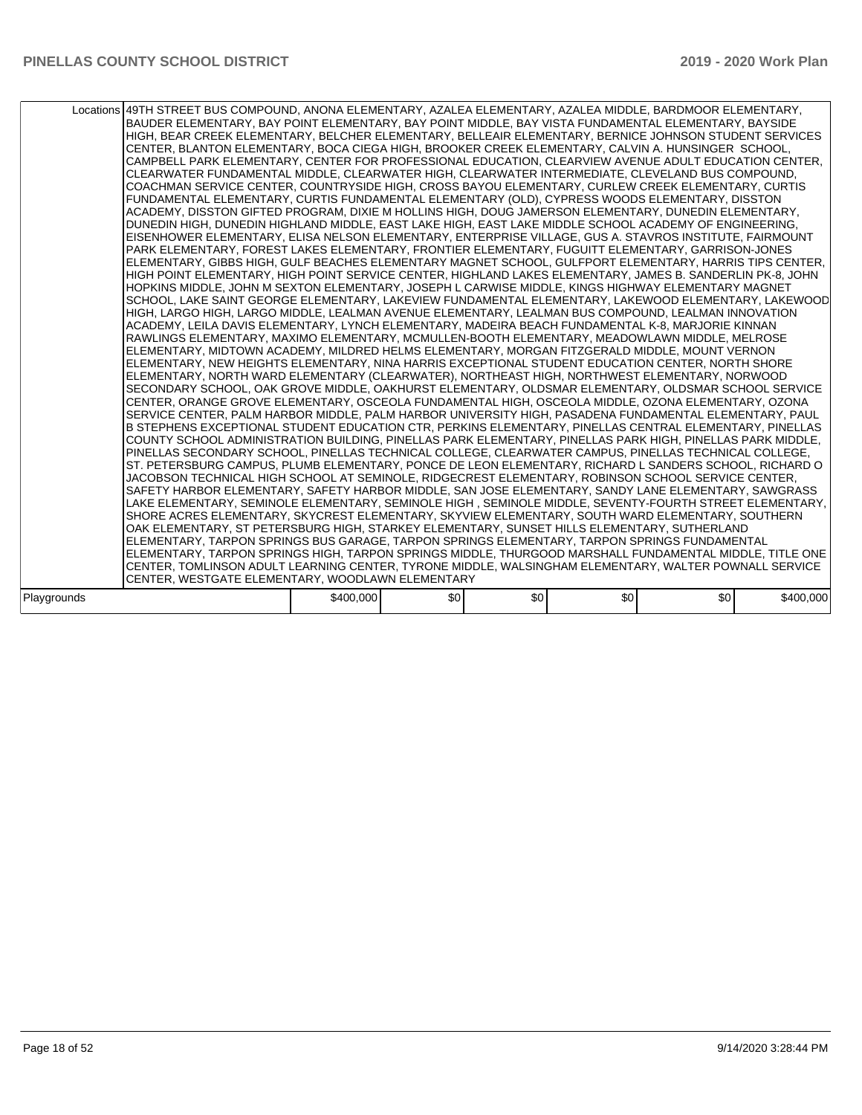|             | Locations 49TH STREET BUS COMPOUND, ANONA ELEMENTARY, AZALEA ELEMENTARY, AZALEA MIDDLE, BARDMOOR ELEMENTARY,<br>BAUDER ELEMENTARY, BAY POINT ELEMENTARY, BAY POINT MIDDLE, BAY VISTA FUNDAMENTAL ELEMENTARY, BAYSIDE<br>HIGH, BEAR CREEK ELEMENTARY, BELCHER ELEMENTARY, BELLEAIR ELEMENTARY, BERNICE JOHNSON STUDENT SERVICES<br>CENTER, BLANTON ELEMENTARY, BOCA CIEGA HIGH, BROOKER CREEK ELEMENTARY, CALVIN A. HUNSINGER SCHOOL,<br>CAMPBELL PARK ELEMENTARY, CENTER FOR PROFESSIONAL EDUCATION, CLEARVIEW AVENUE ADULT EDUCATION CENTER,<br>CLEARWATER FUNDAMENTAL MIDDLE, CLEARWATER HIGH, CLEARWATER INTERMEDIATE, CLEVELAND BUS COMPOUND.<br>COACHMAN SERVICE CENTER, COUNTRYSIDE HIGH, CROSS BAYOU ELEMENTARY, CURLEW CREEK ELEMENTARY, CURTIS<br>FUNDAMENTAL ELEMENTARY, CURTIS FUNDAMENTAL ELEMENTARY (OLD), CYPRESS WOODS ELEMENTARY, DISSTON<br>ACADEMY, DISSTON GIFTED PROGRAM, DIXIE M HOLLINS HIGH, DOUG JAMERSON ELEMENTARY, DUNEDIN ELEMENTARY,<br>DUNEDIN HIGH, DUNEDIN HIGHLAND MIDDLE, EAST LAKE HIGH, EAST LAKE MIDDLE SCHOOL ACADEMY OF ENGINEERING,<br>EISENHOWER ELEMENTARY, ELISA NELSON ELEMENTARY, ENTERPRISE VILLAGE, GUS A. STAVROS INSTITUTE, FAIRMOUNT<br>PARK ELEMENTARY, FOREST LAKES ELEMENTARY, FRONTIER ELEMENTARY, FUGUITT ELEMENTARY, GARRISON-JONES<br>ELEMENTARY, GIBBS HIGH, GULF BEACHES ELEMENTARY MAGNET SCHOOL, GULFPORT ELEMENTARY, HARRIS TIPS CENTER,<br>HIGH POINT ELEMENTARY, HIGH POINT SERVICE CENTER, HIGHLAND LAKES ELEMENTARY, JAMES B. SANDERLIN PK-8, JOHN<br>HOPKINS MIDDLE, JOHN M SEXTON ELEMENTARY, JOSEPH L CARWISE MIDDLE, KINGS HIGHWAY ELEMENTARY MAGNET<br>SCHOOL, LAKE SAINT GEORGE ELEMENTARY, LAKEVIEW FUNDAMENTAL ELEMENTARY, LAKEWOOD ELEMENTARY, LAKEWOOD<br>HIGH, LARGO HIGH, LARGO MIDDLE, LEALMAN AVENUE ELEMENTARY, LEALMAN BUS COMPOUND, LEALMAN INNOVATION<br>ACADEMY. LEILA DAVIS ELEMENTARY. LYNCH ELEMENTARY. MADEIRA BEACH FUNDAMENTAL K-8. MARJORIE KINNAN<br>RAWLINGS ELEMENTARY, MAXIMO ELEMENTARY, MCMULLEN-BOOTH ELEMENTARY, MEADOWLAWN MIDDLE, MELROSE<br>ELEMENTARY, MIDTOWN ACADEMY, MILDRED HELMS ELEMENTARY, MORGAN FITZGERALD MIDDLE, MOUNT VERNON<br>ELEMENTARY, NEW HEIGHTS ELEMENTARY, NINA HARRIS EXCEPTIONAL STUDENT EDUCATION CENTER, NORTH SHORE<br>ELEMENTARY, NORTH WARD ELEMENTARY (CLEARWATER), NORTHEAST HIGH, NORTHWEST ELEMENTARY, NORWOOD<br>SECONDARY SCHOOL, OAK GROVE MIDDLE, OAKHURST ELEMENTARY, OLDSMAR ELEMENTARY, OLDSMAR SCHOOL SERVICE<br>CENTER, ORANGE GROVE ELEMENTARY, OSCEOLA FUNDAMENTAL HIGH, OSCEOLA MIDDLE, OZONA ELEMENTARY, OZONA<br>SERVICE CENTER, PALM HARBOR MIDDLE, PALM HARBOR UNIVERSITY HIGH, PASADENA FUNDAMENTAL ELEMENTARY, PAUL<br>B STEPHENS EXCEPTIONAL STUDENT EDUCATION CTR, PERKINS ELEMENTARY, PINELLAS CENTRAL ELEMENTARY, PINELLAS<br>COUNTY SCHOOL ADMINISTRATION BUILDING, PINELLAS PARK ELEMENTARY, PINELLAS PARK HIGH, PINELLAS PARK MIDDLE,<br>PINELLAS SECONDARY SCHOOL, PINELLAS TECHNICAL COLLEGE, CLEARWATER CAMPUS, PINELLAS TECHNICAL COLLEGE,<br>ST. PETERSBURG CAMPUS, PLUMB ELEMENTARY, PONCE DE LEON ELEMENTARY, RICHARD L SANDERS SCHOOL, RICHARD O<br>JACOBSON TECHNICAL HIGH SCHOOL AT SEMINOLE, RIDGECREST ELEMENTARY, ROBINSON SCHOOL SERVICE CENTER,<br>SAFETY HARBOR ELEMENTARY, SAFETY HARBOR MIDDLE, SAN JOSE ELEMENTARY, SANDY LANE ELEMENTARY, SAWGRASS<br>LAKE ELEMENTARY, SEMINOLE ELEMENTARY, SEMINOLE HIGH, SEMINOLE MIDDLE, SEVENTY-FOURTH STREET ELEMENTARY,<br>SHORE ACRES ELEMENTARY, SKYCREST ELEMENTARY, SKYVIEW ELEMENTARY, SOUTH WARD ELEMENTARY, SOUTHERN<br>OAK ELEMENTARY, ST PETERSBURG HIGH, STARKEY ELEMENTARY, SUNSET HILLS ELEMENTARY, SUTHERLAND<br>ELEMENTARY, TARPON SPRINGS BUS GARAGE, TARPON SPRINGS ELEMENTARY, TARPON SPRINGS FUNDAMENTAL<br>ELEMENTARY, TARPON SPRINGS HIGH, TARPON SPRINGS MIDDLE, THURGOOD MARSHALL FUNDAMENTAL MIDDLE, TITLE ONE<br>CENTER, TOMLINSON ADULT LEARNING CENTER, TYRONE MIDDLE, WALSINGHAM ELEMENTARY, WALTER POWNALL SERVICE<br>CENTER, WESTGATE ELEMENTARY, WOODLAWN ELEMENTARY |           |     |     |     |     |           |  |
|-------------|-------------------------------------------------------------------------------------------------------------------------------------------------------------------------------------------------------------------------------------------------------------------------------------------------------------------------------------------------------------------------------------------------------------------------------------------------------------------------------------------------------------------------------------------------------------------------------------------------------------------------------------------------------------------------------------------------------------------------------------------------------------------------------------------------------------------------------------------------------------------------------------------------------------------------------------------------------------------------------------------------------------------------------------------------------------------------------------------------------------------------------------------------------------------------------------------------------------------------------------------------------------------------------------------------------------------------------------------------------------------------------------------------------------------------------------------------------------------------------------------------------------------------------------------------------------------------------------------------------------------------------------------------------------------------------------------------------------------------------------------------------------------------------------------------------------------------------------------------------------------------------------------------------------------------------------------------------------------------------------------------------------------------------------------------------------------------------------------------------------------------------------------------------------------------------------------------------------------------------------------------------------------------------------------------------------------------------------------------------------------------------------------------------------------------------------------------------------------------------------------------------------------------------------------------------------------------------------------------------------------------------------------------------------------------------------------------------------------------------------------------------------------------------------------------------------------------------------------------------------------------------------------------------------------------------------------------------------------------------------------------------------------------------------------------------------------------------------------------------------------------------------------------------------------------------------------------------------------------------------------------------------------------------------------------------------------------------------------------------------------------------------------------------------------------------------------------------------------------------------------------------------------------------------------------------------------------------------------------------------------------------------------------------------------------------------------------------------------------------------------------------------------------------------------------------------------------------------------------------------------------------------------------------------------------------------------------------------------------------------------------------------------------------|-----------|-----|-----|-----|-----|-----------|--|
|             |                                                                                                                                                                                                                                                                                                                                                                                                                                                                                                                                                                                                                                                                                                                                                                                                                                                                                                                                                                                                                                                                                                                                                                                                                                                                                                                                                                                                                                                                                                                                                                                                                                                                                                                                                                                                                                                                                                                                                                                                                                                                                                                                                                                                                                                                                                                                                                                                                                                                                                                                                                                                                                                                                                                                                                                                                                                                                                                                                                                                                                                                                                                                                                                                                                                                                                                                                                                                                                                                                                                                                                                                                                                                                                                                                                                                                                                                                                                                                                                                                               |           |     |     |     |     |           |  |
| Playgrounds |                                                                                                                                                                                                                                                                                                                                                                                                                                                                                                                                                                                                                                                                                                                                                                                                                                                                                                                                                                                                                                                                                                                                                                                                                                                                                                                                                                                                                                                                                                                                                                                                                                                                                                                                                                                                                                                                                                                                                                                                                                                                                                                                                                                                                                                                                                                                                                                                                                                                                                                                                                                                                                                                                                                                                                                                                                                                                                                                                                                                                                                                                                                                                                                                                                                                                                                                                                                                                                                                                                                                                                                                                                                                                                                                                                                                                                                                                                                                                                                                                               | \$400,000 | \$0 | \$0 | \$0 | \$0 | \$400,000 |  |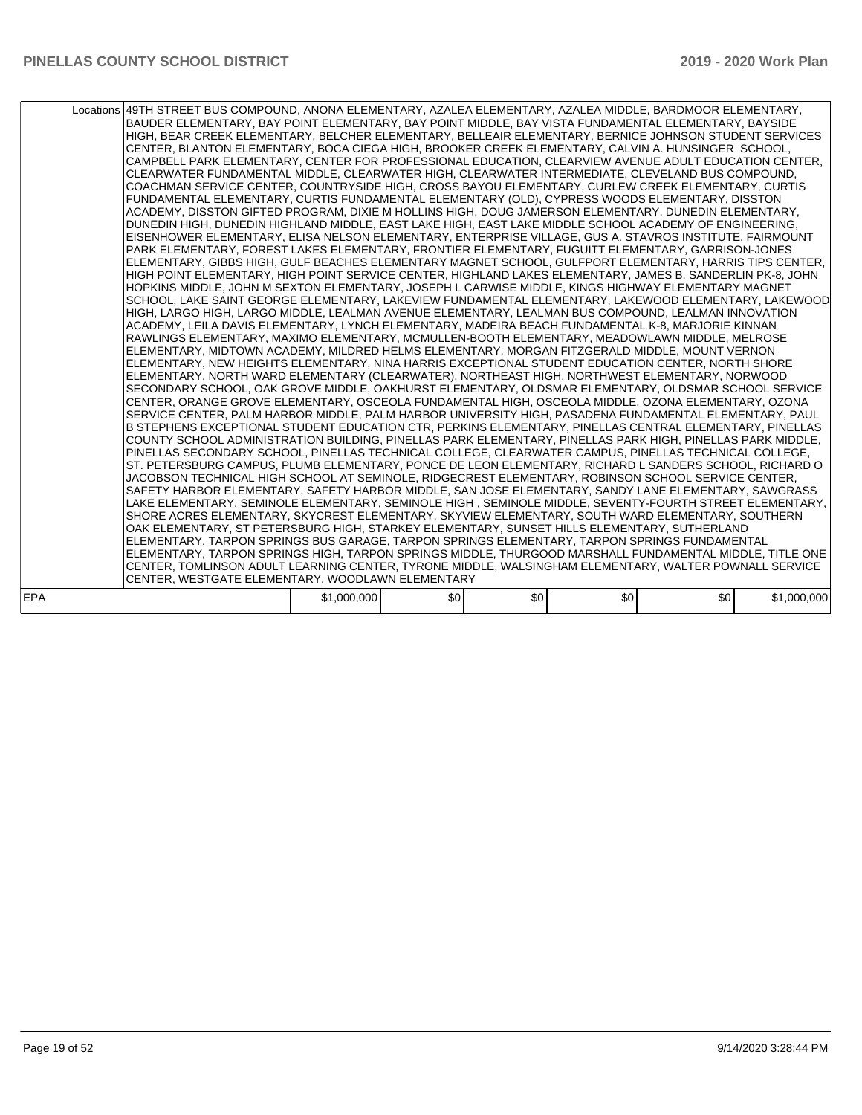|            | Locations 49TH STREET BUS COMPOUND, ANONA ELEMENTARY, AZALEA ELEMENTARY, AZALEA MIDDLE, BARDMOOR ELEMENTARY,<br>BAUDER ELEMENTARY, BAY POINT ELEMENTARY, BAY POINT MIDDLE, BAY VISTA FUNDAMENTAL ELEMENTARY, BAYSIDE<br>HIGH, BEAR CREEK ELEMENTARY, BELCHER ELEMENTARY, BELLEAIR ELEMENTARY, BERNICE JOHNSON STUDENT SERVICES<br>CENTER, BLANTON ELEMENTARY, BOCA CIEGA HIGH, BROOKER CREEK ELEMENTARY, CALVIN A. HUNSINGER SCHOOL,<br>CAMPBELL PARK ELEMENTARY, CENTER FOR PROFESSIONAL EDUCATION, CLEARVIEW AVENUE ADULT EDUCATION CENTER,<br>CLEARWATER FUNDAMENTAL MIDDLE, CLEARWATER HIGH, CLEARWATER INTERMEDIATE, CLEVELAND BUS COMPOUND,<br>COACHMAN SERVICE CENTER, COUNTRYSIDE HIGH, CROSS BAYOU ELEMENTARY, CURLEW CREEK ELEMENTARY, CURTIS<br>FUNDAMENTAL ELEMENTARY, CURTIS FUNDAMENTAL ELEMENTARY (OLD), CYPRESS WOODS ELEMENTARY, DISSTON<br>ACADEMY, DISSTON GIFTED PROGRAM, DIXIE M HOLLINS HIGH, DOUG JAMERSON ELEMENTARY, DUNEDIN ELEMENTARY,<br>DUNEDIN HIGH, DUNEDIN HIGHLAND MIDDLE, EAST LAKE HIGH, EAST LAKE MIDDLE SCHOOL ACADEMY OF ENGINEERING,<br>EISENHOWER ELEMENTARY, ELISA NELSON ELEMENTARY, ENTERPRISE VILLAGE, GUS A. STAVROS INSTITUTE, FAIRMOUNT<br>PARK ELEMENTARY, FOREST LAKES ELEMENTARY, FRONTIER ELEMENTARY, FUGUITT ELEMENTARY, GARRISON-JONES<br>ELEMENTARY, GIBBS HIGH, GULF BEACHES ELEMENTARY MAGNET SCHOOL, GULFPORT ELEMENTARY, HARRIS TIPS CENTER,<br>HIGH POINT ELEMENTARY, HIGH POINT SERVICE CENTER, HIGHLAND LAKES ELEMENTARY, JAMES B. SANDERLIN PK-8, JOHN<br>HOPKINS MIDDLE, JOHN M SEXTON ELEMENTARY, JOSEPH L CARWISE MIDDLE, KINGS HIGHWAY ELEMENTARY MAGNET<br>SCHOOL, LAKE SAINT GEORGE ELEMENTARY, LAKEVIEW FUNDAMENTAL ELEMENTARY, LAKEWOOD ELEMENTARY, LAKEWOOD<br>HIGH, LARGO HIGH, LARGO MIDDLE, LEALMAN AVENUE ELEMENTARY, LEALMAN BUS COMPOUND, LEALMAN INNOVATION<br>ACADEMY, LEILA DAVIS ELEMENTARY, LYNCH ELEMENTARY, MADEIRA BEACH FUNDAMENTAL K-8, MARJORIE KINNAN<br>RAWLINGS ELEMENTARY, MAXIMO ELEMENTARY, MCMULLEN-BOOTH ELEMENTARY, MEADOWLAWN MIDDLE, MELROSE<br>ELEMENTARY, MIDTOWN ACADEMY, MILDRED HELMS ELEMENTARY, MORGAN FITZGERALD MIDDLE, MOUNT VERNON<br>ELEMENTARY, NEW HEIGHTS ELEMENTARY, NINA HARRIS EXCEPTIONAL STUDENT EDUCATION CENTER, NORTH SHORE<br>ELEMENTARY, NORTH WARD ELEMENTARY (CLEARWATER), NORTHEAST HIGH, NORTHWEST ELEMENTARY, NORWOOD<br>SECONDARY SCHOOL, OAK GROVE MIDDLE, OAKHURST ELEMENTARY, OLDSMAR ELEMENTARY, OLDSMAR SCHOOL SERVICE<br>CENTER, ORANGE GROVE ELEMENTARY, OSCEOLA FUNDAMENTAL HIGH, OSCEOLA MIDDLE, OZONA ELEMENTARY, OZONA<br>SERVICE CENTER. PALM HARBOR MIDDLE. PALM HARBOR UNIVERSITY HIGH. PASADENA FUNDAMENTAL ELEMENTARY. PAUL<br>B STEPHENS EXCEPTIONAL STUDENT EDUCATION CTR, PERKINS ELEMENTARY, PINELLAS CENTRAL ELEMENTARY, PINELLAS<br>COUNTY SCHOOL ADMINISTRATION BUILDING, PINELLAS PARK ELEMENTARY, PINELLAS PARK HIGH, PINELLAS PARK MIDDLE,<br>PINELLAS SECONDARY SCHOOL, PINELLAS TECHNICAL COLLEGE, CLEARWATER CAMPUS, PINELLAS TECHNICAL COLLEGE,<br>ST. PETERSBURG CAMPUS, PLUMB ELEMENTARY, PONCE DE LEON ELEMENTARY, RICHARD L SANDERS SCHOOL, RICHARD O<br>JACOBSON TECHNICAL HIGH SCHOOL AT SEMINOLE, RIDGECREST ELEMENTARY, ROBINSON SCHOOL SERVICE CENTER,<br>SAFETY HARBOR ELEMENTARY. SAFETY HARBOR MIDDLE, SAN JOSE ELEMENTARY. SANDY LANE ELEMENTARY. SAWGRASS<br>LAKE ELEMENTARY, SEMINOLE ELEMENTARY, SEMINOLE HIGH, SEMINOLE MIDDLE, SEVENTY-FOURTH STREET ELEMENTARY,<br>SHORE ACRES ELEMENTARY, SKYCREST ELEMENTARY, SKYVIEW ELEMENTARY, SOUTH WARD ELEMENTARY, SOUTHERN<br>OAK ELEMENTARY. ST PETERSBURG HIGH. STARKEY ELEMENTARY. SUNSET HILLS ELEMENTARY. SUTHERLAND<br>ELEMENTARY, TARPON SPRINGS BUS GARAGE, TARPON SPRINGS ELEMENTARY, TARPON SPRINGS FUNDAMENTAL<br>ELEMENTARY, TARPON SPRINGS HIGH, TARPON SPRINGS MIDDLE, THURGOOD MARSHALL FUNDAMENTAL MIDDLE, TITLE ONE<br>CENTER, TOMLINSON ADULT LEARNING CENTER, TYRONE MIDDLE, WALSINGHAM ELEMENTARY, WALTER POWNALL SERVICE |             |     |     |     |     |             |
|------------|---------------------------------------------------------------------------------------------------------------------------------------------------------------------------------------------------------------------------------------------------------------------------------------------------------------------------------------------------------------------------------------------------------------------------------------------------------------------------------------------------------------------------------------------------------------------------------------------------------------------------------------------------------------------------------------------------------------------------------------------------------------------------------------------------------------------------------------------------------------------------------------------------------------------------------------------------------------------------------------------------------------------------------------------------------------------------------------------------------------------------------------------------------------------------------------------------------------------------------------------------------------------------------------------------------------------------------------------------------------------------------------------------------------------------------------------------------------------------------------------------------------------------------------------------------------------------------------------------------------------------------------------------------------------------------------------------------------------------------------------------------------------------------------------------------------------------------------------------------------------------------------------------------------------------------------------------------------------------------------------------------------------------------------------------------------------------------------------------------------------------------------------------------------------------------------------------------------------------------------------------------------------------------------------------------------------------------------------------------------------------------------------------------------------------------------------------------------------------------------------------------------------------------------------------------------------------------------------------------------------------------------------------------------------------------------------------------------------------------------------------------------------------------------------------------------------------------------------------------------------------------------------------------------------------------------------------------------------------------------------------------------------------------------------------------------------------------------------------------------------------------------------------------------------------------------------------------------------------------------------------------------------------------------------------------------------------------------------------------------------------------------------------------------------------------------------------------------------------------------------------------------------------------------------------------------------------------------------------------------------------------------------------------------------------------------------------------------------------------------------------------------------------------------------------------------------------------------------------------------------------------------------------------------------------------------------------------------------------|-------------|-----|-----|-----|-----|-------------|
|            |                                                                                                                                                                                                                                                                                                                                                                                                                                                                                                                                                                                                                                                                                                                                                                                                                                                                                                                                                                                                                                                                                                                                                                                                                                                                                                                                                                                                                                                                                                                                                                                                                                                                                                                                                                                                                                                                                                                                                                                                                                                                                                                                                                                                                                                                                                                                                                                                                                                                                                                                                                                                                                                                                                                                                                                                                                                                                                                                                                                                                                                                                                                                                                                                                                                                                                                                                                                                                                                                                                                                                                                                                                                                                                                                                                                                                                                                                                                                                                           |             |     |     |     |     |             |
|            | CENTER, WESTGATE ELEMENTARY, WOODLAWN ELEMENTARY                                                                                                                                                                                                                                                                                                                                                                                                                                                                                                                                                                                                                                                                                                                                                                                                                                                                                                                                                                                                                                                                                                                                                                                                                                                                                                                                                                                                                                                                                                                                                                                                                                                                                                                                                                                                                                                                                                                                                                                                                                                                                                                                                                                                                                                                                                                                                                                                                                                                                                                                                                                                                                                                                                                                                                                                                                                                                                                                                                                                                                                                                                                                                                                                                                                                                                                                                                                                                                                                                                                                                                                                                                                                                                                                                                                                                                                                                                                          |             |     |     |     |     |             |
|            |                                                                                                                                                                                                                                                                                                                                                                                                                                                                                                                                                                                                                                                                                                                                                                                                                                                                                                                                                                                                                                                                                                                                                                                                                                                                                                                                                                                                                                                                                                                                                                                                                                                                                                                                                                                                                                                                                                                                                                                                                                                                                                                                                                                                                                                                                                                                                                                                                                                                                                                                                                                                                                                                                                                                                                                                                                                                                                                                                                                                                                                                                                                                                                                                                                                                                                                                                                                                                                                                                                                                                                                                                                                                                                                                                                                                                                                                                                                                                                           |             |     |     |     |     |             |
| <b>EPA</b> |                                                                                                                                                                                                                                                                                                                                                                                                                                                                                                                                                                                                                                                                                                                                                                                                                                                                                                                                                                                                                                                                                                                                                                                                                                                                                                                                                                                                                                                                                                                                                                                                                                                                                                                                                                                                                                                                                                                                                                                                                                                                                                                                                                                                                                                                                                                                                                                                                                                                                                                                                                                                                                                                                                                                                                                                                                                                                                                                                                                                                                                                                                                                                                                                                                                                                                                                                                                                                                                                                                                                                                                                                                                                                                                                                                                                                                                                                                                                                                           | \$1,000,000 | \$0 | \$0 | \$0 | \$0 | \$1,000,000 |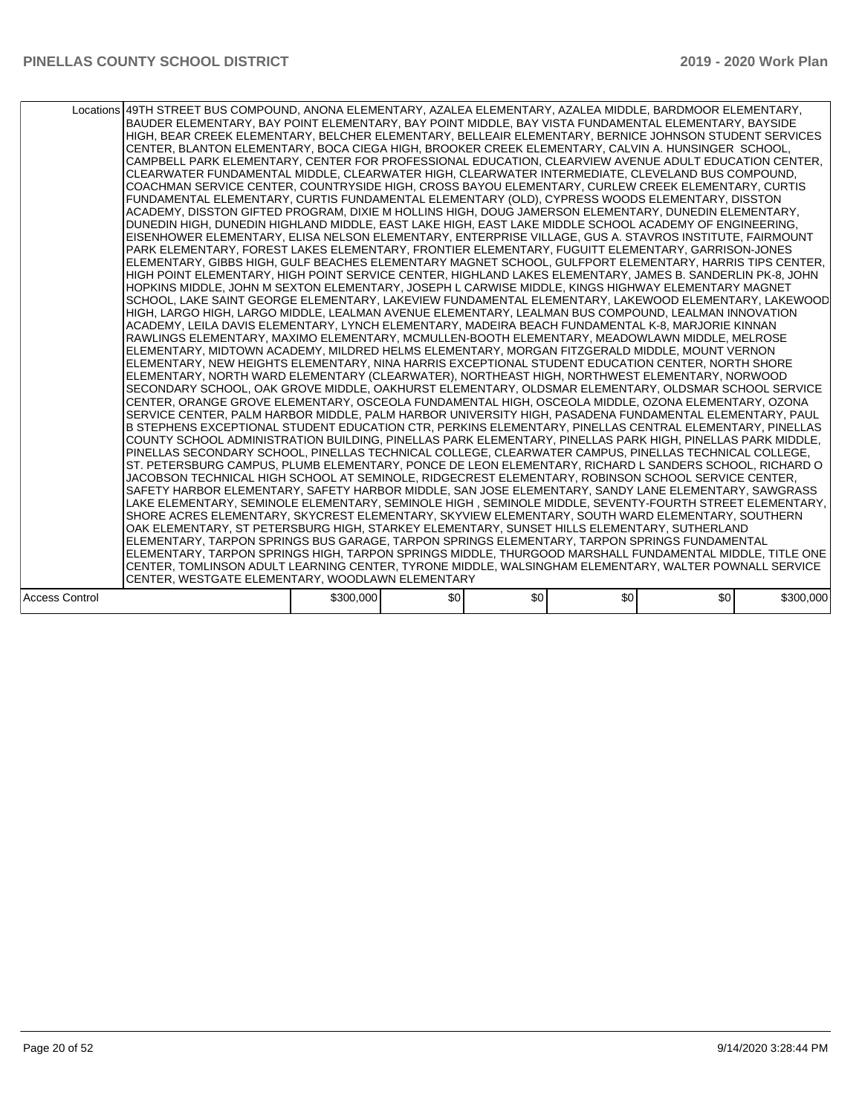|                       | Locations 49TH STREET BUS COMPOUND, ANONA ELEMENTARY, AZALEA ELEMENTARY, AZALEA MIDDLE, BARDMOOR ELEMENTARY,<br>BAUDER ELEMENTARY, BAY POINT ELEMENTARY, BAY POINT MIDDLE, BAY VISTA FUNDAMENTAL ELEMENTARY, BAYSIDE<br>HIGH, BEAR CREEK ELEMENTARY, BELCHER ELEMENTARY, BELLEAIR ELEMENTARY, BERNICE JOHNSON STUDENT SERVICES<br>CENTER, BLANTON ELEMENTARY, BOCA CIEGA HIGH, BROOKER CREEK ELEMENTARY, CALVIN A. HUNSINGER SCHOOL,<br>CAMPBELL PARK ELEMENTARY, CENTER FOR PROFESSIONAL EDUCATION, CLEARVIEW AVENUE ADULT EDUCATION CENTER,<br>CLEARWATER FUNDAMENTAL MIDDLE, CLEARWATER HIGH, CLEARWATER INTERMEDIATE, CLEVELAND BUS COMPOUND,<br>COACHMAN SERVICE CENTER, COUNTRYSIDE HIGH, CROSS BAYOU ELEMENTARY, CURLEW CREEK ELEMENTARY, CURTIS<br>FUNDAMENTAL ELEMENTARY, CURTIS FUNDAMENTAL ELEMENTARY (OLD), CYPRESS WOODS ELEMENTARY, DISSTON<br>ACADEMY, DISSTON GIFTED PROGRAM, DIXIE M HOLLINS HIGH, DOUG JAMERSON ELEMENTARY, DUNEDIN ELEMENTARY,<br>DUNEDIN HIGH, DUNEDIN HIGHLAND MIDDLE, EAST LAKE HIGH, EAST LAKE MIDDLE SCHOOL ACADEMY OF ENGINEERING,<br>EISENHOWER ELEMENTARY, ELISA NELSON ELEMENTARY, ENTERPRISE VILLAGE, GUS A. STAVROS INSTITUTE, FAIRMOUNT<br>PARK ELEMENTARY, FOREST LAKES ELEMENTARY, FRONTIER ELEMENTARY, FUGUITT ELEMENTARY, GARRISON-JONES<br>ELEMENTARY, GIBBS HIGH, GULF BEACHES ELEMENTARY MAGNET SCHOOL, GULFPORT ELEMENTARY, HARRIS TIPS CENTER,<br>HIGH POINT ELEMENTARY, HIGH POINT SERVICE CENTER, HIGHLAND LAKES ELEMENTARY, JAMES B. SANDERLIN PK-8, JOHN<br>HOPKINS MIDDLE, JOHN M SEXTON ELEMENTARY, JOSEPH L CARWISE MIDDLE, KINGS HIGHWAY ELEMENTARY MAGNET<br>SCHOOL, LAKE SAINT GEORGE ELEMENTARY, LAKEVIEW FUNDAMENTAL ELEMENTARY, LAKEWOOD ELEMENTARY, LAKEWOOD<br>HIGH, LARGO HIGH, LARGO MIDDLE, LEALMAN AVENUE ELEMENTARY, LEALMAN BUS COMPOUND, LEALMAN INNOVATION<br>ACADEMY, LEILA DAVIS ELEMENTARY, LYNCH ELEMENTARY, MADEIRA BEACH FUNDAMENTAL K-8, MARJORIE KINNAN<br>RAWLINGS ELEMENTARY, MAXIMO ELEMENTARY, MCMULLEN-BOOTH ELEMENTARY, MEADOWLAWN MIDDLE, MELROSE<br>ELEMENTARY, MIDTOWN ACADEMY, MILDRED HELMS ELEMENTARY, MORGAN FITZGERALD MIDDLE, MOUNT VERNON<br>ELEMENTARY, NEW HEIGHTS ELEMENTARY, NINA HARRIS EXCEPTIONAL STUDENT EDUCATION CENTER, NORTH SHORE<br>ELEMENTARY, NORTH WARD ELEMENTARY (CLEARWATER), NORTHEAST HIGH, NORTHWEST ELEMENTARY, NORWOOD<br>SECONDARY SCHOOL, OAK GROVE MIDDLE, OAKHURST ELEMENTARY, OLDSMAR ELEMENTARY, OLDSMAR SCHOOL SERVICE<br>CENTER, ORANGE GROVE ELEMENTARY, OSCEOLA FUNDAMENTAL HIGH, OSCEOLA MIDDLE, OZONA ELEMENTARY, OZONA<br>SERVICE CENTER, PALM HARBOR MIDDLE, PALM HARBOR UNIVERSITY HIGH, PASADENA FUNDAMENTAL ELEMENTARY, PAUL<br>B STEPHENS EXCEPTIONAL STUDENT EDUCATION CTR, PERKINS ELEMENTARY, PINELLAS CENTRAL ELEMENTARY, PINELLAS<br>COUNTY SCHOOL ADMINISTRATION BUILDING, PINELLAS PARK ELEMENTARY, PINELLAS PARK HIGH, PINELLAS PARK MIDDLE,<br>PINELLAS SECONDARY SCHOOL, PINELLAS TECHNICAL COLLEGE, CLEARWATER CAMPUS, PINELLAS TECHNICAL COLLEGE,<br>ST. PETERSBURG CAMPUS, PLUMB ELEMENTARY, PONCE DE LEON ELEMENTARY, RICHARD L SANDERS SCHOOL, RICHARD O<br>JACOBSON TECHNICAL HIGH SCHOOL AT SEMINOLE, RIDGECREST ELEMENTARY, ROBINSON SCHOOL SERVICE CENTER,<br>SAFETY HARBOR ELEMENTARY, SAFETY HARBOR MIDDLE, SAN JOSE ELEMENTARY, SANDY LANE ELEMENTARY, SAWGRASS<br>LAKE ELEMENTARY, SEMINOLE ELEMENTARY, SEMINOLE HIGH, SEMINOLE MIDDLE, SEVENTY-FOURTH STREET ELEMENTARY,<br>SHORE ACRES ELEMENTARY, SKYCREST ELEMENTARY, SKYVIEW ELEMENTARY, SOUTH WARD ELEMENTARY, SOUTHERN<br>OAK ELEMENTARY, ST PETERSBURG HIGH, STARKEY ELEMENTARY, SUNSET HILLS ELEMENTARY, SUTHERLAND<br>ELEMENTARY, TARPON SPRINGS BUS GARAGE, TARPON SPRINGS ELEMENTARY, TARPON SPRINGS FUNDAMENTAL<br>ELEMENTARY, TARPON SPRINGS HIGH, TARPON SPRINGS MIDDLE, THURGOOD MARSHALL FUNDAMENTAL MIDDLE, TITLE ONE<br>CENTER, TOMLINSON ADULT LEARNING CENTER, TYRONE MIDDLE, WALSINGHAM ELEMENTARY, WALTER POWNALL SERVICE |           |     |     |     |     |           |
|-----------------------|---------------------------------------------------------------------------------------------------------------------------------------------------------------------------------------------------------------------------------------------------------------------------------------------------------------------------------------------------------------------------------------------------------------------------------------------------------------------------------------------------------------------------------------------------------------------------------------------------------------------------------------------------------------------------------------------------------------------------------------------------------------------------------------------------------------------------------------------------------------------------------------------------------------------------------------------------------------------------------------------------------------------------------------------------------------------------------------------------------------------------------------------------------------------------------------------------------------------------------------------------------------------------------------------------------------------------------------------------------------------------------------------------------------------------------------------------------------------------------------------------------------------------------------------------------------------------------------------------------------------------------------------------------------------------------------------------------------------------------------------------------------------------------------------------------------------------------------------------------------------------------------------------------------------------------------------------------------------------------------------------------------------------------------------------------------------------------------------------------------------------------------------------------------------------------------------------------------------------------------------------------------------------------------------------------------------------------------------------------------------------------------------------------------------------------------------------------------------------------------------------------------------------------------------------------------------------------------------------------------------------------------------------------------------------------------------------------------------------------------------------------------------------------------------------------------------------------------------------------------------------------------------------------------------------------------------------------------------------------------------------------------------------------------------------------------------------------------------------------------------------------------------------------------------------------------------------------------------------------------------------------------------------------------------------------------------------------------------------------------------------------------------------------------------------------------------------------------------------------------------------------------------------------------------------------------------------------------------------------------------------------------------------------------------------------------------------------------------------------------------------------------------------------------------------------------------------------------------------------------------------------------------------------------------------------------------------------------------------|-----------|-----|-----|-----|-----|-----------|
|                       |                                                                                                                                                                                                                                                                                                                                                                                                                                                                                                                                                                                                                                                                                                                                                                                                                                                                                                                                                                                                                                                                                                                                                                                                                                                                                                                                                                                                                                                                                                                                                                                                                                                                                                                                                                                                                                                                                                                                                                                                                                                                                                                                                                                                                                                                                                                                                                                                                                                                                                                                                                                                                                                                                                                                                                                                                                                                                                                                                                                                                                                                                                                                                                                                                                                                                                                                                                                                                                                                                                                                                                                                                                                                                                                                                                                                                                                                                                                                                                           |           |     |     |     |     |           |
|                       |                                                                                                                                                                                                                                                                                                                                                                                                                                                                                                                                                                                                                                                                                                                                                                                                                                                                                                                                                                                                                                                                                                                                                                                                                                                                                                                                                                                                                                                                                                                                                                                                                                                                                                                                                                                                                                                                                                                                                                                                                                                                                                                                                                                                                                                                                                                                                                                                                                                                                                                                                                                                                                                                                                                                                                                                                                                                                                                                                                                                                                                                                                                                                                                                                                                                                                                                                                                                                                                                                                                                                                                                                                                                                                                                                                                                                                                                                                                                                                           |           |     |     |     |     |           |
|                       | CENTER, WESTGATE ELEMENTARY, WOODLAWN ELEMENTARY                                                                                                                                                                                                                                                                                                                                                                                                                                                                                                                                                                                                                                                                                                                                                                                                                                                                                                                                                                                                                                                                                                                                                                                                                                                                                                                                                                                                                                                                                                                                                                                                                                                                                                                                                                                                                                                                                                                                                                                                                                                                                                                                                                                                                                                                                                                                                                                                                                                                                                                                                                                                                                                                                                                                                                                                                                                                                                                                                                                                                                                                                                                                                                                                                                                                                                                                                                                                                                                                                                                                                                                                                                                                                                                                                                                                                                                                                                                          |           |     |     |     |     |           |
|                       |                                                                                                                                                                                                                                                                                                                                                                                                                                                                                                                                                                                                                                                                                                                                                                                                                                                                                                                                                                                                                                                                                                                                                                                                                                                                                                                                                                                                                                                                                                                                                                                                                                                                                                                                                                                                                                                                                                                                                                                                                                                                                                                                                                                                                                                                                                                                                                                                                                                                                                                                                                                                                                                                                                                                                                                                                                                                                                                                                                                                                                                                                                                                                                                                                                                                                                                                                                                                                                                                                                                                                                                                                                                                                                                                                                                                                                                                                                                                                                           |           |     |     |     |     |           |
| <b>Access Control</b> |                                                                                                                                                                                                                                                                                                                                                                                                                                                                                                                                                                                                                                                                                                                                                                                                                                                                                                                                                                                                                                                                                                                                                                                                                                                                                                                                                                                                                                                                                                                                                                                                                                                                                                                                                                                                                                                                                                                                                                                                                                                                                                                                                                                                                                                                                                                                                                                                                                                                                                                                                                                                                                                                                                                                                                                                                                                                                                                                                                                                                                                                                                                                                                                                                                                                                                                                                                                                                                                                                                                                                                                                                                                                                                                                                                                                                                                                                                                                                                           | \$300,000 | \$0 | \$0 | \$0 | \$0 | \$300,000 |
|                       |                                                                                                                                                                                                                                                                                                                                                                                                                                                                                                                                                                                                                                                                                                                                                                                                                                                                                                                                                                                                                                                                                                                                                                                                                                                                                                                                                                                                                                                                                                                                                                                                                                                                                                                                                                                                                                                                                                                                                                                                                                                                                                                                                                                                                                                                                                                                                                                                                                                                                                                                                                                                                                                                                                                                                                                                                                                                                                                                                                                                                                                                                                                                                                                                                                                                                                                                                                                                                                                                                                                                                                                                                                                                                                                                                                                                                                                                                                                                                                           |           |     |     |     |     |           |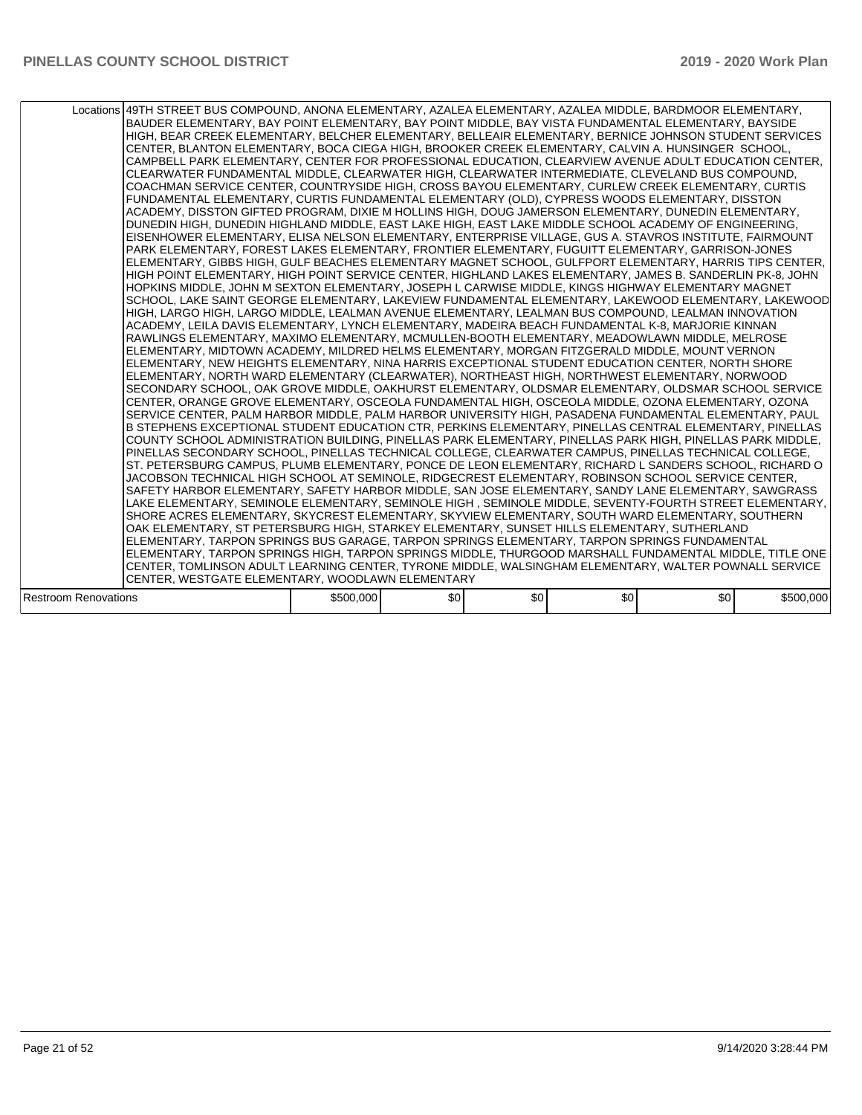|                             | Locations 49TH STREET BUS COMPOUND, ANONA ELEMENTARY, AZALEA ELEMENTARY, AZALEA MIDDLE, BARDMOOR ELEMENTARY,<br>BAUDER ELEMENTARY, BAY POINT ELEMENTARY, BAY POINT MIDDLE, BAY VISTA FUNDAMENTAL ELEMENTARY, BAYSIDE<br>HIGH, BEAR CREEK ELEMENTARY, BELCHER ELEMENTARY, BELLEAIR ELEMENTARY, BERNICE JOHNSON STUDENT SERVICES<br>CENTER, BLANTON ELEMENTARY, BOCA CIEGA HIGH, BROOKER CREEK ELEMENTARY, CALVIN A. HUNSINGER SCHOOL,<br>CAMPBELL PARK ELEMENTARY, CENTER FOR PROFESSIONAL EDUCATION, CLEARVIEW AVENUE ADULT EDUCATION CENTER,<br>CLEARWATER FUNDAMENTAL MIDDLE, CLEARWATER HIGH, CLEARWATER INTERMEDIATE, CLEVELAND BUS COMPOUND,<br>COACHMAN SERVICE CENTER, COUNTRYSIDE HIGH, CROSS BAYOU ELEMENTARY, CURLEW CREEK ELEMENTARY, CURTIS<br>FUNDAMENTAL ELEMENTARY, CURTIS FUNDAMENTAL ELEMENTARY (OLD), CYPRESS WOODS ELEMENTARY, DISSTON<br>ACADEMY, DISSTON GIFTED PROGRAM, DIXIE M HOLLINS HIGH, DOUG JAMERSON ELEMENTARY, DUNEDIN ELEMENTARY,<br>DUNEDIN HIGH, DUNEDIN HIGHLAND MIDDLE, EAST LAKE HIGH, EAST LAKE MIDDLE SCHOOL ACADEMY OF ENGINEERING,<br>EISENHOWER ELEMENTARY, ELISA NELSON ELEMENTARY, ENTERPRISE VILLAGE, GUS A. STAVROS INSTITUTE, FAIRMOUNT<br>PARK ELEMENTARY, FOREST LAKES ELEMENTARY, FRONTIER ELEMENTARY, FUGUITT ELEMENTARY, GARRISON-JONES<br>ELEMENTARY, GIBBS HIGH, GULF BEACHES ELEMENTARY MAGNET SCHOOL, GULFPORT ELEMENTARY, HARRIS TIPS CENTER,<br>HIGH POINT ELEMENTARY, HIGH POINT SERVICE CENTER, HIGHLAND LAKES ELEMENTARY, JAMES B. SANDERLIN PK-8, JOHN<br>HOPKINS MIDDLE, JOHN M SEXTON ELEMENTARY, JOSEPH L CARWISE MIDDLE, KINGS HIGHWAY ELEMENTARY MAGNET<br>SCHOOL, LAKE SAINT GEORGE ELEMENTARY, LAKEVIEW FUNDAMENTAL ELEMENTARY, LAKEWOOD ELEMENTARY, LAKEWOOD<br>HIGH, LARGO HIGH, LARGO MIDDLE, LEALMAN AVENUE ELEMENTARY, LEALMAN BUS COMPOUND, LEALMAN INNOVATION<br>ACADEMY, LEILA DAVIS ELEMENTARY, LYNCH ELEMENTARY, MADEIRA BEACH FUNDAMENTAL K-8, MARJORIE KINNAN<br>RAWLINGS ELEMENTARY, MAXIMO ELEMENTARY, MCMULLEN-BOOTH ELEMENTARY, MEADOWLAWN MIDDLE, MELROSE<br>ELEMENTARY, MIDTOWN ACADEMY, MILDRED HELMS ELEMENTARY, MORGAN FITZGERALD MIDDLE, MOUNT VERNON<br>ELEMENTARY, NEW HEIGHTS ELEMENTARY, NINA HARRIS EXCEPTIONAL STUDENT EDUCATION CENTER, NORTH SHORE<br>ELEMENTARY, NORTH WARD ELEMENTARY (CLEARWATER), NORTHEAST HIGH, NORTHWEST ELEMENTARY, NORWOOD<br>SECONDARY SCHOOL, OAK GROVE MIDDLE, OAKHURST ELEMENTARY, OLDSMAR ELEMENTARY, OLDSMAR SCHOOL SERVICE<br>CENTER, ORANGE GROVE ELEMENTARY, OSCEOLA FUNDAMENTAL HIGH, OSCEOLA MIDDLE, OZONA ELEMENTARY, OZONA<br>SERVICE CENTER, PALM HARBOR MIDDLE, PALM HARBOR UNIVERSITY HIGH, PASADENA FUNDAMENTAL ELEMENTARY, PAUL<br>B STEPHENS EXCEPTIONAL STUDENT EDUCATION CTR, PERKINS ELEMENTARY, PINELLAS CENTRAL ELEMENTARY, PINELLAS<br>COUNTY SCHOOL ADMINISTRATION BUILDING, PINELLAS PARK ELEMENTARY, PINELLAS PARK HIGH, PINELLAS PARK MIDDLE,<br>PINELLAS SECONDARY SCHOOL, PINELLAS TECHNICAL COLLEGE, CLEARWATER CAMPUS, PINELLAS TECHNICAL COLLEGE,<br>ST. PETERSBURG CAMPUS, PLUMB ELEMENTARY, PONCE DE LEON ELEMENTARY, RICHARD L SANDERS SCHOOL, RICHARD O<br>JACOBSON TECHNICAL HIGH SCHOOL AT SEMINOLE, RIDGECREST ELEMENTARY, ROBINSON SCHOOL SERVICE CENTER,<br>SAFETY HARBOR ELEMENTARY, SAFETY HARBOR MIDDLE, SAN JOSE ELEMENTARY, SANDY LANE ELEMENTARY, SAWGRASS<br>LAKE ELEMENTARY, SEMINOLE ELEMENTARY, SEMINOLE HIGH, SEMINOLE MIDDLE, SEVENTY-FOURTH STREET ELEMENTARY,<br>SHORE ACRES ELEMENTARY, SKYCREST ELEMENTARY, SKYVIEW ELEMENTARY, SOUTH WARD ELEMENTARY, SOUTHERN<br>OAK ELEMENTARY, ST PETERSBURG HIGH, STARKEY ELEMENTARY, SUNSET HILLS ELEMENTARY, SUTHERLAND<br>ELEMENTARY, TARPON SPRINGS BUS GARAGE, TARPON SPRINGS ELEMENTARY, TARPON SPRINGS FUNDAMENTAL<br>ELEMENTARY, TARPON SPRINGS HIGH, TARPON SPRINGS MIDDLE, THURGOOD MARSHALL FUNDAMENTAL MIDDLE, TITLE ONE<br>CENTER, TOMLINSON ADULT LEARNING CENTER, TYRONE MIDDLE, WALSINGHAM ELEMENTARY, WALTER POWNALL SERVICE |           |     |     |     |     |           |
|-----------------------------|---------------------------------------------------------------------------------------------------------------------------------------------------------------------------------------------------------------------------------------------------------------------------------------------------------------------------------------------------------------------------------------------------------------------------------------------------------------------------------------------------------------------------------------------------------------------------------------------------------------------------------------------------------------------------------------------------------------------------------------------------------------------------------------------------------------------------------------------------------------------------------------------------------------------------------------------------------------------------------------------------------------------------------------------------------------------------------------------------------------------------------------------------------------------------------------------------------------------------------------------------------------------------------------------------------------------------------------------------------------------------------------------------------------------------------------------------------------------------------------------------------------------------------------------------------------------------------------------------------------------------------------------------------------------------------------------------------------------------------------------------------------------------------------------------------------------------------------------------------------------------------------------------------------------------------------------------------------------------------------------------------------------------------------------------------------------------------------------------------------------------------------------------------------------------------------------------------------------------------------------------------------------------------------------------------------------------------------------------------------------------------------------------------------------------------------------------------------------------------------------------------------------------------------------------------------------------------------------------------------------------------------------------------------------------------------------------------------------------------------------------------------------------------------------------------------------------------------------------------------------------------------------------------------------------------------------------------------------------------------------------------------------------------------------------------------------------------------------------------------------------------------------------------------------------------------------------------------------------------------------------------------------------------------------------------------------------------------------------------------------------------------------------------------------------------------------------------------------------------------------------------------------------------------------------------------------------------------------------------------------------------------------------------------------------------------------------------------------------------------------------------------------------------------------------------------------------------------------------------------------------------------------------------------------------------------------------------------------------|-----------|-----|-----|-----|-----|-----------|
|                             | CENTER, WESTGATE ELEMENTARY, WOODLAWN ELEMENTARY                                                                                                                                                                                                                                                                                                                                                                                                                                                                                                                                                                                                                                                                                                                                                                                                                                                                                                                                                                                                                                                                                                                                                                                                                                                                                                                                                                                                                                                                                                                                                                                                                                                                                                                                                                                                                                                                                                                                                                                                                                                                                                                                                                                                                                                                                                                                                                                                                                                                                                                                                                                                                                                                                                                                                                                                                                                                                                                                                                                                                                                                                                                                                                                                                                                                                                                                                                                                                                                                                                                                                                                                                                                                                                                                                                                                                                                                                                                          |           |     |     |     |     |           |
| <b>Restroom Renovations</b> |                                                                                                                                                                                                                                                                                                                                                                                                                                                                                                                                                                                                                                                                                                                                                                                                                                                                                                                                                                                                                                                                                                                                                                                                                                                                                                                                                                                                                                                                                                                                                                                                                                                                                                                                                                                                                                                                                                                                                                                                                                                                                                                                                                                                                                                                                                                                                                                                                                                                                                                                                                                                                                                                                                                                                                                                                                                                                                                                                                                                                                                                                                                                                                                                                                                                                                                                                                                                                                                                                                                                                                                                                                                                                                                                                                                                                                                                                                                                                                           | \$500,000 | \$0 | \$0 | \$0 | \$0 | \$500,000 |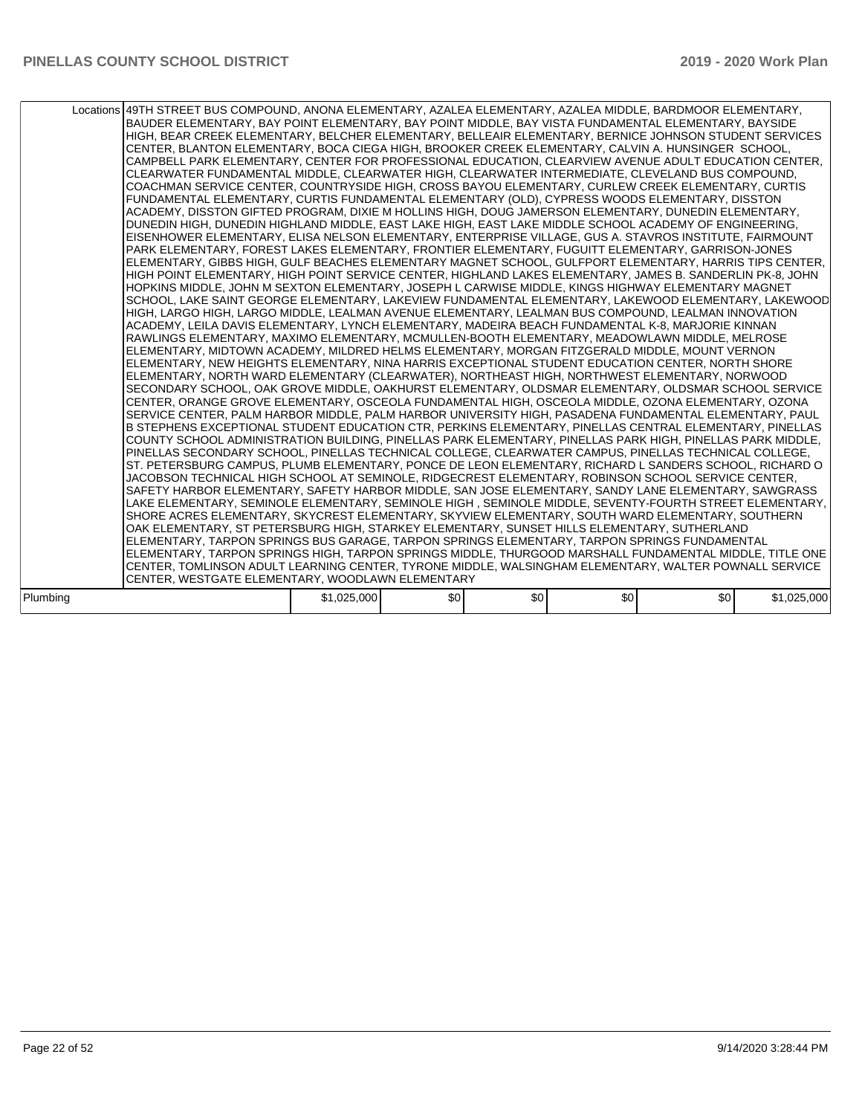|          | Locations 49TH STREET BUS COMPOUND, ANONA ELEMENTARY, AZALEA ELEMENTARY, AZALEA MIDDLE, BARDMOOR ELEMENTARY,<br>BAUDER ELEMENTARY, BAY POINT ELEMENTARY, BAY POINT MIDDLE, BAY VISTA FUNDAMENTAL ELEMENTARY, BAYSIDE<br>HIGH, BEAR CREEK ELEMENTARY, BELCHER ELEMENTARY, BELLEAIR ELEMENTARY, BERNICE JOHNSON STUDENT SERVICES<br>CENTER, BLANTON ELEMENTARY, BOCA CIEGA HIGH, BROOKER CREEK ELEMENTARY, CALVIN A. HUNSINGER SCHOOL,<br>CAMPBELL PARK ELEMENTARY, CENTER FOR PROFESSIONAL EDUCATION, CLEARVIEW AVENUE ADULT EDUCATION CENTER,<br>CLEARWATER FUNDAMENTAL MIDDLE, CLEARWATER HIGH, CLEARWATER INTERMEDIATE, CLEVELAND BUS COMPOUND,<br>COACHMAN SERVICE CENTER, COUNTRYSIDE HIGH, CROSS BAYOU ELEMENTARY, CURLEW CREEK ELEMENTARY, CURTIS<br>FUNDAMENTAL ELEMENTARY, CURTIS FUNDAMENTAL ELEMENTARY (OLD), CYPRESS WOODS ELEMENTARY, DISSTON<br>ACADEMY, DISSTON GIFTED PROGRAM, DIXIE M HOLLINS HIGH, DOUG JAMERSON ELEMENTARY, DUNEDIN ELEMENTARY,<br>DUNEDIN HIGH, DUNEDIN HIGHLAND MIDDLE, EAST LAKE HIGH, EAST LAKE MIDDLE SCHOOL ACADEMY OF ENGINEERING,<br>EISENHOWER ELEMENTARY, ELISA NELSON ELEMENTARY, ENTERPRISE VILLAGE, GUS A. STAVROS INSTITUTE, FAIRMOUNT<br>PARK ELEMENTARY, FOREST LAKES ELEMENTARY, FRONTIER ELEMENTARY, FUGUITT ELEMENTARY, GARRISON-JONES<br>ELEMENTARY, GIBBS HIGH, GULF BEACHES ELEMENTARY MAGNET SCHOOL, GULFPORT ELEMENTARY, HARRIS TIPS CENTER,<br>HIGH POINT ELEMENTARY, HIGH POINT SERVICE CENTER, HIGHLAND LAKES ELEMENTARY, JAMES B. SANDERLIN PK-8, JOHN<br>HOPKINS MIDDLE, JOHN M SEXTON ELEMENTARY, JOSEPH L CARWISE MIDDLE, KINGS HIGHWAY ELEMENTARY MAGNET<br>SCHOOL, LAKE SAINT GEORGE ELEMENTARY, LAKEVIEW FUNDAMENTAL ELEMENTARY, LAKEWOOD ELEMENTARY, LAKEWOOD<br>HIGH, LARGO HIGH, LARGO MIDDLE, LEALMAN AVENUE ELEMENTARY, LEALMAN BUS COMPOUND, LEALMAN INNOVATION<br>ACADEMY, LEILA DAVIS ELEMENTARY, LYNCH ELEMENTARY, MADEIRA BEACH FUNDAMENTAL K-8, MARJORIE KINNAN<br>RAWLINGS ELEMENTARY, MAXIMO ELEMENTARY, MCMULLEN-BOOTH ELEMENTARY, MEADOWLAWN MIDDLE, MELROSE<br>ELEMENTARY, MIDTOWN ACADEMY, MILDRED HELMS ELEMENTARY, MORGAN FITZGERALD MIDDLE, MOUNT VERNON<br>ELEMENTARY. NEW HEIGHTS ELEMENTARY. NINA HARRIS EXCEPTIONAL STUDENT EDUCATION CENTER. NORTH SHORE<br>ELEMENTARY, NORTH WARD ELEMENTARY (CLEARWATER), NORTHEAST HIGH, NORTHWEST ELEMENTARY, NORWOOD<br>SECONDARY SCHOOL, OAK GROVE MIDDLE, OAKHURST ELEMENTARY, OLDSMAR ELEMENTARY, OLDSMAR SCHOOL SERVICE<br>CENTER, ORANGE GROVE ELEMENTARY, OSCEOLA FUNDAMENTAL HIGH, OSCEOLA MIDDLE, OZONA ELEMENTARY, OZONA<br>SERVICE CENTER, PALM HARBOR MIDDLE, PALM HARBOR UNIVERSITY HIGH, PASADENA FUNDAMENTAL ELEMENTARY, PAUL<br>B STEPHENS EXCEPTIONAL STUDENT EDUCATION CTR, PERKINS ELEMENTARY, PINELLAS CENTRAL ELEMENTARY, PINELLAS<br>COUNTY SCHOOL ADMINISTRATION BUILDING, PINELLAS PARK ELEMENTARY, PINELLAS PARK HIGH, PINELLAS PARK MIDDLE,<br>PINELLAS SECONDARY SCHOOL, PINELLAS TECHNICAL COLLEGE, CLEARWATER CAMPUS, PINELLAS TECHNICAL COLLEGE,<br>ST. PETERSBURG CAMPUS, PLUMB ELEMENTARY, PONCE DE LEON ELEMENTARY, RICHARD L SANDERS SCHOOL, RICHARD O<br>JACOBSON TECHNICAL HIGH SCHOOL AT SEMINOLE, RIDGECREST ELEMENTARY, ROBINSON SCHOOL SERVICE CENTER,<br>SAFETY HARBOR ELEMENTARY, SAFETY HARBOR MIDDLE, SAN JOSE ELEMENTARY, SANDY LANE ELEMENTARY, SAWGRASS<br>LAKE ELEMENTARY, SEMINOLE ELEMENTARY, SEMINOLE HIGH, SEMINOLE MIDDLE, SEVENTY-FOURTH STREET ELEMENTARY,<br>SHORE ACRES ELEMENTARY, SKYCREST ELEMENTARY, SKYVIEW ELEMENTARY, SOUTH WARD ELEMENTARY, SOUTHERN<br>OAK ELEMENTARY, ST PETERSBURG HIGH, STARKEY ELEMENTARY, SUNSET HILLS ELEMENTARY, SUTHERLAND<br>ELEMENTARY, TARPON SPRINGS BUS GARAGE, TARPON SPRINGS ELEMENTARY, TARPON SPRINGS FUNDAMENTAL<br>ELEMENTARY, TARPON SPRINGS HIGH, TARPON SPRINGS MIDDLE, THURGOOD MARSHALL FUNDAMENTAL MIDDLE, TITLE ONE<br>CENTER, TOMLINSON ADULT LEARNING CENTER, TYRONE MIDDLE, WALSINGHAM ELEMENTARY, WALTER POWNALL SERVICE<br>CENTER. WESTGATE ELEMENTARY. WOODLAWN ELEMENTARY |             |                  |     |     |     |             |
|----------|-------------------------------------------------------------------------------------------------------------------------------------------------------------------------------------------------------------------------------------------------------------------------------------------------------------------------------------------------------------------------------------------------------------------------------------------------------------------------------------------------------------------------------------------------------------------------------------------------------------------------------------------------------------------------------------------------------------------------------------------------------------------------------------------------------------------------------------------------------------------------------------------------------------------------------------------------------------------------------------------------------------------------------------------------------------------------------------------------------------------------------------------------------------------------------------------------------------------------------------------------------------------------------------------------------------------------------------------------------------------------------------------------------------------------------------------------------------------------------------------------------------------------------------------------------------------------------------------------------------------------------------------------------------------------------------------------------------------------------------------------------------------------------------------------------------------------------------------------------------------------------------------------------------------------------------------------------------------------------------------------------------------------------------------------------------------------------------------------------------------------------------------------------------------------------------------------------------------------------------------------------------------------------------------------------------------------------------------------------------------------------------------------------------------------------------------------------------------------------------------------------------------------------------------------------------------------------------------------------------------------------------------------------------------------------------------------------------------------------------------------------------------------------------------------------------------------------------------------------------------------------------------------------------------------------------------------------------------------------------------------------------------------------------------------------------------------------------------------------------------------------------------------------------------------------------------------------------------------------------------------------------------------------------------------------------------------------------------------------------------------------------------------------------------------------------------------------------------------------------------------------------------------------------------------------------------------------------------------------------------------------------------------------------------------------------------------------------------------------------------------------------------------------------------------------------------------------------------------------------------------------------------------------------------------------------------------------------------------------------------------------------------------------|-------------|------------------|-----|-----|-----|-------------|
| Plumbina |                                                                                                                                                                                                                                                                                                                                                                                                                                                                                                                                                                                                                                                                                                                                                                                                                                                                                                                                                                                                                                                                                                                                                                                                                                                                                                                                                                                                                                                                                                                                                                                                                                                                                                                                                                                                                                                                                                                                                                                                                                                                                                                                                                                                                                                                                                                                                                                                                                                                                                                                                                                                                                                                                                                                                                                                                                                                                                                                                                                                                                                                                                                                                                                                                                                                                                                                                                                                                                                                                                                                                                                                                                                                                                                                                                                                                                                                                                                                                                                                                               | \$1,025,000 | \$0 <sub>1</sub> | \$0 | \$0 | \$0 | \$1,025,000 |
|          |                                                                                                                                                                                                                                                                                                                                                                                                                                                                                                                                                                                                                                                                                                                                                                                                                                                                                                                                                                                                                                                                                                                                                                                                                                                                                                                                                                                                                                                                                                                                                                                                                                                                                                                                                                                                                                                                                                                                                                                                                                                                                                                                                                                                                                                                                                                                                                                                                                                                                                                                                                                                                                                                                                                                                                                                                                                                                                                                                                                                                                                                                                                                                                                                                                                                                                                                                                                                                                                                                                                                                                                                                                                                                                                                                                                                                                                                                                                                                                                                                               |             |                  |     |     |     |             |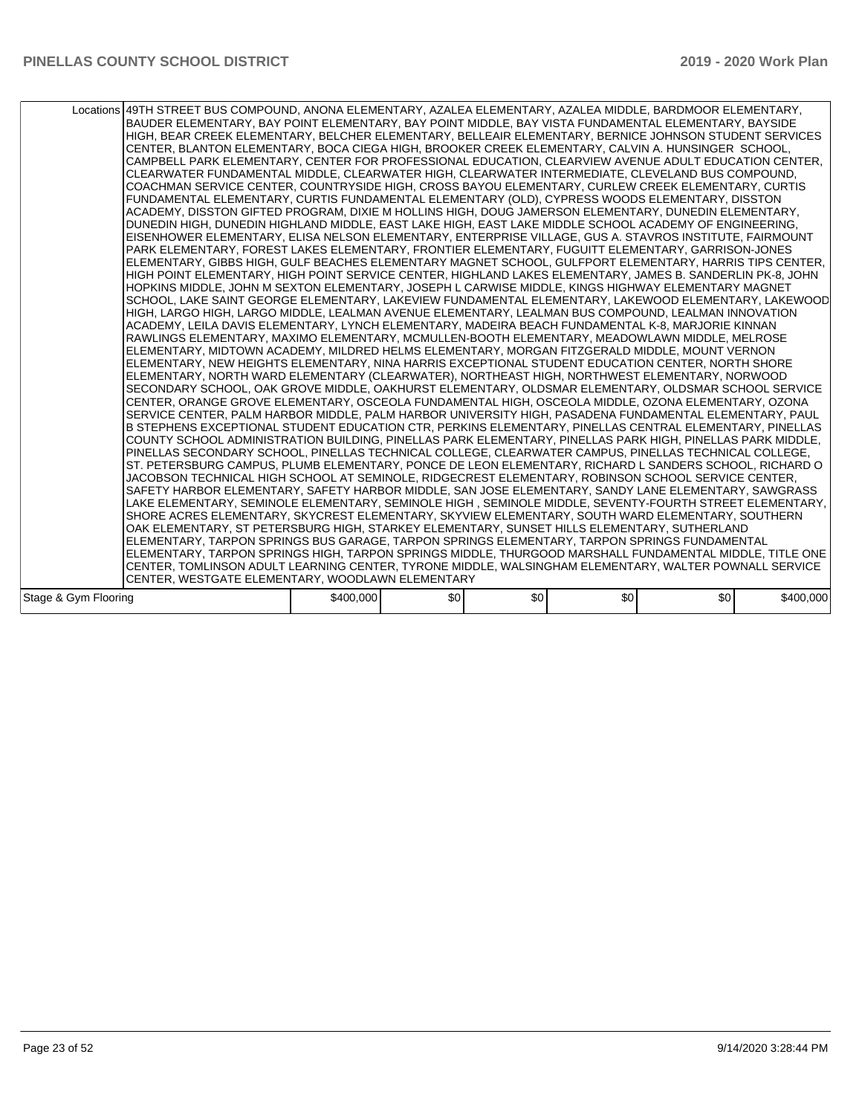|                      | Locations 49TH STREET BUS COMPOUND, ANONA ELEMENTARY, AZALEA ELEMENTARY, AZALEA MIDDLE, BARDMOOR ELEMENTARY,<br>BAUDER ELEMENTARY, BAY POINT ELEMENTARY, BAY POINT MIDDLE, BAY VISTA FUNDAMENTAL ELEMENTARY, BAYSIDE<br>HIGH, BEAR CREEK ELEMENTARY, BELCHER ELEMENTARY, BELLEAIR ELEMENTARY, BERNICE JOHNSON STUDENT SERVICES<br>CENTER, BLANTON ELEMENTARY, BOCA CIEGA HIGH, BROOKER CREEK ELEMENTARY, CALVIN A. HUNSINGER SCHOOL,<br>CAMPBELL PARK ELEMENTARY, CENTER FOR PROFESSIONAL EDUCATION, CLEARVIEW AVENUE ADULT EDUCATION CENTER,<br>CLEARWATER FUNDAMENTAL MIDDLE, CLEARWATER HIGH, CLEARWATER INTERMEDIATE, CLEVELAND BUS COMPOUND,<br>COACHMAN SERVICE CENTER, COUNTRYSIDE HIGH, CROSS BAYOU ELEMENTARY, CURLEW CREEK ELEMENTARY, CURTIS<br>FUNDAMENTAL ELEMENTARY, CURTIS FUNDAMENTAL ELEMENTARY (OLD), CYPRESS WOODS ELEMENTARY, DISSTON<br>ACADEMY, DISSTON GIFTED PROGRAM, DIXIE M HOLLINS HIGH, DOUG JAMERSON ELEMENTARY, DUNEDIN ELEMENTARY,<br>DUNEDIN HIGH, DUNEDIN HIGHLAND MIDDLE, EAST LAKE HIGH, EAST LAKE MIDDLE SCHOOL ACADEMY OF ENGINEERING,<br>EISENHOWER ELEMENTARY, ELISA NELSON ELEMENTARY, ENTERPRISE VILLAGE, GUS A. STAVROS INSTITUTE, FAIRMOUNT<br>PARK ELEMENTARY, FOREST LAKES ELEMENTARY, FRONTIER ELEMENTARY, FUGUITT ELEMENTARY, GARRISON-JONES<br>ELEMENTARY, GIBBS HIGH, GULF BEACHES ELEMENTARY MAGNET SCHOOL, GULFPORT ELEMENTARY, HARRIS TIPS CENTER,<br>HIGH POINT ELEMENTARY, HIGH POINT SERVICE CENTER, HIGHLAND LAKES ELEMENTARY, JAMES B. SANDERLIN PK-8, JOHN<br>HOPKINS MIDDLE, JOHN M SEXTON ELEMENTARY, JOSEPH L CARWISE MIDDLE, KINGS HIGHWAY ELEMENTARY MAGNET<br>SCHOOL, LAKE SAINT GEORGE ELEMENTARY, LAKEVIEW FUNDAMENTAL ELEMENTARY, LAKEWOOD ELEMENTARY, LAKEWOOD<br>HIGH, LARGO HIGH, LARGO MIDDLE, LEALMAN AVENUE ELEMENTARY, LEALMAN BUS COMPOUND, LEALMAN INNOVATION<br>ACADEMY, LEILA DAVIS ELEMENTARY, LYNCH ELEMENTARY, MADEIRA BEACH FUNDAMENTAL K-8, MARJORIE KINNAN<br>RAWLINGS ELEMENTARY, MAXIMO ELEMENTARY, MCMULLEN-BOOTH ELEMENTARY, MEADOWLAWN MIDDLE, MELROSE<br>ELEMENTARY, MIDTOWN ACADEMY, MILDRED HELMS ELEMENTARY, MORGAN FITZGERALD MIDDLE, MOUNT VERNON<br>ELEMENTARY, NEW HEIGHTS ELEMENTARY, NINA HARRIS EXCEPTIONAL STUDENT EDUCATION CENTER, NORTH SHORE<br>ELEMENTARY, NORTH WARD ELEMENTARY (CLEARWATER), NORTHEAST HIGH, NORTHWEST ELEMENTARY, NORWOOD<br>SECONDARY SCHOOL, OAK GROVE MIDDLE, OAKHURST ELEMENTARY, OLDSMAR ELEMENTARY, OLDSMAR SCHOOL SERVICE<br>CENTER, ORANGE GROVE ELEMENTARY, OSCEOLA FUNDAMENTAL HIGH, OSCEOLA MIDDLE, OZONA ELEMENTARY, OZONA<br>SERVICE CENTER, PALM HARBOR MIDDLE, PALM HARBOR UNIVERSITY HIGH, PASADENA FUNDAMENTAL ELEMENTARY, PAUL<br>B STEPHENS EXCEPTIONAL STUDENT EDUCATION CTR, PERKINS ELEMENTARY, PINELLAS CENTRAL ELEMENTARY, PINELLAS<br>COUNTY SCHOOL ADMINISTRATION BUILDING, PINELLAS PARK ELEMENTARY, PINELLAS PARK HIGH, PINELLAS PARK MIDDLE,<br>PINELLAS SECONDARY SCHOOL, PINELLAS TECHNICAL COLLEGE, CLEARWATER CAMPUS, PINELLAS TECHNICAL COLLEGE,<br>ST. PETERSBURG CAMPUS, PLUMB ELEMENTARY, PONCE DE LEON ELEMENTARY, RICHARD L SANDERS SCHOOL, RICHARD O<br>JACOBSON TECHNICAL HIGH SCHOOL AT SEMINOLE, RIDGECREST ELEMENTARY, ROBINSON SCHOOL SERVICE CENTER,<br>SAFETY HARBOR ELEMENTARY, SAFETY HARBOR MIDDLE, SAN JOSE ELEMENTARY, SANDY LANE ELEMENTARY, SAWGRASS<br>LAKE ELEMENTARY, SEMINOLE ELEMENTARY, SEMINOLE HIGH, SEMINOLE MIDDLE, SEVENTY-FOURTH STREET ELEMENTARY,<br>SHORE ACRES ELEMENTARY, SKYCREST ELEMENTARY, SKYVIEW ELEMENTARY, SOUTH WARD ELEMENTARY, SOUTHERN<br>OAK ELEMENTARY, ST PETERSBURG HIGH, STARKEY ELEMENTARY, SUNSET HILLS ELEMENTARY, SUTHERLAND<br>ELEMENTARY, TARPON SPRINGS BUS GARAGE, TARPON SPRINGS ELEMENTARY, TARPON SPRINGS FUNDAMENTAL<br>ELEMENTARY, TARPON SPRINGS HIGH, TARPON SPRINGS MIDDLE, THURGOOD MARSHALL FUNDAMENTAL MIDDLE, TITLE ONE<br>CENTER, TOMLINSON ADULT LEARNING CENTER, TYRONE MIDDLE, WALSINGHAM ELEMENTARY, WALTER POWNALL SERVICE |           |     |     |     |     |           |
|----------------------|---------------------------------------------------------------------------------------------------------------------------------------------------------------------------------------------------------------------------------------------------------------------------------------------------------------------------------------------------------------------------------------------------------------------------------------------------------------------------------------------------------------------------------------------------------------------------------------------------------------------------------------------------------------------------------------------------------------------------------------------------------------------------------------------------------------------------------------------------------------------------------------------------------------------------------------------------------------------------------------------------------------------------------------------------------------------------------------------------------------------------------------------------------------------------------------------------------------------------------------------------------------------------------------------------------------------------------------------------------------------------------------------------------------------------------------------------------------------------------------------------------------------------------------------------------------------------------------------------------------------------------------------------------------------------------------------------------------------------------------------------------------------------------------------------------------------------------------------------------------------------------------------------------------------------------------------------------------------------------------------------------------------------------------------------------------------------------------------------------------------------------------------------------------------------------------------------------------------------------------------------------------------------------------------------------------------------------------------------------------------------------------------------------------------------------------------------------------------------------------------------------------------------------------------------------------------------------------------------------------------------------------------------------------------------------------------------------------------------------------------------------------------------------------------------------------------------------------------------------------------------------------------------------------------------------------------------------------------------------------------------------------------------------------------------------------------------------------------------------------------------------------------------------------------------------------------------------------------------------------------------------------------------------------------------------------------------------------------------------------------------------------------------------------------------------------------------------------------------------------------------------------------------------------------------------------------------------------------------------------------------------------------------------------------------------------------------------------------------------------------------------------------------------------------------------------------------------------------------------------------------------------------------------------------------------------------------------------------------|-----------|-----|-----|-----|-----|-----------|
|                      | CENTER, WESTGATE ELEMENTARY, WOODLAWN ELEMENTARY                                                                                                                                                                                                                                                                                                                                                                                                                                                                                                                                                                                                                                                                                                                                                                                                                                                                                                                                                                                                                                                                                                                                                                                                                                                                                                                                                                                                                                                                                                                                                                                                                                                                                                                                                                                                                                                                                                                                                                                                                                                                                                                                                                                                                                                                                                                                                                                                                                                                                                                                                                                                                                                                                                                                                                                                                                                                                                                                                                                                                                                                                                                                                                                                                                                                                                                                                                                                                                                                                                                                                                                                                                                                                                                                                                                                                                                                                                                          |           |     |     |     |     |           |
|                      |                                                                                                                                                                                                                                                                                                                                                                                                                                                                                                                                                                                                                                                                                                                                                                                                                                                                                                                                                                                                                                                                                                                                                                                                                                                                                                                                                                                                                                                                                                                                                                                                                                                                                                                                                                                                                                                                                                                                                                                                                                                                                                                                                                                                                                                                                                                                                                                                                                                                                                                                                                                                                                                                                                                                                                                                                                                                                                                                                                                                                                                                                                                                                                                                                                                                                                                                                                                                                                                                                                                                                                                                                                                                                                                                                                                                                                                                                                                                                                           |           |     |     |     |     |           |
| Stage & Gym Flooring |                                                                                                                                                                                                                                                                                                                                                                                                                                                                                                                                                                                                                                                                                                                                                                                                                                                                                                                                                                                                                                                                                                                                                                                                                                                                                                                                                                                                                                                                                                                                                                                                                                                                                                                                                                                                                                                                                                                                                                                                                                                                                                                                                                                                                                                                                                                                                                                                                                                                                                                                                                                                                                                                                                                                                                                                                                                                                                                                                                                                                                                                                                                                                                                                                                                                                                                                                                                                                                                                                                                                                                                                                                                                                                                                                                                                                                                                                                                                                                           | \$400,000 | \$0 | \$0 | \$0 | \$0 | \$400,000 |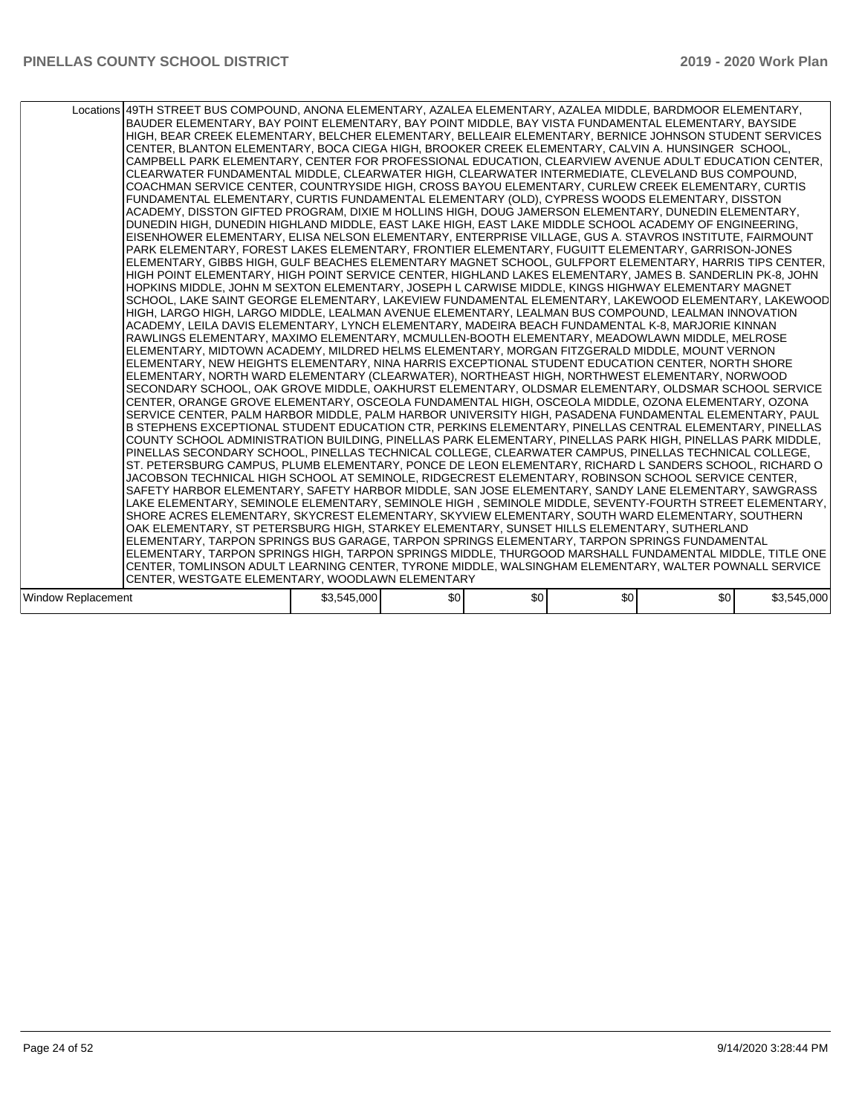|                    | Locations 49TH STREET BUS COMPOUND, ANONA ELEMENTARY, AZALEA ELEMENTARY, AZALEA MIDDLE, BARDMOOR ELEMENTARY,<br>BAUDER ELEMENTARY, BAY POINT ELEMENTARY, BAY POINT MIDDLE, BAY VISTA FUNDAMENTAL ELEMENTARY, BAYSIDE<br>HIGH, BEAR CREEK ELEMENTARY, BELCHER ELEMENTARY, BELLEAIR ELEMENTARY, BERNICE JOHNSON STUDENT SERVICES<br>CENTER, BLANTON ELEMENTARY, BOCA CIEGA HIGH, BROOKER CREEK ELEMENTARY, CALVIN A. HUNSINGER SCHOOL,<br>CAMPBELL PARK ELEMENTARY, CENTER FOR PROFESSIONAL EDUCATION, CLEARVIEW AVENUE ADULT EDUCATION CENTER,<br>CLEARWATER FUNDAMENTAL MIDDLE, CLEARWATER HIGH, CLEARWATER INTERMEDIATE, CLEVELAND BUS COMPOUND,<br>COACHMAN SERVICE CENTER, COUNTRYSIDE HIGH, CROSS BAYOU ELEMENTARY, CURLEW CREEK ELEMENTARY, CURTIS<br>FUNDAMENTAL ELEMENTARY, CURTIS FUNDAMENTAL ELEMENTARY (OLD), CYPRESS WOODS ELEMENTARY, DISSTON<br>ACADEMY, DISSTON GIFTED PROGRAM, DIXIE M HOLLINS HIGH, DOUG JAMERSON ELEMENTARY, DUNEDIN ELEMENTARY,<br>DUNEDIN HIGH, DUNEDIN HIGHLAND MIDDLE, EAST LAKE HIGH, EAST LAKE MIDDLE SCHOOL ACADEMY OF ENGINEERING,<br>EISENHOWER ELEMENTARY, ELISA NELSON ELEMENTARY, ENTERPRISE VILLAGE, GUS A. STAVROS INSTITUTE, FAIRMOUNT<br>PARK ELEMENTARY, FOREST LAKES ELEMENTARY, FRONTIER ELEMENTARY, FUGUITT ELEMENTARY, GARRISON-JONES<br>ELEMENTARY, GIBBS HIGH, GULF BEACHES ELEMENTARY MAGNET SCHOOL, GULFPORT ELEMENTARY, HARRIS TIPS CENTER,<br>HIGH POINT ELEMENTARY, HIGH POINT SERVICE CENTER, HIGHLAND LAKES ELEMENTARY, JAMES B. SANDERLIN PK-8, JOHN<br>HOPKINS MIDDLE, JOHN M SEXTON ELEMENTARY, JOSEPH L CARWISE MIDDLE, KINGS HIGHWAY ELEMENTARY MAGNET<br>SCHOOL, LAKE SAINT GEORGE ELEMENTARY, LAKEVIEW FUNDAMENTAL ELEMENTARY, LAKEWOOD ELEMENTARY, LAKEWOOD<br>HIGH, LARGO HIGH, LARGO MIDDLE, LEALMAN AVENUE ELEMENTARY, LEALMAN BUS COMPOUND, LEALMAN INNOVATION<br>ACADEMY, LEILA DAVIS ELEMENTARY, LYNCH ELEMENTARY, MADEIRA BEACH FUNDAMENTAL K-8, MARJORIE KINNAN<br>RAWLINGS ELEMENTARY, MAXIMO ELEMENTARY, MCMULLEN-BOOTH ELEMENTARY, MEADOWLAWN MIDDLE, MELROSE<br>ELEMENTARY, MIDTOWN ACADEMY, MILDRED HELMS ELEMENTARY, MORGAN FITZGERALD MIDDLE, MOUNT VERNON<br>ELEMENTARY, NEW HEIGHTS ELEMENTARY, NINA HARRIS EXCEPTIONAL STUDENT EDUCATION CENTER, NORTH SHORE<br>ELEMENTARY, NORTH WARD ELEMENTARY (CLEARWATER), NORTHEAST HIGH, NORTHWEST ELEMENTARY, NORWOOD<br>SECONDARY SCHOOL, OAK GROVE MIDDLE, OAKHURST ELEMENTARY, OLDSMAR ELEMENTARY, OLDSMAR SCHOOL SERVICE<br>CENTER, ORANGE GROVE ELEMENTARY, OSCEOLA FUNDAMENTAL HIGH, OSCEOLA MIDDLE, OZONA ELEMENTARY, OZONA<br>SERVICE CENTER, PALM HARBOR MIDDLE, PALM HARBOR UNIVERSITY HIGH, PASADENA FUNDAMENTAL ELEMENTARY, PAUL<br>B STEPHENS EXCEPTIONAL STUDENT EDUCATION CTR, PERKINS ELEMENTARY, PINELLAS CENTRAL ELEMENTARY, PINELLAS<br>COUNTY SCHOOL ADMINISTRATION BUILDING, PINELLAS PARK ELEMENTARY, PINELLAS PARK HIGH, PINELLAS PARK MIDDLE,<br>PINELLAS SECONDARY SCHOOL, PINELLAS TECHNICAL COLLEGE, CLEARWATER CAMPUS, PINELLAS TECHNICAL COLLEGE,<br>ST. PETERSBURG CAMPUS, PLUMB ELEMENTARY, PONCE DE LEON ELEMENTARY, RICHARD L SANDERS SCHOOL, RICHARD O<br>JACOBSON TECHNICAL HIGH SCHOOL AT SEMINOLE, RIDGECREST ELEMENTARY, ROBINSON SCHOOL SERVICE CENTER,<br>SAFETY HARBOR ELEMENTARY, SAFETY HARBOR MIDDLE, SAN JOSE ELEMENTARY, SANDY LANE ELEMENTARY, SAWGRASS<br>LAKE ELEMENTARY, SEMINOLE ELEMENTARY, SEMINOLE HIGH, SEMINOLE MIDDLE, SEVENTY-FOURTH STREET ELEMENTARY,<br>SHORE ACRES ELEMENTARY, SKYCREST ELEMENTARY, SKYVIEW ELEMENTARY, SOUTH WARD ELEMENTARY, SOUTHERN<br>OAK ELEMENTARY, ST PETERSBURG HIGH, STARKEY ELEMENTARY, SUNSET HILLS ELEMENTARY, SUTHERLAND<br>ELEMENTARY, TARPON SPRINGS BUS GARAGE, TARPON SPRINGS ELEMENTARY, TARPON SPRINGS FUNDAMENTAL<br>ELEMENTARY, TARPON SPRINGS HIGH, TARPON SPRINGS MIDDLE, THURGOOD MARSHALL FUNDAMENTAL MIDDLE, TITLE ONE<br>CENTER, TOMLINSON ADULT LEARNING CENTER, TYRONE MIDDLE, WALSINGHAM ELEMENTARY, WALTER POWNALL SERVICE |             |     |     |     |     |             |
|--------------------|---------------------------------------------------------------------------------------------------------------------------------------------------------------------------------------------------------------------------------------------------------------------------------------------------------------------------------------------------------------------------------------------------------------------------------------------------------------------------------------------------------------------------------------------------------------------------------------------------------------------------------------------------------------------------------------------------------------------------------------------------------------------------------------------------------------------------------------------------------------------------------------------------------------------------------------------------------------------------------------------------------------------------------------------------------------------------------------------------------------------------------------------------------------------------------------------------------------------------------------------------------------------------------------------------------------------------------------------------------------------------------------------------------------------------------------------------------------------------------------------------------------------------------------------------------------------------------------------------------------------------------------------------------------------------------------------------------------------------------------------------------------------------------------------------------------------------------------------------------------------------------------------------------------------------------------------------------------------------------------------------------------------------------------------------------------------------------------------------------------------------------------------------------------------------------------------------------------------------------------------------------------------------------------------------------------------------------------------------------------------------------------------------------------------------------------------------------------------------------------------------------------------------------------------------------------------------------------------------------------------------------------------------------------------------------------------------------------------------------------------------------------------------------------------------------------------------------------------------------------------------------------------------------------------------------------------------------------------------------------------------------------------------------------------------------------------------------------------------------------------------------------------------------------------------------------------------------------------------------------------------------------------------------------------------------------------------------------------------------------------------------------------------------------------------------------------------------------------------------------------------------------------------------------------------------------------------------------------------------------------------------------------------------------------------------------------------------------------------------------------------------------------------------------------------------------------------------------------------------------------------------------------------------------------------------------------------------------------------|-------------|-----|-----|-----|-----|-------------|
|                    | CENTER, WESTGATE ELEMENTARY, WOODLAWN ELEMENTARY                                                                                                                                                                                                                                                                                                                                                                                                                                                                                                                                                                                                                                                                                                                                                                                                                                                                                                                                                                                                                                                                                                                                                                                                                                                                                                                                                                                                                                                                                                                                                                                                                                                                                                                                                                                                                                                                                                                                                                                                                                                                                                                                                                                                                                                                                                                                                                                                                                                                                                                                                                                                                                                                                                                                                                                                                                                                                                                                                                                                                                                                                                                                                                                                                                                                                                                                                                                                                                                                                                                                                                                                                                                                                                                                                                                                                                                                                                                          |             |     |     |     |     |             |
|                    |                                                                                                                                                                                                                                                                                                                                                                                                                                                                                                                                                                                                                                                                                                                                                                                                                                                                                                                                                                                                                                                                                                                                                                                                                                                                                                                                                                                                                                                                                                                                                                                                                                                                                                                                                                                                                                                                                                                                                                                                                                                                                                                                                                                                                                                                                                                                                                                                                                                                                                                                                                                                                                                                                                                                                                                                                                                                                                                                                                                                                                                                                                                                                                                                                                                                                                                                                                                                                                                                                                                                                                                                                                                                                                                                                                                                                                                                                                                                                                           |             |     |     |     |     |             |
| Window Replacement |                                                                                                                                                                                                                                                                                                                                                                                                                                                                                                                                                                                                                                                                                                                                                                                                                                                                                                                                                                                                                                                                                                                                                                                                                                                                                                                                                                                                                                                                                                                                                                                                                                                                                                                                                                                                                                                                                                                                                                                                                                                                                                                                                                                                                                                                                                                                                                                                                                                                                                                                                                                                                                                                                                                                                                                                                                                                                                                                                                                                                                                                                                                                                                                                                                                                                                                                                                                                                                                                                                                                                                                                                                                                                                                                                                                                                                                                                                                                                                           | \$3,545,000 | \$0 | \$0 | \$0 | \$0 | \$3,545,000 |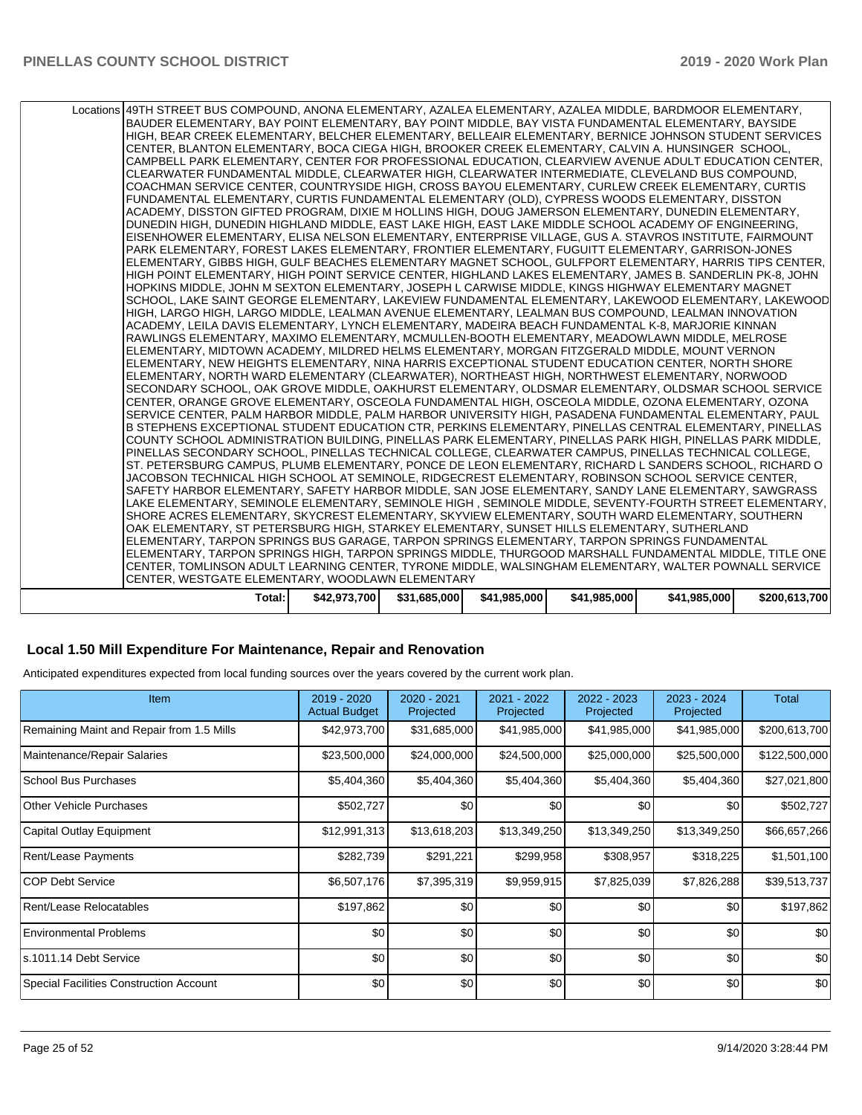| Total:                                                                                                                                                                                                         | \$42,973,700 | \$31,685,000 | \$41,985,000 | \$41.985.000 | \$41.985.000 | \$200,613,700 |
|----------------------------------------------------------------------------------------------------------------------------------------------------------------------------------------------------------------|--------------|--------------|--------------|--------------|--------------|---------------|
| CENTER, WESTGATE ELEMENTARY, WOODLAWN ELEMENTARY                                                                                                                                                               |              |              |              |              |              |               |
| CENTER, TOMLINSON ADULT LEARNING CENTER, TYRONE MIDDLE, WALSINGHAM ELEMENTARY, WALTER POWNALL SERVICE                                                                                                          |              |              |              |              |              |               |
| ELEMENTARY, TARPON SPRINGS HIGH, TARPON SPRINGS MIDDLE, THURGOOD MARSHALL FUNDAMENTAL MIDDLE, TITLE ONE                                                                                                        |              |              |              |              |              |               |
| ELEMENTARY, TARPON SPRINGS BUS GARAGE, TARPON SPRINGS ELEMENTARY, TARPON SPRINGS FUNDAMENTAL                                                                                                                   |              |              |              |              |              |               |
| OAK ELEMENTARY, ST PETERSBURG HIGH, STARKEY ELEMENTARY, SUNSET HILLS ELEMENTARY, SUTHERLAND                                                                                                                    |              |              |              |              |              |               |
| SHORE ACRES ELEMENTARY, SKYCREST ELEMENTARY, SKYVIEW ELEMENTARY, SOUTH WARD ELEMENTARY, SOUTHERN                                                                                                               |              |              |              |              |              |               |
| LAKE ELEMENTARY, SEMINOLE ELEMENTARY, SEMINOLE HIGH, SEMINOLE MIDDLE, SEVENTY-FOURTH STREET ELEMENTARY,                                                                                                        |              |              |              |              |              |               |
| SAFETY HARBOR ELEMENTARY, SAFETY HARBOR MIDDLE, SAN JOSE ELEMENTARY, SANDY LANE ELEMENTARY, SAWGRASS                                                                                                           |              |              |              |              |              |               |
| JACOBSON TECHNICAL HIGH SCHOOL AT SEMINOLE, RIDGECREST ELEMENTARY, ROBINSON SCHOOL SERVICE CENTER,                                                                                                             |              |              |              |              |              |               |
| ST. PETERSBURG CAMPUS, PLUMB ELEMENTARY, PONCE DE LEON ELEMENTARY, RICHARD L SANDERS SCHOOL, RICHARD O                                                                                                         |              |              |              |              |              |               |
| PINELLAS SECONDARY SCHOOL, PINELLAS TECHNICAL COLLEGE, CLEARWATER CAMPUS, PINELLAS TECHNICAL COLLEGE,                                                                                                          |              |              |              |              |              |               |
| COUNTY SCHOOL ADMINISTRATION BUILDING, PINELLAS PARK ELEMENTARY, PINELLAS PARK HIGH, PINELLAS PARK MIDDLE,                                                                                                     |              |              |              |              |              |               |
| B STEPHENS EXCEPTIONAL STUDENT EDUCATION CTR, PERKINS ELEMENTARY, PINELLAS CENTRAL ELEMENTARY, PINELLAS                                                                                                        |              |              |              |              |              |               |
| SERVICE CENTER, PALM HARBOR MIDDLE, PALM HARBOR UNIVERSITY HIGH, PASADENA FUNDAMENTAL ELEMENTARY, PAUL                                                                                                         |              |              |              |              |              |               |
| SECONDARY SCHOOL, OAK GROVE MIDDLE, OAKHURST ELEMENTARY, OLDSMAR ELEMENTARY, OLDSMAR SCHOOL SERVICE<br>CENTER, ORANGE GROVE ELEMENTARY, OSCEOLA FUNDAMENTAL HIGH, OSCEOLA MIDDLE, OZONA ELEMENTARY, OZONA      |              |              |              |              |              |               |
| ELEMENTARY, NORTH WARD ELEMENTARY (CLEARWATER), NORTHEAST HIGH, NORTHWEST ELEMENTARY, NORWOOD                                                                                                                  |              |              |              |              |              |               |
| ELEMENTARY, NEW HEIGHTS ELEMENTARY, NINA HARRIS EXCEPTIONAL STUDENT EDUCATION CENTER, NORTH SHORE                                                                                                              |              |              |              |              |              |               |
| ELEMENTARY, MIDTOWN ACADEMY, MILDRED HELMS ELEMENTARY, MORGAN FITZGERALD MIDDLE, MOUNT VERNON                                                                                                                  |              |              |              |              |              |               |
| RAWLINGS ELEMENTARY, MAXIMO ELEMENTARY, MCMULLEN-BOOTH ELEMENTARY, MEADOWLAWN MIDDLE, MELROSE                                                                                                                  |              |              |              |              |              |               |
| ACADEMY, LEILA DAVIS ELEMENTARY, LYNCH ELEMENTARY, MADEIRA BEACH FUNDAMENTAL K-8, MARJORIE KINNAN                                                                                                              |              |              |              |              |              |               |
| HIGH, LARGO HIGH, LARGO MIDDLE, LEALMAN AVENUE ELEMENTARY, LEALMAN BUS COMPOUND, LEALMAN INNOVATION                                                                                                            |              |              |              |              |              |               |
| SCHOOL, LAKE SAINT GEORGE ELEMENTARY, LAKEVIEW FUNDAMENTAL ELEMENTARY, LAKEWOOD ELEMENTARY, LAKEWOOD                                                                                                           |              |              |              |              |              |               |
| HOPKINS MIDDLE, JOHN M SEXTON ELEMENTARY, JOSEPH L CARWISE MIDDLE, KINGS HIGHWAY ELEMENTARY MAGNET                                                                                                             |              |              |              |              |              |               |
| HIGH POINT ELEMENTARY, HIGH POINT SERVICE CENTER, HIGHLAND LAKES ELEMENTARY, JAMES B. SANDERLIN PK-8, JOHN                                                                                                     |              |              |              |              |              |               |
| ELEMENTARY, GIBBS HIGH, GULF BEACHES ELEMENTARY MAGNET SCHOOL, GULFPORT ELEMENTARY, HARRIS TIPS CENTER,                                                                                                        |              |              |              |              |              |               |
| PARK ELEMENTARY, FOREST LAKES ELEMENTARY, FRONTIER ELEMENTARY, FUGUITT ELEMENTARY, GARRISON-JONES                                                                                                              |              |              |              |              |              |               |
| EISENHOWER ELEMENTARY, ELISA NELSON ELEMENTARY, ENTERPRISE VILLAGE, GUS A. STAVROS INSTITUTE, FAIRMOUNT                                                                                                        |              |              |              |              |              |               |
| DUNEDIN HIGH, DUNEDIN HIGHLAND MIDDLE, EAST LAKE HIGH, EAST LAKE MIDDLE SCHOOL ACADEMY OF ENGINEERING,                                                                                                         |              |              |              |              |              |               |
| ACADEMY, DISSTON GIFTED PROGRAM, DIXIE M HOLLINS HIGH, DOUG JAMERSON ELEMENTARY, DUNEDIN ELEMENTARY,                                                                                                           |              |              |              |              |              |               |
| FUNDAMENTAL ELEMENTARY, CURTIS FUNDAMENTAL ELEMENTARY (OLD), CYPRESS WOODS ELEMENTARY, DISSTON                                                                                                                 |              |              |              |              |              |               |
| COACHMAN SERVICE CENTER, COUNTRYSIDE HIGH, CROSS BAYOU ELEMENTARY, CURLEW CREEK ELEMENTARY, CURTIS                                                                                                             |              |              |              |              |              |               |
| CLEARWATER FUNDAMENTAL MIDDLE, CLEARWATER HIGH, CLEARWATER INTERMEDIATE, CLEVELAND BUS COMPOUND,                                                                                                               |              |              |              |              |              |               |
| CAMPBELL PARK ELEMENTARY, CENTER FOR PROFESSIONAL EDUCATION, CLEARVIEW AVENUE ADULT EDUCATION CENTER,                                                                                                          |              |              |              |              |              |               |
| CENTER, BLANTON ELEMENTARY, BOCA CIEGA HIGH, BROOKER CREEK ELEMENTARY, CALVIN A. HUNSINGER SCHOOL,                                                                                                             |              |              |              |              |              |               |
| BAUDER ELEMENTARY, BAY POINT ELEMENTARY, BAY POINT MIDDLE, BAY VISTA FUNDAMENTAL ELEMENTARY, BAYSIDE<br>HIGH, BEAR CREEK ELEMENTARY, BELCHER ELEMENTARY, BELLEAIR ELEMENTARY, BERNICE JOHNSON STUDENT SERVICES |              |              |              |              |              |               |
| Locations 49TH STREET BUS COMPOUND, ANONA ELEMENTARY, AZALEA ELEMENTARY, AZALEA MIDDLE, BARDMOOR ELEMENTARY,                                                                                                   |              |              |              |              |              |               |
|                                                                                                                                                                                                                |              |              |              |              |              |               |

### **Local 1.50 Mill Expenditure For Maintenance, Repair and Renovation**

Anticipated expenditures expected from local funding sources over the years covered by the current work plan.

| <b>Item</b>                               | 2019 - 2020<br><b>Actual Budget</b> | 2020 - 2021<br>Projected | 2021 - 2022<br>Projected | 2022 - 2023<br>Projected | 2023 - 2024<br>Projected | Total         |
|-------------------------------------------|-------------------------------------|--------------------------|--------------------------|--------------------------|--------------------------|---------------|
| Remaining Maint and Repair from 1.5 Mills | \$42,973,700                        | \$31,685,000             | \$41,985,000             | \$41,985,000             | \$41,985,000             | \$200,613,700 |
| Maintenance/Repair Salaries               | \$23,500,000                        | \$24,000,000             | \$24,500,000             | \$25,000,000             | \$25,500,000             | \$122,500,000 |
| <b>School Bus Purchases</b>               | \$5,404,360                         | \$5,404,360              | \$5,404,360              | \$5,404,360              | \$5,404,360              | \$27,021,800  |
| <b>Other Vehicle Purchases</b>            | \$502,727                           | \$0                      | \$0                      | \$0                      | \$0                      | \$502,727     |
| Capital Outlay Equipment                  | \$12,991,313                        | \$13,618,203             | \$13,349,250             | \$13,349,250             | \$13,349,250             | \$66,657,266  |
| Rent/Lease Payments                       | \$282,739                           | \$291,221                | \$299,958                | \$308,957                | \$318,225                | \$1,501,100   |
| <b>COP Debt Service</b>                   | \$6,507,176                         | \$7,395,319              | \$9,959,915              | \$7,825,039              | \$7,826,288              | \$39,513,737  |
| Rent/Lease Relocatables                   | \$197,862                           | \$0                      | \$0                      | \$0                      | \$0                      | \$197,862     |
| <b>Environmental Problems</b>             | \$0                                 | \$0                      | \$0                      | \$0                      | \$0                      | \$0           |
| s.1011.14 Debt Service                    | \$0                                 | \$0                      | \$0                      | \$0                      | \$0                      | \$0           |
| Special Facilities Construction Account   | \$0                                 | \$0                      | \$0                      | \$0                      | \$0                      | \$0           |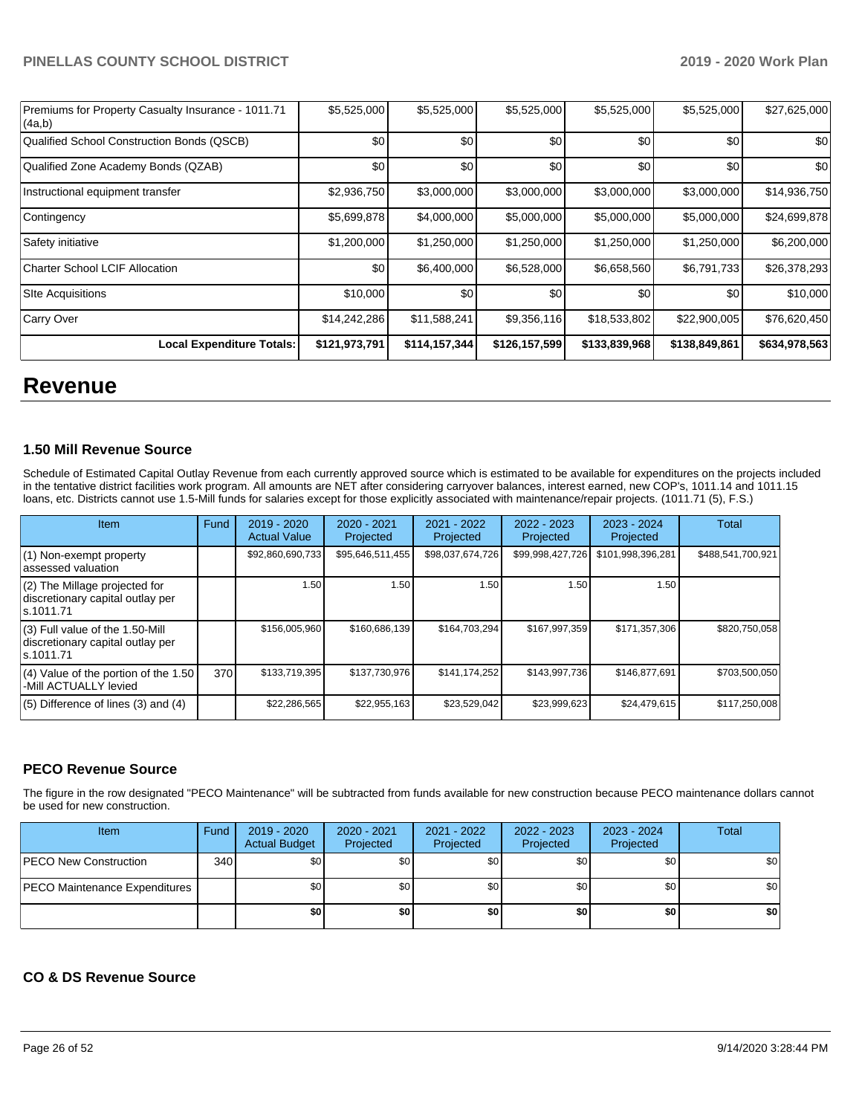| Premiums for Property Casualty Insurance - 1011.71<br>(4a,b) | \$5,525,000   | \$5,525,000   | \$5,525,000   | \$5,525,000   | \$5,525,000   | \$27,625,000  |
|--------------------------------------------------------------|---------------|---------------|---------------|---------------|---------------|---------------|
| Qualified School Construction Bonds (QSCB)                   | \$0           | \$0           | \$0           | \$0           | \$0           | \$0           |
| Qualified Zone Academy Bonds (QZAB)                          | \$0           | \$0           | \$0           | \$0           | \$0           | \$0           |
| Instructional equipment transfer                             | \$2,936,750   | \$3,000,000   | \$3,000,000   | \$3,000,000   | \$3,000,000   | \$14,936,750  |
| Contingency                                                  | \$5,699,878   | \$4,000,000   | \$5,000,000   | \$5,000,000   | \$5,000,000   | \$24,699,878  |
| Safety initiative                                            | \$1,200,000   | \$1,250,000   | \$1,250,000   | \$1,250,000   | \$1,250,000   | \$6,200,000   |
| <b>Charter School LCIF Allocation</b>                        | \$0           | \$6,400,000   | \$6,528,000   | \$6,658,560   | \$6,791,733   | \$26,378,293  |
| <b>Site Acquisitions</b>                                     | \$10,000      | \$0           | \$0           | \$0           | \$0           | \$10,000      |
| Carry Over                                                   | \$14,242,286  | \$11,588,241  | \$9,356,116   | \$18,533,802  | \$22,900,005  | \$76,620,450  |
| <b>Local Expenditure Totals:</b>                             | \$121,973,791 | \$114,157,344 | \$126,157,599 | \$133,839,968 | \$138,849,861 | \$634,978,563 |

## **Revenue**

#### **1.50 Mill Revenue Source**

Schedule of Estimated Capital Outlay Revenue from each currently approved source which is estimated to be available for expenditures on the projects included in the tentative district facilities work program. All amounts are NET after considering carryover balances, interest earned, new COP's, 1011.14 and 1011.15 loans, etc. Districts cannot use 1.5-Mill funds for salaries except for those explicitly associated with maintenance/repair projects. (1011.71 (5), F.S.)

| Item                                                                                | Fund | $2019 - 2020$<br><b>Actual Value</b> | $2020 - 2021$<br>Projected | 2021 - 2022<br>Projected | $2022 - 2023$<br>Projected | $2023 - 2024$<br>Projected | Total             |
|-------------------------------------------------------------------------------------|------|--------------------------------------|----------------------------|--------------------------|----------------------------|----------------------------|-------------------|
| $(1)$ Non-exempt property<br>lassessed valuation                                    |      | \$92,860,690,733                     | \$95,646,511,455           | \$98,037,674,726         | \$99,998,427,726           | \$101,998,396,281          | \$488,541,700,921 |
| (2) The Millage projected for<br>discretionary capital outlay per<br>ls.1011.71     |      | 1.50                                 | 1.50                       | 1.50                     | 1.50                       | 1.50                       |                   |
| $(3)$ Full value of the 1.50-Mill<br>discretionary capital outlay per<br>ls.1011.71 |      | \$156,005,960                        | \$160.686.139              | \$164,703,294            | \$167,997,359              | \$171,357,306              | \$820,750,058     |
| $(4)$ Value of the portion of the 1.50<br>-Mill ACTUALLY levied                     | 370  | \$133,719,395                        | \$137,730,976              | \$141,174,252            | \$143.997.736              | \$146.877.691              | \$703.500.050     |
| $(5)$ Difference of lines $(3)$ and $(4)$                                           |      | \$22,286,565                         | \$22.955.163               | \$23,529,042             | \$23,999,623               | \$24.479.615               | \$117,250,008     |

#### **PECO Revenue Source**

The figure in the row designated "PECO Maintenance" will be subtracted from funds available for new construction because PECO maintenance dollars cannot be used for new construction.

| Item                          | Fund             | 2019 - 2020<br><b>Actual Budget</b> | 2020 - 2021<br>Projected | 2021 - 2022<br>Projected | 2022 - 2023<br>Projected | 2023 - 2024<br>Projected | Total |
|-------------------------------|------------------|-------------------------------------|--------------------------|--------------------------|--------------------------|--------------------------|-------|
| PECO New Construction         | 340 <sup>1</sup> | \$0                                 | \$0 <sub>1</sub>         | \$0                      | \$0                      | \$0 <sub>1</sub>         | \$0   |
| PECO Maintenance Expenditures |                  | \$0 I                               | \$0                      | \$0 <sub>1</sub>         | \$0 <sub>1</sub>         | \$0 <sub>1</sub>         | \$0   |
|                               |                  | \$0                                 | \$0                      | \$0                      | \$0                      | \$0                      | \$0   |

#### **CO & DS Revenue Source**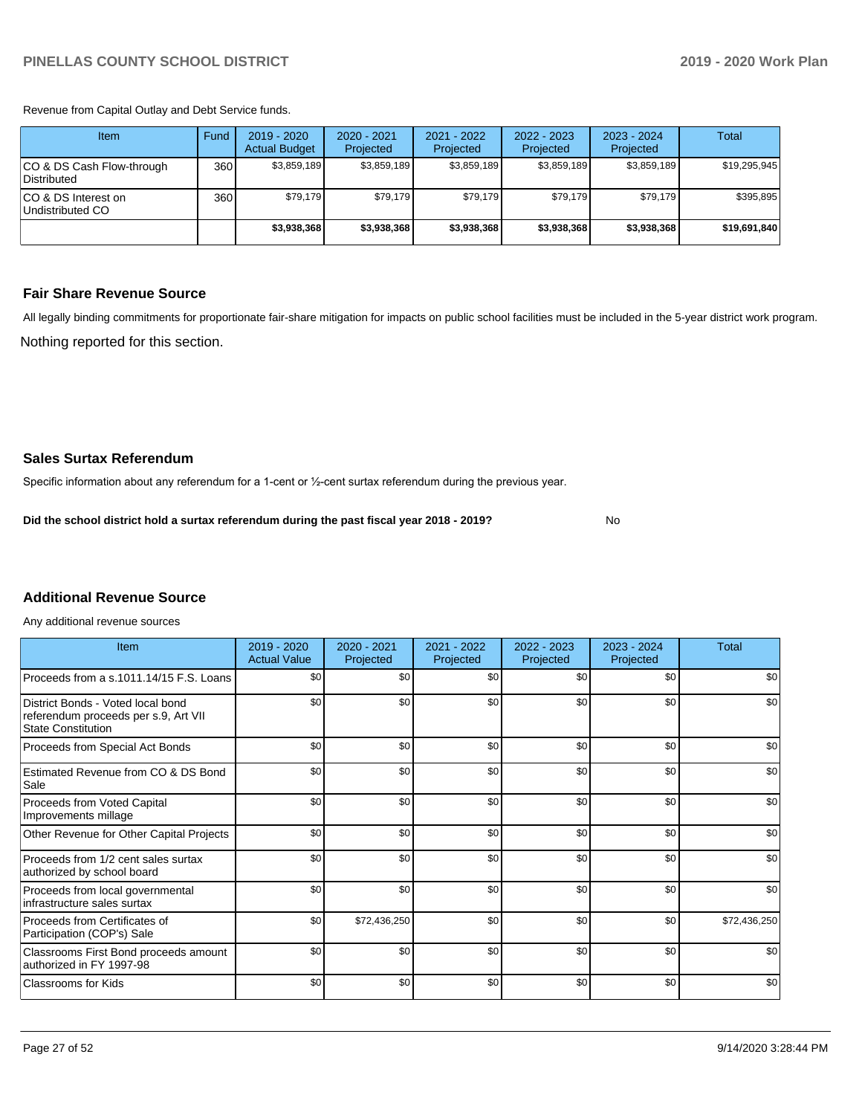Revenue from Capital Outlay and Debt Service funds.

| Item                                     | Fund             | 2019 - 2020<br><b>Actual Budget</b> | $2020 - 2021$<br>Projected | 2021 - 2022<br>Projected | $2022 - 2023$<br>Projected | $2023 - 2024$<br>Projected | Total        |
|------------------------------------------|------------------|-------------------------------------|----------------------------|--------------------------|----------------------------|----------------------------|--------------|
| CO & DS Cash Flow-through<br>Distributed | 360 <sup>1</sup> | \$3,859,189                         | \$3,859,189                | \$3,859,189              | \$3,859,189                | \$3,859,189                | \$19,295,945 |
| ICO & DS Interest on<br>Undistributed CO | 360              | \$79.179                            | \$79.179                   | \$79.179                 | \$79.179                   | \$79.179                   | \$395,895    |
|                                          |                  | \$3.938.368                         | \$3,938,368                | \$3.938.368              | \$3.938.368                | \$3,938,368                | \$19,691,840 |

#### **Fair Share Revenue Source**

Nothing reported for this section. All legally binding commitments for proportionate fair-share mitigation for impacts on public school facilities must be included in the 5-year district work program.

No

#### **Sales Surtax Referendum**

Specific information about any referendum for a 1-cent or ½-cent surtax referendum during the previous year.

**Did the school district hold a surtax referendum during the past fiscal year 2018 - 2019?**

### **Additional Revenue Source**

Any additional revenue sources

| Item                                                                                                   | $2019 - 2020$<br><b>Actual Value</b> | $2020 - 2021$<br>Projected | 2021 - 2022<br>Projected | $2022 - 2023$<br>Projected | $2023 - 2024$<br>Projected | <b>Total</b> |
|--------------------------------------------------------------------------------------------------------|--------------------------------------|----------------------------|--------------------------|----------------------------|----------------------------|--------------|
| Proceeds from a s.1011.14/15 F.S. Loans                                                                | \$0                                  | \$0                        | \$0                      | \$0                        | \$0                        | \$0          |
| District Bonds - Voted local bond<br>referendum proceeds per s.9, Art VII<br><b>State Constitution</b> | \$0                                  | \$0                        | \$0                      | \$0                        | \$0                        | \$0          |
| Proceeds from Special Act Bonds                                                                        | \$0                                  | \$0                        | \$0                      | \$0                        | \$0                        | \$0          |
| Estimated Revenue from CO & DS Bond<br>Sale                                                            | \$0                                  | \$0                        | \$0                      | \$0                        | \$0                        | \$0          |
| Proceeds from Voted Capital<br>Improvements millage                                                    | \$0                                  | \$0                        | \$0                      | \$0                        | \$0                        | \$0          |
| Other Revenue for Other Capital Projects                                                               | \$0                                  | \$0                        | \$0                      | \$0                        | \$0                        | \$0          |
| Proceeds from 1/2 cent sales surtax<br>authorized by school board                                      | \$0                                  | \$0                        | \$0                      | \$0                        | \$0                        | \$0          |
| Proceeds from local governmental<br>infrastructure sales surtax                                        | \$0                                  | \$0                        | \$0                      | \$0                        | \$0                        | \$0          |
| Proceeds from Certificates of<br>Participation (COP's) Sale                                            | \$0                                  | \$72,436,250               | \$0                      | \$0                        | \$0                        | \$72,436,250 |
| Classrooms First Bond proceeds amount<br>authorized in FY 1997-98                                      | \$0                                  | \$0                        | \$0                      | \$0                        | \$0                        | \$0          |
| Classrooms for Kids                                                                                    | \$0                                  | \$0                        | \$0                      | \$0                        | \$0                        | \$0          |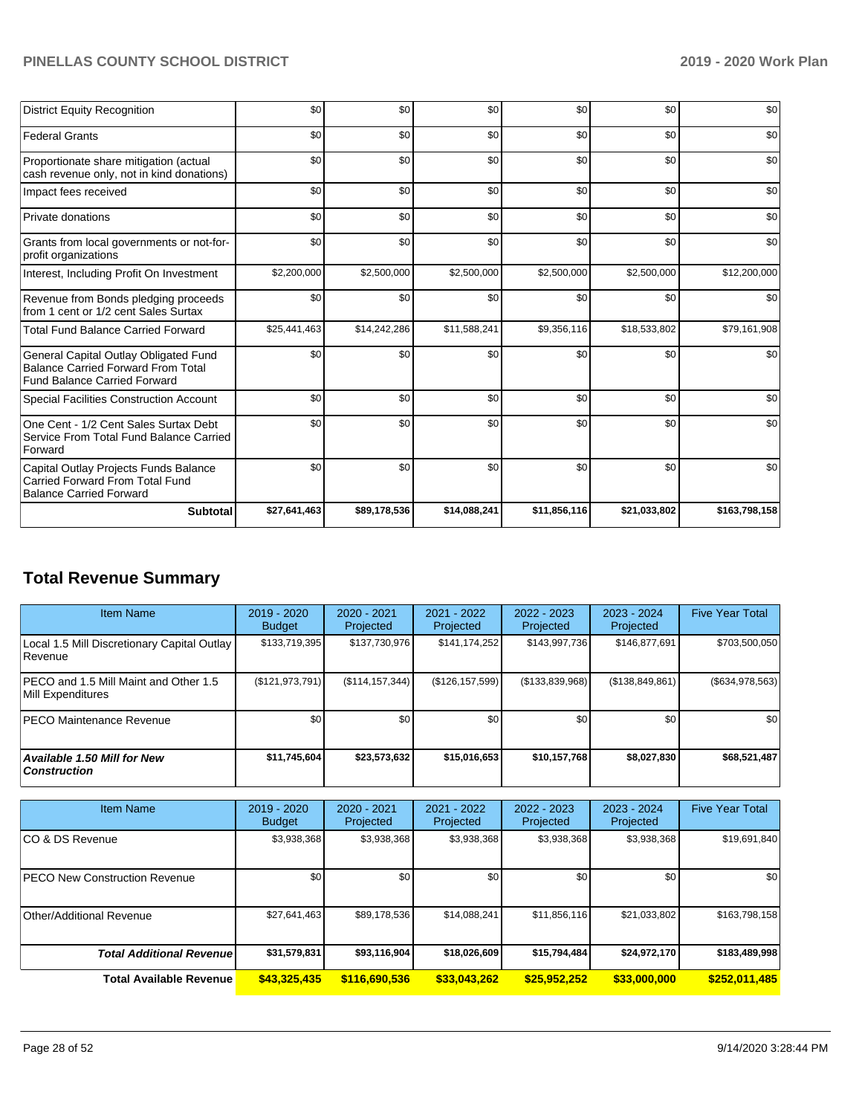| <b>Subtotal</b>                                                                                                           | \$27,641,463 | \$89,178,536 | \$14,088,241 | \$11,856,116 | \$21,033,802 | \$163,798,158 |
|---------------------------------------------------------------------------------------------------------------------------|--------------|--------------|--------------|--------------|--------------|---------------|
| Capital Outlay Projects Funds Balance<br><b>Carried Forward From Total Fund</b><br><b>Balance Carried Forward</b>         | \$0          | \$0          | \$0          | \$0          | \$0          | \$0           |
| One Cent - 1/2 Cent Sales Surtax Debt<br>Service From Total Fund Balance Carried<br>Forward                               | \$0          | \$0          | \$0          | \$0          | \$0          | \$0           |
| <b>Special Facilities Construction Account</b>                                                                            | \$0          | \$0          | \$0          | \$0          | \$0          | \$0           |
| General Capital Outlay Obligated Fund<br><b>Balance Carried Forward From Total</b><br><b>Fund Balance Carried Forward</b> | \$0          | \$0          | \$0          | \$0          | \$0          | \$0           |
| <b>Total Fund Balance Carried Forward</b>                                                                                 | \$25,441,463 | \$14,242,286 | \$11,588,241 | \$9,356,116  | \$18,533,802 | \$79,161,908  |
| Revenue from Bonds pledging proceeds<br>from 1 cent or 1/2 cent Sales Surtax                                              | \$0          | \$0          | \$0          | \$0          | \$0          | \$0           |
| Interest, Including Profit On Investment                                                                                  | \$2,200,000  | \$2,500,000  | \$2,500,000  | \$2,500,000  | \$2,500,000  | \$12,200,000  |
| Grants from local governments or not-for-<br>profit organizations                                                         | \$0          | \$0          | \$0          | \$0          | \$0          | \$0           |
| Private donations                                                                                                         | \$0          | \$0          | \$0          | \$0          | \$0          | \$0           |
| Impact fees received                                                                                                      | \$0          | \$0          | \$0          | \$0          | \$0          | \$0           |
| Proportionate share mitigation (actual<br>cash revenue only, not in kind donations)                                       | \$0          | \$0          | \$0          | \$0          | \$0          | \$0           |
| <b>Federal Grants</b>                                                                                                     | \$0          | \$0          | \$0          | \$0          | \$0          | \$0           |
| <b>District Equity Recognition</b>                                                                                        | \$0          | \$0          | \$0          | \$0          | \$0          | \$0           |

## **Total Revenue Summary**

| <b>Item Name</b>                                           | $2019 - 2020$<br><b>Budget</b> | $2020 - 2021$<br>Projected | 2021 - 2022<br>Projected | 2022 - 2023<br>Projected | 2023 - 2024<br>Projected | <b>Five Year Total</b> |
|------------------------------------------------------------|--------------------------------|----------------------------|--------------------------|--------------------------|--------------------------|------------------------|
| Local 1.5 Mill Discretionary Capital Outlay<br> Revenue    | \$133,719,395                  | \$137,730,976              | \$141,174,252            | \$143,997,736            | \$146,877,691            | \$703,500,050          |
| PECO and 1.5 Mill Maint and Other 1.5<br>Mill Expenditures | (\$121,973,791)                | (\$114, 157, 344)          | (\$126, 157, 599)        | (\$133,839,968)          | (\$138,849,861)          | $($ \$634,978,563) $ $ |
| <b>IPECO Maintenance Revenue</b>                           | \$0                            | \$0 <sub>1</sub>           | \$0                      | \$0                      | \$0                      | \$0                    |
| Available 1.50 Mill for New<br><b>Construction</b>         | \$11,745,604                   | \$23,573,632               | \$15,016,653             | \$10,157,768             | \$8,027,830              | \$68,521,487           |

| <b>Item Name</b>                      | 2019 - 2020<br><b>Budget</b> | 2020 - 2021<br>Projected | 2021 - 2022<br>Projected | $2022 - 2023$<br>Projected | $2023 - 2024$<br>Projected | <b>Five Year Total</b> |
|---------------------------------------|------------------------------|--------------------------|--------------------------|----------------------------|----------------------------|------------------------|
| ICO & DS Revenue                      | \$3,938,368                  | \$3,938,368              | \$3,938,368              | \$3,938,368                | \$3,938,368                | \$19,691,840           |
| <b>IPECO New Construction Revenue</b> | \$0                          | \$0                      | \$0                      | \$0                        | \$0                        | \$0                    |
| Other/Additional Revenue              | \$27,641,463                 | \$89,178,536             | \$14,088,241             | \$11,856,116               | \$21,033,802               | \$163,798,158          |
| <b>Total Additional Revenue</b>       | \$31,579,831                 | \$93,116,904             | \$18,026,609             | \$15,794,484               | \$24,972,170               | \$183,489,998          |
| Total Available Revenue               | \$43,325,435                 | \$116,690,536            | \$33,043,262             | \$25,952,252               | \$33,000,000               | \$252,011,485          |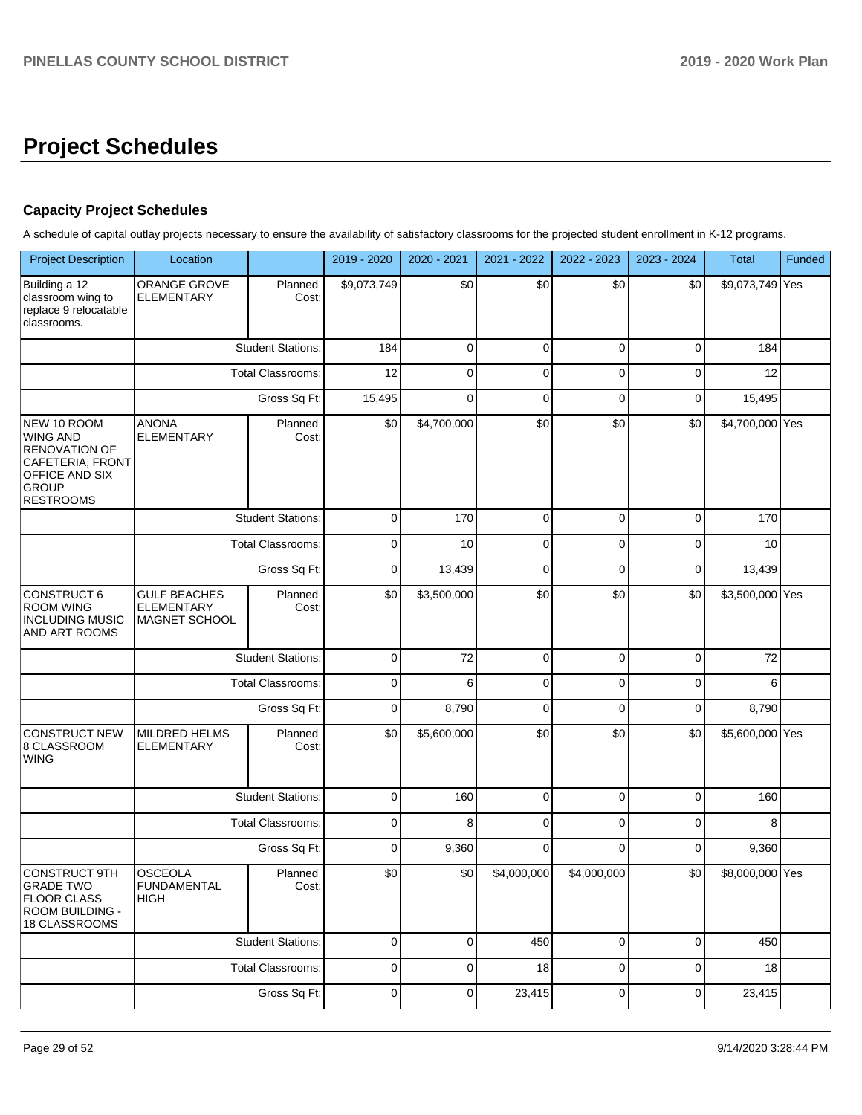## **Project Schedules**

### **Capacity Project Schedules**

A schedule of capital outlay projects necessary to ensure the availability of satisfactory classrooms for the projected student enrollment in K-12 programs.

| <b>Project Description</b>                                                                                                | Location                                                         |                          | 2019 - 2020 | 2020 - 2021 | 2021 - 2022 | 2022 - 2023  | 2023 - 2024 | Total           | Funded |
|---------------------------------------------------------------------------------------------------------------------------|------------------------------------------------------------------|--------------------------|-------------|-------------|-------------|--------------|-------------|-----------------|--------|
| Building a 12<br>classroom wing to<br>replace 9 relocatable<br>classrooms.                                                | <b>ORANGE GROVE</b><br><b>ELEMENTARY</b>                         | Planned<br>Cost:         | \$9,073,749 | \$0         | \$0         | \$0          | \$0         | \$9,073,749 Yes |        |
|                                                                                                                           |                                                                  | <b>Student Stations:</b> | 184         | $\mathbf 0$ | 0           | $\mathbf 0$  | $\mathbf 0$ | 184             |        |
|                                                                                                                           |                                                                  | <b>Total Classrooms:</b> | 12          | $\mathbf 0$ | 0           | 0            | $\mathbf 0$ | 12              |        |
|                                                                                                                           |                                                                  | Gross Sq Ft:             | 15,495      | 0           | $\mathbf 0$ | $\mathbf 0$  | $\mathbf 0$ | 15,495          |        |
| NEW 10 ROOM<br><b>WING AND</b><br>RENOVATION OF<br>CAFETERIA, FRONT<br>OFFICE AND SIX<br><b>GROUP</b><br><b>RESTROOMS</b> | <b>ANONA</b><br>Planned<br><b>ELEMENTARY</b><br>Cost:            |                          | \$0         | \$4,700,000 | \$0         | \$0          | \$0         | \$4,700,000 Yes |        |
|                                                                                                                           |                                                                  | <b>Student Stations:</b> | $\pmb{0}$   | 170         | $\mathbf 0$ | $\mathbf 0$  | $\mathbf 0$ | 170             |        |
|                                                                                                                           |                                                                  | <b>Total Classrooms:</b> | $\pmb{0}$   | 10          | $\mathbf 0$ | $\mathbf 0$  | $\mathbf 0$ | 10              |        |
|                                                                                                                           | Gross Sq Ft:                                                     |                          | $\pmb{0}$   | 13,439      | $\mathbf 0$ | $\mathbf 0$  | $\mathbf 0$ | 13,439          |        |
| <b>CONSTRUCT 6</b><br><b>ROOM WING</b><br><b>INCLUDING MUSIC</b><br>AND ART ROOMS                                         | <b>GULF BEACHES</b><br><b>ELEMENTARY</b><br>MAGNET SCHOOL        | Planned<br>Cost:         | \$0         | \$3,500,000 | \$0         | \$0          | \$0         | \$3,500,000 Yes |        |
|                                                                                                                           |                                                                  | <b>Student Stations:</b> | $\pmb{0}$   | 72          | $\mathbf 0$ | $\mathbf 0$  | $\mathbf 0$ | 72              |        |
|                                                                                                                           |                                                                  | <b>Total Classrooms:</b> | $\pmb{0}$   | 6           | $\mathbf 0$ | $\mathbf 0$  | $\mathbf 0$ | 6               |        |
|                                                                                                                           |                                                                  | Gross Sq Ft:             | $\pmb{0}$   | 8,790       | $\mathbf 0$ | $\mathbf 0$  | $\mathbf 0$ | 8,790           |        |
| <b>CONSTRUCT NEW</b><br>8 CLASSROOM<br><b>WING</b>                                                                        | MILDRED HELMS<br><b>ELEMENTARY</b>                               | Planned<br>Cost:         | \$0         | \$5,600,000 | \$0         | \$0          | \$0         | \$5,600,000 Yes |        |
|                                                                                                                           |                                                                  | <b>Student Stations:</b> | $\pmb{0}$   | 160         | $\mathbf 0$ | $\mathbf 0$  | $\mathbf 0$ | 160             |        |
|                                                                                                                           |                                                                  | Total Classrooms:        | $\pmb{0}$   | 8           | $\mathbf 0$ | $\mathbf 0$  | $\mathbf 0$ | 8               |        |
|                                                                                                                           |                                                                  | Gross Sq Ft:             | $\pmb{0}$   | 9,360       | $\mathbf 0$ | $\Omega$     | $\mathbf 0$ | 9,360           |        |
| <b>CONSTRUCT 9TH</b><br>GRADE IWO<br><b>FLOOR CLASS</b><br>ROOM BUILDING -<br>18 CLASSROOMS                               | <b>OSCEOLA</b><br>Planned<br><b>FUNDAMENTAL</b><br>Cost:<br>HIGH |                          | \$0         | \$0         | \$4,000,000 | \$4,000,000  | \$0         | \$8,000,000 Yes |        |
|                                                                                                                           |                                                                  | <b>Student Stations:</b> | $\mathbf 0$ | $\mathbf 0$ | 450         | $\mathbf{0}$ | $\mathbf 0$ | 450             |        |
|                                                                                                                           |                                                                  | <b>Total Classrooms:</b> | $\mathbf 0$ | $\mathbf 0$ | 18          | $\mathbf 0$  | $\mathbf 0$ | 18              |        |
|                                                                                                                           |                                                                  | Gross Sq Ft:             |             | 0           | 23,415      | $\mathbf 0$  | $\mathbf 0$ | 23,415          |        |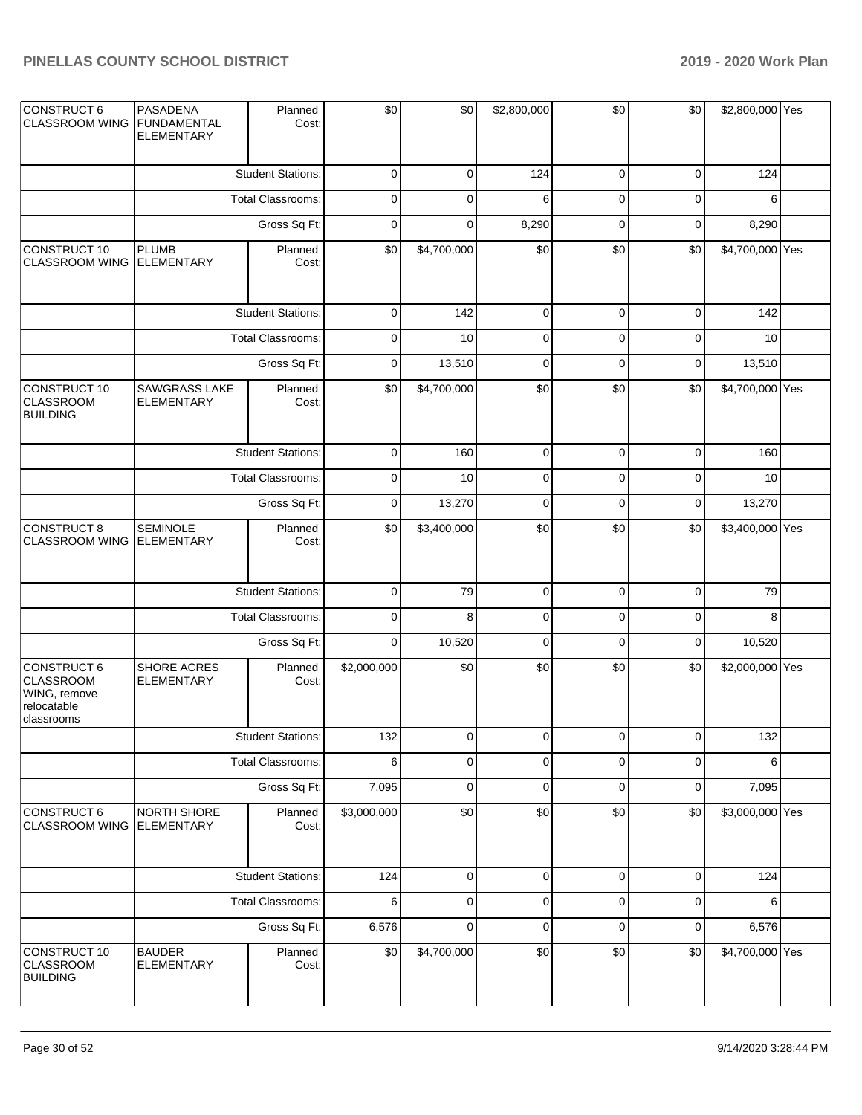| CONSTRUCT 6<br><b>CLASSROOM WING</b>                                         | PASADENA<br><b>FUNDAMENTAL</b><br><b>ELEMENTARY</b> | Planned<br>Cost:         | \$0         | \$0         | \$2,800,000 | \$0         | \$0          | \$2,800,000 Yes |  |
|------------------------------------------------------------------------------|-----------------------------------------------------|--------------------------|-------------|-------------|-------------|-------------|--------------|-----------------|--|
|                                                                              |                                                     | <b>Student Stations:</b> | $\mathbf 0$ | $\mathbf 0$ | 124         | $\mathbf 0$ | $\mathbf 0$  | 124             |  |
|                                                                              |                                                     | Total Classrooms:        | 0           | 0           | 6           | $\mathbf 0$ | $\mathbf 0$  | 6               |  |
|                                                                              |                                                     | Gross Sq Ft:             | $\mathbf 0$ | $\mathbf 0$ | 8,290       | $\mathbf 0$ | $\mathbf 0$  | 8,290           |  |
| CONSTRUCT 10<br><b>CLASSROOM WING</b>                                        | <b>PLUMB</b><br><b>ELEMENTARY</b>                   | Planned<br>Cost:         | \$0         | \$4,700,000 | \$0         | \$0         | \$0          | \$4,700,000 Yes |  |
|                                                                              |                                                     | <b>Student Stations:</b> | $\mathbf 0$ | 142         | $\pmb{0}$   | $\mathbf 0$ | $\mathbf 0$  | 142             |  |
|                                                                              |                                                     | Total Classrooms:        | $\mathbf 0$ | 10          | $\pmb{0}$   | $\mathbf 0$ | $\mathbf 0$  | 10              |  |
|                                                                              |                                                     | Gross Sq Ft:             | $\mathbf 0$ | 13,510      | $\mathbf 0$ | $\mathbf 0$ | $\mathbf 0$  | 13,510          |  |
| CONSTRUCT 10<br><b>CLASSROOM</b><br><b>BUILDING</b>                          | <b>SAWGRASS LAKE</b><br><b>ELEMENTARY</b>           | Planned<br>Cost:         | \$0         | \$4,700,000 | \$0         | \$0         | \$0          | \$4,700,000 Yes |  |
|                                                                              |                                                     | <b>Student Stations:</b> | $\mathbf 0$ | 160         | $\pmb{0}$   | $\mathbf 0$ | $\mathbf 0$  | 160             |  |
|                                                                              |                                                     | Total Classrooms:        | $\mathbf 0$ | 10          | $\pmb{0}$   | $\mathbf 0$ | $\mathbf 0$  | 10              |  |
|                                                                              |                                                     |                          | 0           | 13,270      | $\pmb{0}$   | $\mathbf 0$ | $\mathbf 0$  | 13,270          |  |
| <b>CONSTRUCT 8</b><br><b>CLASSROOM WING</b>                                  | <b>SEMINOLE</b><br><b>ELEMENTARY</b>                | Planned<br>Cost:         | \$0         | \$3,400,000 | \$0         | \$0         | \$0          | \$3,400,000 Yes |  |
|                                                                              |                                                     | <b>Student Stations:</b> | $\mathbf 0$ | 79          | $\mathsf 0$ | $\pmb{0}$   | $\mathbf 0$  | 79              |  |
|                                                                              |                                                     | Total Classrooms:        | $\mathbf 0$ | 8           | $\pmb{0}$   | $\mathbf 0$ | $\mathbf 0$  | 8               |  |
|                                                                              |                                                     | Gross Sq Ft:             | $\mathbf 0$ | 10,520      | $\pmb{0}$   | $\mathbf 0$ | $\mathbf 0$  | 10,520          |  |
| CONSTRUCT 6<br><b>CLASSROOM</b><br>WING, remove<br>relocatable<br>classrooms | SHORE ACRES<br><b>ELEMENTARY</b>                    | Planned<br>Cost:         | \$2,000,000 | \$0         | \$0         | \$0         | \$0          | \$2,000,000 Yes |  |
|                                                                              |                                                     | <b>Student Stations:</b> | 132         | $\cup$      | $\cup$      | $\cup$      | $\mathbf{0}$ | 132             |  |
|                                                                              |                                                     | Total Classrooms:        | 6           | $\mathbf 0$ | $\pmb{0}$   | $\mathbf 0$ | $\mathbf 0$  | 6               |  |
|                                                                              |                                                     | Gross Sq Ft:             | 7,095       | $\mathbf 0$ | $\pmb{0}$   | $\pmb{0}$   | $\mathbf 0$  | 7,095           |  |
| CONSTRUCT 6<br><b>CLASSROOM WING</b>                                         | NORTH SHORE<br><b>ELEMENTARY</b>                    | Planned<br>Cost:         | \$3,000,000 | \$0         | \$0         | \$0         | \$0          | \$3,000,000 Yes |  |
|                                                                              |                                                     | <b>Student Stations:</b> | 124         | $\mathbf 0$ | $\pmb{0}$   | $\mathbf 0$ | 0            | 124             |  |
|                                                                              |                                                     | Total Classrooms:        | 6           | $\mathbf 0$ | $\pmb{0}$   | $\mathbf 0$ | $\mathbf 0$  | 6               |  |
|                                                                              |                                                     | Gross Sq Ft:             | 6,576       | $\mathbf 0$ | $\pmb{0}$   | $\mathbf 0$ | $\mathbf 0$  | 6,576           |  |
| CONSTRUCT 10<br><b>CLASSROOM</b><br><b>BUILDING</b>                          | <b>BAUDER</b><br><b>ELEMENTARY</b>                  | Planned<br>Cost:         | \$0         | \$4,700,000 | \$0         | \$0         | \$0          | \$4,700,000 Yes |  |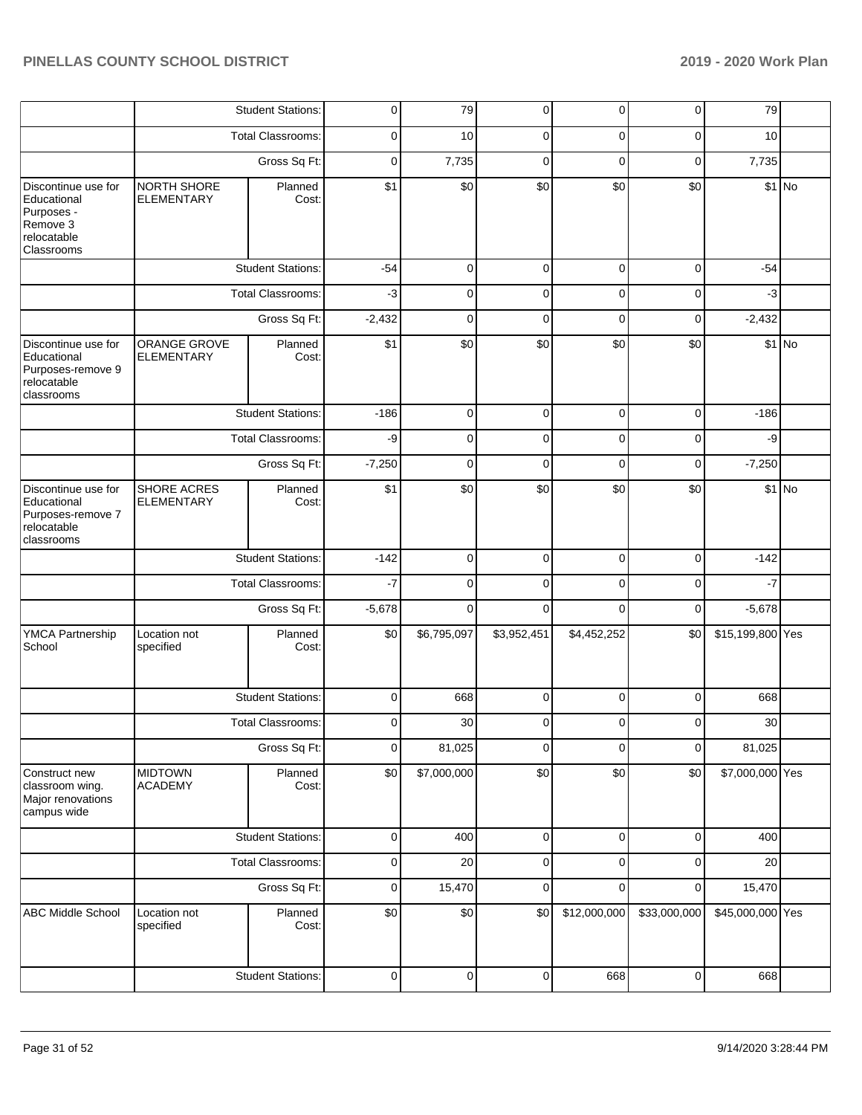|                                                                                           |                                               | <b>Student Stations:</b> | $\mathbf 0$ | 79          | $\mathbf 0$    | 0            | $\mathbf 0$  | 79               |         |
|-------------------------------------------------------------------------------------------|-----------------------------------------------|--------------------------|-------------|-------------|----------------|--------------|--------------|------------------|---------|
|                                                                                           |                                               | <b>Total Classrooms:</b> | 0           | 10          | 0              | 0            | 0            | 10               |         |
|                                                                                           |                                               | Gross Sq Ft:             | $\mathbf 0$ | 7,735       | $\mathbf 0$    | $\mathbf 0$  | $\mathbf 0$  | 7,735            |         |
| Discontinue use for<br>Educational<br>Purposes -<br>Remove 3<br>relocatable<br>Classrooms | NORTH SHORE<br><b>ELEMENTARY</b>              | Planned<br>Cost:         | \$1         | \$0         | \$0            | \$0          | \$0          |                  | $$1$ No |
|                                                                                           |                                               | <b>Student Stations:</b> | $-54$       | $\mathbf 0$ | $\mathbf 0$    | $\mathbf 0$  | $\mathbf 0$  | $-54$            |         |
|                                                                                           |                                               | <b>Total Classrooms:</b> | $-3$        | 0           | $\overline{0}$ | 0            | 0            | $-3$             |         |
|                                                                                           |                                               | Gross Sq Ft:             | $-2,432$    | 0           | $\mathbf 0$    | 0            | 0            | $-2,432$         |         |
| Discontinue use for<br>Educational<br>Purposes-remove 9<br>relocatable<br>classrooms      | ORANGE GROVE<br><b>ELEMENTARY</b>             | Planned<br>Cost:         | \$1         | \$0         | \$0            | \$0          | \$0          |                  | $$1$ No |
|                                                                                           |                                               | <b>Student Stations:</b> | $-186$      | $\mathbf 0$ | $\mathbf 0$    | $\mathbf 0$  | $\mathbf 0$  | $-186$           |         |
|                                                                                           |                                               | Total Classrooms:        | -9          | 0           | $\mathbf 0$    | 0            | $\mathbf 0$  | -9               |         |
|                                                                                           |                                               | Gross Sq Ft:             | $-7,250$    | 0           | 0              | 0            | 0            | $-7,250$         |         |
| Discontinue use for<br>Educational<br>Purposes-remove 7<br>relocatable<br>classrooms      | <b>SHORE ACRES</b><br><b>ELEMENTARY</b>       | Planned<br>Cost:         | \$1         | \$0         | \$0            | \$0          | \$0          |                  | $$1$ No |
|                                                                                           |                                               | <b>Student Stations:</b> | $-142$      | 0           | $\mathbf 0$    | 0            | $\mathbf 0$  | $-142$           |         |
|                                                                                           |                                               | <b>Total Classrooms:</b> | $-7$        | 0           | $\mathbf 0$    | 0            | $\mathbf 0$  | -7               |         |
|                                                                                           |                                               | Gross Sq Ft:             | $-5,678$    | $\mathbf 0$ | $\mathbf 0$    | 0            | $\mathbf 0$  | $-5,678$         |         |
| YMCA Partnership<br>School                                                                | Location not<br>specified                     | Planned<br>Cost:         | \$0         | \$6,795,097 | \$3,952,451    | \$4,452,252  | \$0          | \$15,199,800 Yes |         |
|                                                                                           |                                               | <b>Student Stations:</b> | $\mathbf 0$ | 668         | $\mathbf 0$    | $\mathbf 0$  | $\mathbf 0$  | 668              |         |
|                                                                                           |                                               | Total Classrooms:        | 0           | 30          | 0              | 0            | 0            | 30               |         |
|                                                                                           |                                               | Gross Sq Ft:             | $\mathbf 0$ | 81,025      | $\mathbf 0$    | $\mathbf 0$  | $\mathbf 0$  | 81,025           |         |
| Construct new<br>classroom wing.<br>Major renovations<br>campus wide                      | <b>MIDTOWN</b><br><b>ACADEMY</b>              | Planned<br>Cost:         | \$0         | \$7,000,000 | \$0            | \$0          | \$0          | \$7,000,000 Yes  |         |
|                                                                                           |                                               | <b>Student Stations:</b> | $\mathbf 0$ | 400         | $\mathbf 0$    | $\mathbf 0$  | $\mathbf 0$  | 400              |         |
|                                                                                           |                                               | Total Classrooms:        | $\mathbf 0$ | 20          | $\mathbf 0$    | 0            | $\mathbf 0$  | 20               |         |
|                                                                                           |                                               | Gross Sq Ft:             | $\mathbf 0$ | 15,470      | $\mathbf 0$    | $\mathbf 0$  | $\mathbf 0$  | 15,470           |         |
| <b>ABC Middle School</b>                                                                  | Location not<br>Planned<br>Cost:<br>specified |                          | \$0         | \$0         | \$0            | \$12,000,000 | \$33,000,000 | \$45,000,000 Yes |         |
|                                                                                           |                                               | <b>Student Stations:</b> | $\mathbf 0$ | $\mathbf 0$ | $\mathbf 0$    | 668          | $\mathbf 0$  | 668              |         |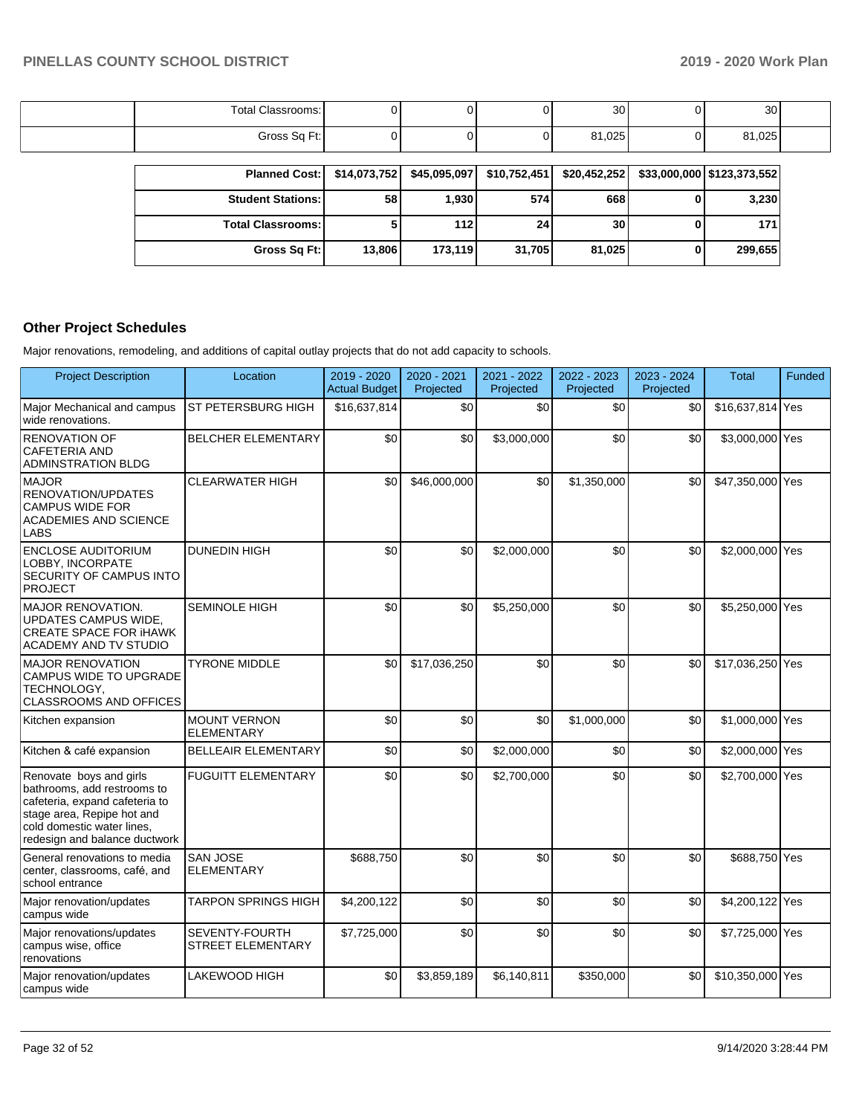| $\sim$<br>Total<br>Classrooms:       |  |         | 30     | 30<br>ັບບ |  |
|--------------------------------------|--|---------|--------|-----------|--|
| $T$ ross $S \cap F$ t L<br>υu<br>. . |  | $\cdot$ | 81,025 | 81,025    |  |

| <b>Planned Cost:</b>       |        | \$14,073,752 \$45,095,097 | \$10,752,451 | \$20,452,252 | $$33,000,000$ $$123,373,552$ |
|----------------------------|--------|---------------------------|--------------|--------------|------------------------------|
| <b>Student Stations:</b>   | 58     | 1,930                     | 574          | 668          | 3,230                        |
| <b>Total Classrooms: I</b> |        | 112 I                     | 24           | 30           | 171                          |
| Gross Sq Ft:               | 13,806 | 173,119                   | 31,705       | 81,025       | 299,655                      |

## **Other Project Schedules**

Major renovations, remodeling, and additions of capital outlay projects that do not add capacity to schools.

| <b>Project Description</b>                                                                                                                                                            | Location                                          | 2019 - 2020<br><b>Actual Budget</b> | 2020 - 2021<br>Projected | 2021 - 2022<br>Projected | 2022 - 2023<br>Projected | 2023 - 2024<br>Projected | <b>Total</b>     | Funded |
|---------------------------------------------------------------------------------------------------------------------------------------------------------------------------------------|---------------------------------------------------|-------------------------------------|--------------------------|--------------------------|--------------------------|--------------------------|------------------|--------|
| Major Mechanical and campus<br>wide renovations.                                                                                                                                      | ST PETERSBURG HIGH                                | \$16,637,814                        | \$0                      | \$0                      | \$0                      | \$0                      | \$16,637,814 Yes |        |
| <b>RENOVATION OF</b><br><b>CAFETERIA AND</b><br><b>ADMINSTRATION BLDG</b>                                                                                                             | <b>BELCHER ELEMENTARY</b>                         | \$0                                 | \$0                      | \$3,000,000              | \$0                      | \$0                      | \$3,000,000 Yes  |        |
| <b>MAJOR</b><br>RENOVATION/UPDATES<br><b>CAMPUS WIDE FOR</b><br><b>ACADEMIES AND SCIENCE</b><br><b>LABS</b>                                                                           | <b>CLEARWATER HIGH</b>                            | \$0                                 | \$46,000,000             | \$0                      | \$1,350,000              | \$0                      | \$47,350,000 Yes |        |
| <b>ENCLOSE AUDITORIUM</b><br>LOBBY. INCORPATE<br>SECURITY OF CAMPUS INTO<br><b>PROJECT</b>                                                                                            | <b>DUNEDIN HIGH</b>                               | \$0                                 | \$0                      | \$2,000,000              | \$0                      | \$0                      | \$2,000,000 Yes  |        |
| MAJOR RENOVATION.<br>UPDATES CAMPUS WIDE,<br><b>CREATE SPACE FOR IHAWK</b><br><b>ACADEMY AND TV STUDIO</b>                                                                            | <b>SEMINOLE HIGH</b>                              | \$0                                 | \$0                      | \$5,250,000              | \$0                      | \$0                      | \$5,250,000 Yes  |        |
| <b>MAJOR RENOVATION</b><br>CAMPUS WIDE TO UPGRADE<br>TECHNOLOGY,<br><b>CLASSROOMS AND OFFICES</b>                                                                                     | <b>TYRONE MIDDLE</b>                              | \$0                                 | \$17,036,250             | \$0                      | \$0                      | \$0                      | \$17,036,250 Yes |        |
| Kitchen expansion                                                                                                                                                                     | <b>MOUNT VERNON</b><br><b>ELEMENTARY</b>          | \$0                                 | \$0                      | \$0                      | \$1,000,000              | \$0                      | \$1,000,000 Yes  |        |
| Kitchen & café expansion                                                                                                                                                              | <b>BELLEAIR ELEMENTARY</b>                        | \$0                                 | \$0                      | \$2,000,000              | \$0                      | \$0                      | \$2,000,000 Yes  |        |
| Renovate boys and girls<br>bathrooms, add restrooms to<br>cafeteria, expand cafeteria to<br>stage area, Repipe hot and<br>cold domestic water lines,<br>redesign and balance ductwork | <b>FUGUITT ELEMENTARY</b>                         | \$0                                 | \$0                      | \$2,700,000              | \$0                      | \$0                      | \$2,700,000 Yes  |        |
| General renovations to media<br>center, classrooms, café, and<br>school entrance                                                                                                      | <b>SAN JOSE</b><br><b>ELEMENTARY</b>              | \$688,750                           | \$0                      | \$0                      | \$0                      | \$0                      | \$688,750 Yes    |        |
| Major renovation/updates<br>campus wide                                                                                                                                               | <b>TARPON SPRINGS HIGH</b>                        | \$4,200,122                         | \$0                      | \$0                      | \$0                      | \$0                      | \$4,200,122 Yes  |        |
| Major renovations/updates<br>campus wise, office<br>renovations                                                                                                                       | <b>SEVENTY-FOURTH</b><br><b>STREET ELEMENTARY</b> | \$7,725,000                         | \$0                      | \$0                      | \$0                      | \$0                      | \$7,725,000 Yes  |        |
| Major renovation/updates<br>campus wide                                                                                                                                               | LAKEWOOD HIGH                                     | \$0                                 | \$3,859,189              | \$6,140,811              | \$350,000                | \$0                      | \$10,350,000 Yes |        |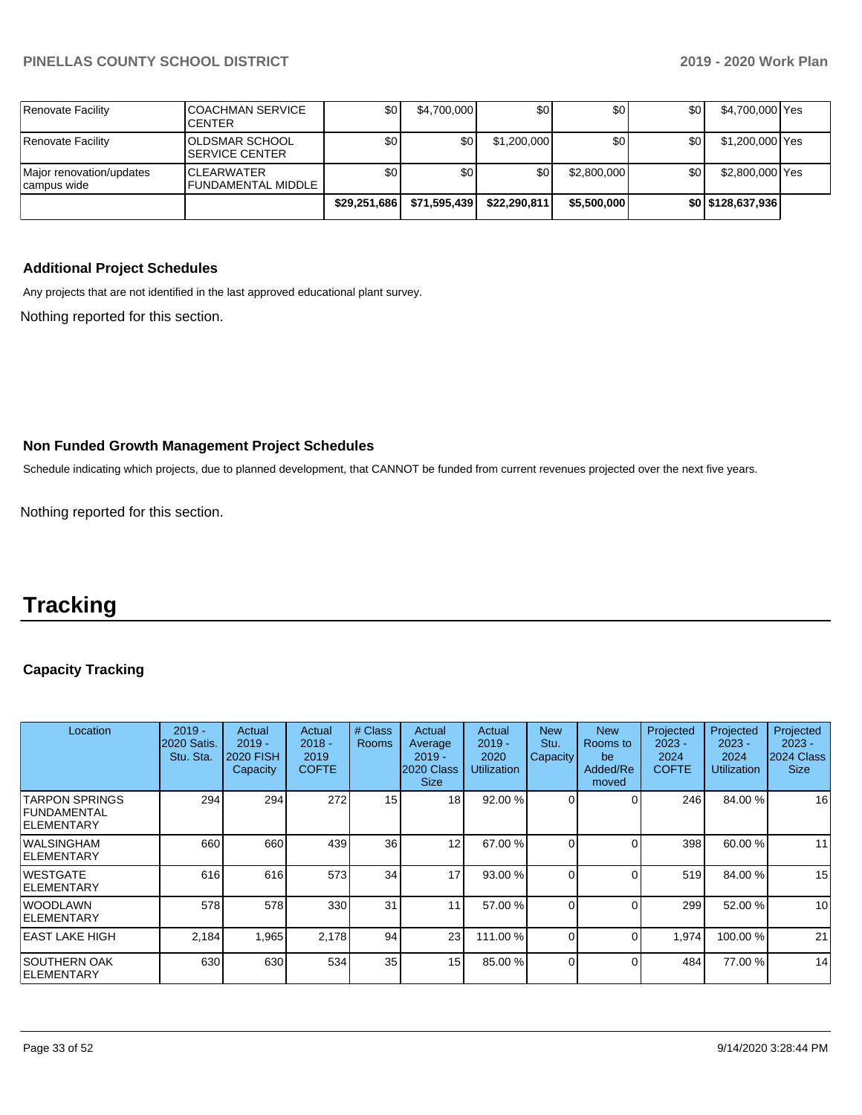| Renovate Facility                        | <b>COACHMAN SERVICE</b><br><b>CENTER</b> | \$0          | \$4,700,000  | \$0          | \$0         | \$0 | \$4,700,000 Yes   |  |
|------------------------------------------|------------------------------------------|--------------|--------------|--------------|-------------|-----|-------------------|--|
| Renovate Facility                        | OLDSMAR SCHOOL<br><b>ISERVICE CENTER</b> | \$0          | SO I         | \$1,200,000  | \$0         | \$0 | \$1,200,000 Yes   |  |
| Major renovation/updates<br> campus wide | <b>ICLEARWATER</b><br>FUNDAMENTAL MIDDLE | \$0          | \$0          | \$0          | \$2,800,000 | \$0 | \$2,800,000 Yes   |  |
|                                          |                                          | \$29,251,686 | \$71,595,439 | \$22,290,811 | \$5,500,000 |     | \$0 \$128,637,936 |  |

#### **Additional Project Schedules**

Any projects that are not identified in the last approved educational plant survey.

Nothing reported for this section.

#### **Non Funded Growth Management Project Schedules**

Schedule indicating which projects, due to planned development, that CANNOT be funded from current revenues projected over the next five years.

Nothing reported for this section.

## **Tracking**

### **Capacity Tracking**

| Location                                                     | $2019 -$<br>2020 Satis.<br>Stu. Sta. | Actual<br>$2019 -$<br><b>2020 FISH</b><br>Capacity | Actual<br>$2018 -$<br>2019<br><b>COFTE</b> | # Class<br><b>Rooms</b> | Actual<br>Average<br>$2019 -$<br>2020 Class<br><b>Size</b> | Actual<br>$2019 -$<br>2020<br><b>Utilization</b> | <b>New</b><br>Stu.<br>Capacity | <b>New</b><br>Rooms to<br>be<br>Added/Re<br>moved | Projected<br>$2023 -$<br>2024<br><b>COFTE</b> | Projected<br>$2023 -$<br>2024<br>Utilization | Projected<br>$2023 -$<br>2024 Class<br><b>Size</b> |
|--------------------------------------------------------------|--------------------------------------|----------------------------------------------------|--------------------------------------------|-------------------------|------------------------------------------------------------|--------------------------------------------------|--------------------------------|---------------------------------------------------|-----------------------------------------------|----------------------------------------------|----------------------------------------------------|
| <b>TARPON SPRINGS</b><br>l FUNDAMENTAL<br><b>IELEMENTARY</b> | 294                                  | 294                                                | 272                                        | 15                      | 18 <sup>l</sup>                                            | 92.00 %                                          |                                |                                                   | 246                                           | 84.00 %                                      | 16                                                 |
| IWALSINGHAM<br>IELEMENTARY                                   | 660                                  | 660                                                | 439                                        | 36                      | 12 <sub>1</sub>                                            | 67.00 %                                          |                                |                                                   | 398                                           | 60.00 %                                      | 11                                                 |
| IWESTGATE<br><b>IELEMENTARY</b>                              | 616                                  | 616                                                | 573                                        | 34                      | 17                                                         | 93.00 %                                          | $\Omega$                       | $\Omega$                                          | 519                                           | 84.00 %                                      | 15                                                 |
| IWOODLAWN<br><b>IELEMENTARY</b>                              | 578                                  | 578                                                | 330                                        | 31                      | 11                                                         | 57.00 %                                          |                                |                                                   | 299                                           | 52.00 %                                      | 10                                                 |
| IEAST LAKE HIGH                                              | 2,184                                | 1,965                                              | 2,178                                      | 94                      | 23                                                         | 111.00 %                                         |                                | 0                                                 | 1,974                                         | 100.00 %                                     | 21                                                 |
| ISOUTHERN OAK<br>IELEMENTARY                                 | 630                                  | 630                                                | 534                                        | 35                      | 15 <sub>l</sub>                                            | 85.00 %                                          |                                | 0                                                 | 484                                           | 77.00 %                                      | 14                                                 |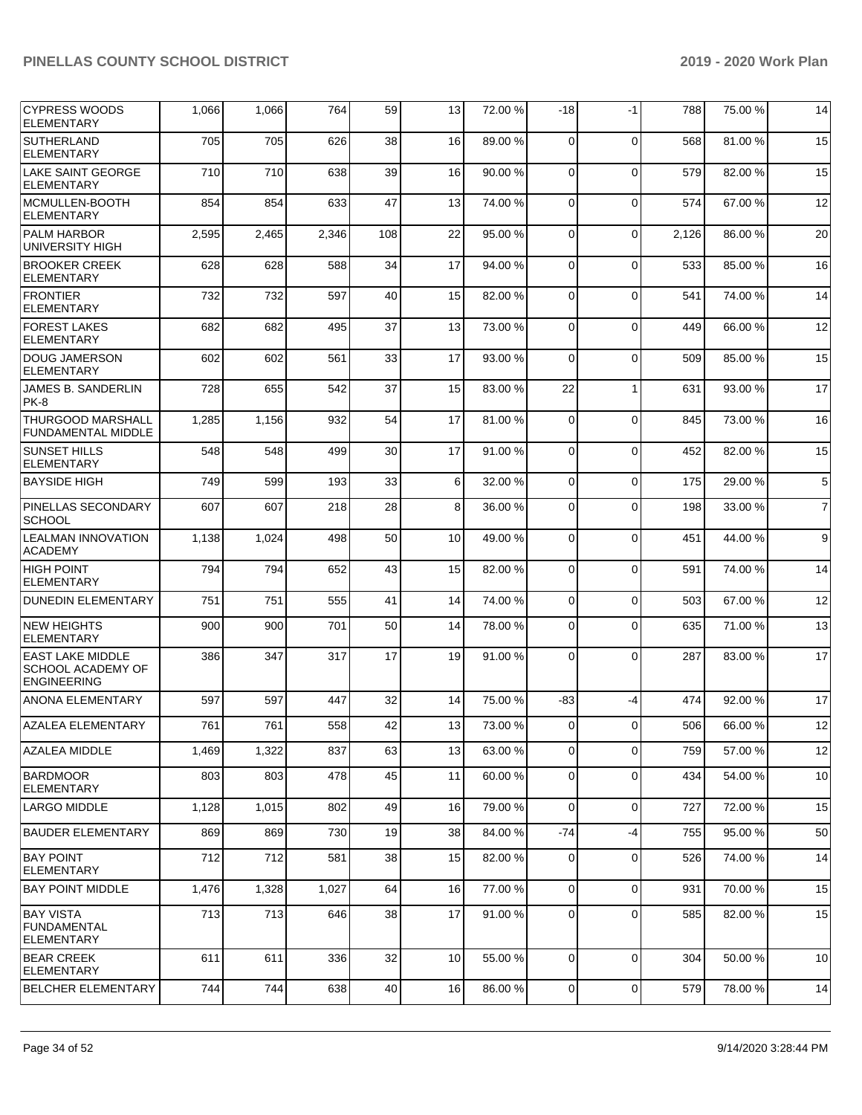| <b>CYPRESS WOODS</b><br><b>ELEMENTARY</b>                          | 1,066 | 1,066 | 764   | 59  | 13 | 72.00 % | -18            | $-1$        | 788   | 75.00 % | 14             |
|--------------------------------------------------------------------|-------|-------|-------|-----|----|---------|----------------|-------------|-------|---------|----------------|
| <b>SUTHERLAND</b><br><b>ELEMENTARY</b>                             | 705   | 705   | 626   | 38  | 16 | 89.00 % | 0              | $\Omega$    | 568   | 81.00%  | 15             |
| <b>LAKE SAINT GEORGE</b><br><b>ELEMENTARY</b>                      | 710   | 710   | 638   | 39  | 16 | 90.00 % | 0              | $\Omega$    | 579   | 82.00 % | 15             |
| MCMULLEN-BOOTH<br><b>ELEMENTARY</b>                                | 854   | 854   | 633   | 47  | 13 | 74.00 % | $\Omega$       | $\mathbf 0$ | 574   | 67.00 % | 12             |
| <b>PALM HARBOR</b><br>UNIVERSITY HIGH                              | 2,595 | 2,465 | 2,346 | 108 | 22 | 95.00 % | $\Omega$       | $\Omega$    | 2,126 | 86.00 % | 20             |
| <b>BROOKER CREEK</b><br><b>ELEMENTARY</b>                          | 628   | 628   | 588   | 34  | 17 | 94.00 % | 0              | $\mathbf 0$ | 533   | 85.00 % | 16             |
| <b>FRONTIER</b><br><b>ELEMENTARY</b>                               | 732   | 732   | 597   | 40  | 15 | 82.00%  | $\Omega$       | $\mathbf 0$ | 541   | 74.00 % | 14             |
| <b>FOREST LAKES</b><br><b>ELEMENTARY</b>                           | 682   | 682   | 495   | 37  | 13 | 73.00 % | $\mathbf 0$    | $\Omega$    | 449   | 66.00 % | 12             |
| <b>DOUG JAMERSON</b><br><b>ELEMENTARY</b>                          | 602   | 602   | 561   | 33  | 17 | 93.00 % | 0              | $\mathbf 0$ | 509   | 85.00 % | 15             |
| JAMES B. SANDERLIN<br>PK-8                                         | 728   | 655   | 542   | 37  | 15 | 83.00 % | 22             | -1          | 631   | 93.00 % | 17             |
| <b>THURGOOD MARSHALL</b><br>FUNDAMENTAL MIDDLE                     | 1,285 | 1,156 | 932   | 54  | 17 | 81.00%  | $\Omega$       | $\Omega$    | 845   | 73.00 % | 16             |
| <b>SUNSET HILLS</b><br><b>ELEMENTARY</b>                           | 548   | 548   | 499   | 30  | 17 | 91.00%  | $\mathbf 0$    | $\mathbf 0$ | 452   | 82.00 % | 15             |
| <b>BAYSIDE HIGH</b>                                                | 749   | 599   | 193   | 33  | 6  | 32.00 % | $\Omega$       | $\mathbf 0$ | 175   | 29.00 % | 5              |
| <b>PINELLAS SECONDARY</b><br><b>SCHOOL</b>                         | 607   | 607   | 218   | 28  | 8  | 36.00 % | $\Omega$       | $\Omega$    | 198   | 33.00 % | $\overline{7}$ |
| <b>LEALMAN INNOVATION</b><br><b>ACADEMY</b>                        | 1,138 | 1,024 | 498   | 50  | 10 | 49.00 % | $\Omega$       | $\Omega$    | 451   | 44.00 % | 9              |
| <b>HIGH POINT</b><br><b>ELEMENTARY</b>                             | 794   | 794   | 652   | 43  | 15 | 82.00%  | $\mathbf 0$    | $\mathbf 0$ | 591   | 74.00 % | 14             |
| <b>DUNEDIN ELEMENTARY</b>                                          | 751   | 751   | 555   | 41  | 14 | 74.00 % | $\Omega$       | $\mathbf 0$ | 503   | 67.00 % | 12             |
| <b>NEW HEIGHTS</b><br><b>ELEMENTARY</b>                            | 900   | 900   | 701   | 50  | 14 | 78.00 % | $\Omega$       | $\mathbf 0$ | 635   | 71.00 % | 13             |
| <b>EAST LAKE MIDDLE</b><br>SCHOOL ACADEMY OF<br><b>ENGINEERING</b> | 386   | 347   | 317   | 17  | 19 | 91.00%  | $\Omega$       | $\Omega$    | 287   | 83.00 % | 17             |
| <b>ANONA ELEMENTARY</b>                                            | 597   | 597   | 447   | 32  | 14 | 75.00 % | $-83$          | $-4$        | 474   | 92.00 % | 17             |
| AZALEA ELEMENTARY                                                  | 761   | 761   | 558   | 42  | 13 | 73.00 % | $\overline{0}$ | $\mathbf 0$ | 506   | 66.00 % | 12             |
| AZALEA MIDDLE                                                      | 1,469 | 1,322 | 837   | 63  | 13 | 63.00 % | 0              | $\mathbf 0$ | 759   | 57.00 % | 12             |
| <b>BARDMOOR</b><br><b>ELEMENTARY</b>                               | 803   | 803   | 478   | 45  | 11 | 60.00 % | 0              | $\mathbf 0$ | 434   | 54.00 % | 10             |
| LARGO MIDDLE                                                       | 1,128 | 1,015 | 802   | 49  | 16 | 79.00 % | $\mathbf 0$    | $\mathbf 0$ | 727   | 72.00 % | 15             |
| BAUDER ELEMENTARY                                                  | 869   | 869   | 730   | 19  | 38 | 84.00 % | -74            | $-4$        | 755   | 95.00 % | 50             |
| BAY POINT<br>ELEMENTARY                                            | 712   | 712   | 581   | 38  | 15 | 82.00 % | 0              | $\mathbf 0$ | 526   | 74.00 % | 14             |
| <b>BAY POINT MIDDLE</b>                                            | 1,476 | 1,328 | 1,027 | 64  | 16 | 77.00 % | 0              | $\mathbf 0$ | 931   | 70.00 % | 15             |
| <b>BAY VISTA</b><br><b>FUNDAMENTAL</b><br><b>ELEMENTARY</b>        | 713   | 713   | 646   | 38  | 17 | 91.00 % | 0              | $\mathbf 0$ | 585   | 82.00 % | 15             |
| <b>BEAR CREEK</b><br><b>ELEMENTARY</b>                             | 611   | 611   | 336   | 32  | 10 | 55.00 % | 0              | $\mathbf 0$ | 304   | 50.00 % | 10             |
| <b>BELCHER ELEMENTARY</b>                                          | 744   | 744   | 638   | 40  | 16 | 86.00 % | 0              | 0           | 579   | 78.00 % | 14             |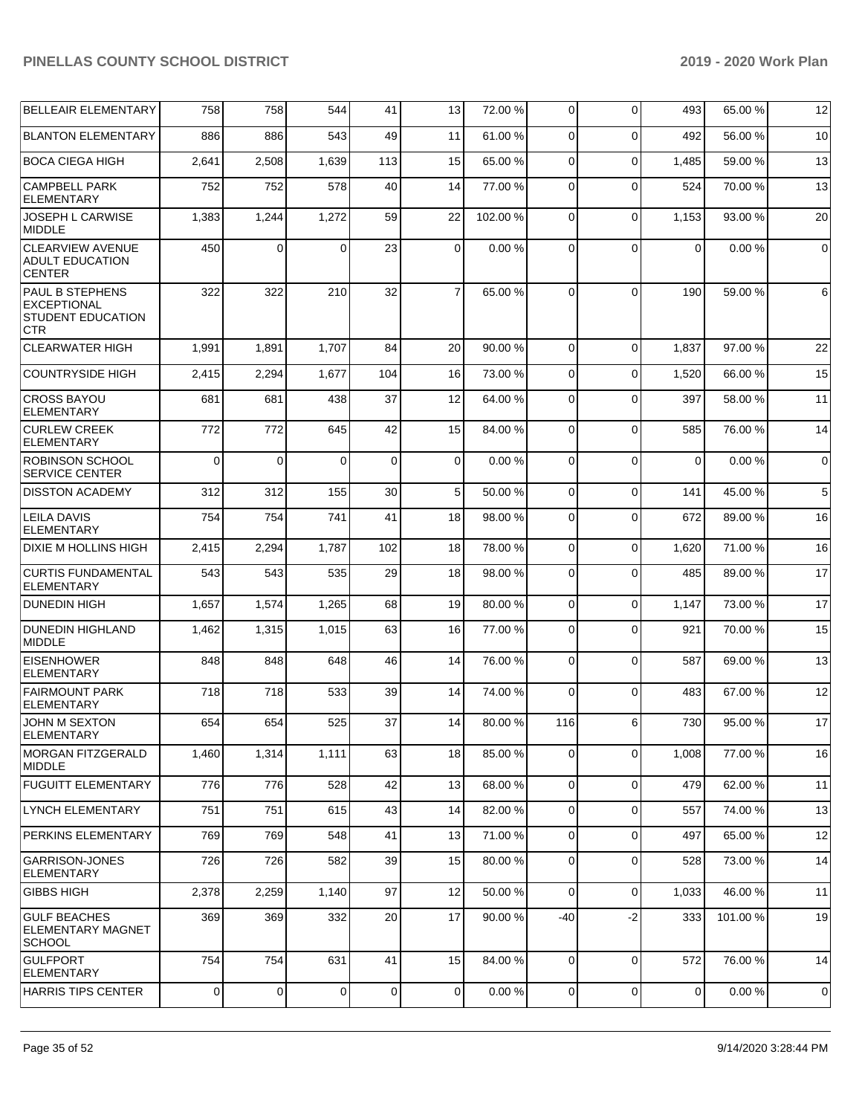| <b>BELLEAIR ELEMENTARY</b>                                                      | 758      | 758      | 544      | 41          | 13             | 72.00 % | $\overline{0}$ | $\mathbf 0$ | 493            | 65.00 % | 12              |
|---------------------------------------------------------------------------------|----------|----------|----------|-------------|----------------|---------|----------------|-------------|----------------|---------|-----------------|
| <b>BLANTON ELEMENTARY</b>                                                       | 886      | 886      | 543      | 49          | 11             | 61.00%  | $\Omega$       | $\Omega$    | 492            | 56.00 % | 10              |
| <b>BOCA CIEGA HIGH</b>                                                          | 2,641    | 2,508    | 1,639    | 113         | 15             | 65.00 % | $\Omega$       | $\Omega$    | 1,485          | 59.00 % | 13              |
| <b>CAMPBELL PARK</b><br><b>ELEMENTARY</b>                                       | 752      | 752      | 578      | 40          | 14             | 77.00 % | $\Omega$       | $\Omega$    | 524            | 70.00 % | 13              |
| JOSEPH L CARWISE<br><b>MIDDLE</b>                                               | 1,383    | 1,244    | 1,272    | 59          | 22             | 102.00% | $\Omega$       | $\mathbf 0$ | 1,153          | 93.00 % | 20              |
| <b>CLEARVIEW AVENUE</b><br><b>ADULT EDUCATION</b><br><b>CENTER</b>              | 450      | $\Omega$ | 0        | 23          | 0              | 0.00%   | 0              | $\Omega$    | $\Omega$       | 0.00%   | $\overline{0}$  |
| <b>PAUL B STEPHENS</b><br><b>EXCEPTIONAL</b><br>STUDENT EDUCATION<br><b>CTR</b> | 322      | 322      | 210      | 32          | $\overline{7}$ | 65.00 % | $\Omega$       | $\Omega$    | 190            | 59.00 % | $6 \mid$        |
| <b>CLEARWATER HIGH</b>                                                          | 1,991    | 1,891    | 1,707    | 84          | 20             | 90.00 % | $\Omega$       | $\Omega$    | 1,837          | 97.00 % | 22              |
| <b>COUNTRYSIDE HIGH</b>                                                         | 2,415    | 2,294    | 1,677    | 104         | 16             | 73.00 % | $\Omega$       | $\Omega$    | 1,520          | 66.00 % | 15              |
| <b>CROSS BAYOU</b><br><b>ELEMENTARY</b>                                         | 681      | 681      | 438      | 37          | 12             | 64.00%  | $\Omega$       | $\Omega$    | 397            | 58.00 % | 11              |
| <b>CURLEW CREEK</b><br><b>ELEMENTARY</b>                                        | 772      | 772      | 645      | 42          | 15             | 84.00 % | $\Omega$       | $\Omega$    | 585            | 76.00%  | 14              |
| <b>ROBINSON SCHOOL</b><br><b>SERVICE CENTER</b>                                 | $\Omega$ | $\Omega$ | $\Omega$ | $\mathbf 0$ | 0              | 0.00%   | $\Omega$       | $\Omega$    | $\mathbf 0$    | 0.00%   | $\overline{0}$  |
| <b>DISSTON ACADEMY</b>                                                          | 312      | 312      | 155      | 30          | 5              | 50.00 % | $\Omega$       | $\mathbf 0$ | 141            | 45.00 % | $5\phantom{.0}$ |
| <b>LEILA DAVIS</b><br><b>ELEMENTARY</b>                                         | 754      | 754      | 741      | 41          | 18             | 98.00 % | $\Omega$       | $\mathbf 0$ | 672            | 89.00 % | 16              |
| DIXIE M HOLLINS HIGH                                                            | 2,415    | 2,294    | 1,787    | 102         | 18             | 78.00 % | $\Omega$       | $\mathbf 0$ | 1,620          | 71.00 % | 16              |
| <b>CURTIS FUNDAMENTAL</b><br><b>ELEMENTARY</b>                                  | 543      | 543      | 535      | 29          | 18             | 98.00 % | $\Omega$       | $\Omega$    | 485            | 89.00 % | 17              |
| <b>DUNEDIN HIGH</b>                                                             | 1,657    | 1,574    | 1,265    | 68          | 19             | 80.00%  | $\Omega$       | $\Omega$    | 1.147          | 73.00 % | 17              |
| <b>DUNEDIN HIGHLAND</b><br><b>MIDDLE</b>                                        | 1,462    | 1,315    | 1,015    | 63          | 16             | 77.00 % | $\mathbf 0$    | $\Omega$    | 921            | 70.00 % | 15              |
| <b>EISENHOWER</b><br>ELEMENTARY                                                 | 848      | 848      | 648      | 46          | 14             | 76.00 % | $\Omega$       | $\mathbf 0$ | 587            | 69.00 % | 13              |
| <b>FAIRMOUNT PARK</b><br><b>ELEMENTARY</b>                                      | 718      | 718      | 533      | 39          | 14             | 74.00%  | $\Omega$       | $\Omega$    | 483            | 67.00%  | 12              |
| <b>JOHN M SEXTON</b><br>ELEMENIARY                                              | 654      | 654      | 525      | 37          | 14             | 80.00 % | 116            | 6           | 730            | 95.00 % | 17              |
| <b>MORGAN FITZGERALD</b><br><b>MIDDLE</b>                                       | 1,460    | 1,314    | 1,111    | 63          | 18             | 85.00 % | $\Omega$       | $\mathbf 0$ | 1,008          | 77.00 % | 16              |
| <b>FUGUITT ELEMENTARY</b>                                                       | 776      | 776      | 528      | 42          | 13             | 68.00 % | 0              | $\mathbf 0$ | 479            | 62.00 % | 11              |
| LYNCH ELEMENTARY                                                                | 751      | 751      | 615      | 43          | 14             | 82.00 % | 0              | $\mathbf 0$ | 557            | 74.00 % | 13              |
| PERKINS ELEMENTARY                                                              | 769      | 769      | 548      | 41          | 13             | 71.00 % | 0              | $\mathbf 0$ | 497            | 65.00 % | 12              |
| <b>GARRISON-JONES</b><br><b>ELEMENTARY</b>                                      | 726      | 726      | 582      | 39          | 15             | 80.00 % | 0              | $\mathbf 0$ | 528            | 73.00 % | 14              |
| <b>GIBBS HIGH</b>                                                               | 2,378    | 2,259    | 1,140    | 97          | 12             | 50.00 % | $\Omega$       | $\Omega$    | 1,033          | 46.00%  | 11              |
| <b>GULF BEACHES</b><br>ELEMENTARY MAGNET<br><b>SCHOOL</b>                       | 369      | 369      | 332      | 20          | 17             | 90.00 % | $-40$          | $-2$        | 333            | 101.00% | 19              |
| <b>GULFPORT</b><br><b>ELEMENTARY</b>                                            | 754      | 754      | 631      | 41          | 15             | 84.00 % | $\mathbf 0$    | $\mathbf 0$ | 572            | 76.00 % | 14              |
| <b>HARRIS TIPS CENTER</b>                                                       | 0        | 0        | 0        | 0           | 0              | 0.00%   | 0              | $\mathbf 0$ | $\overline{0}$ | 0.00%   | $\mathbf 0$     |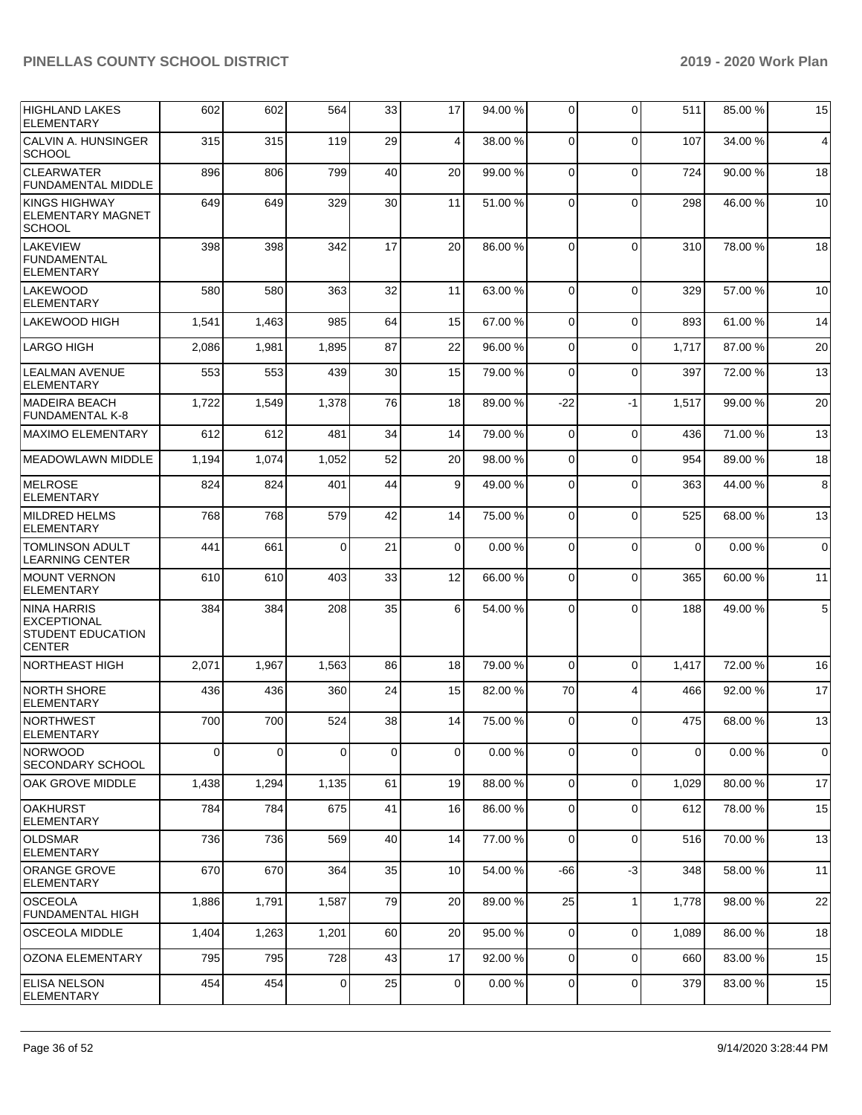| <b>HIGHLAND LAKES</b><br><b>ELEMENTARY</b>                                            | 602   | 602         | 564      | 33          | 17       | 94.00 % | 0           | $\Omega$       | 511         | 85.00 % | 15          |
|---------------------------------------------------------------------------------------|-------|-------------|----------|-------------|----------|---------|-------------|----------------|-------------|---------|-------------|
| CALVIN A. HUNSINGER<br><b>SCHOOL</b>                                                  | 315   | 315         | 119      | 29          | 4        | 38.00 % | $\Omega$    | $\Omega$       | 107         | 34.00 % | 4           |
| <b>CLEARWATER</b><br><b>FUNDAMENTAL MIDDLE</b>                                        | 896   | 806         | 799      | 40          | 20       | 99.00 % | $\Omega$    | $\Omega$       | 724         | 90.00 % | 18          |
| <b>KINGS HIGHWAY</b><br><b>ELEMENTARY MAGNET</b><br><b>SCHOOL</b>                     | 649   | 649         | 329      | 30          | 11       | 51.00 % | $\Omega$    | $\Omega$       | 298         | 46.00 % | 10          |
| <b>LAKEVIEW</b><br>FUNDAMENTAL<br><b>ELEMENTARY</b>                                   | 398   | 398         | 342      | 17          | 20       | 86.00 % | $\Omega$    | $\Omega$       | 310         | 78.00 % | 18          |
| <b>LAKEWOOD</b><br><b>ELEMENTARY</b>                                                  | 580   | 580         | 363      | 32          | 11       | 63.00 % | $\Omega$    | $\Omega$       | 329         | 57.00 % | 10          |
| <b>LAKEWOOD HIGH</b>                                                                  | 1,541 | 1,463       | 985      | 64          | 15       | 67.00 % | $\Omega$    | $\Omega$       | 893         | 61.00 % | 14          |
| LARGO HIGH                                                                            | 2,086 | 1,981       | 1,895    | 87          | 22       | 96.00 % | $\Omega$    | $\Omega$       | 1,717       | 87.00 % | 20          |
| <b>LEALMAN AVENUE</b><br><b>ELEMENTARY</b>                                            | 553   | 553         | 439      | 30          | 15       | 79.00 % | $\Omega$    | $\Omega$       | 397         | 72.00 % | 13          |
| MADEIRA BEACH<br><b>FUNDAMENTAL K-8</b>                                               | 1,722 | 1,549       | 1,378    | 76          | 18       | 89.00 % | $-22$       | $-1$           | 1,517       | 99.00 % | 20          |
| <b>MAXIMO ELEMENTARY</b>                                                              | 612   | 612         | 481      | 34          | 14       | 79.00 % | 0           | $\mathbf 0$    | 436         | 71.00 % | 13          |
| <b>MEADOWLAWN MIDDLE</b>                                                              | 1,194 | 1,074       | 1,052    | 52          | 20       | 98.00 % | $\Omega$    | $\Omega$       | 954         | 89.00 % | 18          |
| <b>IMELROSE</b><br><b>ELEMENTARY</b>                                                  | 824   | 824         | 401      | 44          | 9        | 49.00 % | $\Omega$    | $\Omega$       | 363         | 44.00 % | 8           |
| MILDRED HELMS<br><b>ELEMENTARY</b>                                                    | 768   | 768         | 579      | 42          | 14       | 75.00 % | $\Omega$    | $\Omega$       | 525         | 68.00 % | 13          |
| <b>TOMLINSON ADULT</b><br><b>LEARNING CENTER</b>                                      | 441   | 661         | $\Omega$ | 21          | $\Omega$ | 0.00%   | $\Omega$    | $\Omega$       | $\Omega$    | 0.00%   | $\mathbf 0$ |
| <b>IMOUNT VERNON</b><br><b>ELEMENTARY</b>                                             | 610   | 610         | 403      | 33          | 12       | 66.00 % | $\Omega$    | $\Omega$       | 365         | 60.00 % | 11          |
| <b>NINA HARRIS</b><br><b>EXCEPTIONAL</b><br><b>STUDENT EDUCATION</b><br><b>CENTER</b> | 384   | 384         | 208      | 35          | 6        | 54.00 % | $\Omega$    | $\Omega$       | 188         | 49.00 % | $\,$ 5 $\,$ |
| NORTHEAST HIGH                                                                        | 2,071 | 1,967       | 1,563    | 86          | 18       | 79.00 % | $\Omega$    | $\Omega$       | 1,417       | 72.00 % | 16          |
| NORTH SHORE<br><b>ELEMENTARY</b>                                                      | 436   | 436         | 360      | 24          | 15       | 82.00 % | 70          | $\overline{4}$ | 466         | 92.00 % | 17          |
| NORTHWEST<br><b>ELEMENTARY</b>                                                        | 700   | 700         | 524      | 38          | 14       | 75.00 % | 0           | $\Omega$       | 475         | 68.00 % | 13          |
| <b>NORWOOD</b><br><b>SECONDARY SCHOOL</b>                                             | 0     | $\mathbf 0$ | $\Omega$ | $\mathbf 0$ | $\Omega$ | 0.00%   | 0           | $\Omega$       | $\mathbf 0$ | 0.00%   | $\mathbf 0$ |
| <b>OAK GROVE MIDDLE</b>                                                               | 1,438 | 1,294       | 1,135    | 61          | 19       | 88.00 % | $\mathbf 0$ | $\mathbf 0$    | 1,029       | 80.00 % | 17          |
| <b>OAKHURST</b><br><b>ELEMENTARY</b>                                                  | 784   | 784         | 675      | 41          | 16       | 86.00 % | $\mathbf 0$ | $\mathbf 0$    | 612         | 78.00 % | 15          |
| <b>OLDSMAR</b><br><b>ELEMENTARY</b>                                                   | 736   | 736         | 569      | 40          | 14       | 77.00 % | 0           | $\mathbf 0$    | 516         | 70.00 % | 13          |
| ORANGE GROVE<br><b>ELEMENTARY</b>                                                     | 670   | 670         | 364      | 35          | 10       | 54.00 % | $-66$       | $-3$           | 348         | 58.00 % | 11          |
| <b>OSCEOLA</b><br><b>FUNDAMENTAL HIGH</b>                                             | 1,886 | 1,791       | 1,587    | 79          | 20       | 89.00 % | 25          | $\mathbf{1}$   | 1,778       | 98.00 % | 22          |
| <b>OSCEOLA MIDDLE</b>                                                                 | 1,404 | 1,263       | 1,201    | 60          | 20       | 95.00 % | 0           | $\mathbf 0$    | 1,089       | 86.00 % | 18          |
| OZONA ELEMENTARY                                                                      | 795   | 795         | 728      | 43          | 17       | 92.00%  | 0           | $\mathbf 0$    | 660         | 83.00 % | 15          |
| <b>ELISA NELSON</b><br><b>ELEMENTARY</b>                                              | 454   | 454         | 0        | 25          | 0        | 0.00%   | 0           | $\mathbf 0$    | 379         | 83.00 % | 15          |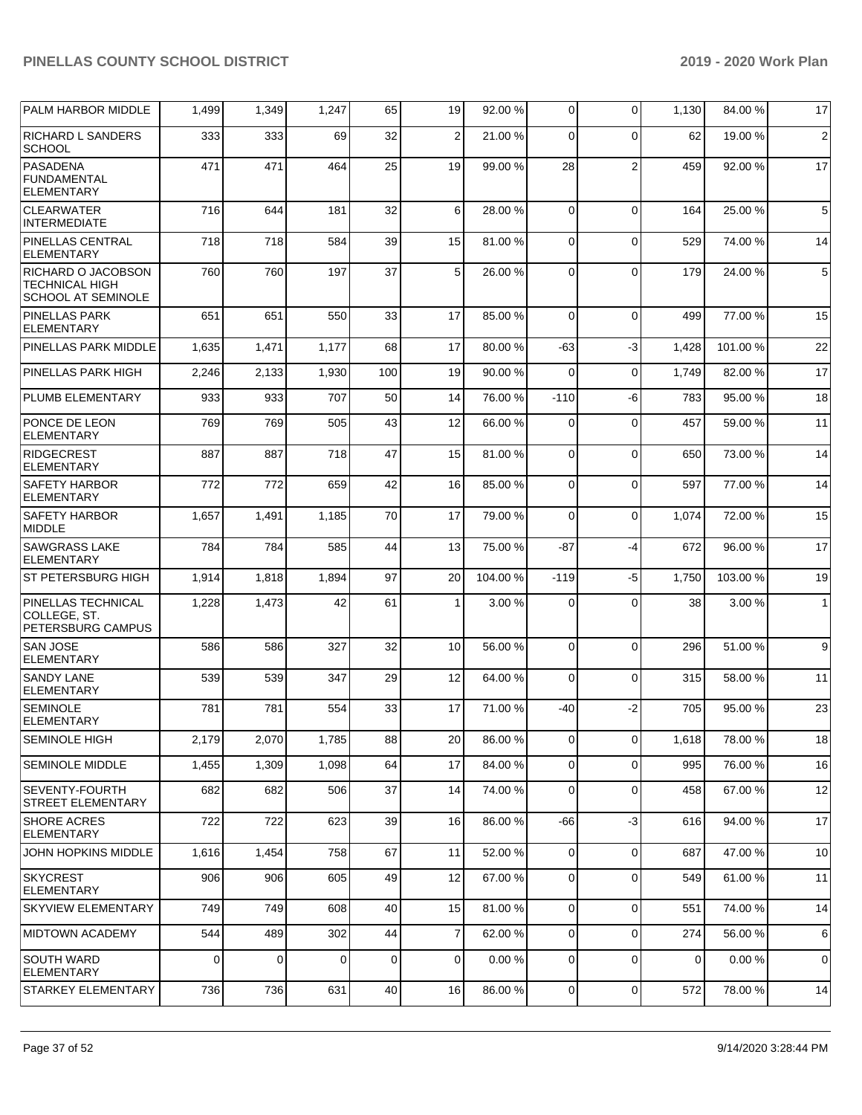| PALM HARBOR MIDDLE                                                       | 1,499       | 1,349 | 1,247    | 65          | 19           | 92.00 % | 0              | $\Omega$       | 1,130 | 84.00 %  | 17             |
|--------------------------------------------------------------------------|-------------|-------|----------|-------------|--------------|---------|----------------|----------------|-------|----------|----------------|
| <b>RICHARD L SANDERS</b><br><b>SCHOOL</b>                                | 333         | 333   | 69       | 32          | 2            | 21.00 % | $\Omega$       | $\Omega$       | 62    | 19.00 %  | $\overline{2}$ |
| <b>PASADENA</b><br><b>FUNDAMENTAL</b><br><b>ELEMENTARY</b>               | 471         | 471   | 464      | 25          | 19           | 99.00 % | 28             | $\overline{2}$ | 459   | 92.00 %  | 17             |
| <b>CLEARWATER</b><br><b>INTERMEDIATE</b>                                 | 716         | 644   | 181      | 32          | 6            | 28.00 % | $\mathbf 0$    | $\Omega$       | 164   | 25.00 %  | $\,$ 5 $\,$    |
| <b>PINELLAS CENTRAL</b><br><b>ELEMENTARY</b>                             | 718         | 718   | 584      | 39          | 15           | 81.00%  | $\mathbf 0$    | $\Omega$       | 529   | 74.00 %  | 14             |
| RICHARD O JACOBSON<br><b>TECHNICAL HIGH</b><br><b>SCHOOL AT SEMINOLE</b> | 760         | 760   | 197      | 37          | 5            | 26.00 % | 0              | $\Omega$       | 179   | 24.00 %  | $\sqrt{5}$     |
| <b>PINELLAS PARK</b><br><b>ELEMENTARY</b>                                | 651         | 651   | 550      | 33          | 17           | 85.00 % | $\mathbf 0$    | $\Omega$       | 499   | 77.00 %  | 15             |
| PINELLAS PARK MIDDLE                                                     | 1,635       | 1,471 | 1,177    | 68          | 17           | 80.00 % | -63            | $-3$           | 1,428 | 101.00 % | 22             |
| PINELLAS PARK HIGH                                                       | 2,246       | 2,133 | 1,930    | 100         | 19           | 90.00 % | 0              | $\Omega$       | 1,749 | 82.00 %  | 17             |
| PLUMB ELEMENTARY                                                         | 933         | 933   | 707      | 50          | 14           | 76.00 % | $-110$         | -6             | 783   | 95.00 %  | 18             |
| PONCE DE LEON<br><b>ELEMENTARY</b>                                       | 769         | 769   | 505      | 43          | 12           | 66.00 % | 0              | $\Omega$       | 457   | 59.00 %  | 11             |
| <b>RIDGECREST</b><br><b>ELEMENTARY</b>                                   | 887         | 887   | 718      | 47          | 15           | 81.00%  | $\mathbf 0$    | $\Omega$       | 650   | 73.00 %  | 14             |
| <b>SAFETY HARBOR</b><br><b>ELEMENTARY</b>                                | 772         | 772   | 659      | 42          | 16           | 85.00 % | $\mathbf 0$    | $\mathbf 0$    | 597   | 77.00 %  | 14             |
| <b>SAFETY HARBOR</b><br>MIDDLE                                           | 1,657       | 1,491 | 1,185    | 70          | 17           | 79.00 % | 0              | $\Omega$       | 1,074 | 72.00 %  | 15             |
| <b>SAWGRASS LAKE</b><br><b>ELEMENTARY</b>                                | 784         | 784   | 585      | 44          | 13           | 75.00 % | $-87$          | $-4$           | 672   | 96.00 %  | 17             |
| <b>ST PETERSBURG HIGH</b>                                                | 1,914       | 1,818 | 1,894    | 97          | 20           | 104.00% | $-119$         | $-5$           | 1,750 | 103.00%  | 19             |
| PINELLAS TECHNICAL<br>COLLEGE, ST.<br>PETERSBURG CAMPUS                  | 1,228       | 1,473 | 42       | 61          | $\mathbf{1}$ | 3.00 %  | 0              | $\Omega$       | 38    | 3.00 %   | $\mathbf{1}$   |
| <b>SAN JOSE</b><br><b>ELEMENTARY</b>                                     | 586         | 586   | 327      | 32          | 10           | 56.00 % | $\overline{0}$ | $\Omega$       | 296   | 51.00 %  | 9              |
| <b>SANDY LANE</b><br><b>ELEMENTARY</b>                                   | 539         | 539   | 347      | 29          | 12           | 64.00 % | 0              | $\Omega$       | 315   | 58.00 %  | 11             |
| <b>SEMINOLE</b><br><b>ELEMENTARY</b>                                     | 781         | 781   | 554      | 33          | 17           | 71.00 % | -40            | $-2$           | 705   | 95.00 %  | 23             |
| SEMINOLE HIGH                                                            | 2,179       | 2,070 | 1,785    | 88          | 20           | 86.00 % | $\overline{0}$ | $\overline{0}$ | 1,618 | 78.00 %  | 18             |
| <b>SEMINOLE MIDDLE</b>                                                   | 1,455       | 1,309 | 1,098    | 64          | 17           | 84.00 % | 0              | $\Omega$       | 995   | 76.00 %  | 16             |
| <b>SEVENTY-FOURTH</b><br>STREET ELEMENTARY                               | 682         | 682   | 506      | 37          | 14           | 74.00 % | $\mathbf 0$    | $\mathbf 0$    | 458   | 67.00 %  | 12             |
| <b>SHORE ACRES</b><br>ELEMENTARY                                         | 722         | 722   | 623      | 39          | 16           | 86.00 % | -66            | $-3$           | 616   | 94.00 %  | 17             |
| JOHN HOPKINS MIDDLE                                                      | 1,616       | 1,454 | 758      | 67          | 11           | 52.00 % | $\overline{0}$ | $\mathbf 0$    | 687   | 47.00 %  | 10             |
| SKYCREST<br><b>ELEMENTARY</b>                                            | 906         | 906   | 605      | 49          | 12           | 67.00 % | 0              | $\mathbf 0$    | 549   | 61.00 %  | 11             |
| <b>SKYVIEW ELEMENTARY</b>                                                | 749         | 749   | 608      | 40          | 15           | 81.00 % | $\overline{0}$ | $\Omega$       | 551   | 74.00 %  | 14             |
| <b>MIDTOWN ACADEMY</b>                                                   | 544         | 489   | 302      | 44          | 7            | 62.00 % | $\mathbf 0$    | $\Omega$       | 274   | 56.00 %  | 6              |
| <b>SOUTH WARD</b><br><b>ELEMENTARY</b>                                   | $\mathbf 0$ | 0     | $\Omega$ | $\mathbf 0$ | $\mathbf 0$  | 0.00%   | 0              | $\mathbf 0$    | 0     | 0.00%    | 0              |
| STARKEY ELEMENTARY                                                       | 736         | 736   | 631      | 40          | 16           | 86.00 % | $\overline{0}$ | 0              | 572   | 78.00 %  | 14             |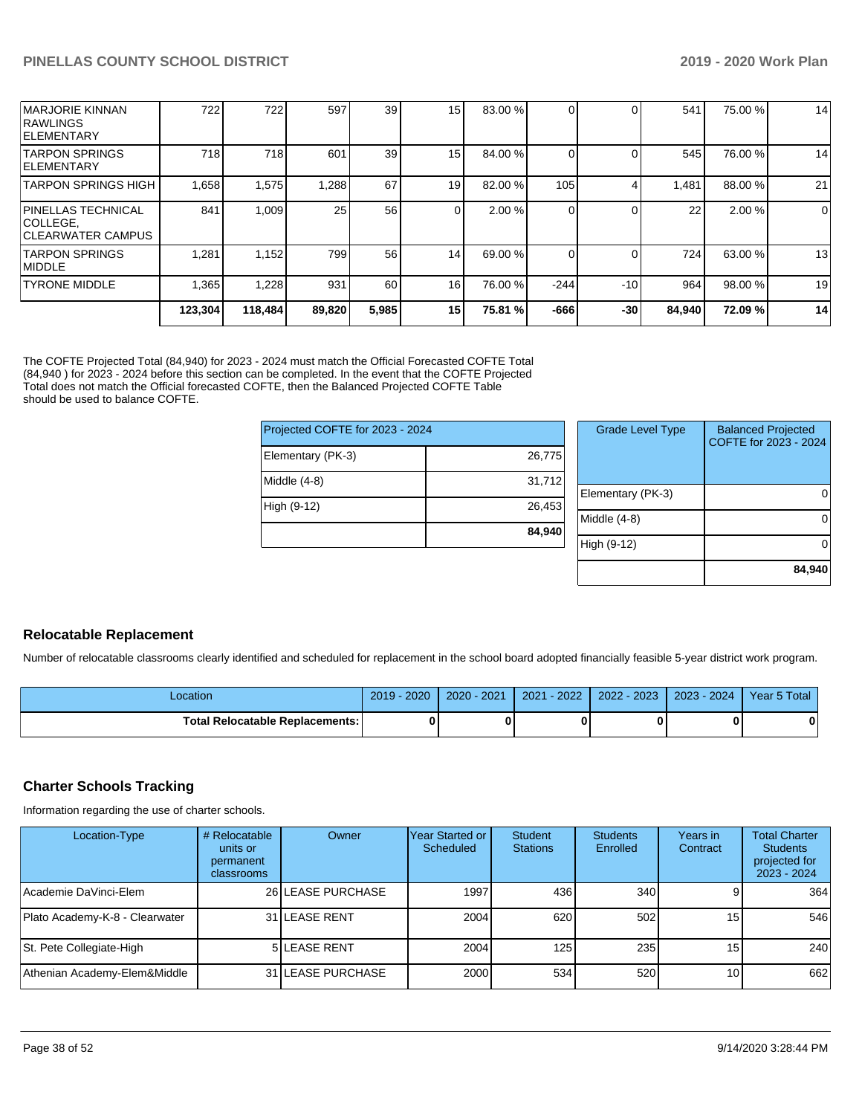| IMARJORIE KINNAN<br><b>RAWLINGS</b><br><b>IELEMENTARY</b>           | 722     | 722     | 597    | 39    | 15 <sub>l</sub> | 83.00 % |        |       | 541    | 75.00 % | 14             |
|---------------------------------------------------------------------|---------|---------|--------|-------|-----------------|---------|--------|-------|--------|---------|----------------|
| <b>TARPON SPRINGS</b><br><b>IELEMENTARY</b>                         | 718     | 718     | 601    | 39    | 15 <sup>1</sup> | 84.00 % |        |       | 545    | 76.00 % | 14             |
| <b>TARPON SPRINGS HIGH</b>                                          | 1,658   | 1,575   | 1,288  | 67    | 19 <sup>1</sup> | 82.00 % | 105    |       | 1,481  | 88.00 % | 21             |
| <b>PINELLAS TECHNICAL</b><br> COLLEGE.<br><b>ICLEARWATER CAMPUS</b> | 841     | 1.009   | 25     | 56    | $\Omega$        | 2.00 %  |        |       | 22     | 2.00%   | $\overline{0}$ |
| <b>TARPON SPRINGS</b><br><b>IMIDDLE</b>                             | 1,281   | 1,152   | 799    | 56    | 14 <sub>l</sub> | 69.00 % |        |       | 724    | 63.00 % | 13             |
| <b>TYRONE MIDDLE</b>                                                | 1,365   | 1,228   | 931    | 60    | 16 <sup>1</sup> | 76.00 % | $-244$ | $-10$ | 964    | 98.00 % | 19             |
|                                                                     | 123.304 | 118,484 | 89,820 | 5,985 | 15 <sup>1</sup> | 75.81 % | $-666$ | $-30$ | 84,940 | 72.09%  | 14             |

The COFTE Projected Total (84,940) for 2023 - 2024 must match the Official Forecasted COFTE Total (84,940 ) for 2023 - 2024 before this section can be completed. In the event that the COFTE Projected Total does not match the Official forecasted COFTE, then the Balanced Projected COFTE Table should be used to balance COFTE.

| Projected COFTE for 2023 - 2024 |        |  |  |  |  |  |
|---------------------------------|--------|--|--|--|--|--|
| Elementary (PK-3)               | 26,775 |  |  |  |  |  |
| Middle (4-8)                    | 31,712 |  |  |  |  |  |
| High (9-12)                     | 26,453 |  |  |  |  |  |
|                                 | 84,940 |  |  |  |  |  |

|                | <b>Grade Level Type</b> | <b>Balanced Projected</b><br>COFTE for 2023 - 2024 |
|----------------|-------------------------|----------------------------------------------------|
|                |                         |                                                    |
| $\overline{ }$ |                         |                                                    |
| š              | Elementary (PK-3)       |                                                    |
|                | Middle (4-8)            |                                                    |
|                | High (9-12)             |                                                    |
|                |                         | 84,940                                             |

#### **Relocatable Replacement**

Number of relocatable classrooms clearly identified and scheduled for replacement in the school board adopted financially feasible 5-year district work program.

| _ocation                          | 2020<br>2019 | $2020 - 2021$ | $-2022$<br>2021 | 2022 - 2023 | $2023 - 2024$ | Year 5 Total |
|-----------------------------------|--------------|---------------|-----------------|-------------|---------------|--------------|
| Total Relocatable Replacements: I |              |               |                 |             |               | 0            |

#### **Charter Schools Tracking**

Information regarding the use of charter schools.

| Location-Type                  | # Relocatable<br>units or<br>permanent<br>classrooms | Owner              | Year Started or<br>Scheduled | Student<br><b>Stations</b> | <b>Students</b><br>Enrolled | Years in<br>Contract | <b>Total Charter</b><br><b>Students</b><br>projected for<br>2023 - 2024 |
|--------------------------------|------------------------------------------------------|--------------------|------------------------------|----------------------------|-----------------------------|----------------------|-------------------------------------------------------------------------|
| Academie DaVinci-Elem          |                                                      | 26 LEASE PURCHASE  | 1997                         | 436                        | 340 <sup>1</sup>            |                      | 364                                                                     |
| Plato Academy-K-8 - Clearwater |                                                      | 31 LEASE RENT      | 2004                         | 620                        | 502                         | 15 <sup>1</sup>      | 546                                                                     |
| St. Pete Collegiate-High       |                                                      | <b>5LEASE RENT</b> | 2004                         | 125                        | 235                         | 15 <sup>1</sup>      | 240                                                                     |
| Athenian Academy-Elem&Middle   |                                                      | 31 ILEASE PURCHASE | 2000                         | 534                        | 520                         | 10 <sub>l</sub>      | 662                                                                     |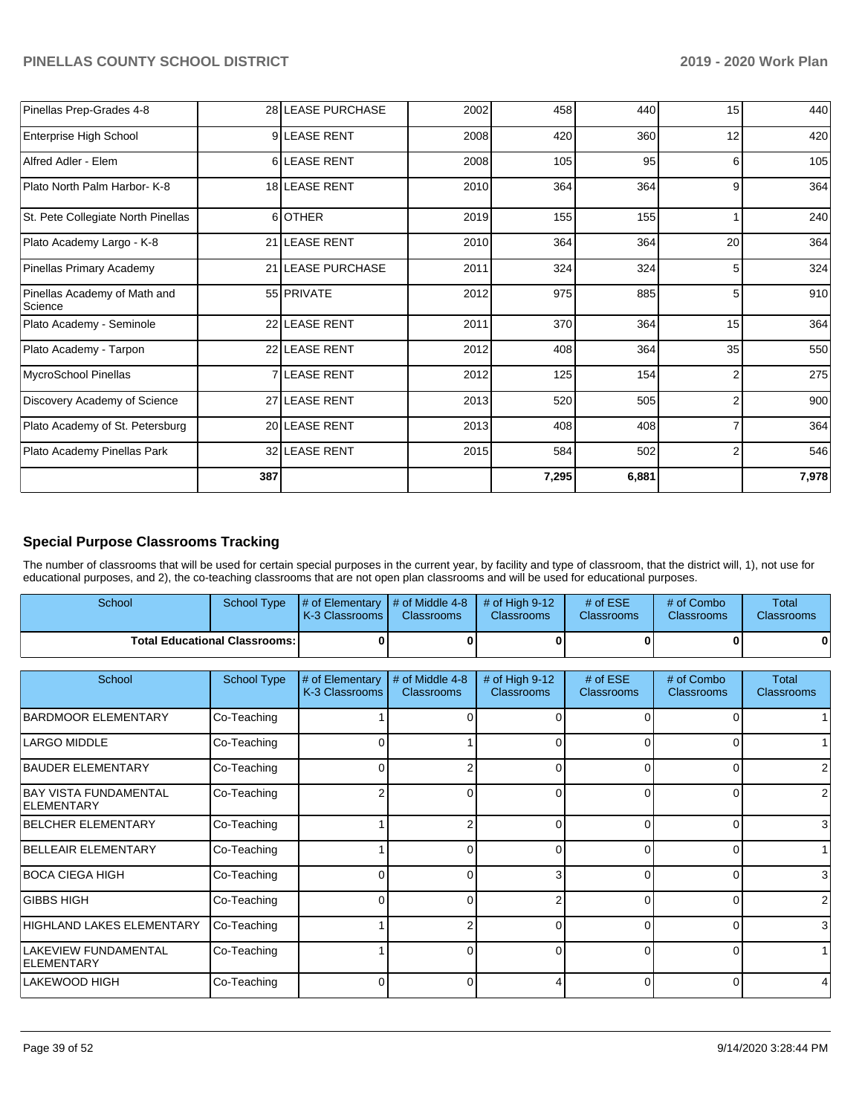| Pinellas Prep-Grades 4-8                |     | 28 LEASE PURCHASE | 2002 | 458   | 440   | 15 | 440   |
|-----------------------------------------|-----|-------------------|------|-------|-------|----|-------|
| Enterprise High School                  |     | 9LEASE RENT       | 2008 | 420   | 360   | 12 | 420   |
| Alfred Adler - Elem                     |     | 6 LEASE RENT      | 2008 | 105   | 95    | 6  | 105   |
| Plato North Palm Harbor- K-8            |     | 18 LEASE RENT     | 2010 | 364   | 364   | 9  | 364   |
| St. Pete Collegiate North Pinellas      | 6   | <b>OTHER</b>      | 2019 | 155   | 155   |    | 240   |
| Plato Academy Largo - K-8               |     | 21 LEASE RENT     | 2010 | 364   | 364   | 20 | 364   |
| Pinellas Primary Academy                |     | 21 LEASE PURCHASE | 2011 | 324   | 324   | 5  | 324   |
| Pinellas Academy of Math and<br>Science |     | 55 PRIVATE        | 2012 | 975   | 885   | 5  | 910   |
| Plato Academy - Seminole                |     | 22 LEASE RENT     | 2011 | 370   | 364   | 15 | 364   |
| Plato Academy - Tarpon                  |     | 22 LEASE RENT     | 2012 | 408   | 364   | 35 | 550   |
| MycroSchool Pinellas                    |     | 7 LEASE RENT      | 2012 | 125   | 154   | 2  | 275   |
| Discovery Academy of Science            |     | 27 LEASE RENT     | 2013 | 520   | 505   | 2  | 900   |
| Plato Academy of St. Petersburg         |     | 20 LEASE RENT     | 2013 | 408   | 408   |    | 364   |
| Plato Academy Pinellas Park             |     | 32 LEASE RENT     | 2015 | 584   | 502   | 2  | 546   |
|                                         | 387 |                   |      | 7,295 | 6,881 |    | 7,978 |

#### **Special Purpose Classrooms Tracking**

The number of classrooms that will be used for certain special purposes in the current year, by facility and type of classroom, that the district will, 1), not use for educational purposes, and 2), the co-teaching classrooms that are not open plan classrooms and will be used for educational purposes.

| School                                 | School Type | $\parallel \#$ of Elementary $\parallel \#$ of Middle 4-8 $\parallel \#$ of High 9-12<br><b>K-3 Classrooms I</b> | <b>Classrooms</b> | <b>Classrooms</b> | # of $ESE$<br><b>Classrooms</b> | # of Combo<br><b>Classrooms</b> | Total<br><b>Classrooms</b> |
|----------------------------------------|-------------|------------------------------------------------------------------------------------------------------------------|-------------------|-------------------|---------------------------------|---------------------------------|----------------------------|
| <b>Total Educational Classrooms: I</b> |             |                                                                                                                  | 0                 |                   |                                 | 0                               |                            |

| School                                            | <b>School Type</b> | # of Elementary<br>K-3 Classrooms | # of Middle 4-8<br><b>Classrooms</b> | # of High 9-12<br><b>Classrooms</b> | # of $ESE$<br><b>Classrooms</b> | # of Combo<br><b>Classrooms</b> | Total<br><b>Classrooms</b> |
|---------------------------------------------------|--------------------|-----------------------------------|--------------------------------------|-------------------------------------|---------------------------------|---------------------------------|----------------------------|
| <b>BARDMOOR ELEMENTARY</b>                        | Co-Teaching        |                                   |                                      | 0                                   |                                 |                                 |                            |
| <b>LARGO MIDDLE</b>                               | Co-Teaching        | 0                                 |                                      | 0                                   | 0                               | 0                               |                            |
| <b>BAUDER ELEMENTARY</b>                          | Co-Teaching        |                                   |                                      | 0                                   | 0                               | 0                               |                            |
| <b>BAY VISTA FUNDAMENTAL</b><br><b>ELEMENTARY</b> | Co-Teaching        |                                   |                                      | $\Omega$                            | ſ                               | 0                               |                            |
| <b>BELCHER ELEMENTARY</b>                         | Co-Teaching        |                                   |                                      | $\Omega$                            | $\Omega$                        | 0                               | 3                          |
| <b>BELLEAIR ELEMENTARY</b>                        | Co-Teaching        |                                   |                                      | $\Omega$                            | 0                               | 0                               |                            |
| <b>BOCA CIEGA HIGH</b>                            | Co-Teaching        |                                   |                                      | 3                                   | ∩                               | 0                               | 3                          |
| <b>GIBBS HIGH</b>                                 | Co-Teaching        |                                   |                                      | 2                                   |                                 | 0                               | 2                          |
| HIGHLAND LAKES ELEMENTARY                         | Co-Teaching        |                                   |                                      | $\Omega$                            | $\Omega$                        | 0                               | 3                          |
| LAKEVIEW FUNDAMENTAL<br><b>ELEMENTARY</b>         | Co-Teaching        |                                   |                                      | $\Omega$                            | $\Omega$                        | 0                               |                            |
| <b>LAKEWOOD HIGH</b>                              | Co-Teaching        |                                   |                                      | 4                                   |                                 | 0                               |                            |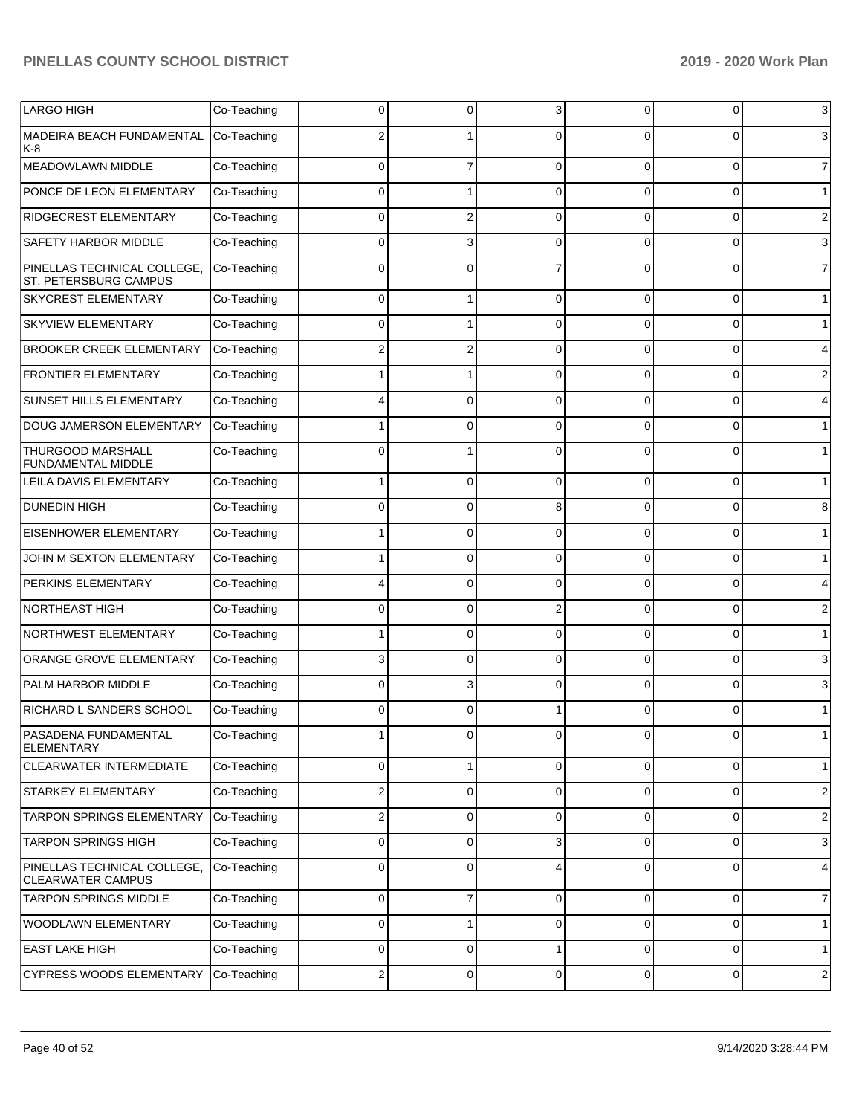| <b>LARGO HIGH</b>                                       | Co-Teaching | 0           | 0              | 3              | 0            | 0        | 3              |
|---------------------------------------------------------|-------------|-------------|----------------|----------------|--------------|----------|----------------|
| MADEIRA BEACH FUNDAMENTAL<br>K-8                        | Co-Teaching |             |                | $\Omega$       | 0            | ŋ        | 3              |
| MEADOWLAWN MIDDLE                                       | Co-Teaching | 0           | $\overline{7}$ | $\Omega$       | $\Omega$     | $\Omega$ | $\overline{7}$ |
| PONCE DE LEON ELEMENTARY                                | Co-Teaching | $\Omega$    |                | $\Omega$       | $\Omega$     | $\Omega$ | $\mathbf{1}$   |
| RIDGECREST ELEMENTARY                                   | Co-Teaching | 0           | $\overline{2}$ | $\Omega$       | $\Omega$     | $\Omega$ | $\overline{2}$ |
| <b>SAFETY HARBOR MIDDLE</b>                             | Co-Teaching | 0           | 3              | $\Omega$       | 0            | $\Omega$ | 3              |
| PINELLAS TECHNICAL COLLEGE,<br>ST. PETERSBURG CAMPUS    | Co-Teaching | $\Omega$    | $\Omega$       |                | 0            | $\Omega$ | $\overline{7}$ |
| <b>SKYCREST ELEMENTARY</b>                              | Co-Teaching | 0           |                | $\Omega$       | 0            | $\Omega$ | $\mathbf{1}$   |
| <b>SKYVIEW ELEMENTARY</b>                               | Co-Teaching | 0           |                | $\Omega$       | 0            | $\Omega$ | $\mathbf{1}$   |
| <b>BROOKER CREEK ELEMENTARY</b>                         | Co-Teaching |             |                | $\Omega$       | 0            | O        | 4              |
| <b>FRONTIER ELEMENTARY</b>                              | Co-Teaching |             |                | $\Omega$       | 0            | 0        | 2              |
| <b>SUNSET HILLS ELEMENTARY</b>                          | Co-Teaching |             | 0              | 0              | 0            | O        | 4              |
| DOUG JAMERSON ELEMENTARY                                | Co-Teaching |             | 0              | $\Omega$       | 0            | 0        | $\mathbf{1}$   |
| <b>THURGOOD MARSHALL</b><br><b>FUNDAMENTAL MIDDLE</b>   | Co-Teaching |             |                | ∩              | $\Omega$     | ŋ        | $\mathbf{1}$   |
| LEILA DAVIS ELEMENTARY                                  | Co-Teaching |             | 0              | $\Omega$       | 0            | $\Omega$ | $\mathbf{1}$   |
| <b>DUNEDIN HIGH</b>                                     | Co-Teaching | 0           | 0              | 8              | 0            | 0        | 8              |
| EISENHOWER ELEMENTARY                                   | Co-Teaching |             | 0              | $\Omega$       | 0            | 0        | $\mathbf{1}$   |
| JOHN M SEXTON ELEMENTARY                                | Co-Teaching |             | 0              | $\Omega$       | 0            | 0        | $\mathbf 1$    |
| PERKINS ELEMENTARY                                      | Co-Teaching |             | 0              | $\Omega$       | 0            | 0        | 4              |
| <b>NORTHEAST HIGH</b>                                   | Co-Teaching | 0           | 0              | $\overline{2}$ | 0            | 0        | $\overline{2}$ |
| NORTHWEST ELEMENTARY                                    | Co-Teaching |             | 0              | $\Omega$       | 0            | 0        | $\mathbf{1}$   |
| ORANGE GROVE ELEMENTARY                                 | Co-Teaching | 3           | 0              | $\Omega$       | 0            | 0        | 3              |
| <b>PALM HARBOR MIDDLE</b>                               | Co-Teaching | 0           | 3              | $\Omega$       | 0            | 0        | 3              |
| RICHARD L SANDERS SCHOOL                                | Co-Teaching | 0           | 0              |                | 0            | 0        |                |
| <b>PASADENA FUNDAMENTAL</b><br><b>ELEMENTARY</b>        | Co-Teaching |             | U              | U              | <sub>U</sub> | U        |                |
| <b>CLEARWATER INTERMEDIATE</b>                          | Co-Teaching | 0           | 1              | $\Omega$       | 0            | 0        | $\mathbf{1}$   |
| <b>STARKEY ELEMENTARY</b>                               | Co-Teaching | 2           | 0              | $\mathbf 0$    | 0            | 0        | $\overline{2}$ |
| TARPON SPRINGS ELEMENTARY                               | Co-Teaching | 2           | 0              | $\Omega$       | $\mathbf 0$  | 0        | $\overline{2}$ |
| <b>TARPON SPRINGS HIGH</b>                              | Co-Teaching | $\mathbf 0$ | 0              | 3              | 0            | 0        | 3              |
| PINELLAS TECHNICAL COLLEGE,<br><b>CLEARWATER CAMPUS</b> | Co-Teaching | $\mathbf 0$ | 0              | 4              | 0            | 0        | 4              |
| <b>TARPON SPRINGS MIDDLE</b>                            | Co-Teaching | 0           | 7              | 0              | 0            | 0        | $\overline{7}$ |
| <b>WOODLAWN ELEMENTARY</b>                              | Co-Teaching | 0           | 1              | 0              | 0            | 0        | $\mathbf{1}$   |
| <b>EAST LAKE HIGH</b>                                   | Co-Teaching | 0           | 0              |                | 0            | 0        | $\mathbf{1}$   |
| <b>CYPRESS WOODS ELEMENTARY</b>                         | Co-Teaching | 2           | 0              | $\mathbf 0$    | 0            | 0        | $\overline{c}$ |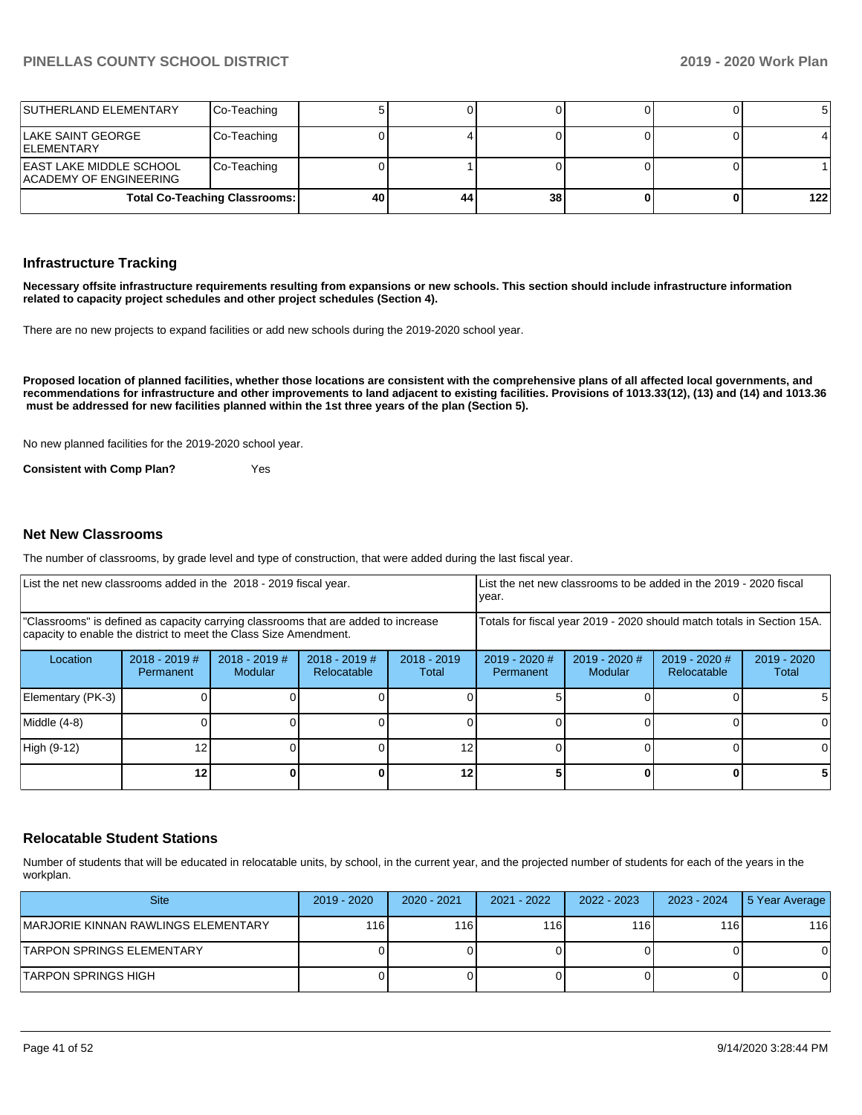| SUTHERLAND ELEMENTARY                              | Co-Teaching                          |    |    |    |  |     |
|----------------------------------------------------|--------------------------------------|----|----|----|--|-----|
| ILAKE SAINT GEORGE<br><b>IELEMENTARY</b>           | Co-Teaching                          |    |    |    |  |     |
| EAST LAKE MIDDLE SCHOOL<br>IACADEMY OF ENGINEERING | Co-Teaching                          |    |    |    |  |     |
|                                                    | <b>Total Co-Teaching Classrooms:</b> | 40 | 44 | 38 |  | 122 |

#### **Infrastructure Tracking**

**Necessary offsite infrastructure requirements resulting from expansions or new schools. This section should include infrastructure information related to capacity project schedules and other project schedules (Section 4).** 

There are no new projects to expand facilities or add new schools during the 2019-2020 school year.

**Proposed location of planned facilities, whether those locations are consistent with the comprehensive plans of all affected local governments, and recommendations for infrastructure and other improvements to land adjacent to existing facilities. Provisions of 1013.33(12), (13) and (14) and 1013.36 must be addressed for new facilities planned within the 1st three years of the plan (Section 5).** 

No new planned facilities for the 2019-2020 school year.

**Consistent with Comp Plan?** Yes

#### **Net New Classrooms**

The number of classrooms, by grade level and type of construction, that were added during the last fiscal year.

| List the net new classrooms added in the 2018 - 2019 fiscal year.                                                                                       |                              |                                   | Llist the net new classrooms to be added in the 2019 - 2020 fiscal<br>year. |                        |                                                                        |                          |                              |                      |
|---------------------------------------------------------------------------------------------------------------------------------------------------------|------------------------------|-----------------------------------|-----------------------------------------------------------------------------|------------------------|------------------------------------------------------------------------|--------------------------|------------------------------|----------------------|
| "Classrooms" is defined as capacity carrying classrooms that are added to increase<br>capacity to enable the district to meet the Class Size Amendment. |                              |                                   |                                                                             |                        | Totals for fiscal year 2019 - 2020 should match totals in Section 15A. |                          |                              |                      |
| Location                                                                                                                                                | $2018 - 2019$ #<br>Permanent | $2018 - 2019$ #<br><b>Modular</b> | $2018 - 2019$ #<br>Relocatable                                              | $2018 - 2019$<br>Total | $2019 - 2020$ #<br>Permanent                                           | 2019 - 2020 #<br>Modular | 2019 - 2020 #<br>Relocatable | 2019 - 2020<br>Total |
| Elementary (PK-3)                                                                                                                                       |                              |                                   |                                                                             |                        |                                                                        |                          |                              |                      |
| Middle (4-8)                                                                                                                                            |                              |                                   |                                                                             |                        |                                                                        |                          |                              |                      |
| High (9-12)                                                                                                                                             |                              |                                   |                                                                             | 12                     |                                                                        |                          |                              |                      |
|                                                                                                                                                         | 12                           |                                   |                                                                             | 12 <sub>1</sub>        |                                                                        |                          | 0                            |                      |

#### **Relocatable Student Stations**

Number of students that will be educated in relocatable units, by school, in the current year, and the projected number of students for each of the years in the workplan.

| <b>Site</b>                          | 2019 - 2020  | 2020 - 2021 | 2021 - 2022 | 2022 - 2023 | 2023 - 2024 | 15 Year Average |
|--------------------------------------|--------------|-------------|-------------|-------------|-------------|-----------------|
| IMARJORIE KINNAN RAWLINGS ELEMENTARY | 116 <b>I</b> | l 16 I      | 116         | 116         | 116         | 116             |
| ITARPON SPRINGS ELEMENTARY           |              |             |             |             |             |                 |
| ITARPON SPRINGS HIGH                 |              |             |             |             |             |                 |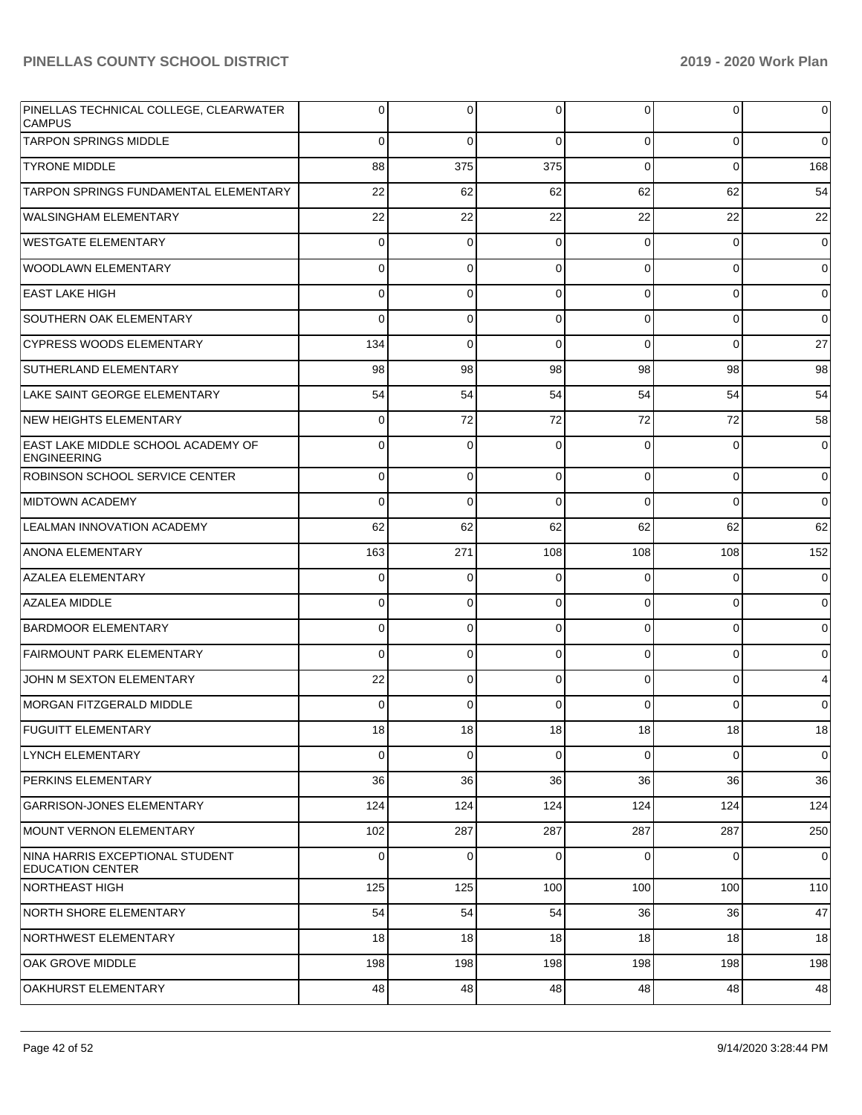| PINELLAS TECHNICAL COLLEGE, CLEARWATER<br><b>CAMPUS</b>         | 0           | 0               | 0               | 0           | $\overline{0}$  | $\overline{0}$ |
|-----------------------------------------------------------------|-------------|-----------------|-----------------|-------------|-----------------|----------------|
| <b>TARPON SPRINGS MIDDLE</b>                                    | $\mathbf 0$ | $\Omega$        | $\Omega$        | $\mathbf 0$ | $\overline{0}$  | $\overline{0}$ |
| <b>TYRONE MIDDLE</b>                                            | 88          | 375             | 375             | $\Omega$    | $\overline{0}$  | 168            |
| TARPON SPRINGS FUNDAMENTAL ELEMENTARY                           | 22          | 62              | 62              | 62          | 62              | 54             |
| <b>WALSINGHAM ELEMENTARY</b>                                    | 22          | 22              | 22              | 22          | 22              | 22             |
| <b>WESTGATE ELEMENTARY</b>                                      | 0           | $\mathbf 0$     | $\Omega$        | 0           | $\overline{0}$  | $\overline{0}$ |
| WOODLAWN ELEMENTARY                                             | 0           | $\mathbf 0$     | $\Omega$        | $\mathbf 0$ | $\overline{0}$  | $\overline{0}$ |
| EAST LAKE HIGH                                                  | 0           | 0               | $\Omega$        | $\Omega$    | $\overline{0}$  | $\overline{0}$ |
| <b>SOUTHERN OAK ELEMENTARY</b>                                  | 0           | $\mathbf 0$     | $\Omega$        | $\mathbf 0$ | $\overline{0}$  | $\overline{0}$ |
| <b>CYPRESS WOODS ELEMENTARY</b>                                 | 134         | $\Omega$        | $\Omega$        | $\Omega$    | $\overline{0}$  | 27             |
| SUTHERLAND ELEMENTARY                                           | 98          | 98              | 98              | 98          | 98              | 98             |
| LAKE SAINT GEORGE ELEMENTARY                                    | 54          | 54              | 54              | 54          | 54              | 54             |
| NEW HEIGHTS ELEMENTARY                                          | 0           | 72              | 72              | 72          | 72              | 58             |
| <b>EAST LAKE MIDDLE SCHOOL ACADEMY OF</b><br><b>ENGINEERING</b> | 0           | $\Omega$        | $\Omega$        | $\Omega$    | $\overline{0}$  | $\overline{0}$ |
| <b>ROBINSON SCHOOL SERVICE CENTER</b>                           | 0           | 0               | $\Omega$        | 0           | $\overline{0}$  | $\overline{0}$ |
| <b>MIDTOWN ACADEMY</b>                                          | 0           | 0               | $\Omega$        | 0           | 0               | $\overline{0}$ |
| <b>LEALMAN INNOVATION ACADEMY</b>                               | 62          | 62              | 62              | 62          | 62              | 62             |
| ANONA ELEMENTARY                                                | 163         | 271             | 108             | 108         | 108             | 152            |
| <b>AZALEA ELEMENTARY</b>                                        | 0           | 0               | $\Omega$        | 0           | 0               | $\overline{0}$ |
| <b>AZALEA MIDDLE</b>                                            | 0           | 0               | $\Omega$        | 0           | 0               | $\overline{0}$ |
| <b>BARDMOOR ELEMENTARY</b>                                      | 0           | 0               | $\Omega$        | 0           | 0               | $\overline{0}$ |
| <b>FAIRMOUNT PARK ELEMENTARY</b>                                | 0           | 0               | $\Omega$        | 0           | 0               | $\overline{0}$ |
| JOHN M SEXTON ELEMENTARY                                        | 22          | 0               | $\Omega$        | 0           | 0               | $\overline{4}$ |
| MORGAN FITZGERALD MIDDLE                                        | 0           | 0               | $\Omega$        | 0           | $\Omega$        | $\overline{0}$ |
| <b>FUGUITT ELEMENTARY</b>                                       | 18          | 18 <sup>1</sup> | 18 <sup>1</sup> | 18          | 18 <sup>l</sup> | 18             |
| LYNCH ELEMENTARY                                                | 0           | 0               | $\Omega$        | 0           | $\overline{0}$  | $\overline{0}$ |
| PERKINS ELEMENTARY                                              | 36          | 36              | 36              | 36          | 36              | 36             |
| <b>GARRISON-JONES ELEMENTARY</b>                                | 124         | 124             | 124             | 124         | 124             | 124            |
| MOUNT VERNON ELEMENTARY                                         | 102         | 287             | 287             | 287         | 287             | 250            |
| NINA HARRIS EXCEPTIONAL STUDENT<br><b>EDUCATION CENTER</b>      | 0           | 0               | 0               | 0           | $\mathbf 0$     | $\overline{0}$ |
| NORTHEAST HIGH                                                  | 125         | 125             | 100             | 100         | 100             | 110            |
| NORTH SHORE ELEMENTARY                                          | 54          | 54              | 54              | 36          | 36              | 47             |
| NORTHWEST ELEMENTARY                                            | 18          | 18              | 18              | 18          | 18              | 18             |
| OAK GROVE MIDDLE                                                | 198         | 198             | 198             | 198         | 198             | 198            |
| OAKHURST ELEMENTARY                                             | 48          | 48              | 48              | 48          | 48              | 48             |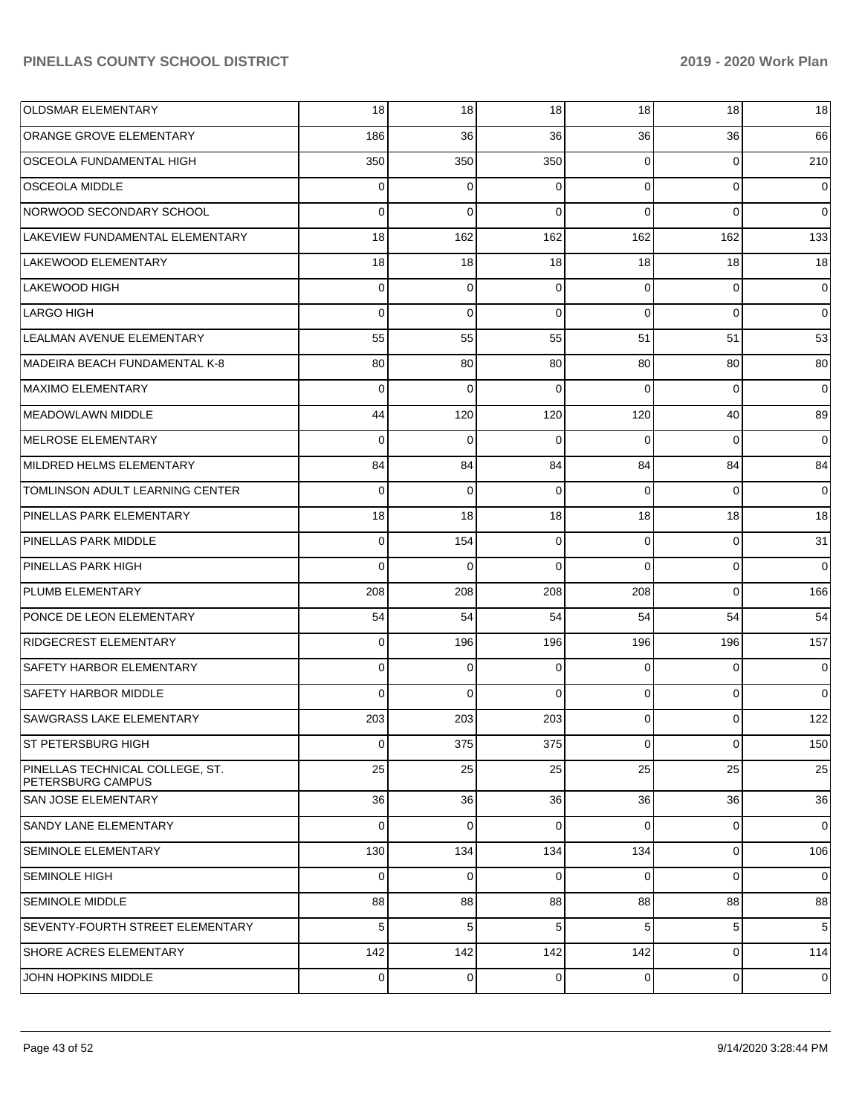| <b>OLDSMAR ELEMENTARY</b>                            | 18             | 18          | 18       | 18 <sup>1</sup> | 18             | 18       |
|------------------------------------------------------|----------------|-------------|----------|-----------------|----------------|----------|
| ORANGE GROVE ELEMENTARY                              | 186            | 36          | 36       | 36              | 36             | 66       |
| OSCEOLA FUNDAMENTAL HIGH                             | 350            | 350         | 350      | $\Omega$        | $\overline{0}$ | 210      |
| <b>OSCEOLA MIDDLE</b>                                | $\Omega$       | 0           | 0        | $\Omega$        | $\overline{0}$ | 0        |
| NORWOOD SECONDARY SCHOOL                             | $\Omega$       | $\Omega$    | $\Omega$ | $\Omega$        | $\Omega$       | $\Omega$ |
| LAKEVIEW FUNDAMENTAL ELEMENTARY                      | 18             | 162         | 162      | 162             | 162            | 133      |
| LAKEWOOD ELEMENTARY                                  | 18             | 18          | 18       | 18              | 18             | 18       |
| <b>LAKEWOOD HIGH</b>                                 | $\Omega$       | $\mathbf 0$ | $\Omega$ | $\Omega$        | $\overline{0}$ | 0        |
| <b>LARGO HIGH</b>                                    | $\Omega$       | $\Omega$    | $\Omega$ | $\Omega$        | $\Omega$       | $\Omega$ |
| LEALMAN AVENUE ELEMENTARY                            | 55             | 55          | 55       | 51              | 51             | 53       |
| MADEIRA BEACH FUNDAMENTAL K-8                        | 80             | 80          | 80       | 80              | 80             | 80       |
| <b>MAXIMO ELEMENTARY</b>                             | $\Omega$       | $\Omega$    | $\Omega$ | $\Omega$        | $\Omega$       | 0        |
| MEADOWLAWN MIDDLE                                    | 44             | 120         | 120      | 120             | 40             | 89       |
| MELROSE ELEMENTARY                                   | $\Omega$       | $\Omega$    | $\Omega$ | $\Omega$        | $\Omega$       | 0        |
| MILDRED HELMS ELEMENTARY                             | 84             | 84          | 84       | 84              | 84             | 84       |
| TOMLINSON ADULT LEARNING CENTER                      | $\Omega$       | $\Omega$    | $\Omega$ | $\Omega$        | $\Omega$       | 0        |
| PINELLAS PARK ELEMENTARY                             | 18             | 18          | 18       | 18              | 18             | 18       |
| PINELLAS PARK MIDDLE                                 | $\Omega$       | 154         | $\Omega$ | $\Omega$        | $\overline{0}$ | 31       |
| PINELLAS PARK HIGH                                   | $\Omega$       | $\Omega$    | $\Omega$ | $\Omega$        | $\overline{0}$ | $\Omega$ |
| PLUMB ELEMENTARY                                     | 208            | 208         | 208      | 208             | $\Omega$       | 166      |
| PONCE DE LEON ELEMENTARY                             | 54             | 54          | 54       | 54              | 54             | 54       |
| <b>RIDGECREST ELEMENTARY</b>                         | $\Omega$       | 196         | 196      | 196             | 196            | 157      |
| SAFETY HARBOR ELEMENTARY                             | $\Omega$       | $\Omega$    | $\Omega$ | $\Omega$        | $\Omega$       | $\Omega$ |
| <b>SAFETY HARBOR MIDDLE</b>                          | $\Omega$       | $\Omega$    | $\Omega$ | $\Omega$        | $\overline{0}$ | $\Omega$ |
| <b>SAWGRASS LAKE ELEMENTARY</b>                      | 203            | 203         | 203      | $\Omega$        | $\Omega$       | 122      |
| <b>ST PETERSBURG HIGH</b>                            | $\overline{0}$ | 375         | 375      | $\Omega$        | $\mathbf 0$    | 150      |
| PINELLAS TECHNICAL COLLEGE, ST.<br>PETERSBURG CAMPUS | 25             | 25          | 25       | 25              | 25             | 25       |
| SAN JOSE ELEMENTARY                                  | 36             | 36          | 36       | 36              | 36             | 36       |
| SANDY LANE ELEMENTARY                                | $\Omega$       | $\mathbf 0$ | $\Omega$ | $\Omega$        | $\overline{0}$ | 0        |
| SEMINOLE ELEMENTARY                                  | 130            | 134         | 134      | 134             | $\overline{0}$ | 106      |
| <b>SEMINOLE HIGH</b>                                 | 0              | $\mathbf 0$ | $\Omega$ | $\Omega$        | $\overline{0}$ | 0        |
| <b>SEMINOLE MIDDLE</b>                               | 88             | 88          | 88       | 88              | 88             | 88       |
| <b>SEVENTY-FOURTH STREET ELEMENTARY</b>              | 5              | 5           | 5        | 5               | 5              | 5        |
| <b>SHORE ACRES ELEMENTARY</b>                        | 142            | 142         | 142      | 142             | $\overline{0}$ | 114      |
| JOHN HOPKINS MIDDLE                                  | 0              | $\pmb{0}$   | 0        | 0               | $\mathbf 0$    | 0        |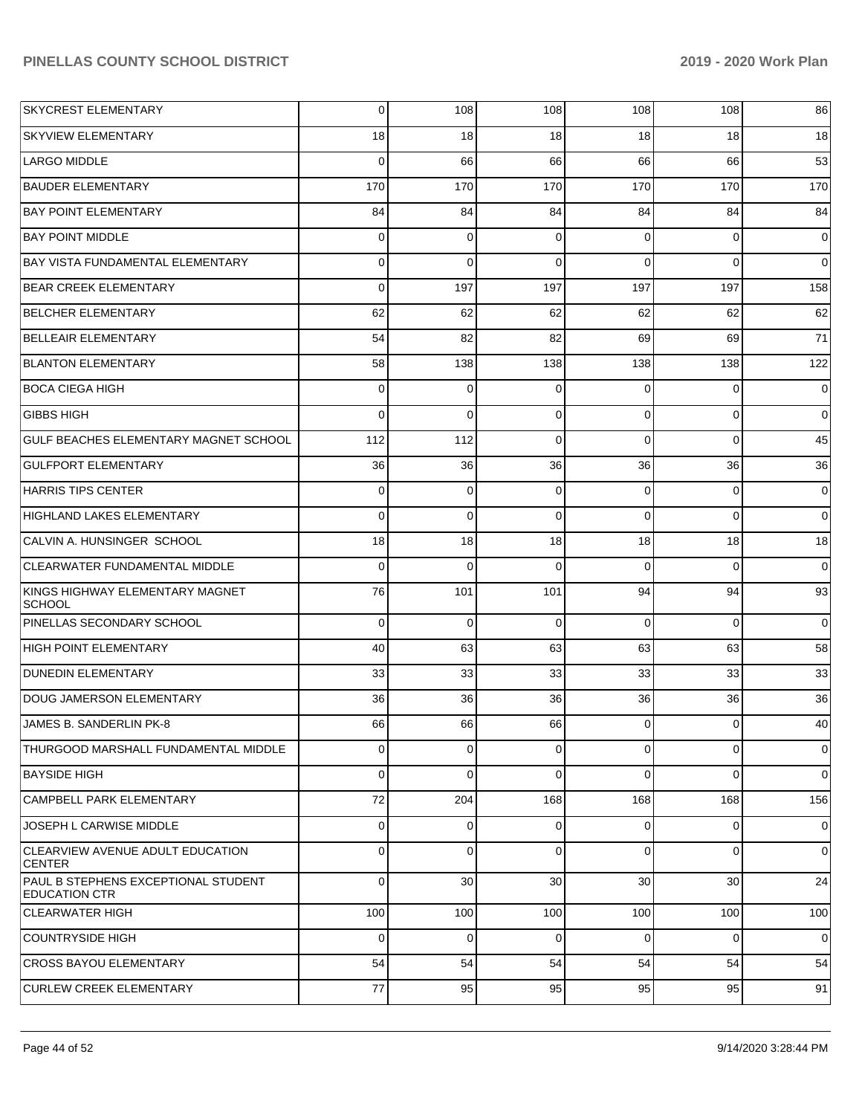| <b>SKYCREST ELEMENTARY</b>                                  | 0           | 108         | 108         | 108      | 108            | 86             |
|-------------------------------------------------------------|-------------|-------------|-------------|----------|----------------|----------------|
| <b>SKYVIEW ELEMENTARY</b>                                   | 18          | 18          | 18          | 18       | 18             | 18             |
| <b>LARGO MIDDLE</b>                                         | $\Omega$    | 66          | 66          | 66       | 66             | 53             |
| <b>BAUDER ELEMENTARY</b>                                    | 170         | 170         | 170         | 170      | 170            | 170            |
| <b>BAY POINT ELEMENTARY</b>                                 | 84          | 84          | 84          | 84       | 84             | 84             |
| <b>BAY POINT MIDDLE</b>                                     | 0           | 0           | $\Omega$    | $\Omega$ | $\overline{0}$ | $\overline{0}$ |
| <b>BAY VISTA FUNDAMENTAL ELEMENTARY</b>                     | 0           | $\Omega$    | $\Omega$    | $\Omega$ | $\Omega$       | $\overline{0}$ |
| <b>BEAR CREEK ELEMENTARY</b>                                | $\Omega$    | 197         | 197         | 197      | 197            | 158            |
| <b>BELCHER ELEMENTARY</b>                                   | 62          | 62          | 62          | 62       | 62             | 62             |
| <b>BELLEAIR ELEMENTARY</b>                                  | 54          | 82          | 82          | 69       | 69             | 71             |
| <b>BLANTON ELEMENTARY</b>                                   | 58          | 138         | 138         | 138      | 138            | 122            |
| <b>BOCA CIEGA HIGH</b>                                      | 0           | 0           | $\Omega$    | $\Omega$ | $\overline{0}$ | $\overline{0}$ |
| <b>GIBBS HIGH</b>                                           | $\Omega$    | $\Omega$    | $\Omega$    | $\Omega$ | $\Omega$       | $\overline{0}$ |
| GULF BEACHES ELEMENTARY MAGNET SCHOOL                       | 112         | 112         | $\Omega$    | $\Omega$ | $\Omega$       | 45             |
| <b>GULFPORT ELEMENTARY</b>                                  | 36          | 36          | 36          | 36       | 36             | 36             |
| <b>HARRIS TIPS CENTER</b>                                   | 0           | 0           | $\Omega$    | $\Omega$ | $\overline{0}$ | $\overline{0}$ |
| <b>HIGHLAND LAKES ELEMENTARY</b>                            | $\Omega$    | $\Omega$    | $\Omega$    | $\Omega$ | $\Omega$       | $\overline{0}$ |
| CALVIN A. HUNSINGER SCHOOL                                  | 18          | 18          | 18          | 18       | 18             | 18             |
| <b>CLEARWATER FUNDAMENTAL MIDDLE</b>                        | $\Omega$    | $\Omega$    | $\Omega$    | $\Omega$ | $\Omega$       | $\overline{0}$ |
| KINGS HIGHWAY ELEMENTARY MAGNET<br><b>SCHOOL</b>            | 76          | 101         | 101         | 94       | 94             | 93             |
| PINELLAS SECONDARY SCHOOL                                   | $\mathbf 0$ | $\mathbf 0$ | $\Omega$    | 0        | $\overline{0}$ | $\overline{0}$ |
| <b>HIGH POINT ELEMENTARY</b>                                | 40          | 63          | 63          | 63       | 63             | 58             |
| <b>DUNEDIN ELEMENTARY</b>                                   | 33          | 33          | 33          | 33       | 33             | 33             |
| <b>DOUG JAMERSON ELEMENTARY</b>                             | 36          | 36          | 36          | 36       | 36             | 36             |
| JAMES B. SANDERLIN PK-8                                     | 66          | 66          | 66          | 0        | $\overline{0}$ | 40             |
| THURGOOD MARSHALL FUNDAMENTAL MIDDLE                        | 0           | 0           | $\Omega$    | 0        | $\overline{0}$ | $\overline{0}$ |
| <b>BAYSIDE HIGH</b>                                         | 0           | 0           | $\Omega$    | 0        | $\overline{0}$ | $\overline{0}$ |
| CAMPBELL PARK ELEMENTARY                                    | 72          | 204         | 168         | 168      | 168            | 156            |
| JOSEPH L CARWISE MIDDLE                                     | 0           | 0           | $\mathbf 0$ | 0        | $\overline{0}$ | $\overline{0}$ |
| <b>CLEARVIEW AVENUE ADULT EDUCATION</b><br><b>CENTER</b>    | 0           | 0           | $\Omega$    | 0        | $\overline{0}$ | $\overline{0}$ |
| PAUL B STEPHENS EXCEPTIONAL STUDENT<br><b>EDUCATION CTR</b> | 0           | 30          | 30          | 30       | 30             | 24             |
| <b>CLEARWATER HIGH</b>                                      | 100         | 100         | 100         | 100      | 100            | 100            |
| COUNTRYSIDE HIGH                                            | $\Omega$    | 0           | $\Omega$    | $\Omega$ | $\overline{0}$ | $\overline{0}$ |
| <b>CROSS BAYOU ELEMENTARY</b>                               | 54          | 54          | 54          | 54       | 54             | 54             |
| <b>CURLEW CREEK ELEMENTARY</b>                              | 77          | 95          | 95          | 95       | 95             | 91             |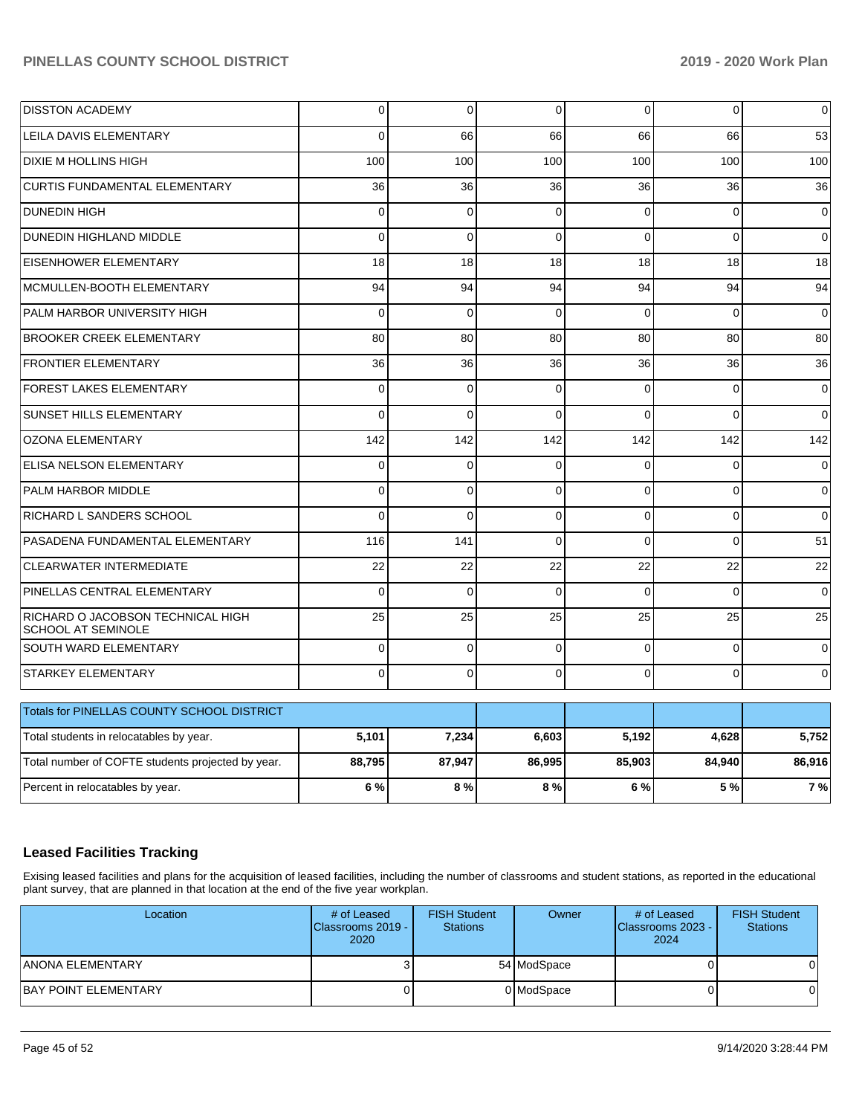| <b>DISSTON ACADEMY</b>                                         | $\overline{0}$ | 0           | 0           | $\overline{0}$ | 0        | $\pmb{0}$   |
|----------------------------------------------------------------|----------------|-------------|-------------|----------------|----------|-------------|
| <b>LEILA DAVIS ELEMENTARY</b>                                  | $\Omega$       | 66          | 66          | 66             | 66       | 53          |
| <b>DIXIE M HOLLINS HIGH</b>                                    | 100            | 100         | 100         | 100            | 100      | 100         |
| <b>CURTIS FUNDAMENTAL ELEMENTARY</b>                           | 36             | 36          | 36          | 36             | 36       | 36          |
| <b>DUNEDIN HIGH</b>                                            | 0              | $\mathbf 0$ | $\mathbf 0$ | $\Omega$       | $\Omega$ | $\mathbf 0$ |
| DUNEDIN HIGHLAND MIDDLE                                        | $\Omega$       | $\Omega$    | $\Omega$    | $\Omega$       | $\Omega$ | $\mathbf 0$ |
| <b>EISENHOWER ELEMENTARY</b>                                   | 18             | 18          | 18          | 18             | 18       | 18          |
| MCMULLEN-BOOTH ELEMENTARY                                      | 94             | 94          | 94          | 94             | 94       | 94          |
| PALM HARBOR UNIVERSITY HIGH                                    | $\Omega$       | $\mathbf 0$ | $\Omega$    | $\Omega$       | $\Omega$ | $\mathbf 0$ |
| <b>BROOKER CREEK ELEMENTARY</b>                                | 80             | 80          | 80          | 80             | 80       | 80          |
| <b>FRONTIER ELEMENTARY</b>                                     | 36             | 36          | 36          | 36             | 36       | 36          |
| <b>FOREST LAKES ELEMENTARY</b>                                 | $\Omega$       | $\Omega$    | $\Omega$    | $\Omega$       | $\Omega$ | $\mathbf 0$ |
| SUNSET HILLS ELEMENTARY                                        | $\Omega$       | $\Omega$    | $\Omega$    | $\Omega$       | $\Omega$ | $\Omega$    |
| <b>OZONA ELEMENTARY</b>                                        | 142            | 142         | 142         | 142            | 142      | 142         |
| ELISA NELSON ELEMENTARY                                        | $\Omega$       | $\Omega$    | $\Omega$    | $\Omega$       | $\Omega$ | $\mathbf 0$ |
| PALM HARBOR MIDDLE                                             | $\Omega$       | $\mathbf 0$ | $\mathbf 0$ | $\Omega$       | 0        | $\mathbf 0$ |
| RICHARD L SANDERS SCHOOL                                       | $\Omega$       | $\Omega$    | $\Omega$    | $\Omega$       | $\Omega$ | $\mathbf 0$ |
| PASADENA FUNDAMENTAL ELEMENTARY                                | 116            | 141         | $\Omega$    | $\Omega$       | $\Omega$ | 51          |
| <b>CLEARWATER INTERMEDIATE</b>                                 | 22             | 22          | 22          | 22             | 22       | 22          |
| PINELLAS CENTRAL ELEMENTARY                                    | $\Omega$       | $\Omega$    | $\Omega$    | $\Omega$       | $\Omega$ | $\mathbf 0$ |
| RICHARD O JACOBSON TECHNICAL HIGH<br><b>SCHOOL AT SEMINOLE</b> | 25             | 25          | 25          | 25             | 25       | 25          |
| SOUTH WARD ELEMENTARY                                          | $\Omega$       | $\mathbf 0$ | $\Omega$    | $\Omega$       | $\Omega$ | $\mathbf 0$ |
| <b>STARKEY ELEMENTARY</b>                                      | $\Omega$       | 0           | $\Omega$    | $\Omega$       | $\Omega$ | 0           |
| Totals for PINELLAS COUNTY SCHOOL DISTRICT                     |                |             |             |                |          |             |
| Total students in relocatables by year.                        | 5,101          | 7,234       | 6,603       | 5,192          | 4,628    | 5,752       |
| Total number of COFTE students projected by year.              | 88,795         | 87,947      | 86,995      | 85,903         | 84,940   | 86,916      |
| Percent in relocatables by year.                               | 6%             | 8%          | 8%          | 6 %            | 5 %      | 7 %         |

## **Leased Facilities Tracking**

Exising leased facilities and plans for the acquisition of leased facilities, including the number of classrooms and student stations, as reported in the educational plant survey, that are planned in that location at the end of the five year workplan.

| Location                     | # of Leased<br>Classrooms 2019 - I<br>2020 | <b>FISH Student</b><br><b>Stations</b> | Owner       | # of Leased<br>Classrooms 2023 - I<br>2024 | <b>FISH Student</b><br><b>Stations</b> |
|------------------------------|--------------------------------------------|----------------------------------------|-------------|--------------------------------------------|----------------------------------------|
| IANONA ELEMENTARY            |                                            |                                        | 54 ModSpace |                                            |                                        |
| <b>IBAY POINT ELEMENTARY</b> | υı                                         |                                        | 0 ModSpace  |                                            |                                        |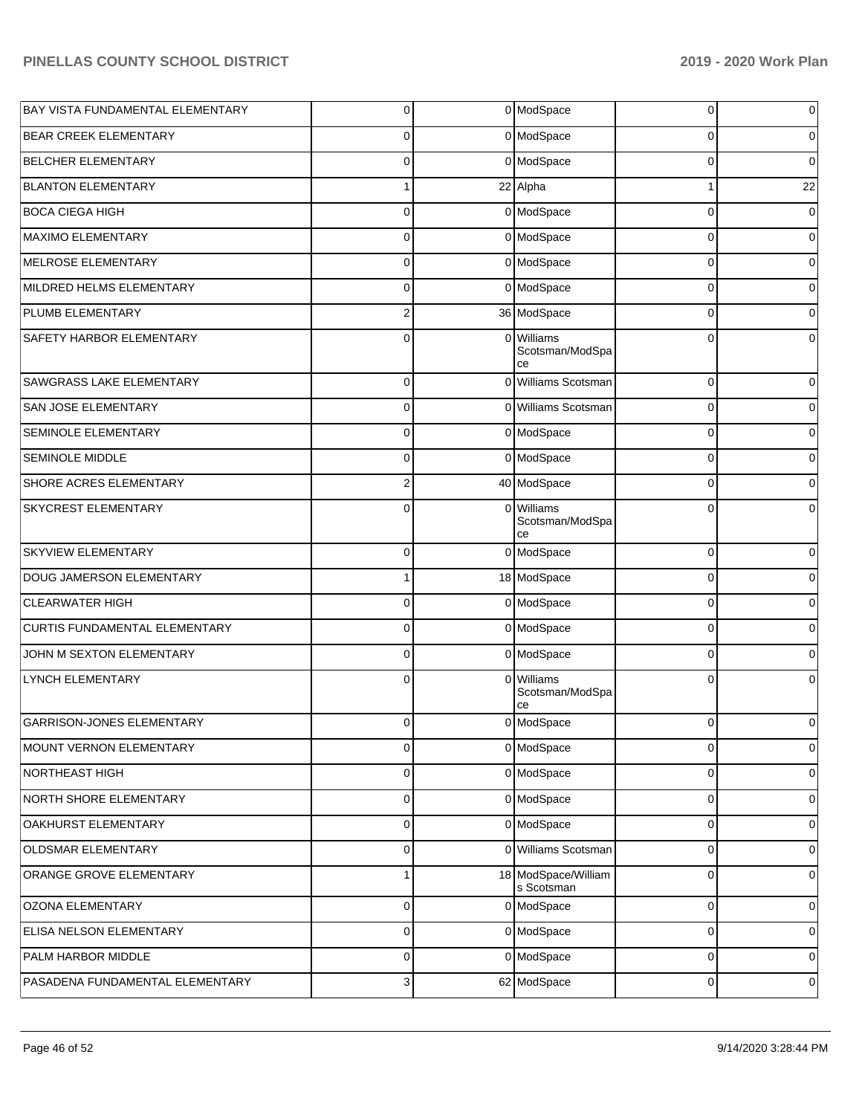| <b>BAY VISTA FUNDAMENTAL ELEMENTARY</b> | $\overline{0}$ |   | 0 ModSpace                          | 0           | $\mathbf 0$         |
|-----------------------------------------|----------------|---|-------------------------------------|-------------|---------------------|
| <b>BEAR CREEK ELEMENTARY</b>            | 0              |   | 0 ModSpace                          | 0           | $\mathbf 0$         |
| <b>BELCHER ELEMENTARY</b>               | 0              |   | 0 ModSpace                          | $\Omega$    | $\overline{0}$      |
| <b>BLANTON ELEMENTARY</b>               | 1              |   | 22 Alpha                            | 1           | 22                  |
| <b>BOCA CIEGA HIGH</b>                  | 0              |   | 0 ModSpace                          | $\mathbf 0$ | $\overline{0}$      |
| MAXIMO ELEMENTARY                       | 0              |   | 0 ModSpace                          | $\mathbf 0$ | $\mathbf 0$         |
| MELROSE ELEMENTARY                      | 0              |   | 0 ModSpace                          | $\mathbf 0$ | $\overline{0}$      |
| MILDRED HELMS ELEMENTARY                | 0              |   | 0 ModSpace                          | $\mathbf 0$ | $\overline{0}$      |
| PLUMB ELEMENTARY                        | $\overline{c}$ |   | 36 ModSpace                         | $\mathbf 0$ | $\overline{0}$      |
| SAFETY HARBOR ELEMENTARY                | $\Omega$       |   | 0 Williams<br>Scotsman/ModSpa<br>ce | 0           | $\overline{0}$      |
| SAWGRASS LAKE ELEMENTARY                | $\Omega$       |   | 0 Williams Scotsman                 | $\mathbf 0$ | 0                   |
| SAN JOSE ELEMENTARY                     | $\mathbf 0$    |   | 0 Williams Scotsman                 | 0           | 0                   |
| SEMINOLE ELEMENTARY                     | $\Omega$       |   | 0 ModSpace                          | 0           | 0                   |
| SEMINOLE MIDDLE                         | $\mathbf 0$    |   | 0 ModSpace                          | 0           | 0                   |
| SHORE ACRES ELEMENTARY                  | 2              |   | 40 ModSpace                         | 0           | 0                   |
| SKYCREST ELEMENTARY                     | $\Omega$       |   | 0 Williams<br>Scotsman/ModSpa<br>ce | 0           | 0                   |
| <b>SKYVIEW ELEMENTARY</b>               | 0              |   | 0 ModSpace                          | 0           | 0                   |
| DOUG JAMERSON ELEMENTARY                |                |   | 18 ModSpace                         | $\Omega$    | 0                   |
| <b>CLEARWATER HIGH</b>                  | 0              |   | 0 ModSpace                          | $\Omega$    | $\overline{0}$      |
| CURTIS FUNDAMENTAL ELEMENTARY           | 0              |   | 0 ModSpace                          | $\Omega$    | $\overline{0}$      |
| JOHN M SEXTON ELEMENTARY                | 0              |   | 0 ModSpace                          | $\Omega$    | $\overline{0}$      |
| LYNCH ELEMENTARY                        | 0              | 0 | Williams<br>Scotsman/ModSpa<br>cе   | 0           | 0                   |
| GARRISON-JONES ELEMENTARY               | 0              |   | 0 ModSpace                          | $\mathbf 0$ | 0                   |
| MOUNT VERNON ELEMENTARY                 | 0              |   | 0 ModSpace                          | $\mathbf 0$ | $\mathsf{O}\xspace$ |
| NORTHEAST HIGH                          | 0              |   | 0 ModSpace                          | $\mathbf 0$ | $\mathbf 0$         |
| NORTH SHORE ELEMENTARY                  | $\mathbf 0$    |   | 0 ModSpace                          | $\mathbf 0$ | $\pmb{0}$           |
| OAKHURST ELEMENTARY                     | 0              |   | 0 ModSpace                          | $\mathbf 0$ | 0                   |
| OLDSMAR ELEMENTARY                      | 0              |   | 0 Williams Scotsman                 | $\mathbf 0$ | $\pmb{0}$           |
| ORANGE GROVE ELEMENTARY                 | 1              |   | 18 ModSpace/William<br>s Scotsman   | $\mathbf 0$ | $\mathbf 0$         |
| OZONA ELEMENTARY                        | 0              |   | 0 ModSpace                          | 0           | 0                   |
| ELISA NELSON ELEMENTARY                 | $\mathbf 0$    |   | 0 ModSpace                          | 0           | 0                   |
| PALM HARBOR MIDDLE                      | 0              |   | 0 ModSpace                          | 0           | $\mathbf 0$         |
| PASADENA FUNDAMENTAL ELEMENTARY         | 3              |   | 62 ModSpace                         | 0           | 0                   |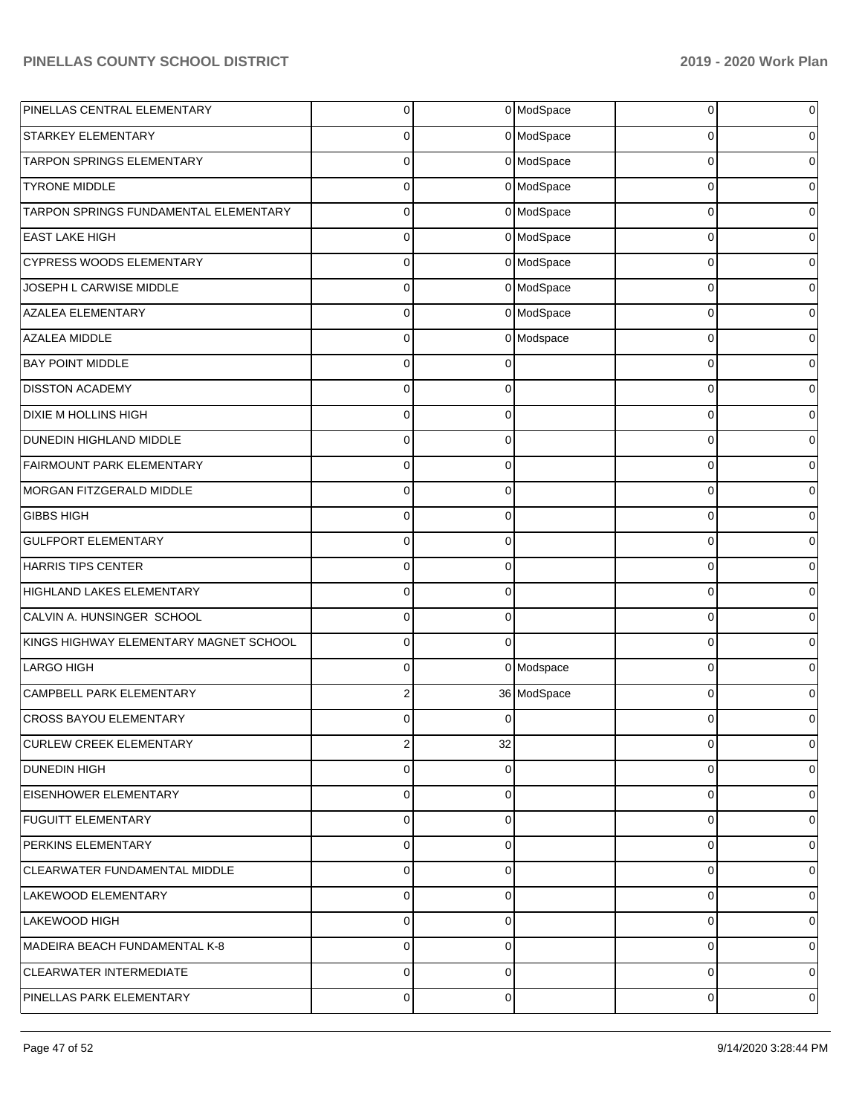| PINELLAS CENTRAL ELEMENTARY            | $\overline{0}$ |          | 0 ModSpace  | 0        | $\overline{0}$ |
|----------------------------------------|----------------|----------|-------------|----------|----------------|
| <b>STARKEY ELEMENTARY</b>              | $\overline{0}$ |          | 0 ModSpace  | 0        | $\overline{0}$ |
| TARPON SPRINGS ELEMENTARY              | $\overline{0}$ |          | 0 ModSpace  | $\Omega$ | $\overline{0}$ |
| <b>TYRONE MIDDLE</b>                   | $\overline{0}$ |          | 0 ModSpace  | $\Omega$ | $\overline{0}$ |
| TARPON SPRINGS FUNDAMENTAL ELEMENTARY  | $\overline{0}$ |          | 0 ModSpace  | $\Omega$ | $\overline{0}$ |
| <b>EAST LAKE HIGH</b>                  | $\overline{0}$ |          | 0 ModSpace  | $\Omega$ | $\overline{0}$ |
| CYPRESS WOODS ELEMENTARY               | $\overline{0}$ |          | 0 ModSpace  | $\Omega$ | $\overline{0}$ |
| JOSEPH L CARWISE MIDDLE                | $\overline{0}$ |          | 0 ModSpace  | $\Omega$ | $\overline{0}$ |
| <b>AZALEA ELEMENTARY</b>               | $\overline{0}$ |          | 0 ModSpace  | $\Omega$ | $\overline{0}$ |
| AZALEA MIDDLE                          | $\overline{0}$ |          | 0 Modspace  | $\Omega$ | $\overline{0}$ |
| <b>BAY POINT MIDDLE</b>                | $\overline{0}$ | ∩        |             | $\Omega$ | $\overline{0}$ |
| <b>DISSTON ACADEMY</b>                 | $\overline{0}$ | $\Omega$ |             | $\Omega$ | $\overline{0}$ |
| DIXIE M HOLLINS HIGH                   | $\Omega$       | $\Omega$ |             | $\Omega$ | $\overline{0}$ |
| DUNEDIN HIGHLAND MIDDLE                | $\overline{0}$ | $\Omega$ |             | $\Omega$ | $\overline{0}$ |
| FAIRMOUNT PARK ELEMENTARY              | $\Omega$       | $\Omega$ |             | $\Omega$ | $\overline{0}$ |
| MORGAN FITZGERALD MIDDLE               | $\overline{0}$ | $\Omega$ |             | $\Omega$ | $\overline{0}$ |
| <b>GIBBS HIGH</b>                      | $\Omega$       | $\Omega$ |             | $\Omega$ | $\overline{0}$ |
| <b>GULFPORT ELEMENTARY</b>             | $\overline{0}$ | $\Omega$ |             | $\Omega$ | $\overline{0}$ |
| HARRIS TIPS CENTER                     | $\Omega$       | $\Omega$ |             | $\Omega$ | $\overline{0}$ |
| HIGHLAND LAKES ELEMENTARY              | $\overline{0}$ | $\Omega$ |             | $\Omega$ | $\overline{0}$ |
| CALVIN A. HUNSINGER SCHOOL             | $\overline{0}$ | $\Omega$ |             | $\Omega$ | $\overline{0}$ |
| KINGS HIGHWAY ELEMENTARY MAGNET SCHOOL | $\overline{0}$ | $\Omega$ |             | $\Omega$ | $\overline{0}$ |
| LARGO HIGH                             | $\Omega$       |          | 0 Modspace  | $\Omega$ | $\overline{0}$ |
| CAMPBELL PARK ELEMENTARY               | 2              |          | 36 ModSpace | $\Omega$ | $\overline{0}$ |
| <b>CROSS BAYOU ELEMENTARY</b>          | 0              | 0        |             | 0        | 0              |
| <b>CURLEW CREEK ELEMENTARY</b>         | $\mathbf{2}$   | 32       |             | 0        | 0              |
| <b>DUNEDIN HIGH</b>                    | $\overline{0}$ | $\Omega$ |             | $\Omega$ | $\overline{0}$ |
| <b>EISENHOWER ELEMENTARY</b>           | $\overline{0}$ | $\Omega$ |             | $\Omega$ | $\overline{0}$ |
| <b>FUGUITT ELEMENTARY</b>              | $\overline{0}$ | $\Omega$ |             | $\Omega$ | $\overline{0}$ |
| PERKINS ELEMENTARY                     | $\overline{0}$ | $\Omega$ |             | $\Omega$ | $\overline{0}$ |
| CLEARWATER FUNDAMENTAL MIDDLE          | $\overline{0}$ | $\Omega$ |             | $\Omega$ | $\overline{0}$ |
| LAKEWOOD ELEMENTARY                    | $\overline{0}$ | $\Omega$ |             | $\Omega$ | $\overline{0}$ |
| LAKEWOOD HIGH                          | $\overline{0}$ | $\Omega$ |             | $\Omega$ | $\overline{0}$ |
| MADEIRA BEACH FUNDAMENTAL K-8          | $\overline{0}$ | $\Omega$ |             | $\Omega$ | $\overline{0}$ |
| <b>CLEARWATER INTERMEDIATE</b>         | $\overline{0}$ | $\Omega$ |             | $\Omega$ | 0              |
| PINELLAS PARK ELEMENTARY               | $\overline{0}$ | 0        |             | 0        | 0              |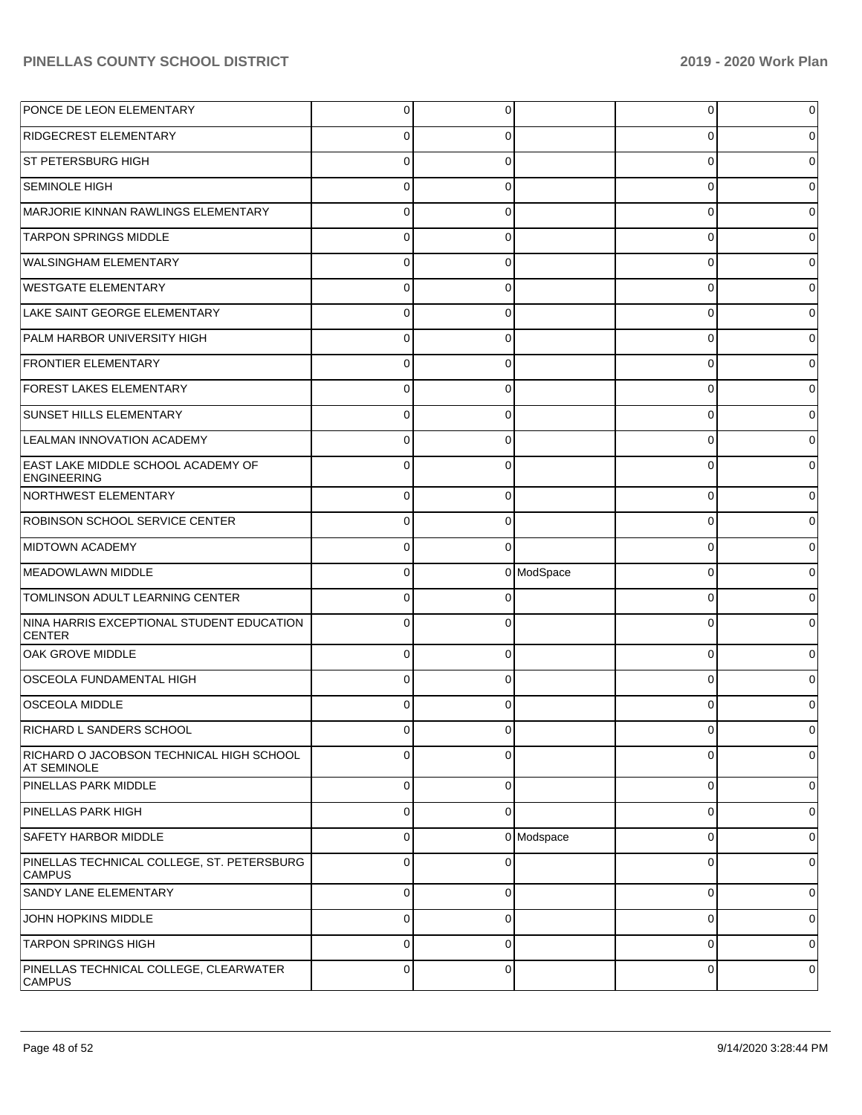| PONCE DE LEON ELEMENTARY                                        | $\overline{0}$ | 0           |            | 0           | 0           |
|-----------------------------------------------------------------|----------------|-------------|------------|-------------|-------------|
| <b>RIDGECREST ELEMENTARY</b>                                    | 0              | 0           |            | 0           | 0           |
| ST PETERSBURG HIGH                                              | $\mathbf 0$    | $\Omega$    |            | 0           | 0           |
| <b>SEMINOLE HIGH</b>                                            | $\mathbf 0$    | 0           |            | 0           | 0           |
| MARJORIE KINNAN RAWLINGS ELEMENTARY                             | $\mathbf 0$    | $\Omega$    |            | 0           | 0           |
| <b>TARPON SPRINGS MIDDLE</b>                                    | $\mathbf 0$    | 0           |            | 0           | 0           |
| <b>WALSINGHAM ELEMENTARY</b>                                    | $\mathbf 0$    | $\Omega$    |            | 0           | 0           |
| <b>WESTGATE ELEMENTARY</b>                                      | $\mathbf 0$    | 0           |            | 0           | 0           |
| LAKE SAINT GEORGE ELEMENTARY                                    | $\mathbf 0$    | $\Omega$    |            | 0           | 0           |
| PALM HARBOR UNIVERSITY HIGH                                     | $\mathbf 0$    | 0           |            | 0           | 0           |
| <b>FRONTIER ELEMENTARY</b>                                      | $\mathbf 0$    | $\Omega$    |            | 0           | 0           |
| FOREST LAKES ELEMENTARY                                         | $\mathbf 0$    | 0           |            | 0           | 0           |
| <b>SUNSET HILLS ELEMENTARY</b>                                  | $\mathbf 0$    | $\Omega$    |            | 0           | 0           |
| LEALMAN INNOVATION ACADEMY                                      | $\mathbf 0$    | $\Omega$    |            | 0           | 0           |
| <b>EAST LAKE MIDDLE SCHOOL ACADEMY OF</b><br><b>ENGINEERING</b> | $\Omega$       | $\Omega$    |            | $\Omega$    |             |
| NORTHWEST ELEMENTARY                                            | $\mathbf 0$    | $\Omega$    |            | $\mathbf 0$ |             |
| ROBINSON SCHOOL SERVICE CENTER                                  | $\mathbf 0$    | 0           |            | 0           |             |
| <b>MIDTOWN ACADEMY</b>                                          | $\mathbf 0$    | $\Omega$    |            | $\Omega$    |             |
| MEADOWLAWN MIDDLE                                               | $\mathbf 0$    |             | 0 ModSpace | 0           |             |
| TOMLINSON ADULT LEARNING CENTER                                 | $\mathbf 0$    | $\Omega$    |            | $\Omega$    |             |
| NINA HARRIS EXCEPTIONAL STUDENT EDUCATION<br><b>CENTER</b>      | $\Omega$       | 0           |            | $\Omega$    |             |
| <b>OAK GROVE MIDDLE</b>                                         | 0              | ∩           |            | 0           |             |
| OSCEOLA FUNDAMENTAL HIGH                                        | 0              | 0           |            | 0           |             |
| <b>OSCEOLA MIDDLE</b>                                           |                |             |            | Ω           |             |
| RICHARD L SANDERS SCHOOL                                        | U              |             |            |             |             |
| RICHARD O JACOBSON TECHNICAL HIGH SCHOOL<br><b>AT SEMINOLE</b>  | 0              | 0           |            | 0           | 0           |
| <b>PINELLAS PARK MIDDLE</b>                                     | $\mathbf 0$    | 0           |            | 0           | 0           |
| PINELLAS PARK HIGH                                              | $\mathbf 0$    | $\Omega$    |            | 0           | $\mathbf 0$ |
| <b>SAFETY HARBOR MIDDLE</b>                                     | $\mathbf 0$    |             | 0 Modspace | 0           | 0           |
| PINELLAS TECHNICAL COLLEGE, ST. PETERSBURG<br><b>CAMPUS</b>     | $\mathbf 0$    | $\Omega$    |            | 0           | 0           |
| <b>SANDY LANE ELEMENTARY</b>                                    | $\mathbf 0$    | $\mathbf 0$ |            | 0           | $\mathbf 0$ |
| JOHN HOPKINS MIDDLE                                             | $\mathbf 0$    | $\mathbf 0$ |            | 0           | 0           |
|                                                                 |                |             |            |             |             |
| <b>TARPON SPRINGS HIGH</b>                                      | $\mathbf 0$    | $\mathbf 0$ |            | $\mathbf 0$ | 0           |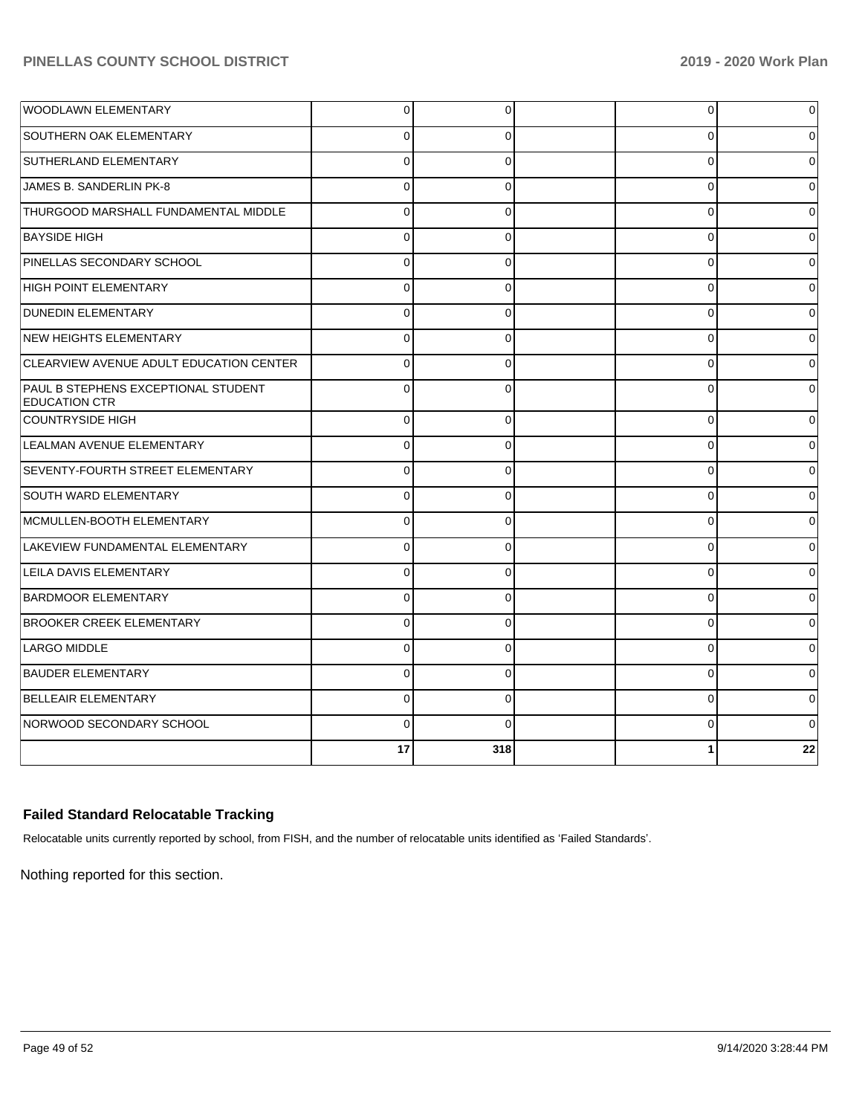|                                                             | 17          | 318      | 1        | 22       |
|-------------------------------------------------------------|-------------|----------|----------|----------|
| NORWOOD SECONDARY SCHOOL                                    | $\Omega$    | $\Omega$ | $\Omega$ | $\Omega$ |
| <b>BELLEAIR ELEMENTARY</b>                                  | $\mathbf 0$ | 0        | 0        | 0        |
| <b>BAUDER ELEMENTARY</b>                                    | $\mathbf 0$ | $\Omega$ | $\Omega$ | 0        |
| LARGO MIDDLE                                                | $\Omega$    | $\Omega$ | $\Omega$ | 0        |
| <b>BROOKER CREEK ELEMENTARY</b>                             | $\Omega$    | $\Omega$ | $\Omega$ | 0        |
| <b>BARDMOOR ELEMENTARY</b>                                  | $\Omega$    | $\Omega$ | $\Omega$ | 0        |
| <b>LEILA DAVIS ELEMENTARY</b>                               | $\mathbf 0$ | $\Omega$ | $\Omega$ | $\Omega$ |
| LAKEVIEW FUNDAMENTAL ELEMENTARY                             | $\Omega$    | $\Omega$ | $\Omega$ | $\Omega$ |
| MCMULLEN-BOOTH ELEMENTARY                                   | $\mathbf 0$ | $\Omega$ | 0        | $\Omega$ |
| <b>SOUTH WARD ELEMENTARY</b>                                | $\mathbf 0$ | $\Omega$ | $\Omega$ | 0        |
| <b>SEVENTY-FOURTH STREET ELEMENTARY</b>                     | $\mathbf 0$ | $\Omega$ | 0        | 0        |
| LEALMAN AVENUE ELEMENTARY                                   | $\Omega$    | $\Omega$ | $\Omega$ | $\Omega$ |
| <b>COUNTRYSIDE HIGH</b>                                     | $\Omega$    | $\Omega$ | $\Omega$ | 0        |
| PAUL B STEPHENS EXCEPTIONAL STUDENT<br><b>EDUCATION CTR</b> | $\Omega$    | $\Omega$ | $\Omega$ | 0        |
| CLEARVIEW AVENUE ADULT EDUCATION CENTER                     | $\Omega$    | $\Omega$ | $\Omega$ | 0        |
| <b>NEW HEIGHTS ELEMENTARY</b>                               | $\Omega$    | $\Omega$ | $\Omega$ | 0        |
| <b>DUNEDIN ELEMENTARY</b>                                   | $\mathbf 0$ | $\Omega$ | 0        | $\Omega$ |
| <b>HIGH POINT ELEMENTARY</b>                                | $\Omega$    | $\Omega$ | $\Omega$ | $\Omega$ |
| PINELLAS SECONDARY SCHOOL                                   | $\Omega$    | $\Omega$ | $\Omega$ | 0        |
| <b>BAYSIDE HIGH</b>                                         | $\Omega$    | $\Omega$ | $\Omega$ | $\Omega$ |
| THURGOOD MARSHALL FUNDAMENTAL MIDDLE                        | $\Omega$    | 0        | 0        | 0        |
| JAMES B. SANDERLIN PK-8                                     | $\Omega$    | $\Omega$ | 0        | 0        |
| SUTHERLAND ELEMENTARY                                       | $\Omega$    | $\Omega$ | $\Omega$ | $\Omega$ |
| <b>SOUTHERN OAK ELEMENTARY</b>                              | $\Omega$    | $\Omega$ | $\Omega$ | $\Omega$ |
| <b>WOODLAWN ELEMENTARY</b>                                  | $\mathbf 0$ | 0        | 0        | 0        |

### **Failed Standard Relocatable Tracking**

Relocatable units currently reported by school, from FISH, and the number of relocatable units identified as 'Failed Standards'.

Nothing reported for this section.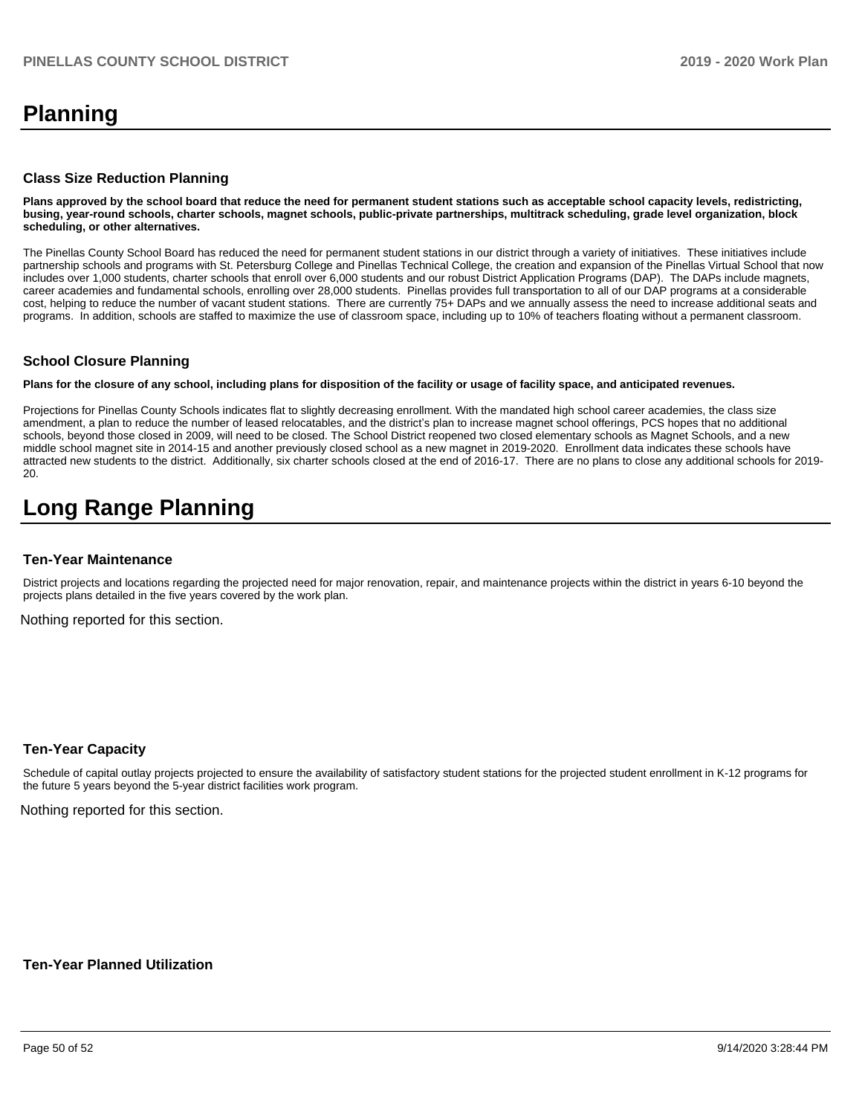## **Planning**

#### **Class Size Reduction Planning**

**Plans approved by the school board that reduce the need for permanent student stations such as acceptable school capacity levels, redistricting, busing, year-round schools, charter schools, magnet schools, public-private partnerships, multitrack scheduling, grade level organization, block scheduling, or other alternatives.**

The Pinellas County School Board has reduced the need for permanent student stations in our district through a variety of initiatives. These initiatives include partnership schools and programs with St. Petersburg College and Pinellas Technical College, the creation and expansion of the Pinellas Virtual School that now includes over 1,000 students, charter schools that enroll over 6,000 students and our robust District Application Programs (DAP). The DAPs include magnets, career academies and fundamental schools, enrolling over 28,000 students. Pinellas provides full transportation to all of our DAP programs at a considerable cost, helping to reduce the number of vacant student stations. There are currently 75+ DAPs and we annually assess the need to increase additional seats and programs. In addition, schools are staffed to maximize the use of classroom space, including up to 10% of teachers floating without a permanent classroom.

#### **School Closure Planning**

**Plans for the closure of any school, including plans for disposition of the facility or usage of facility space, and anticipated revenues.** 

Projections for Pinellas County Schools indicates flat to slightly decreasing enrollment. With the mandated high school career academies, the class size amendment, a plan to reduce the number of leased relocatables, and the district's plan to increase magnet school offerings, PCS hopes that no additional schools, beyond those closed in 2009, will need to be closed. The School District reopened two closed elementary schools as Magnet Schools, and a new middle school magnet site in 2014-15 and another previously closed school as a new magnet in 2019-2020. Enrollment data indicates these schools have attracted new students to the district. Additionally, six charter schools closed at the end of 2016-17. There are no plans to close any additional schools for 2019- 20.

## **Long Range Planning**

#### **Ten-Year Maintenance**

District projects and locations regarding the projected need for major renovation, repair, and maintenance projects within the district in years 6-10 beyond the projects plans detailed in the five years covered by the work plan.

Nothing reported for this section.

#### **Ten-Year Capacity**

Schedule of capital outlay projects projected to ensure the availability of satisfactory student stations for the projected student enrollment in K-12 programs for the future 5 years beyond the 5-year district facilities work program.

Nothing reported for this section.

**Ten-Year Planned Utilization**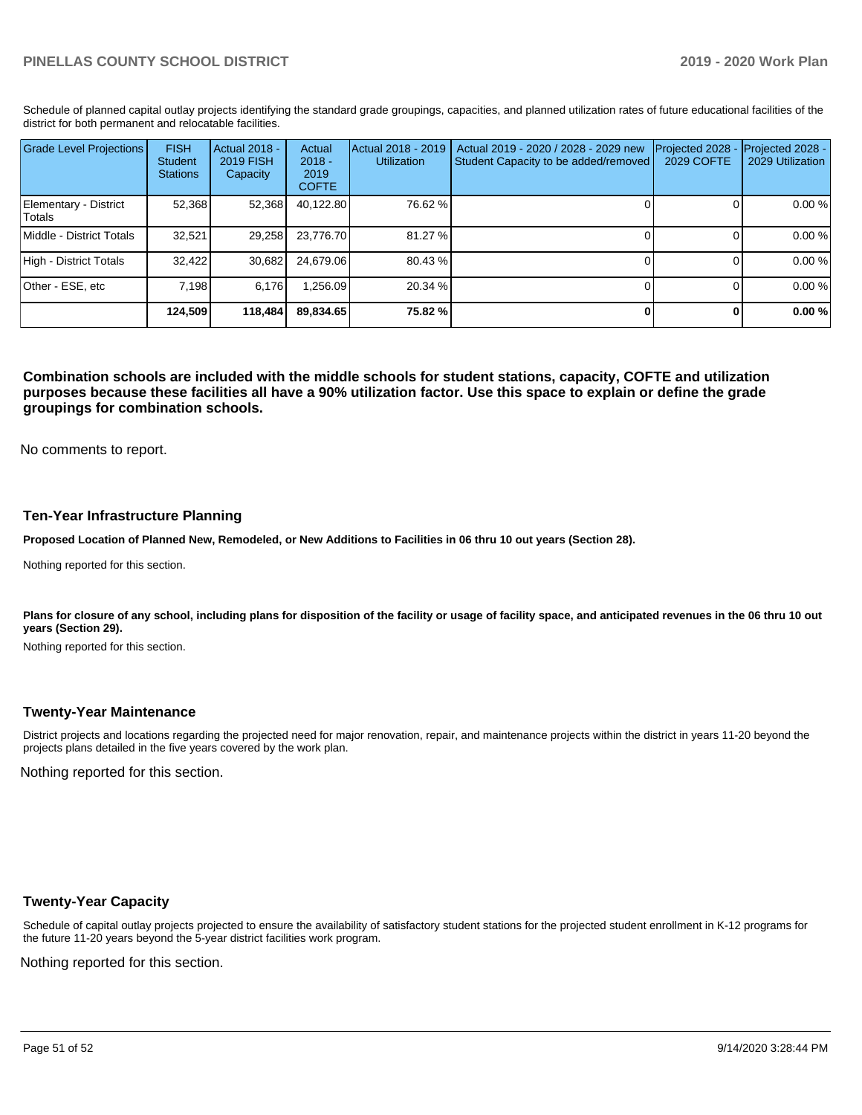Schedule of planned capital outlay projects identifying the standard grade groupings, capacities, and planned utilization rates of future educational facilities of the district for both permanent and relocatable facilities.

| <b>Grade Level Projections</b>   | <b>FISH</b><br>Student<br><b>Stations</b> | <b>Actual 2018 -</b><br>2019 FISH<br>Capacity | Actual<br>$2018 -$<br>2019<br><b>COFTE</b> | Actual 2018 - 2019<br><b>Utilization</b> | Actual 2019 - 2020 / 2028 - 2029 new<br>Student Capacity to be added/removed | Projected 2028<br>2029 COFTE | Projected 2028 -<br>2029 Utilization |
|----------------------------------|-------------------------------------------|-----------------------------------------------|--------------------------------------------|------------------------------------------|------------------------------------------------------------------------------|------------------------------|--------------------------------------|
| Elementary - District<br>lTotals | 52,368                                    | 52,368                                        | 40,122.80                                  | 76.62 %                                  |                                                                              |                              | 0.00 %                               |
| Middle - District Totals         | 32.521                                    | 29.258                                        | 23.776.70                                  | 81.27 %                                  |                                                                              |                              | 0.00 %                               |
| High - District Totals           | 32.422                                    | 30,682                                        | 24.679.06                                  | 80.43 %                                  |                                                                              |                              | 0.00 %                               |
| Other - ESE, etc                 | 7.198                                     | 6.176                                         | .256.09                                    | 20.34 %                                  |                                                                              |                              | 0.00 %                               |
|                                  | 124.509                                   | 118,484                                       | 89.834.65                                  | 75.82 %                                  |                                                                              |                              | 0.00%                                |

**Combination schools are included with the middle schools for student stations, capacity, COFTE and utilization purposes because these facilities all have a 90% utilization factor. Use this space to explain or define the grade groupings for combination schools.** 

No comments to report.

#### **Ten-Year Infrastructure Planning**

**Proposed Location of Planned New, Remodeled, or New Additions to Facilities in 06 thru 10 out years (Section 28).**

Nothing reported for this section.

Plans for closure of any school, including plans for disposition of the facility or usage of facility space, and anticipated revenues in the 06 thru 10 out **years (Section 29).**

Nothing reported for this section.

#### **Twenty-Year Maintenance**

District projects and locations regarding the projected need for major renovation, repair, and maintenance projects within the district in years 11-20 beyond the projects plans detailed in the five years covered by the work plan.

Nothing reported for this section.

#### **Twenty-Year Capacity**

Schedule of capital outlay projects projected to ensure the availability of satisfactory student stations for the projected student enrollment in K-12 programs for the future 11-20 years beyond the 5-year district facilities work program.

Nothing reported for this section.